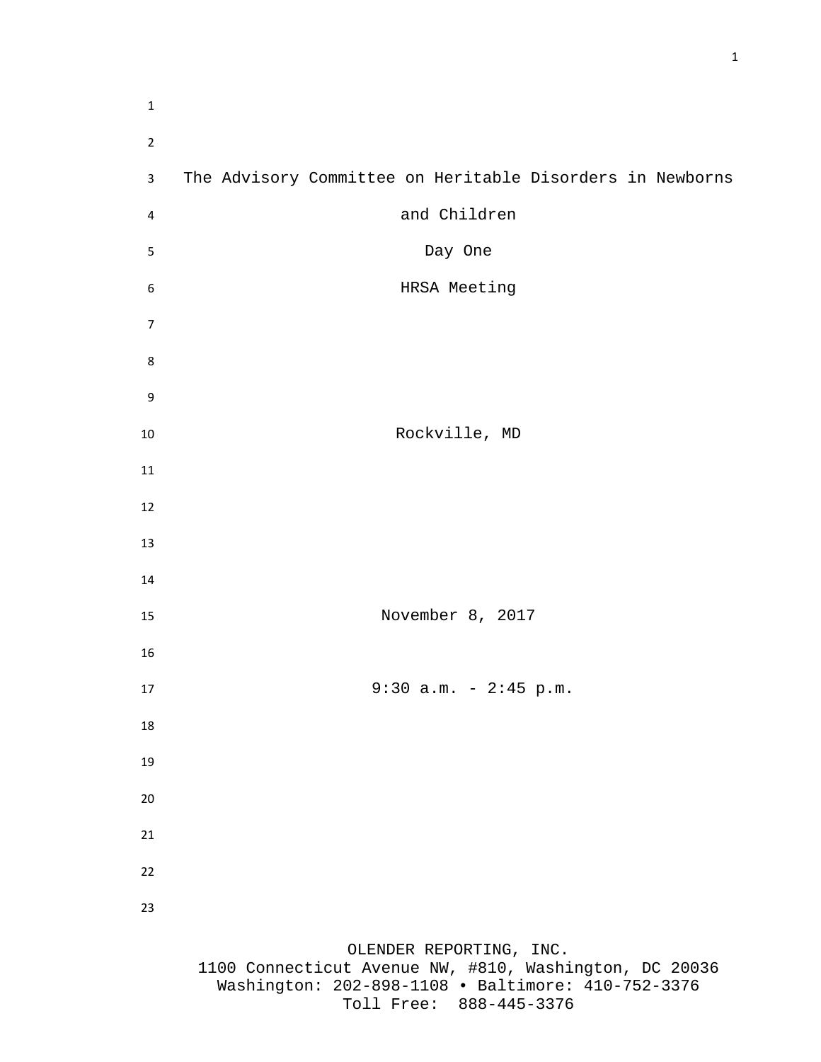| $\mathbf 1$    |                                                                                                                                                                    |
|----------------|--------------------------------------------------------------------------------------------------------------------------------------------------------------------|
| $\overline{2}$ |                                                                                                                                                                    |
| 3              | The Advisory Committee on Heritable Disorders in Newborns                                                                                                          |
| 4              | and Children                                                                                                                                                       |
| 5              | Day One                                                                                                                                                            |
| 6              | HRSA Meeting                                                                                                                                                       |
| $\overline{7}$ |                                                                                                                                                                    |
| 8              |                                                                                                                                                                    |
| 9              |                                                                                                                                                                    |
| 10             | Rockville, MD                                                                                                                                                      |
| 11             |                                                                                                                                                                    |
| 12             |                                                                                                                                                                    |
| 13             |                                                                                                                                                                    |
| 14             |                                                                                                                                                                    |
| 15             | November 8, 2017                                                                                                                                                   |
| 16             |                                                                                                                                                                    |
| 17             | $9:30$ a.m. - 2:45 p.m.                                                                                                                                            |
| 18             |                                                                                                                                                                    |
| 19             |                                                                                                                                                                    |
| 20             |                                                                                                                                                                    |
| 21             |                                                                                                                                                                    |
| 22             |                                                                                                                                                                    |
| 23             |                                                                                                                                                                    |
|                | OLENDER REPORTING, INC.<br>1100 Connecticut Avenue NW, #810, Washington, DC 20036<br>Washington: 202-898-1108 · Baltimore: 410-752-3376<br>Toll Free: 888-445-3376 |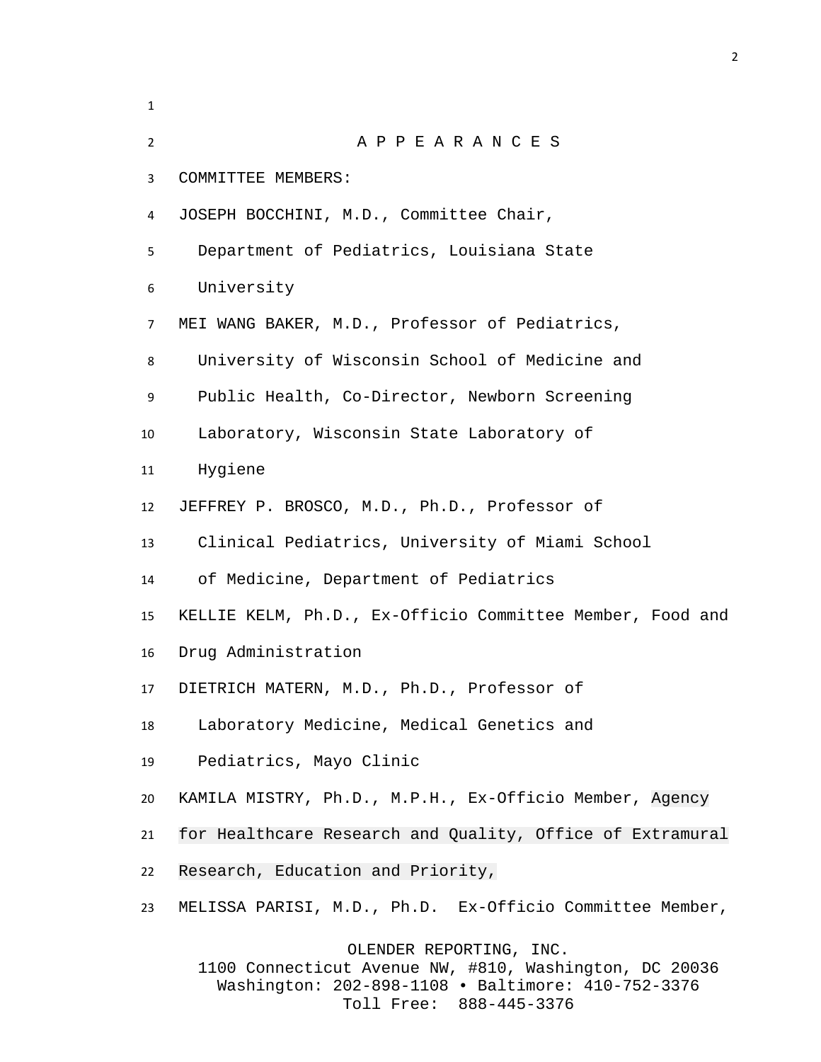A P P E A R A N C E S COMMITTEE MEMBERS: JOSEPH BOCCHINI, M.D., Committee Chair, Department of Pediatrics, Louisiana State University MEI WANG BAKER, M.D., Professor of Pediatrics, University of Wisconsin School of Medicine and Public Health, Co-Director, Newborn Screening Laboratory, Wisconsin State Laboratory of Hygiene JEFFREY P. BROSCO, M.D., Ph.D., Professor of Clinical Pediatrics, University of Miami School of Medicine, Department of Pediatrics KELLIE KELM, Ph.D., Ex-Officio Committee Member, Food and Drug Administration DIETRICH MATERN, M.D., Ph.D., Professor of Laboratory Medicine, Medical Genetics and Pediatrics, Mayo Clinic KAMILA MISTRY, Ph.D., M.P.H., Ex-Officio Member, Agency for Healthcare Research and Quality, Office of Extramural Research, Education and Priority, MELISSA PARISI, M.D., Ph.D. Ex-Officio Committee Member, OLENDER REPORTING, INC.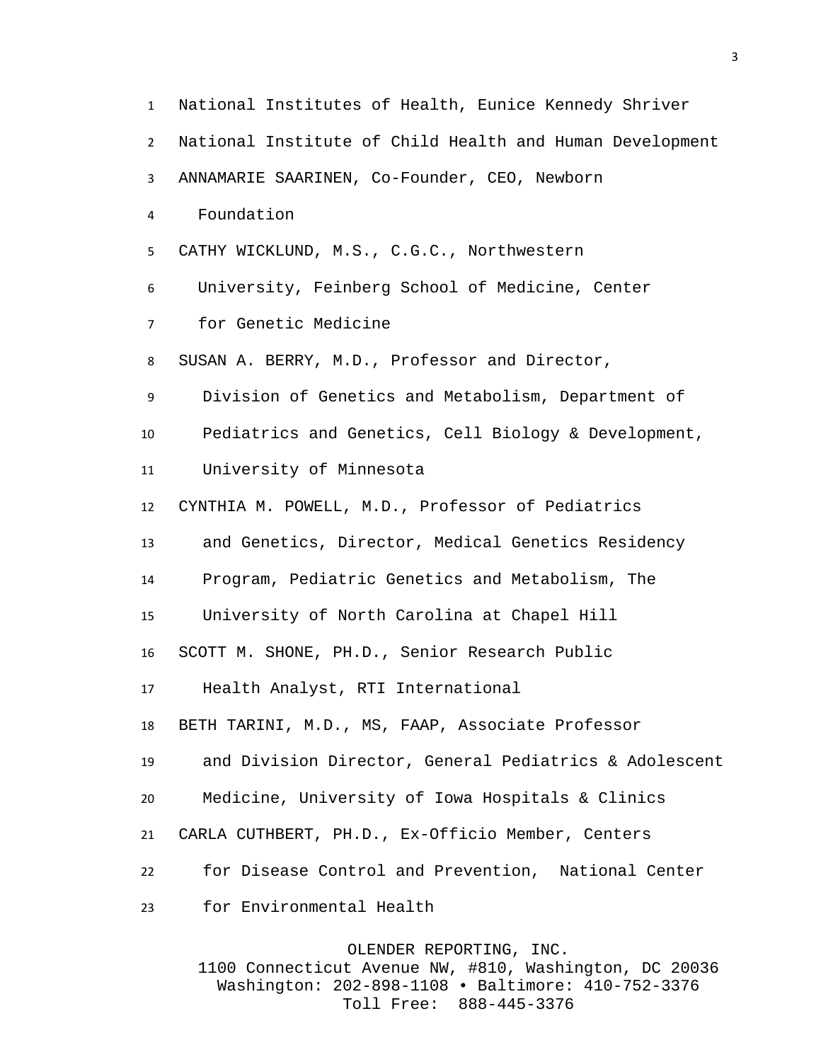National Institutes of Health, Eunice Kennedy Shriver National Institute of Child Health and Human Development ANNAMARIE SAARINEN, Co-Founder, CEO, Newborn Foundation CATHY WICKLUND, M.S., C.G.C., Northwestern University, Feinberg School of Medicine, Center for Genetic Medicine SUSAN A. BERRY, M.D., Professor and Director, Division of Genetics and Metabolism, Department of Pediatrics and Genetics, Cell Biology & Development, University of Minnesota CYNTHIA M. POWELL, M.D., Professor of Pediatrics and Genetics, Director, Medical Genetics Residency Program, Pediatric Genetics and Metabolism, The University of North Carolina at Chapel Hill SCOTT M. SHONE, PH.D., Senior Research Public Health Analyst, RTI International BETH TARINI, M.D., MS, FAAP, Associate Professor and Division Director, General Pediatrics & Adolescent Medicine, University of Iowa Hospitals & Clinics CARLA CUTHBERT, PH.D., Ex-Officio Member, Centers for Disease Control and Prevention, National Center for Environmental Health

OLENDER REPORTING, INC.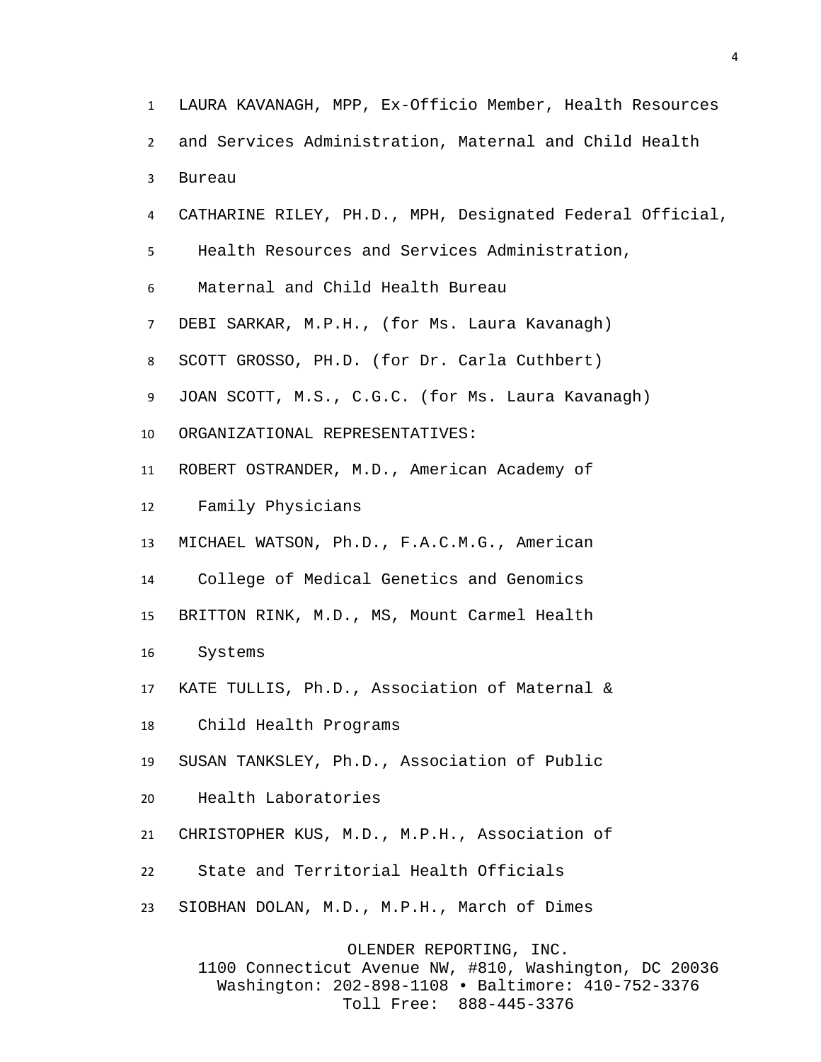LAURA KAVANAGH, MPP, Ex-Officio Member, Health Resources and Services Administration, Maternal and Child Health Bureau CATHARINE RILEY, PH.D., MPH, Designated Federal Official, Health Resources and Services Administration, Maternal and Child Health Bureau DEBI SARKAR, M.P.H., (for Ms. Laura Kavanagh) SCOTT GROSSO, PH.D. (for Dr. Carla Cuthbert) JOAN SCOTT, M.S., C.G.C. (for Ms. Laura Kavanagh) ORGANIZATIONAL REPRESENTATIVES: ROBERT OSTRANDER, M.D., American Academy of Family Physicians MICHAEL WATSON, Ph.D., F.A.C.M.G., American College of Medical Genetics and Genomics BRITTON RINK, M.D., MS, Mount Carmel Health Systems KATE TULLIS, Ph.D., Association of Maternal & Child Health Programs SUSAN TANKSLEY, Ph.D., Association of Public Health Laboratories CHRISTOPHER KUS, M.D., M.P.H., Association of State and Territorial Health Officials SIOBHAN DOLAN, M.D., M.P.H., March of Dimes OLENDER REPORTING, INC. 1100 Connecticut Avenue NW, #810, Washington, DC 20036 Washington: 202-898-1108 • Baltimore: 410-752-3376

Toll Free: 888-445-3376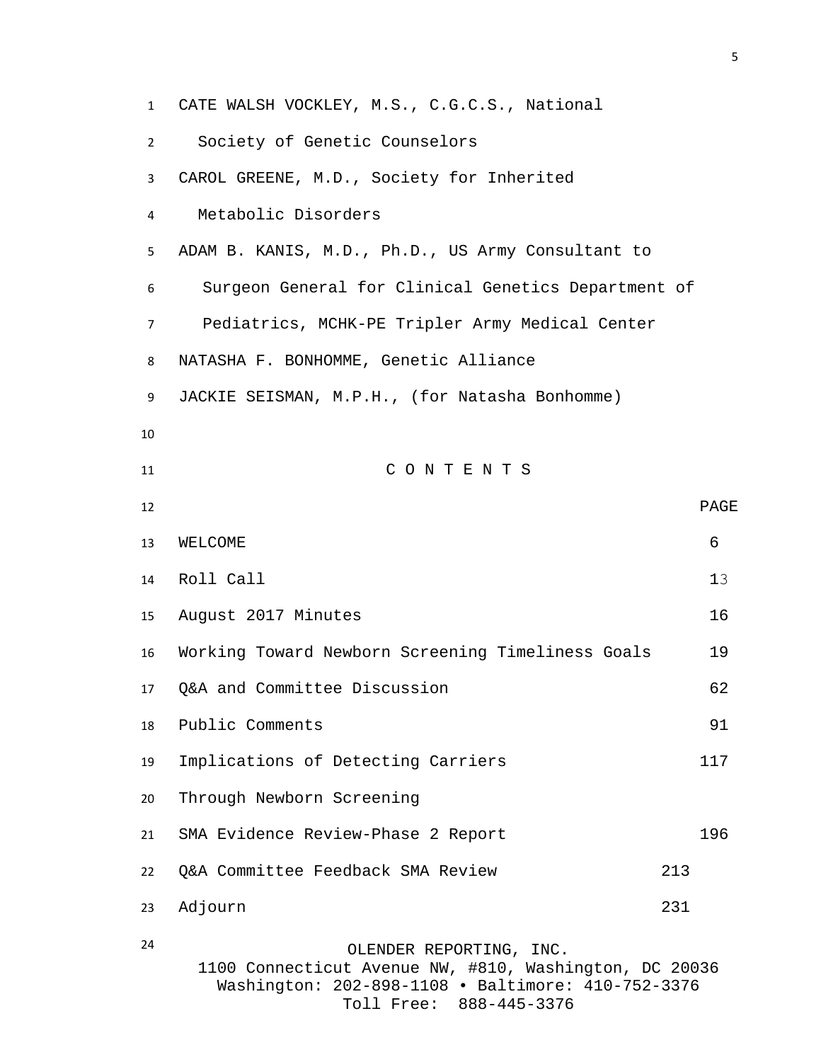CATE WALSH VOCKLEY, M.S., C.G.C.S., National Society of Genetic Counselors CAROL GREENE, M.D., Society for Inherited Metabolic Disorders ADAM B. KANIS, M.D., Ph.D., US Army Consultant to Surgeon General for Clinical Genetics Department of Pediatrics, MCHK-PE Tripler Army Medical Center NATASHA F. BONHOMME, Genetic Alliance JACKIE SEISMAN, M.P.H., (for Natasha Bonhomme) C O N T E N T S PAGE 13 WELCOME 6 14 Roll Call 13 August 2017 Minutes 16 Working Toward Newborn Screening Timeliness Goals 19 Q&A and Committee Discussion 62 Public Comments 91 Implications of Detecting Carriers 117 Through Newborn Screening 21 SMA Evidence Review-Phase 2 Report 196 Q&A Committee Feedback SMA Review 213 Adjourn 231 OLENDER REPORTING, INC. 1100 Connecticut Avenue NW, #810, Washington, DC 20036 Washington: 202-898-1108 • Baltimore: 410-752-3376

Toll Free: 888-445-3376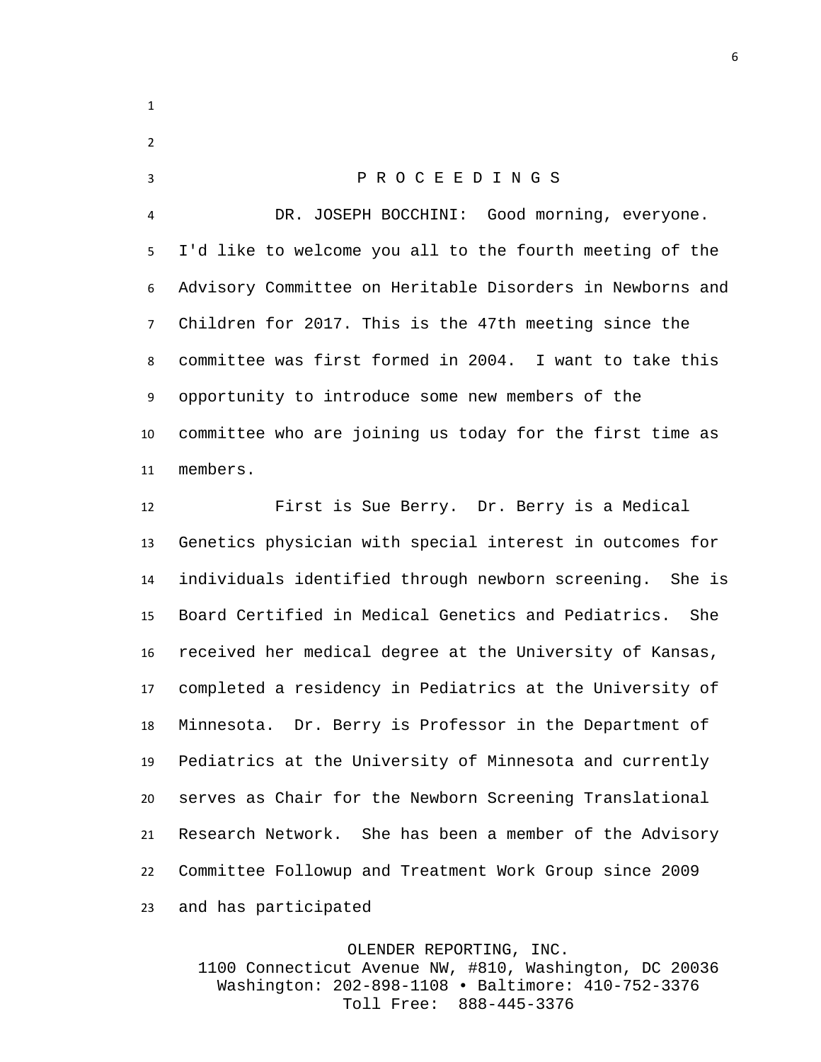P R O C E E D I N G S DR. JOSEPH BOCCHINI: Good morning, everyone. I'd like to welcome you all to the fourth meeting of the Advisory Committee on Heritable Disorders in Newborns and Children for 2017. This is the 47th meeting since the committee was first formed in 2004. I want to take this opportunity to introduce some new members of the committee who are joining us today for the first time as members.

 First is Sue Berry. Dr. Berry is a Medical Genetics physician with special interest in outcomes for individuals identified through newborn screening. She is Board Certified in Medical Genetics and Pediatrics. She received her medical degree at the University of Kansas, completed a residency in Pediatrics at the University of Minnesota. Dr. Berry is Professor in the Department of Pediatrics at the University of Minnesota and currently serves as Chair for the Newborn Screening Translational Research Network. She has been a member of the Advisory Committee Followup and Treatment Work Group since 2009 and has participated

## OLENDER REPORTING, INC.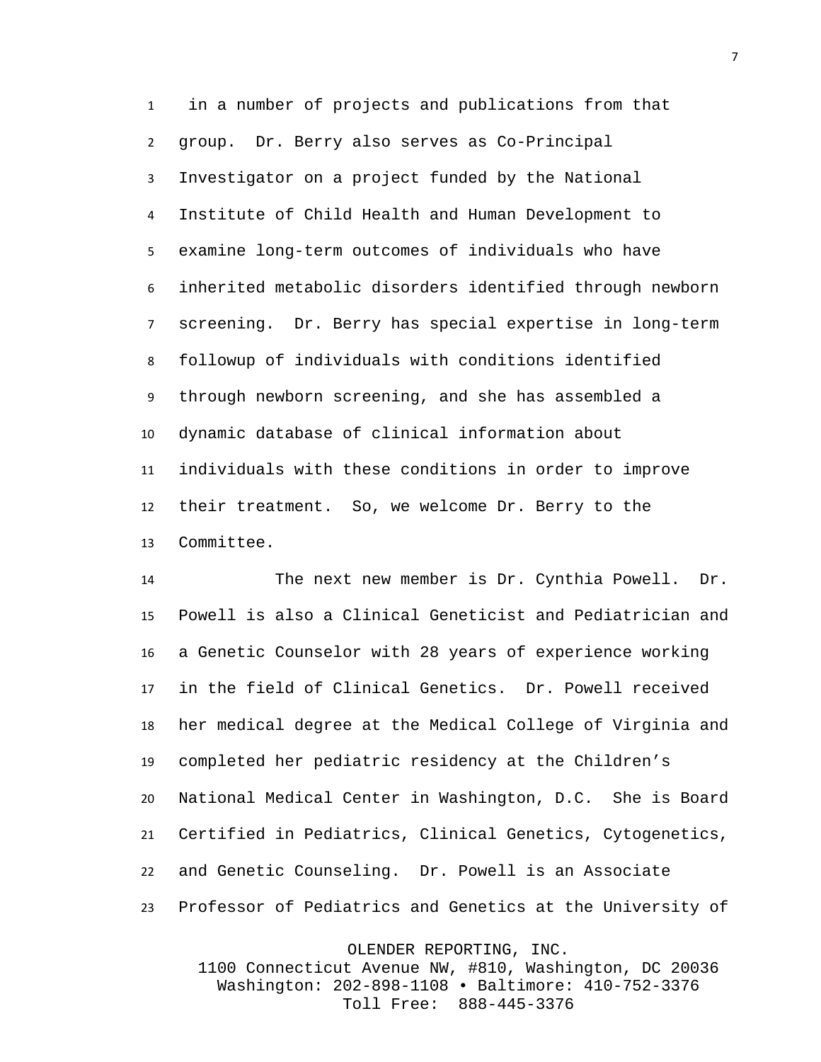in a number of projects and publications from that group. Dr. Berry also serves as Co-Principal Investigator on a project funded by the National Institute of Child Health and Human Development to examine long-term outcomes of individuals who have inherited metabolic disorders identified through newborn screening. Dr. Berry has special expertise in long-term followup of individuals with conditions identified through newborn screening, and she has assembled a dynamic database of clinical information about individuals with these conditions in order to improve their treatment. So, we welcome Dr. Berry to the Committee.

 The next new member is Dr. Cynthia Powell. Dr. Powell is also a Clinical Geneticist and Pediatrician and a Genetic Counselor with 28 years of experience working in the field of Clinical Genetics. Dr. Powell received her medical degree at the Medical College of Virginia and completed her pediatric residency at the Children's National Medical Center in Washington, D.C. She is Board Certified in Pediatrics, Clinical Genetics, Cytogenetics, and Genetic Counseling. Dr. Powell is an Associate Professor of Pediatrics and Genetics at the University of

OLENDER REPORTING, INC.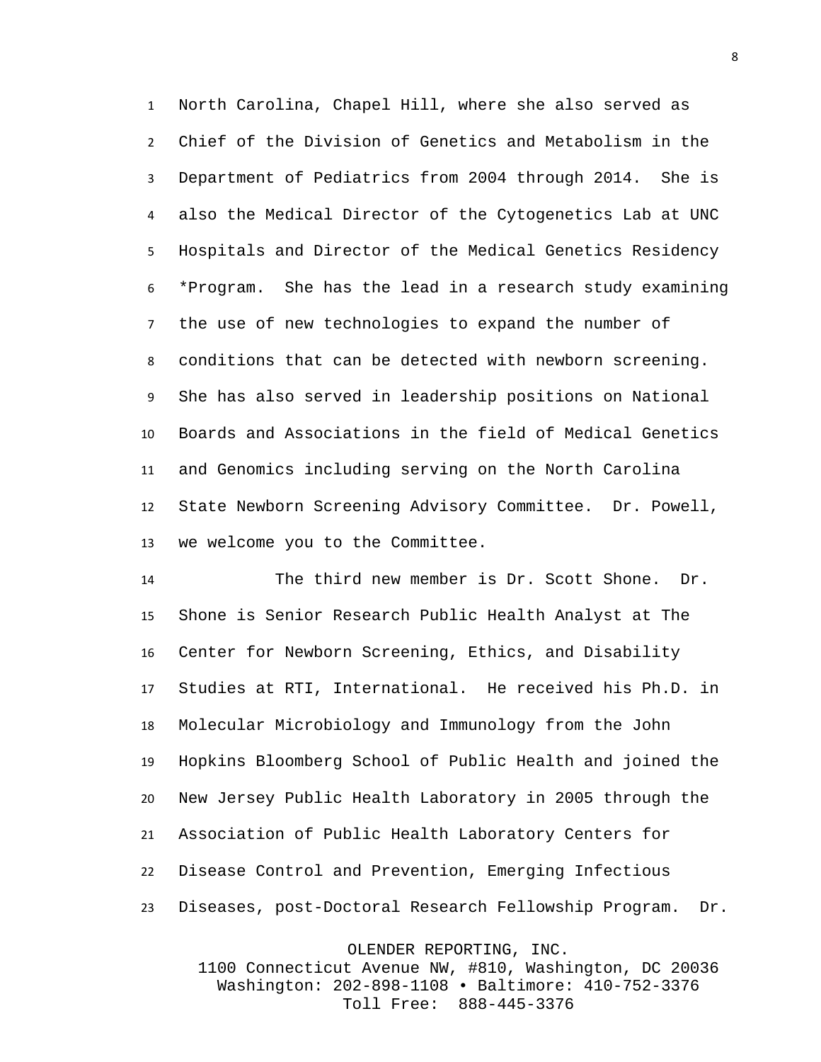North Carolina, Chapel Hill, where she also served as Chief of the Division of Genetics and Metabolism in the Department of Pediatrics from 2004 through 2014. She is also the Medical Director of the Cytogenetics Lab at UNC Hospitals and Director of the Medical Genetics Residency \*Program. She has the lead in a research study examining the use of new technologies to expand the number of conditions that can be detected with newborn screening. She has also served in leadership positions on National Boards and Associations in the field of Medical Genetics and Genomics including serving on the North Carolina State Newborn Screening Advisory Committee. Dr. Powell, we welcome you to the Committee.

 The third new member is Dr. Scott Shone. Dr. Shone is Senior Research Public Health Analyst at The Center for Newborn Screening, Ethics, and Disability Studies at RTI, International. He received his Ph.D. in Molecular Microbiology and Immunology from the John Hopkins Bloomberg School of Public Health and joined the New Jersey Public Health Laboratory in 2005 through the Association of Public Health Laboratory Centers for Disease Control and Prevention, Emerging Infectious Diseases, post-Doctoral Research Fellowship Program. Dr.

OLENDER REPORTING, INC.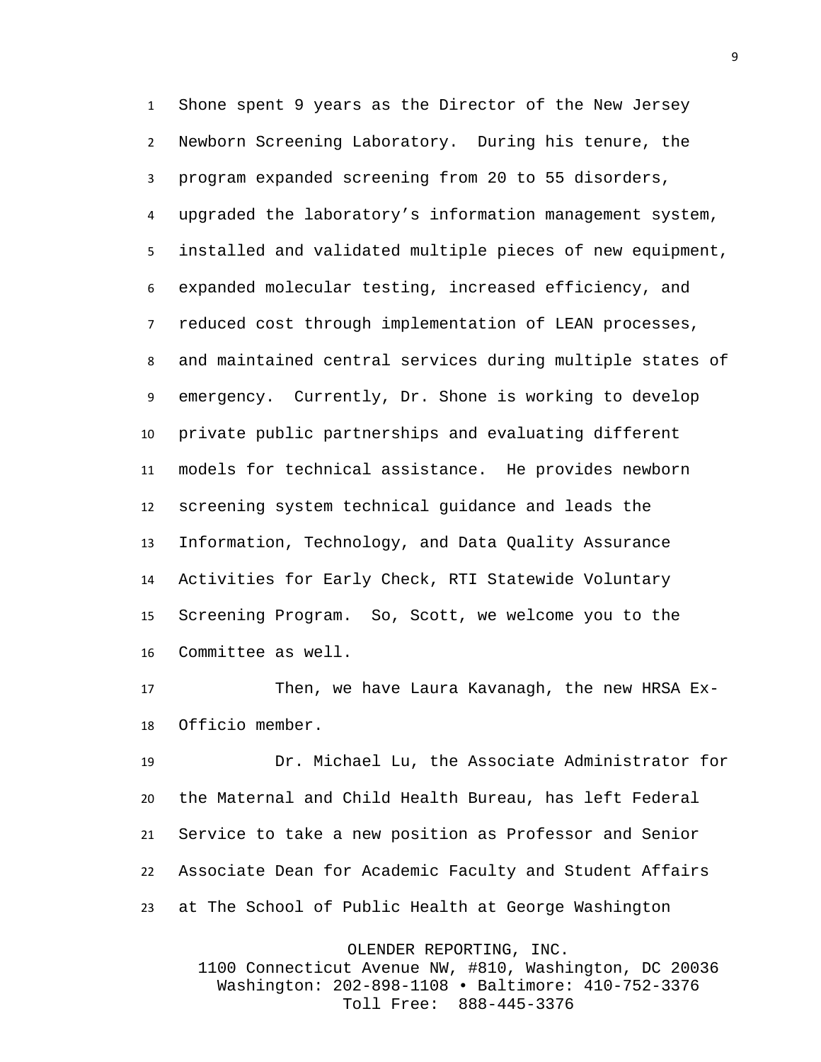Shone spent 9 years as the Director of the New Jersey Newborn Screening Laboratory. During his tenure, the program expanded screening from 20 to 55 disorders, upgraded the laboratory's information management system, installed and validated multiple pieces of new equipment, expanded molecular testing, increased efficiency, and reduced cost through implementation of LEAN processes, and maintained central services during multiple states of emergency. Currently, Dr. Shone is working to develop private public partnerships and evaluating different models for technical assistance. He provides newborn screening system technical guidance and leads the Information, Technology, and Data Quality Assurance Activities for Early Check, RTI Statewide Voluntary Screening Program. So, Scott, we welcome you to the Committee as well.

 Then, we have Laura Kavanagh, the new HRSA Ex-Officio member.

 Dr. Michael Lu, the Associate Administrator for the Maternal and Child Health Bureau, has left Federal Service to take a new position as Professor and Senior Associate Dean for Academic Faculty and Student Affairs at The School of Public Health at George Washington

OLENDER REPORTING, INC.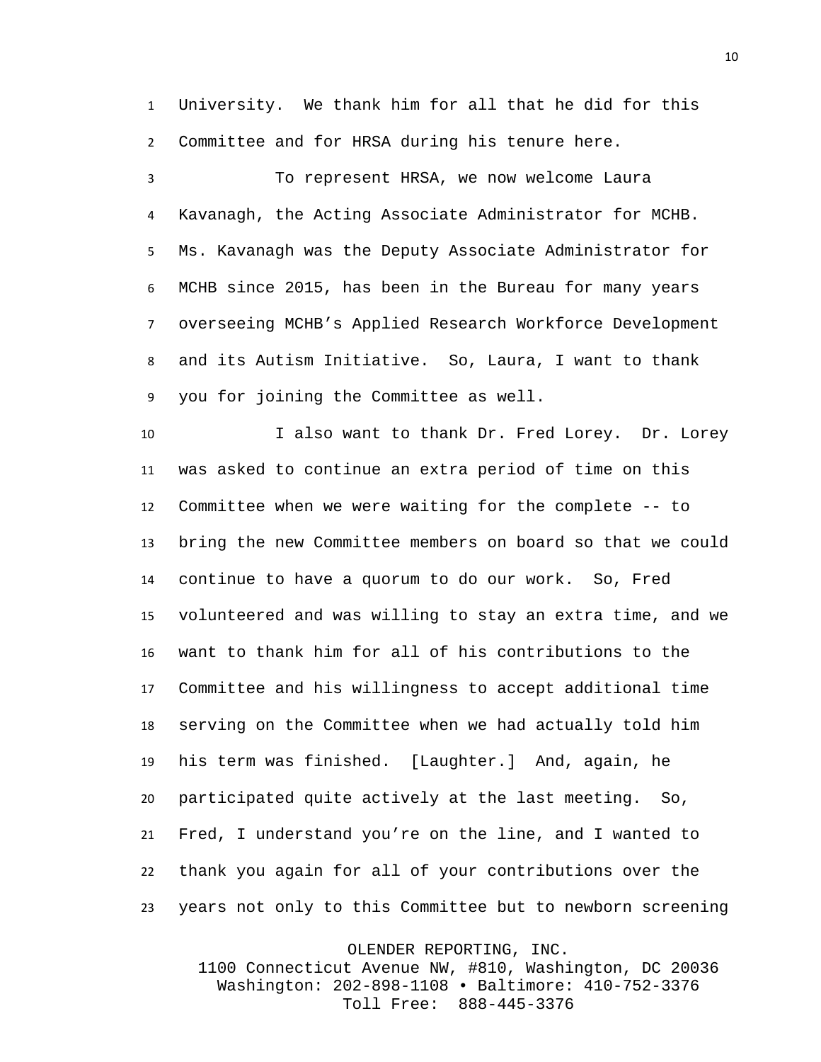University. We thank him for all that he did for this Committee and for HRSA during his tenure here.

 To represent HRSA, we now welcome Laura Kavanagh, the Acting Associate Administrator for MCHB. Ms. Kavanagh was the Deputy Associate Administrator for MCHB since 2015, has been in the Bureau for many years overseeing MCHB's Applied Research Workforce Development and its Autism Initiative. So, Laura, I want to thank you for joining the Committee as well.

 I also want to thank Dr. Fred Lorey. Dr. Lorey was asked to continue an extra period of time on this Committee when we were waiting for the complete -- to bring the new Committee members on board so that we could continue to have a quorum to do our work. So, Fred volunteered and was willing to stay an extra time, and we want to thank him for all of his contributions to the Committee and his willingness to accept additional time serving on the Committee when we had actually told him his term was finished. [Laughter.] And, again, he participated quite actively at the last meeting. So, Fred, I understand you're on the line, and I wanted to thank you again for all of your contributions over the years not only to this Committee but to newborn screening

OLENDER REPORTING, INC.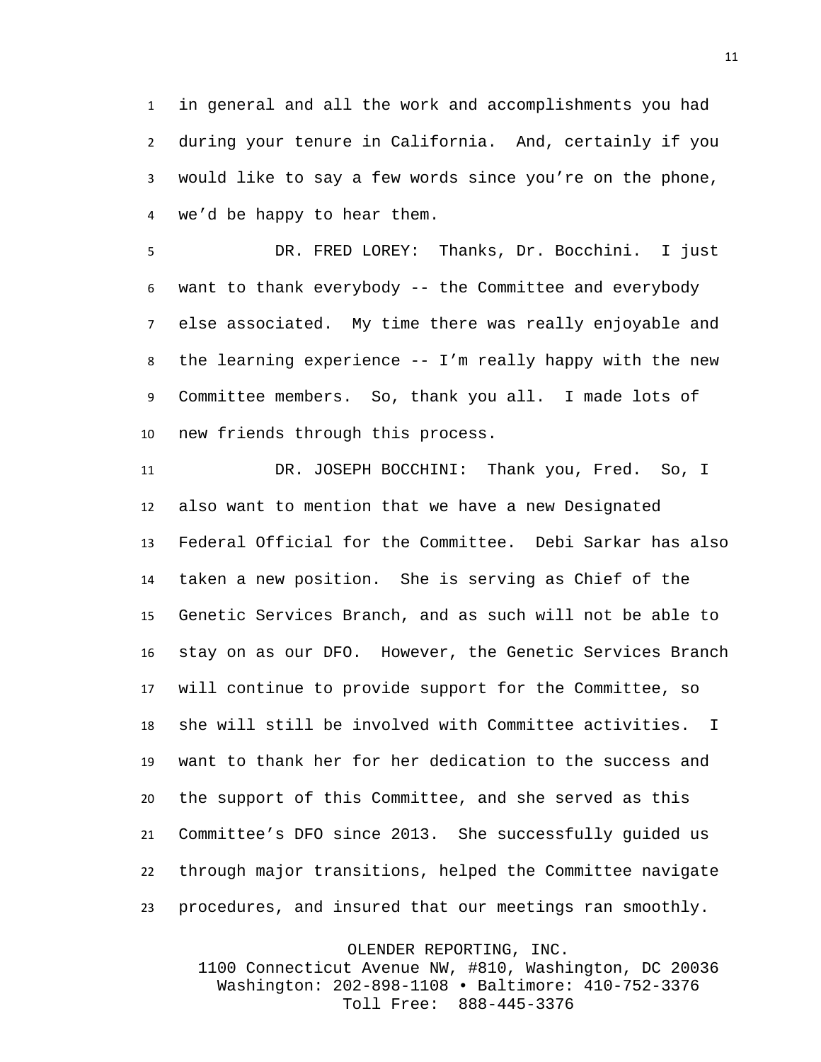in general and all the work and accomplishments you had during your tenure in California. And, certainly if you would like to say a few words since you're on the phone, we'd be happy to hear them.

DR. FRED LOREY: Thanks, Dr. Bocchini. I just want to thank everybody -- the Committee and everybody else associated. My time there was really enjoyable and the learning experience -- I'm really happy with the new Committee members. So, thank you all. I made lots of new friends through this process.

 DR. JOSEPH BOCCHINI: Thank you, Fred. So, I also want to mention that we have a new Designated Federal Official for the Committee. Debi Sarkar has also taken a new position. She is serving as Chief of the Genetic Services Branch, and as such will not be able to stay on as our DFO. However, the Genetic Services Branch will continue to provide support for the Committee, so she will still be involved with Committee activities. I want to thank her for her dedication to the success and the support of this Committee, and she served as this Committee's DFO since 2013. She successfully guided us through major transitions, helped the Committee navigate procedures, and insured that our meetings ran smoothly.

OLENDER REPORTING, INC.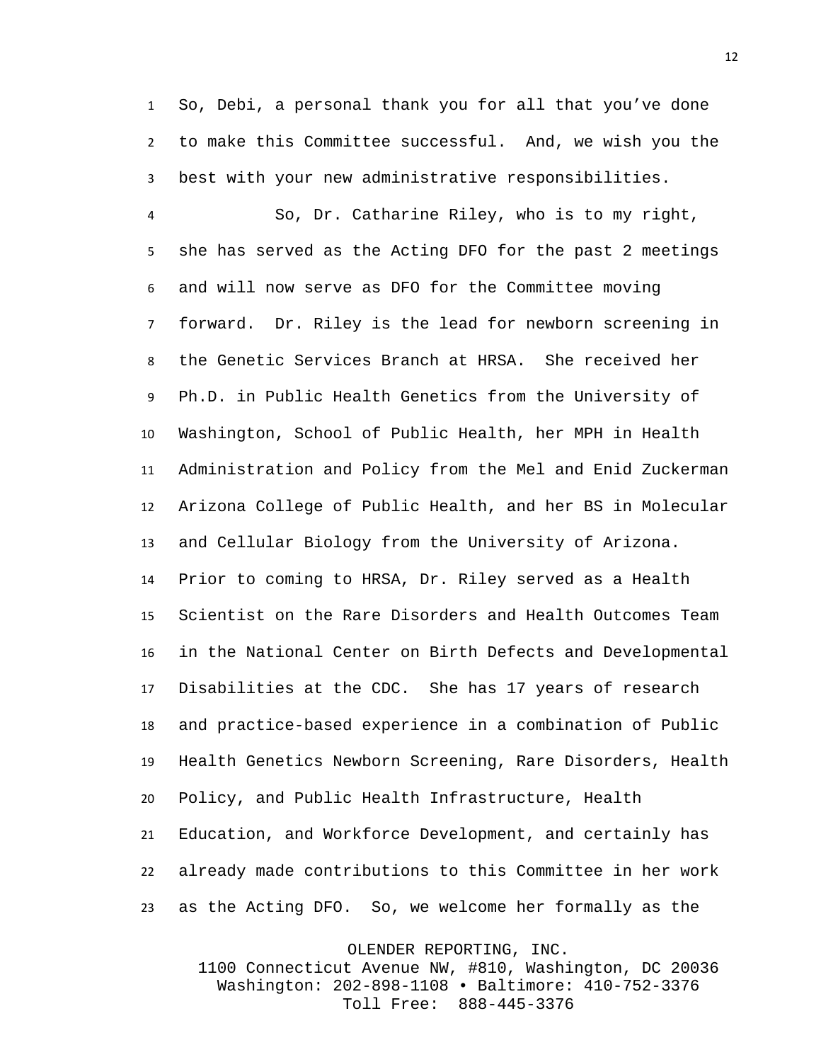So, Debi, a personal thank you for all that you've done to make this Committee successful. And, we wish you the best with your new administrative responsibilities.

 So, Dr. Catharine Riley, who is to my right, she has served as the Acting DFO for the past 2 meetings and will now serve as DFO for the Committee moving forward. Dr. Riley is the lead for newborn screening in the Genetic Services Branch at HRSA. She received her Ph.D. in Public Health Genetics from the University of Washington, School of Public Health, her MPH in Health Administration and Policy from the Mel and Enid Zuckerman Arizona College of Public Health, and her BS in Molecular and Cellular Biology from the University of Arizona. Prior to coming to HRSA, Dr. Riley served as a Health Scientist on the Rare Disorders and Health Outcomes Team in the National Center on Birth Defects and Developmental Disabilities at the CDC. She has 17 years of research and practice-based experience in a combination of Public Health Genetics Newborn Screening, Rare Disorders, Health Policy, and Public Health Infrastructure, Health Education, and Workforce Development, and certainly has already made contributions to this Committee in her work as the Acting DFO. So, we welcome her formally as the

OLENDER REPORTING, INC.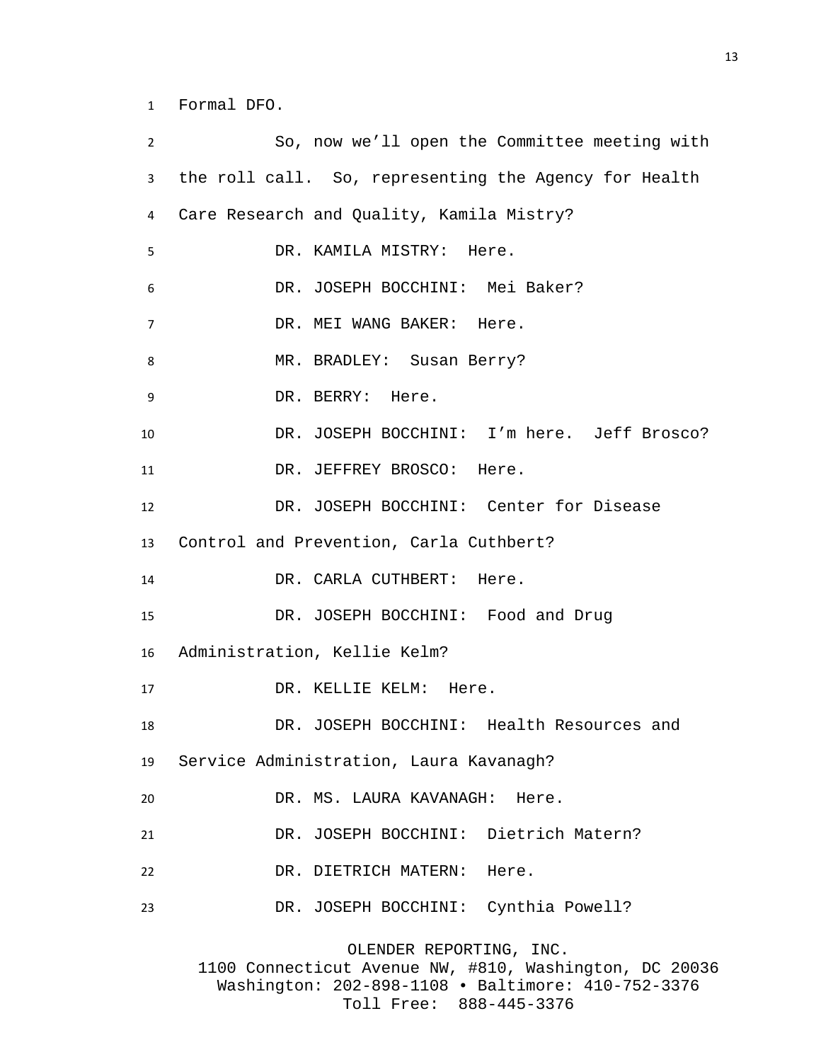Formal DFO.

| $\overline{2}$ | So, now we'll open the Committee meeting with                                     |
|----------------|-----------------------------------------------------------------------------------|
| 3              | the roll call. So, representing the Agency for Health                             |
| 4              | Care Research and Quality, Kamila Mistry?                                         |
| 5              | DR. KAMILA MISTRY: Here.                                                          |
| 6              | DR. JOSEPH BOCCHINI: Mei Baker?                                                   |
| 7              | DR. MEI WANG BAKER: Here.                                                         |
| 8              | MR. BRADLEY: Susan Berry?                                                         |
| 9              | DR. BERRY: Here.                                                                  |
| 10             | DR. JOSEPH BOCCHINI: I'm here. Jeff Brosco?                                       |
| 11             | DR. JEFFREY BROSCO: Here.                                                         |
| 12             | DR. JOSEPH BOCCHINI: Center for Disease                                           |
| 13             | Control and Prevention, Carla Cuthbert?                                           |
| 14             | DR. CARLA CUTHBERT: Here.                                                         |
| 15             | DR. JOSEPH BOCCHINI: Food and Drug                                                |
| 16             | Administration, Kellie Kelm?                                                      |
| 17             | DR. KELLIE KELM: Here.                                                            |
| 18             | DR. JOSEPH BOCCHINI: Health Resources and                                         |
|                | 19 Service Administration, Laura Kavanagh?                                        |
| 20             | DR. MS. LAURA KAVANAGH: Here.                                                     |
| 21             | DR. JOSEPH BOCCHINI: Dietrich Matern?                                             |
| 22             | DR. DIETRICH MATERN: Here.                                                        |
| 23             | DR. JOSEPH BOCCHINI: Cynthia Powell?                                              |
|                | OLENDER REPORTING, INC.<br>1100 Connecticut Avenue NW, #810, Washington, DC 20036 |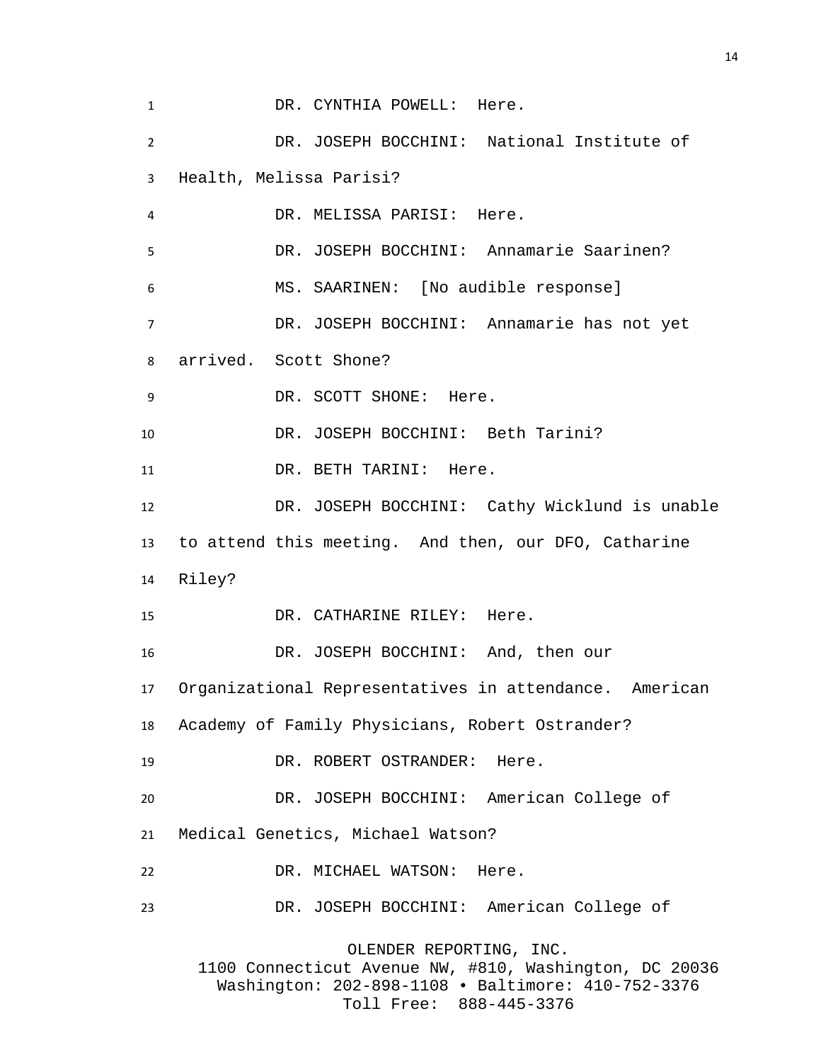DR. CYNTHIA POWELL: Here. DR. JOSEPH BOCCHINI: National Institute of Health, Melissa Parisi? DR. MELISSA PARISI: Here. DR. JOSEPH BOCCHINI: Annamarie Saarinen? MS. SAARINEN: [No audible response] DR. JOSEPH BOCCHINI: Annamarie has not yet arrived. Scott Shone? 9 DR. SCOTT SHONE: Here. DR. JOSEPH BOCCHINI: Beth Tarini? 11 DR. BETH TARINI: Here. DR. JOSEPH BOCCHINI: Cathy Wicklund is unable to attend this meeting. And then, our DFO, Catharine Riley? DR. CATHARINE RILEY: Here. DR. JOSEPH BOCCHINI: And, then our Organizational Representatives in attendance. American Academy of Family Physicians, Robert Ostrander? DR. ROBERT OSTRANDER: Here. DR. JOSEPH BOCCHINI: American College of Medical Genetics, Michael Watson? DR. MICHAEL WATSON: Here. DR. JOSEPH BOCCHINI: American College of OLENDER REPORTING, INC. 1100 Connecticut Avenue NW, #810, Washington, DC 20036 Washington: 202-898-1108 • Baltimore: 410-752-3376

Toll Free: 888-445-3376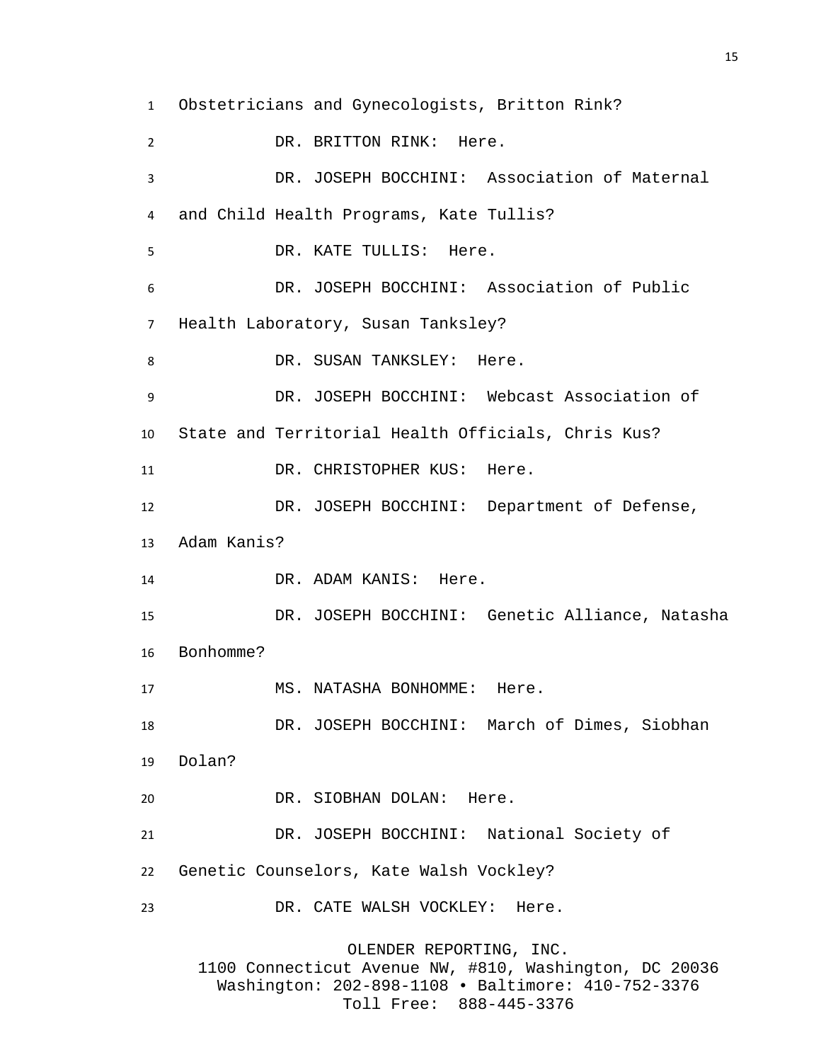Obstetricians and Gynecologists, Britton Rink? DR. BRITTON RINK: Here. DR. JOSEPH BOCCHINI: Association of Maternal and Child Health Programs, Kate Tullis? DR. KATE TULLIS: Here. DR. JOSEPH BOCCHINI: Association of Public Health Laboratory, Susan Tanksley? 8 DR. SUSAN TANKSLEY: Here. DR. JOSEPH BOCCHINI: Webcast Association of State and Territorial Health Officials, Chris Kus? 11 DR. CHRISTOPHER KUS: Here. DR. JOSEPH BOCCHINI: Department of Defense, Adam Kanis? 14 DR. ADAM KANIS: Here. DR. JOSEPH BOCCHINI: Genetic Alliance, Natasha Bonhomme? 17 MS. NATASHA BONHOMME: Here. DR. JOSEPH BOCCHINI: March of Dimes, Siobhan Dolan? DR. SIOBHAN DOLAN: Here. DR. JOSEPH BOCCHINI: National Society of Genetic Counselors, Kate Walsh Vockley? DR. CATE WALSH VOCKLEY: Here. OLENDER REPORTING, INC. 1100 Connecticut Avenue NW, #810, Washington, DC 20036 Washington: 202-898-1108 • Baltimore: 410-752-3376

Toll Free: 888-445-3376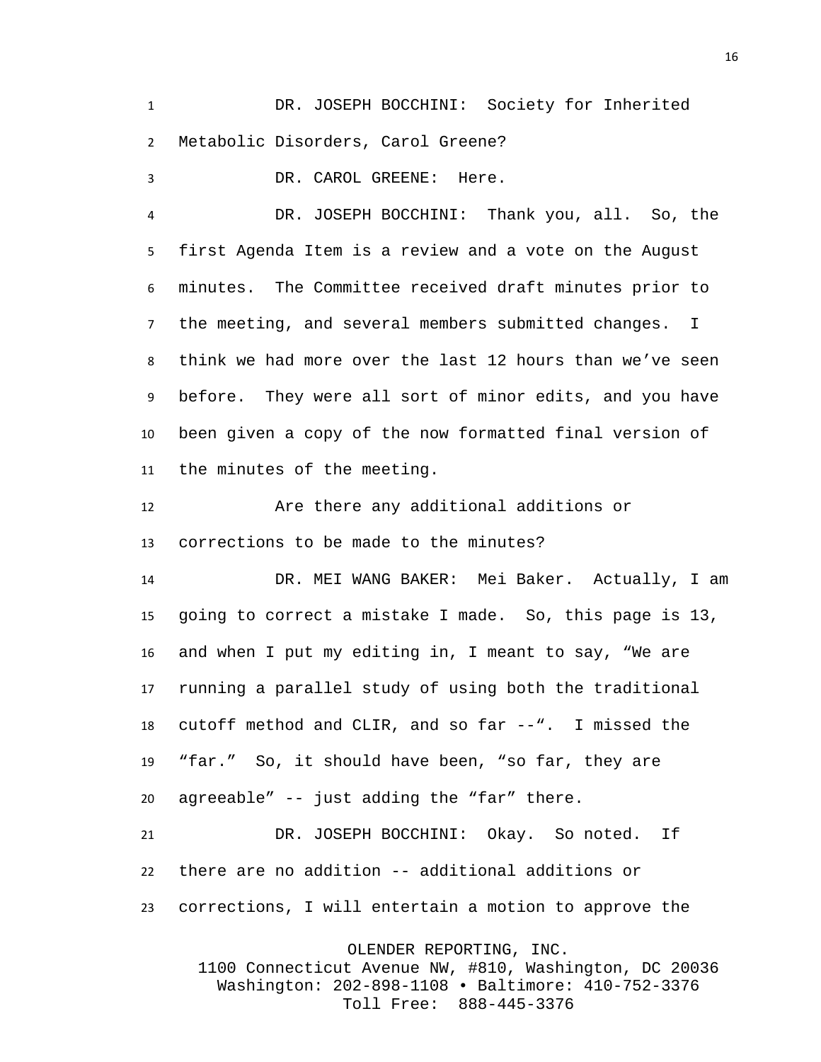DR. JOSEPH BOCCHINI: Society for Inherited Metabolic Disorders, Carol Greene?

DR. CAROL GREENE: Here.

DR. JOSEPH BOCCHINI: Thank you, all. So, the first Agenda Item is a review and a vote on the August minutes. The Committee received draft minutes prior to the meeting, and several members submitted changes. I think we had more over the last 12 hours than we've seen before. They were all sort of minor edits, and you have been given a copy of the now formatted final version of the minutes of the meeting.

 Are there any additional additions or corrections to be made to the minutes?

 DR. MEI WANG BAKER: Mei Baker. Actually, I am going to correct a mistake I made. So, this page is 13, and when I put my editing in, I meant to say, "We are running a parallel study of using both the traditional cutoff method and CLIR, and so far --". I missed the "far." So, it should have been, "so far, they are agreeable" -- just adding the "far" there.

 DR. JOSEPH BOCCHINI: Okay. So noted. If there are no addition -- additional additions or corrections, I will entertain a motion to approve the

OLENDER REPORTING, INC.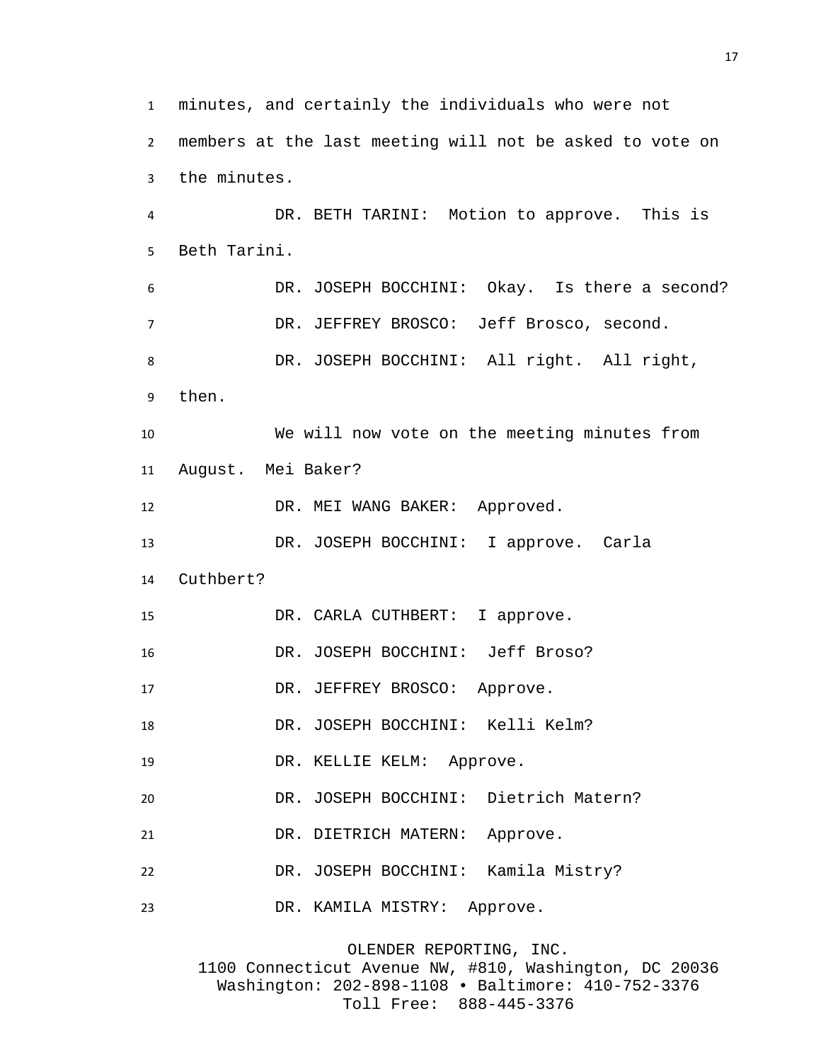minutes, and certainly the individuals who were not members at the last meeting will not be asked to vote on the minutes. DR. BETH TARINI: Motion to approve. This is Beth Tarini. DR. JOSEPH BOCCHINI: Okay. Is there a second? DR. JEFFREY BROSCO: Jeff Brosco, second. DR. JOSEPH BOCCHINI: All right. All right, then. We will now vote on the meeting minutes from August. Mei Baker? 12 DR. MEI WANG BAKER: Approved. DR. JOSEPH BOCCHINI: I approve. Carla Cuthbert? DR. CARLA CUTHBERT: I approve. DR. JOSEPH BOCCHINI: Jeff Broso? 17 DR. JEFFREY BROSCO: Approve. DR. JOSEPH BOCCHINI: Kelli Kelm? 19 DR. KELLIE KELM: Approve. DR. JOSEPH BOCCHINI: Dietrich Matern? DR. DIETRICH MATERN: Approve. DR. JOSEPH BOCCHINI: Kamila Mistry? DR. KAMILA MISTRY: Approve.

OLENDER REPORTING, INC. 1100 Connecticut Avenue NW, #810, Washington, DC 20036 Washington: 202-898-1108 • Baltimore: 410-752-3376 Toll Free: 888-445-3376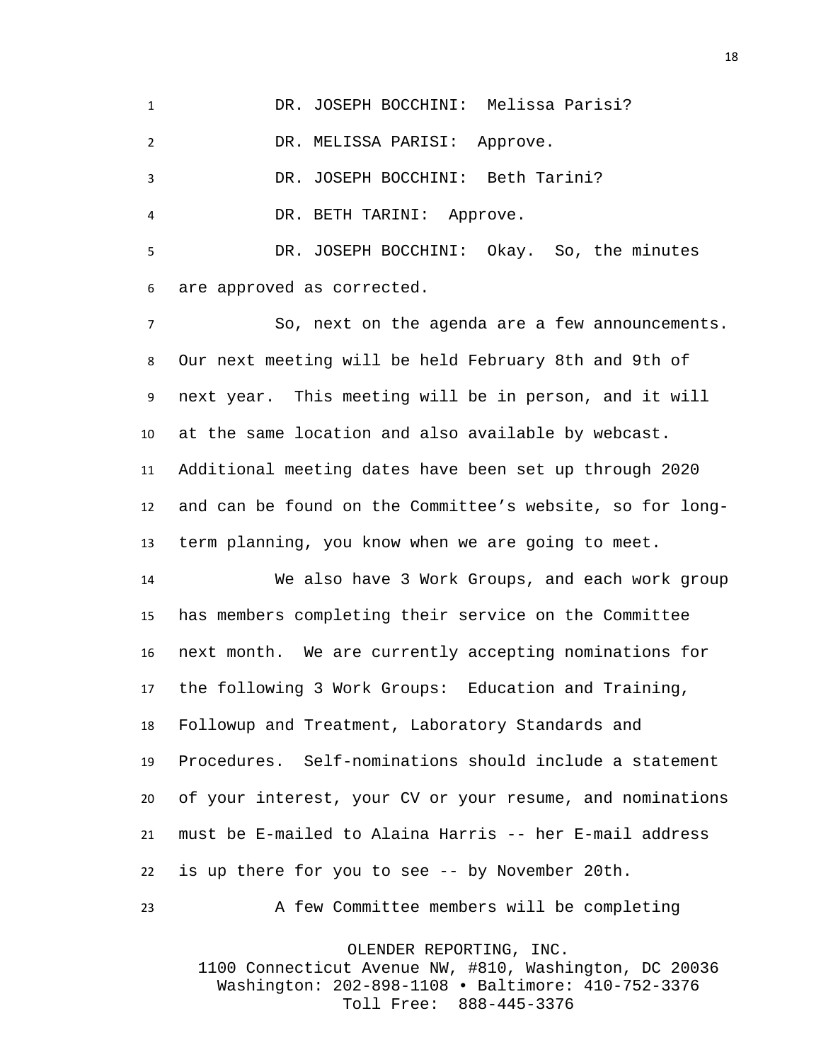DR. JOSEPH BOCCHINI: Melissa Parisi? DR. MELISSA PARISI: Approve. DR. JOSEPH BOCCHINI: Beth Tarini? DR. BETH TARINI: Approve. DR. JOSEPH BOCCHINI: Okay. So, the minutes

are approved as corrected.

 So, next on the agenda are a few announcements. Our next meeting will be held February 8th and 9th of next year. This meeting will be in person, and it will at the same location and also available by webcast. Additional meeting dates have been set up through 2020 and can be found on the Committee's website, so for long-term planning, you know when we are going to meet.

 We also have 3 Work Groups, and each work group has members completing their service on the Committee next month. We are currently accepting nominations for the following 3 Work Groups: Education and Training, Followup and Treatment, Laboratory Standards and Procedures. Self-nominations should include a statement of your interest, your CV or your resume, and nominations must be E-mailed to Alaina Harris -- her E-mail address is up there for you to see -- by November 20th.

A few Committee members will be completing

OLENDER REPORTING, INC.

1100 Connecticut Avenue NW, #810, Washington, DC 20036 Washington: 202-898-1108 • Baltimore: 410-752-3376 Toll Free: 888-445-3376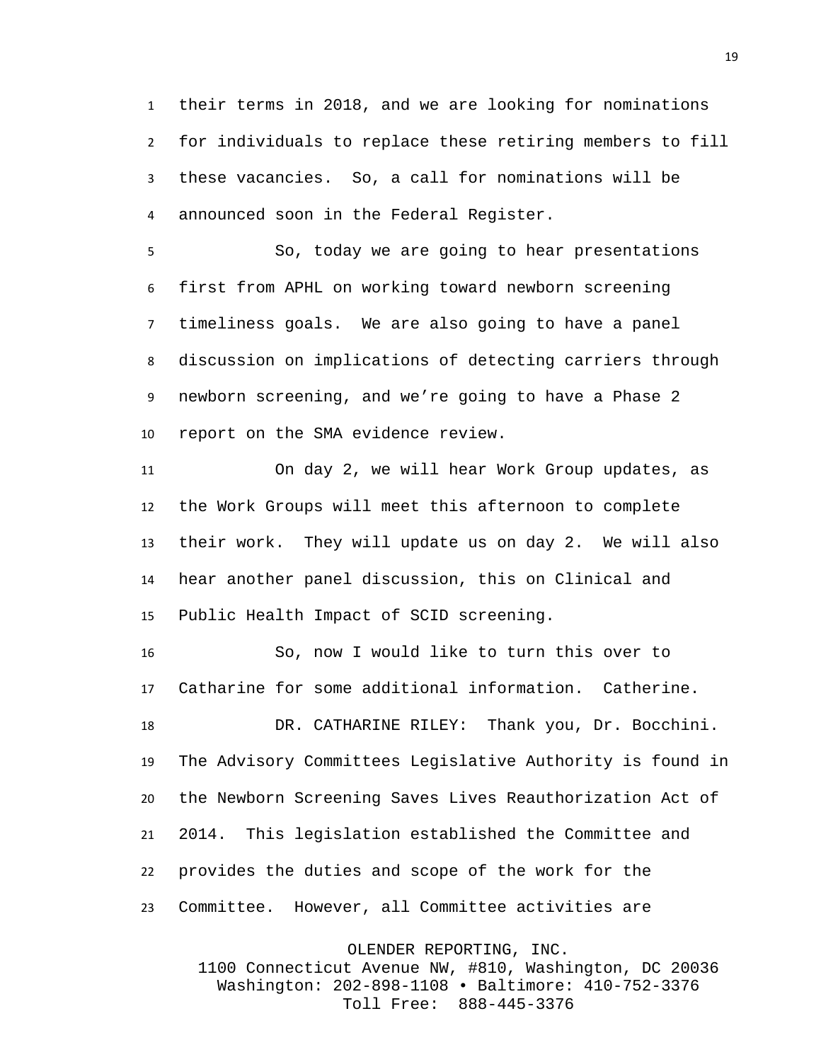their terms in 2018, and we are looking for nominations for individuals to replace these retiring members to fill these vacancies. So, a call for nominations will be announced soon in the Federal Register.

So, today we are going to hear presentations first from APHL on working toward newborn screening timeliness goals. We are also going to have a panel discussion on implications of detecting carriers through newborn screening, and we're going to have a Phase 2 report on the SMA evidence review.

 On day 2, we will hear Work Group updates, as the Work Groups will meet this afternoon to complete their work. They will update us on day 2. We will also hear another panel discussion, this on Clinical and Public Health Impact of SCID screening.

 So, now I would like to turn this over to Catharine for some additional information. Catherine.

 DR. CATHARINE RILEY: Thank you, Dr. Bocchini. The Advisory Committees Legislative Authority is found in the Newborn Screening Saves Lives Reauthorization Act of 2014. This legislation established the Committee and provides the duties and scope of the work for the Committee. However, all Committee activities are

OLENDER REPORTING, INC.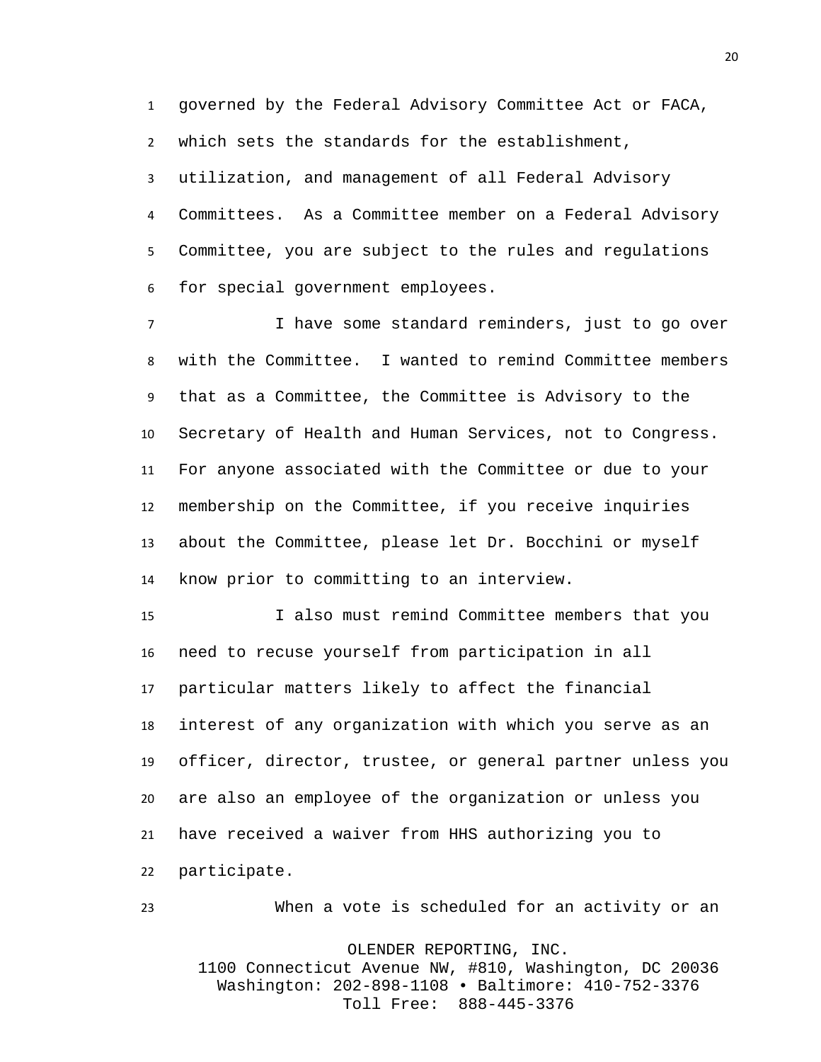governed by the Federal Advisory Committee Act or FACA, which sets the standards for the establishment,

 utilization, and management of all Federal Advisory Committees. As a Committee member on a Federal Advisory Committee, you are subject to the rules and regulations for special government employees.

 I have some standard reminders, just to go over with the Committee. I wanted to remind Committee members that as a Committee, the Committee is Advisory to the Secretary of Health and Human Services, not to Congress. For anyone associated with the Committee or due to your membership on the Committee, if you receive inquiries about the Committee, please let Dr. Bocchini or myself know prior to committing to an interview.

 I also must remind Committee members that you need to recuse yourself from participation in all particular matters likely to affect the financial interest of any organization with which you serve as an officer, director, trustee, or general partner unless you are also an employee of the organization or unless you have received a waiver from HHS authorizing you to participate.

 When a vote is scheduled for an activity or an OLENDER REPORTING, INC. 1100 Connecticut Avenue NW, #810, Washington, DC 20036 Washington: 202-898-1108 • Baltimore: 410-752-3376 Toll Free: 888-445-3376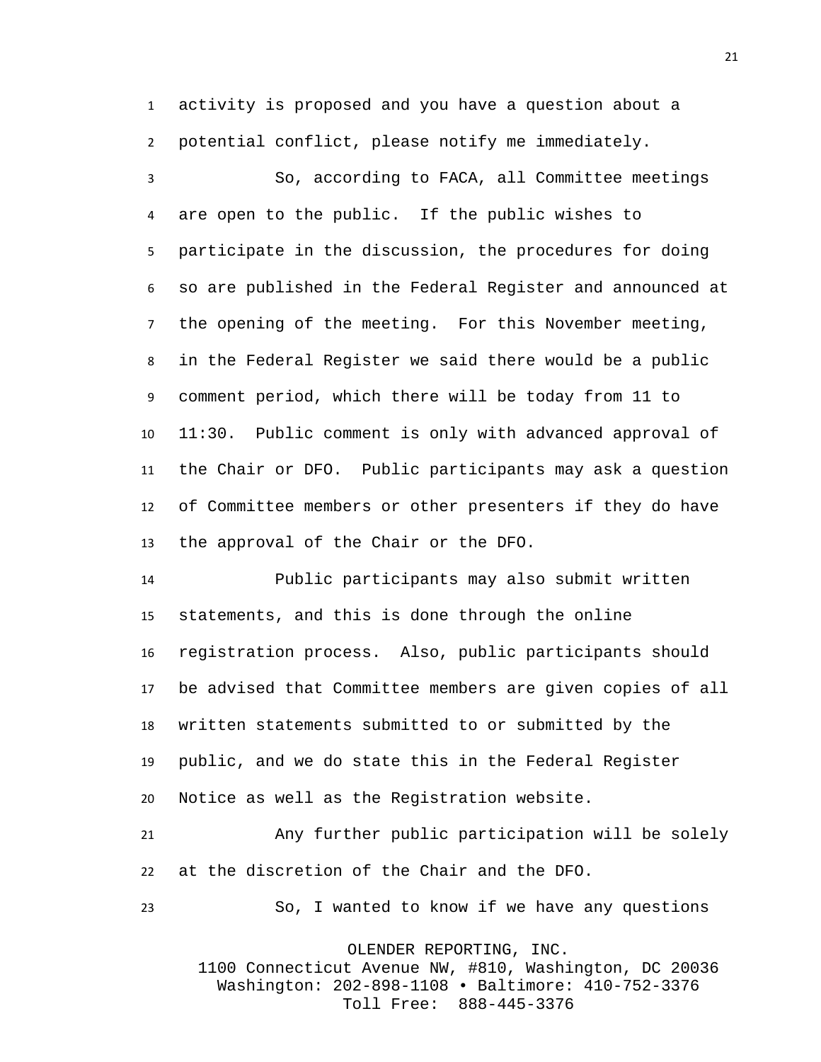activity is proposed and you have a question about a potential conflict, please notify me immediately.

 So, according to FACA, all Committee meetings are open to the public. If the public wishes to participate in the discussion, the procedures for doing so are published in the Federal Register and announced at the opening of the meeting. For this November meeting, in the Federal Register we said there would be a public comment period, which there will be today from 11 to 11:30. Public comment is only with advanced approval of the Chair or DFO. Public participants may ask a question of Committee members or other presenters if they do have the approval of the Chair or the DFO.

 Public participants may also submit written statements, and this is done through the online registration process. Also, public participants should be advised that Committee members are given copies of all written statements submitted to or submitted by the public, and we do state this in the Federal Register Notice as well as the Registration website.

 Any further public participation will be solely at the discretion of the Chair and the DFO.

So, I wanted to know if we have any questions

OLENDER REPORTING, INC.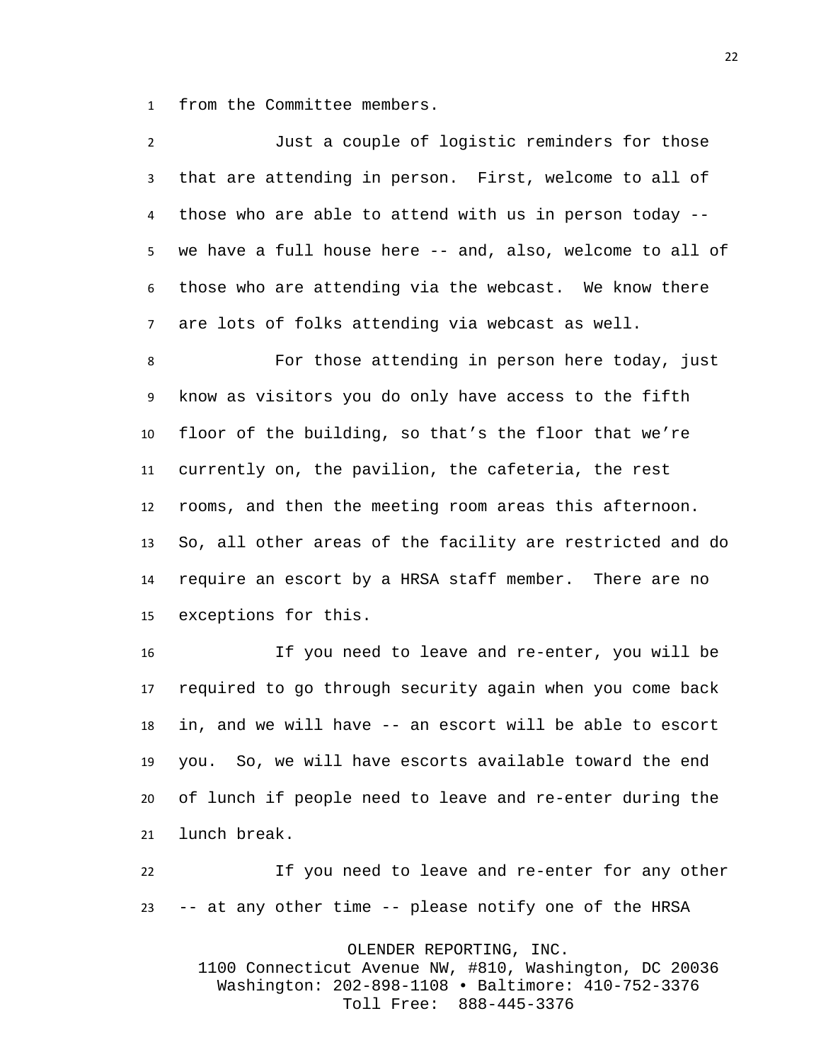from the Committee members.

| $\overline{2}$   | Just a couple of logistic reminders for those             |
|------------------|-----------------------------------------------------------|
| 3                | that are attending in person. First, welcome to all of    |
| 4                | those who are able to attend with us in person today --   |
| 5 <sub>1</sub>   | we have a full house here -- and, also, welcome to all of |
| 6                | those who are attending via the webcast. We know there    |
| $\overline{7}$   | are lots of folks attending via webcast as well.          |
| 8                | For those attending in person here today, just            |
| 9                | know as visitors you do only have access to the fifth     |
| 10               | floor of the building, so that's the floor that we're     |
| 11               | currently on, the pavilion, the cafeteria, the rest       |
| 12 <sup>12</sup> | rooms, and then the meeting room areas this afternoon.    |
| 13               | So, all other areas of the facility are restricted and do |
| 14               | require an escort by a HRSA staff member. There are no    |
| 15               | exceptions for this.                                      |
|                  |                                                           |

 If you need to leave and re-enter, you will be required to go through security again when you come back in, and we will have -- an escort will be able to escort you. So, we will have escorts available toward the end of lunch if people need to leave and re-enter during the lunch break.

 If you need to leave and re-enter for any other -- at any other time -- please notify one of the HRSA

OLENDER REPORTING, INC.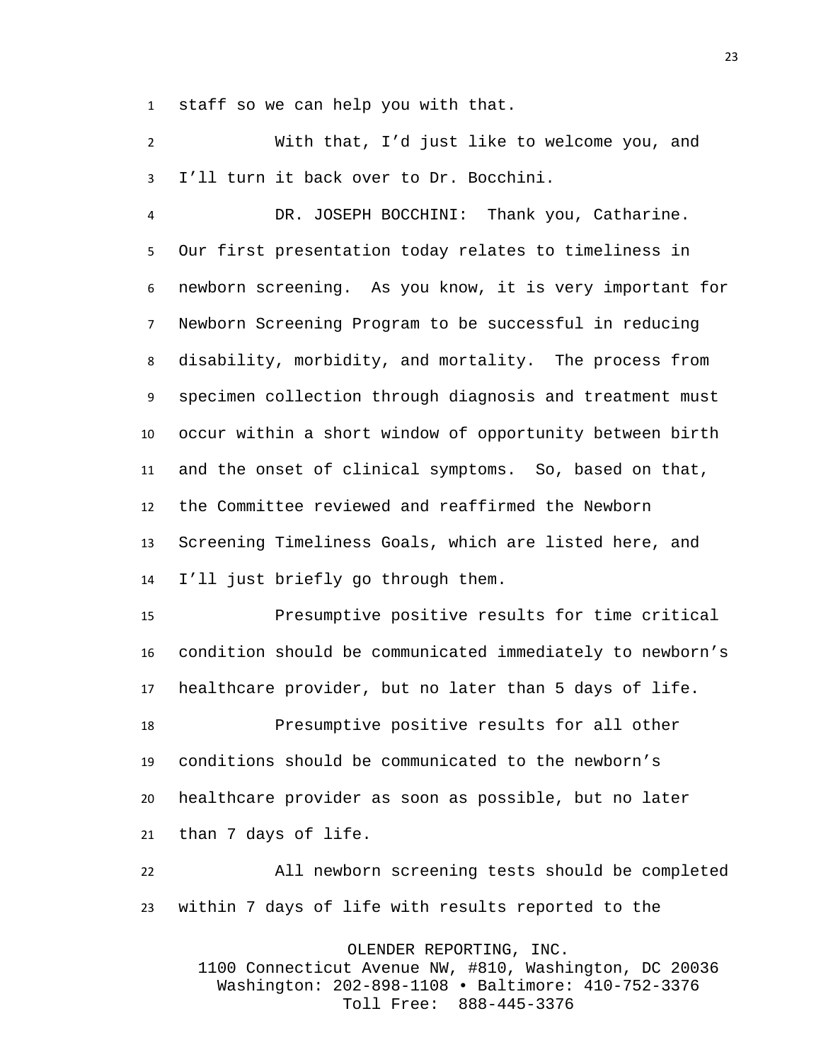staff so we can help you with that.

 With that, I'd just like to welcome you, and I'll turn it back over to Dr. Bocchini.

 DR. JOSEPH BOCCHINI: Thank you, Catharine. Our first presentation today relates to timeliness in newborn screening. As you know, it is very important for Newborn Screening Program to be successful in reducing disability, morbidity, and mortality. The process from specimen collection through diagnosis and treatment must occur within a short window of opportunity between birth and the onset of clinical symptoms. So, based on that, the Committee reviewed and reaffirmed the Newborn Screening Timeliness Goals, which are listed here, and I'll just briefly go through them.

 Presumptive positive results for time critical condition should be communicated immediately to newborn's healthcare provider, but no later than 5 days of life.

 Presumptive positive results for all other conditions should be communicated to the newborn's healthcare provider as soon as possible, but no later than 7 days of life.

 All newborn screening tests should be completed within 7 days of life with results reported to the

OLENDER REPORTING, INC.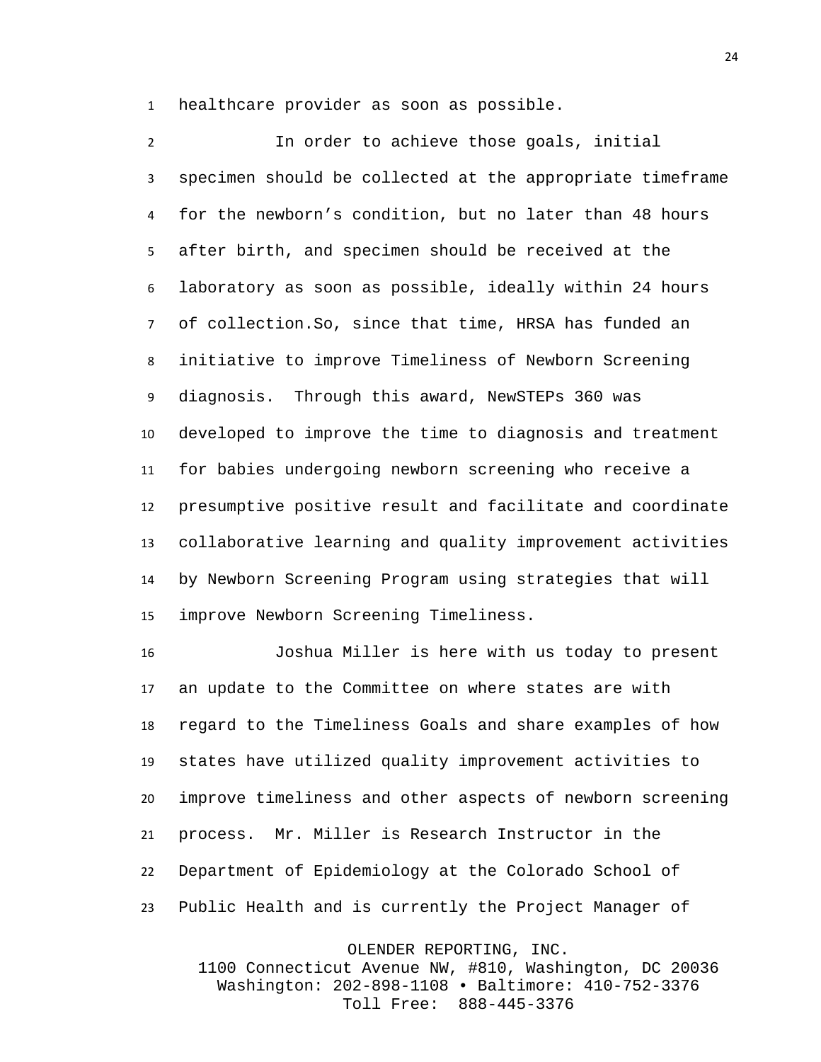healthcare provider as soon as possible.

 In order to achieve those goals, initial specimen should be collected at the appropriate timeframe for the newborn's condition, but no later than 48 hours after birth, and specimen should be received at the laboratory as soon as possible, ideally within 24 hours of collection.So, since that time, HRSA has funded an initiative to improve Timeliness of Newborn Screening diagnosis. Through this award, NewSTEPs 360 was developed to improve the time to diagnosis and treatment for babies undergoing newborn screening who receive a presumptive positive result and facilitate and coordinate collaborative learning and quality improvement activities by Newborn Screening Program using strategies that will improve Newborn Screening Timeliness.

 Joshua Miller is here with us today to present an update to the Committee on where states are with regard to the Timeliness Goals and share examples of how states have utilized quality improvement activities to improve timeliness and other aspects of newborn screening process. Mr. Miller is Research Instructor in the Department of Epidemiology at the Colorado School of Public Health and is currently the Project Manager of

OLENDER REPORTING, INC.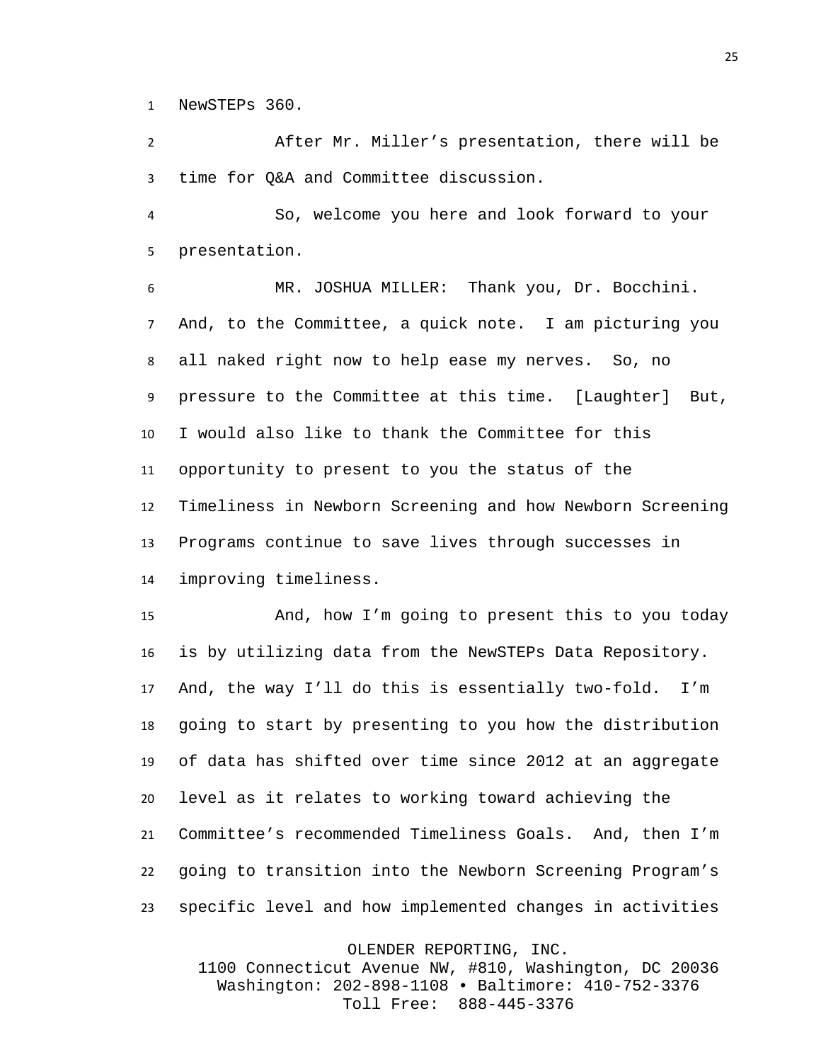NewSTEPs 360.

 After Mr. Miller's presentation, there will be time for Q&A and Committee discussion.

 So, welcome you here and look forward to your presentation.

 MR. JOSHUA MILLER: Thank you, Dr. Bocchini. And, to the Committee, a quick note. I am picturing you all naked right now to help ease my nerves. So, no pressure to the Committee at this time. [Laughter] But, I would also like to thank the Committee for this opportunity to present to you the status of the Timeliness in Newborn Screening and how Newborn Screening Programs continue to save lives through successes in improving timeliness.

 And, how I'm going to present this to you today is by utilizing data from the NewSTEPs Data Repository. And, the way I'll do this is essentially two-fold. I'm going to start by presenting to you how the distribution of data has shifted over time since 2012 at an aggregate level as it relates to working toward achieving the Committee's recommended Timeliness Goals. And, then I'm going to transition into the Newborn Screening Program's specific level and how implemented changes in activities

OLENDER REPORTING, INC.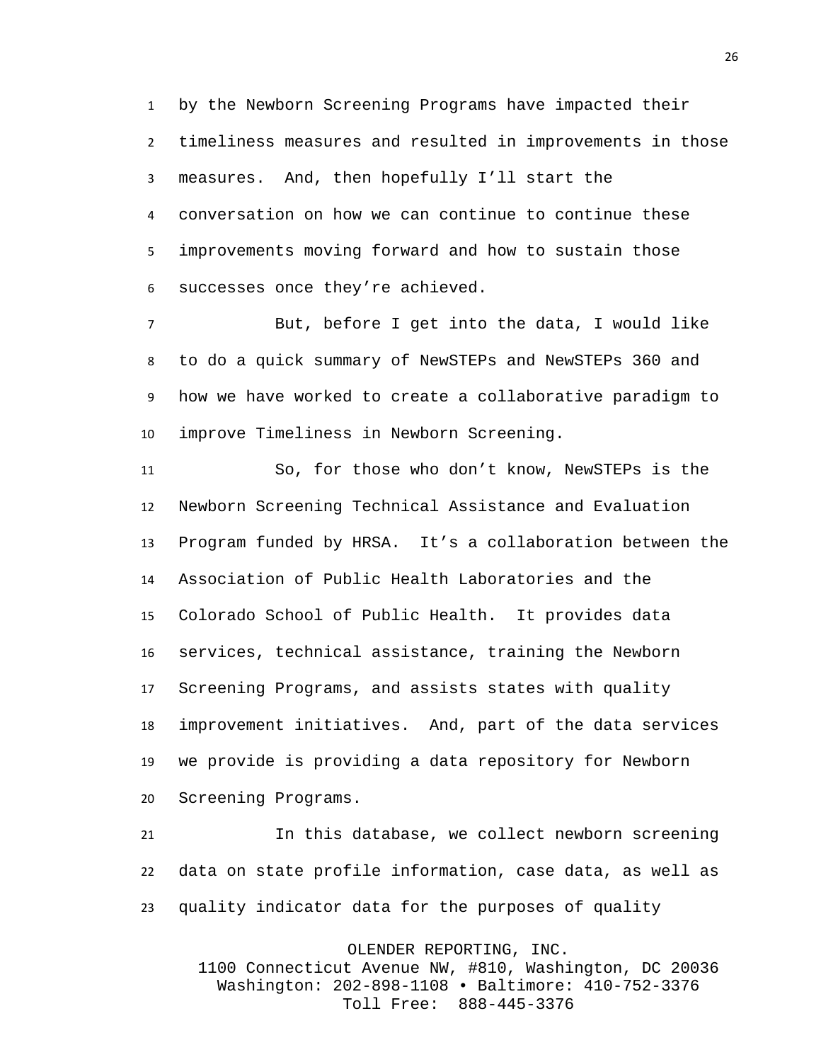by the Newborn Screening Programs have impacted their timeliness measures and resulted in improvements in those measures. And, then hopefully I'll start the conversation on how we can continue to continue these improvements moving forward and how to sustain those successes once they're achieved.

 But, before I get into the data, I would like to do a quick summary of NewSTEPs and NewSTEPs 360 and how we have worked to create a collaborative paradigm to improve Timeliness in Newborn Screening.

 So, for those who don't know, NewSTEPs is the Newborn Screening Technical Assistance and Evaluation Program funded by HRSA. It's a collaboration between the Association of Public Health Laboratories and the Colorado School of Public Health. It provides data services, technical assistance, training the Newborn Screening Programs, and assists states with quality improvement initiatives. And, part of the data services we provide is providing a data repository for Newborn Screening Programs.

 In this database, we collect newborn screening data on state profile information, case data, as well as quality indicator data for the purposes of quality

OLENDER REPORTING, INC.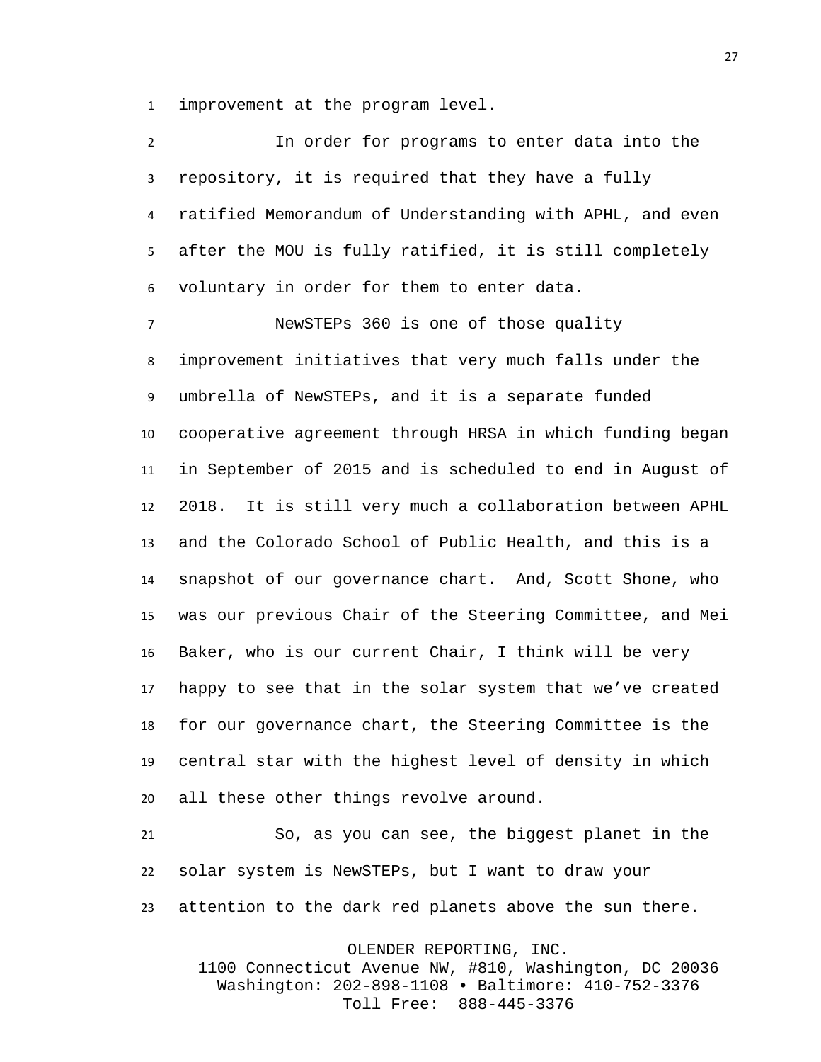improvement at the program level.

| $\overline{2}$ | In order for programs to enter data into the              |
|----------------|-----------------------------------------------------------|
| 3              | repository, it is required that they have a fully         |
| 4              | ratified Memorandum of Understanding with APHL, and even  |
| 5              | after the MOU is fully ratified, it is still completely   |
| 6              | voluntary in order for them to enter data.                |
| $\overline{7}$ | NewSTEPs 360 is one of those quality                      |
| 8              | improvement initiatives that very much falls under the    |
| 9              | umbrella of NewSTEPs, and it is a separate funded         |
| 10             | cooperative agreement through HRSA in which funding began |
| 11             | in September of 2015 and is scheduled to end in August of |
| 12             | 2018. It is still very much a collaboration between APHL  |
| 13             | and the Colorado School of Public Health, and this is a   |
| 14             | snapshot of our governance chart. And, Scott Shone, who   |
| 15             | was our previous Chair of the Steering Committee, and Mei |
| 16             | Baker, who is our current Chair, I think will be very     |
| 17             | happy to see that in the solar system that we've created  |
| 18             | for our governance chart, the Steering Committee is the   |
| 19             | central star with the highest level of density in which   |
| 20             | all these other things revolve around.                    |

 So, as you can see, the biggest planet in the solar system is NewSTEPs, but I want to draw your attention to the dark red planets above the sun there.

OLENDER REPORTING, INC.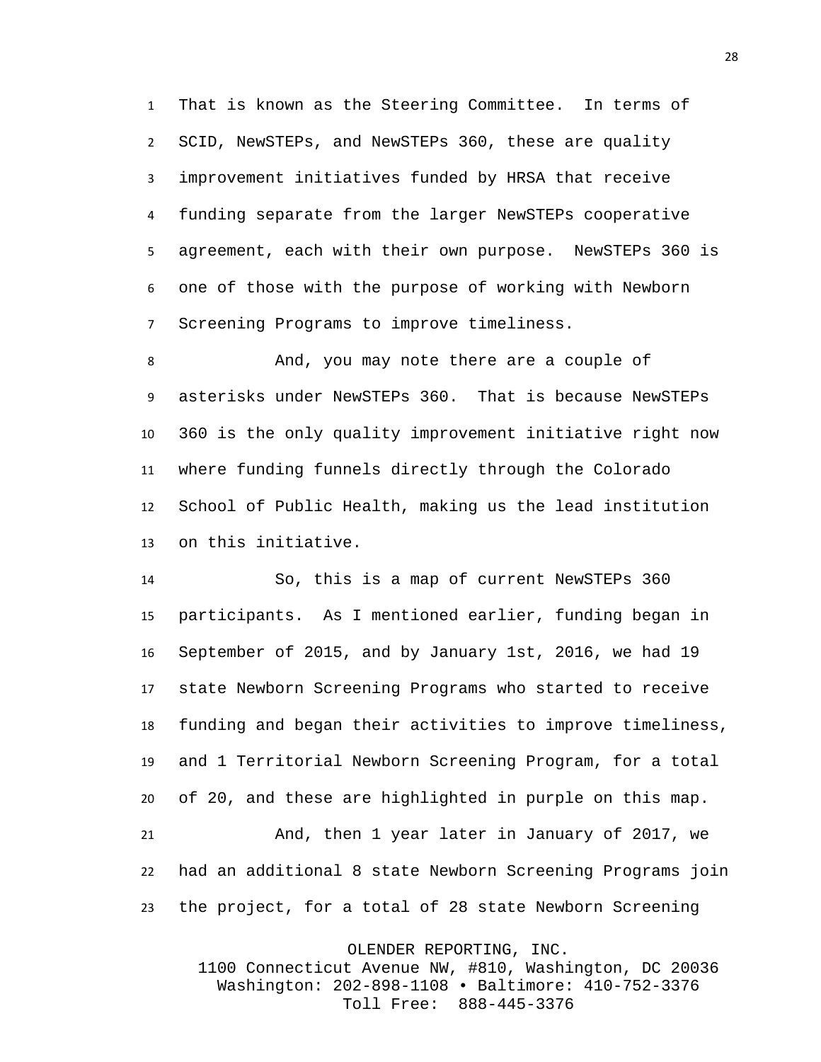That is known as the Steering Committee. In terms of SCID, NewSTEPs, and NewSTEPs 360, these are quality improvement initiatives funded by HRSA that receive funding separate from the larger NewSTEPs cooperative agreement, each with their own purpose. NewSTEPs 360 is one of those with the purpose of working with Newborn Screening Programs to improve timeliness.

 And, you may note there are a couple of asterisks under NewSTEPs 360. That is because NewSTEPs 360 is the only quality improvement initiative right now where funding funnels directly through the Colorado School of Public Health, making us the lead institution on this initiative.

 So, this is a map of current NewSTEPs 360 participants. As I mentioned earlier, funding began in September of 2015, and by January 1st, 2016, we had 19 state Newborn Screening Programs who started to receive funding and began their activities to improve timeliness, and 1 Territorial Newborn Screening Program, for a total of 20, and these are highlighted in purple on this map. And, then 1 year later in January of 2017, we had an additional 8 state Newborn Screening Programs join the project, for a total of 28 state Newborn Screening

OLENDER REPORTING, INC.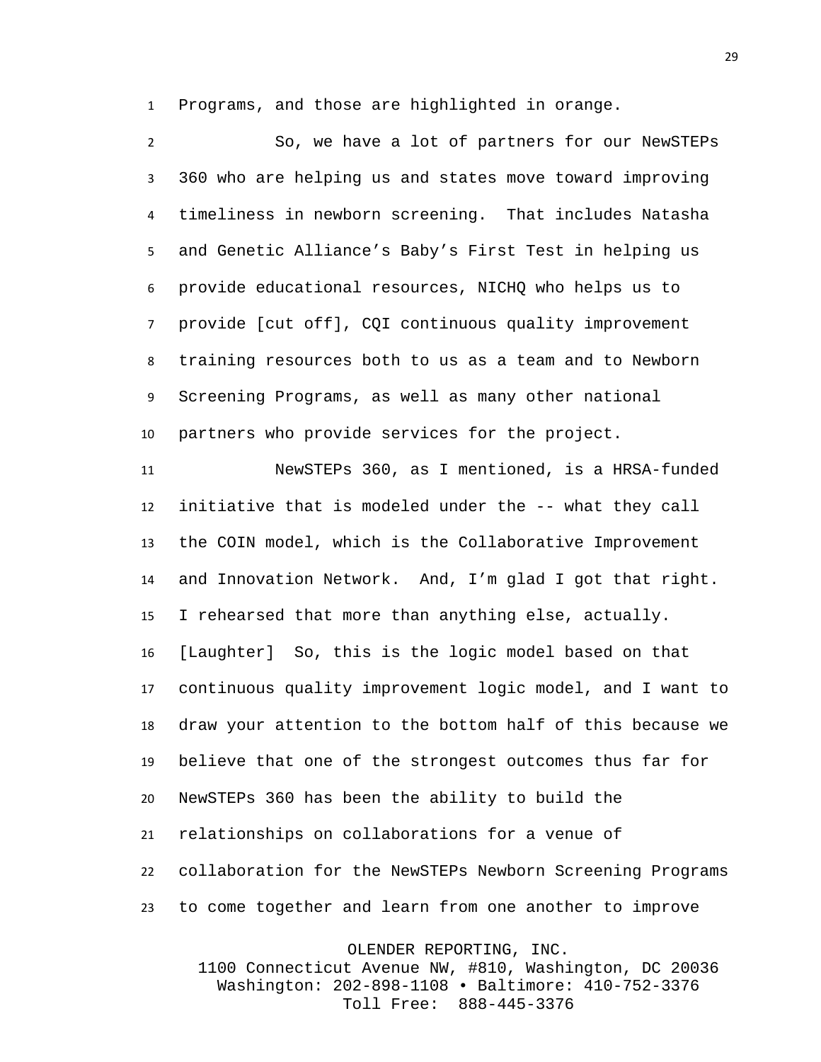Programs, and those are highlighted in orange.

 So, we have a lot of partners for our NewSTEPs 360 who are helping us and states move toward improving timeliness in newborn screening. That includes Natasha and Genetic Alliance's Baby's First Test in helping us provide educational resources, NICHQ who helps us to provide [cut off], CQI continuous quality improvement training resources both to us as a team and to Newborn Screening Programs, as well as many other national partners who provide services for the project.

 NewSTEPs 360, as I mentioned, is a HRSA-funded initiative that is modeled under the -- what they call the COIN model, which is the Collaborative Improvement and Innovation Network. And, I'm glad I got that right. I rehearsed that more than anything else, actually. [Laughter] So, this is the logic model based on that continuous quality improvement logic model, and I want to draw your attention to the bottom half of this because we believe that one of the strongest outcomes thus far for NewSTEPs 360 has been the ability to build the relationships on collaborations for a venue of collaboration for the NewSTEPs Newborn Screening Programs to come together and learn from one another to improve

OLENDER REPORTING, INC.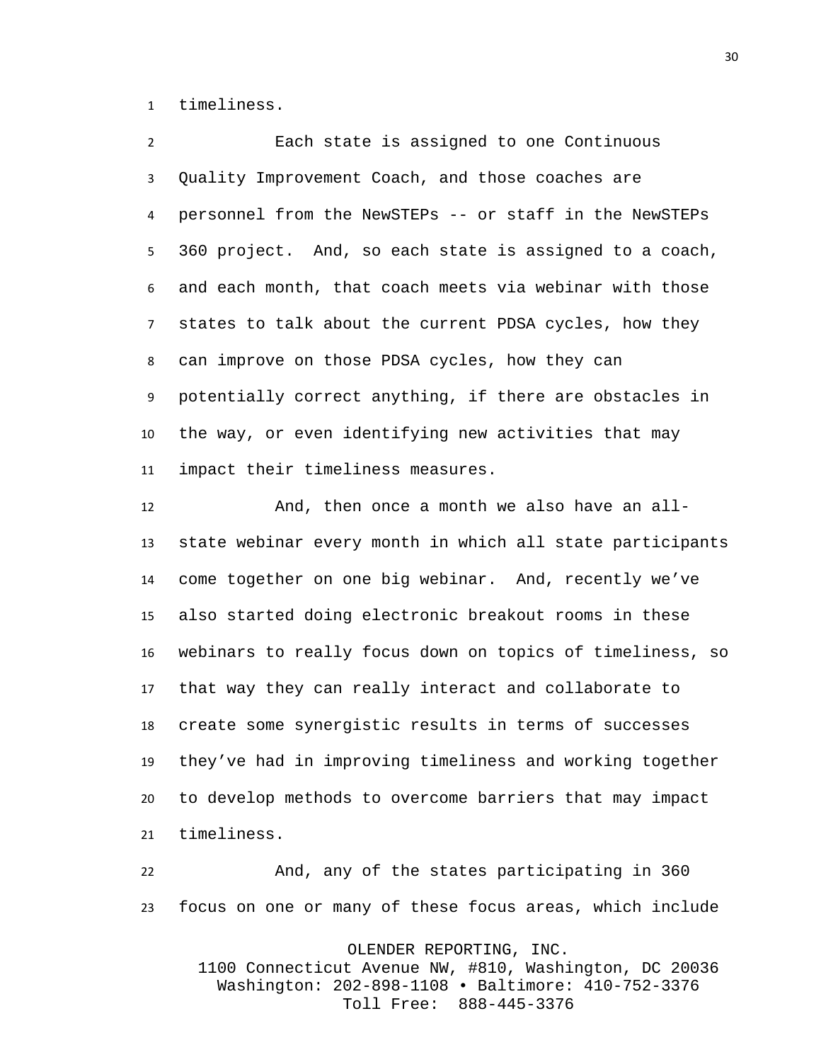timeliness.

 Each state is assigned to one Continuous Quality Improvement Coach, and those coaches are personnel from the NewSTEPs -- or staff in the NewSTEPs 360 project. And, so each state is assigned to a coach, and each month, that coach meets via webinar with those states to talk about the current PDSA cycles, how they can improve on those PDSA cycles, how they can potentially correct anything, if there are obstacles in the way, or even identifying new activities that may impact their timeliness measures.

 And, then once a month we also have an all- state webinar every month in which all state participants come together on one big webinar. And, recently we've also started doing electronic breakout rooms in these webinars to really focus down on topics of timeliness, so that way they can really interact and collaborate to create some synergistic results in terms of successes they've had in improving timeliness and working together to develop methods to overcome barriers that may impact timeliness.

 And, any of the states participating in 360 focus on one or many of these focus areas, which include

OLENDER REPORTING, INC.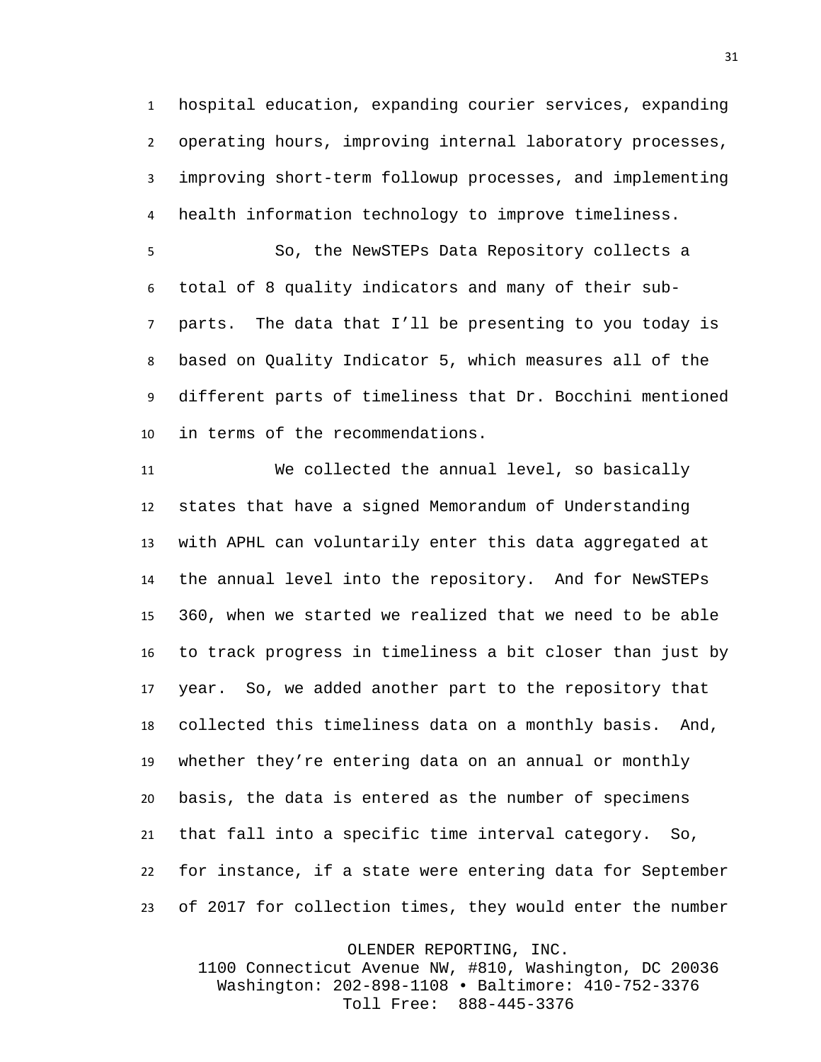hospital education, expanding courier services, expanding operating hours, improving internal laboratory processes, improving short-term followup processes, and implementing health information technology to improve timeliness.

 So, the NewSTEPs Data Repository collects a total of 8 quality indicators and many of their sub- parts. The data that I'll be presenting to you today is based on Quality Indicator 5, which measures all of the different parts of timeliness that Dr. Bocchini mentioned in terms of the recommendations.

 We collected the annual level, so basically states that have a signed Memorandum of Understanding with APHL can voluntarily enter this data aggregated at the annual level into the repository. And for NewSTEPs 360, when we started we realized that we need to be able to track progress in timeliness a bit closer than just by year. So, we added another part to the repository that collected this timeliness data on a monthly basis. And, whether they're entering data on an annual or monthly basis, the data is entered as the number of specimens that fall into a specific time interval category. So, for instance, if a state were entering data for September of 2017 for collection times, they would enter the number

OLENDER REPORTING, INC.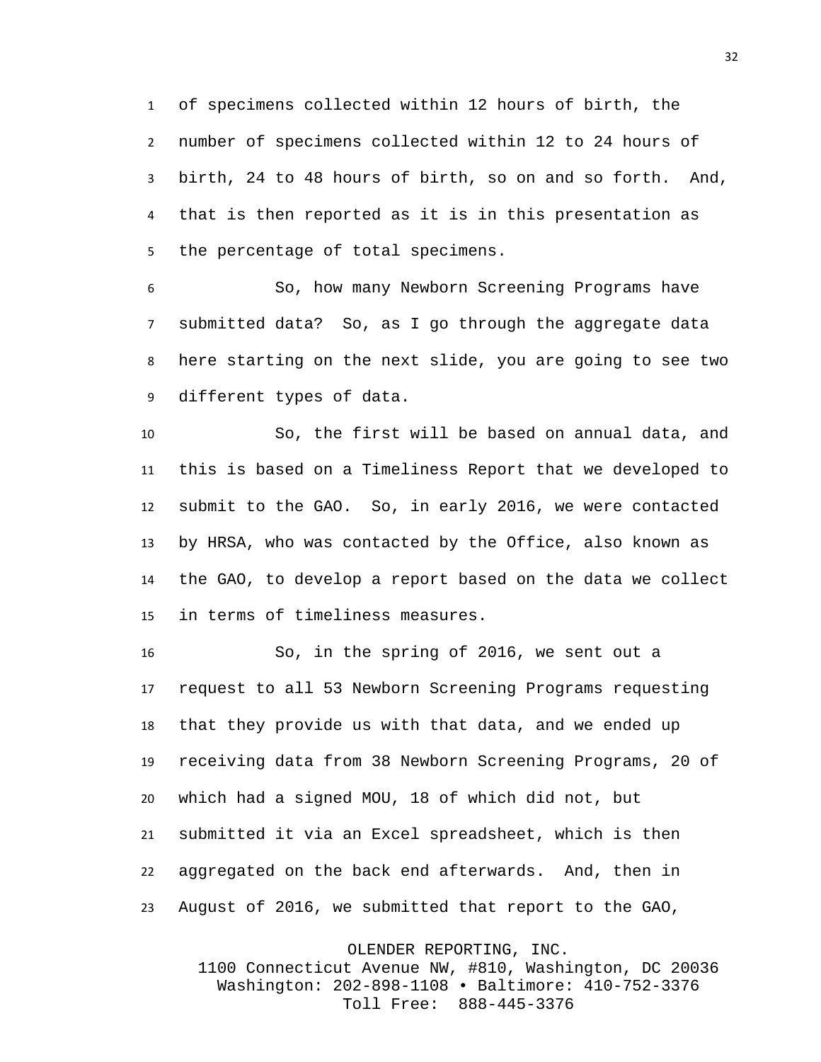of specimens collected within 12 hours of birth, the number of specimens collected within 12 to 24 hours of birth, 24 to 48 hours of birth, so on and so forth. And, that is then reported as it is in this presentation as the percentage of total specimens.

 So, how many Newborn Screening Programs have submitted data? So, as I go through the aggregate data here starting on the next slide, you are going to see two different types of data.

 So, the first will be based on annual data, and this is based on a Timeliness Report that we developed to submit to the GAO. So, in early 2016, we were contacted by HRSA, who was contacted by the Office, also known as the GAO, to develop a report based on the data we collect in terms of timeliness measures.

 So, in the spring of 2016, we sent out a request to all 53 Newborn Screening Programs requesting that they provide us with that data, and we ended up receiving data from 38 Newborn Screening Programs, 20 of which had a signed MOU, 18 of which did not, but submitted it via an Excel spreadsheet, which is then aggregated on the back end afterwards. And, then in August of 2016, we submitted that report to the GAO,

OLENDER REPORTING, INC.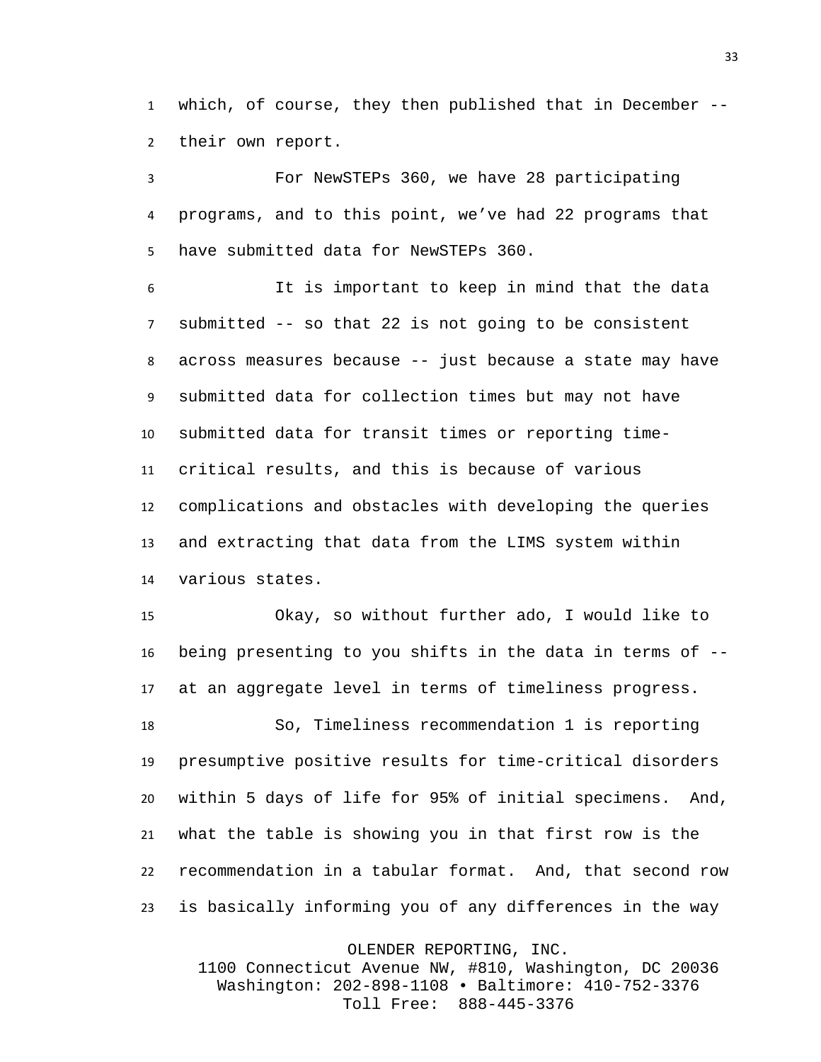which, of course, they then published that in December -- their own report.

 For NewSTEPs 360, we have 28 participating programs, and to this point, we've had 22 programs that have submitted data for NewSTEPs 360.

 It is important to keep in mind that the data submitted -- so that 22 is not going to be consistent across measures because -- just because a state may have submitted data for collection times but may not have submitted data for transit times or reporting time- critical results, and this is because of various complications and obstacles with developing the queries and extracting that data from the LIMS system within various states.

 Okay, so without further ado, I would like to being presenting to you shifts in the data in terms of -- at an aggregate level in terms of timeliness progress.

 So, Timeliness recommendation 1 is reporting presumptive positive results for time-critical disorders within 5 days of life for 95% of initial specimens. And, what the table is showing you in that first row is the recommendation in a tabular format. And, that second row is basically informing you of any differences in the way

OLENDER REPORTING, INC.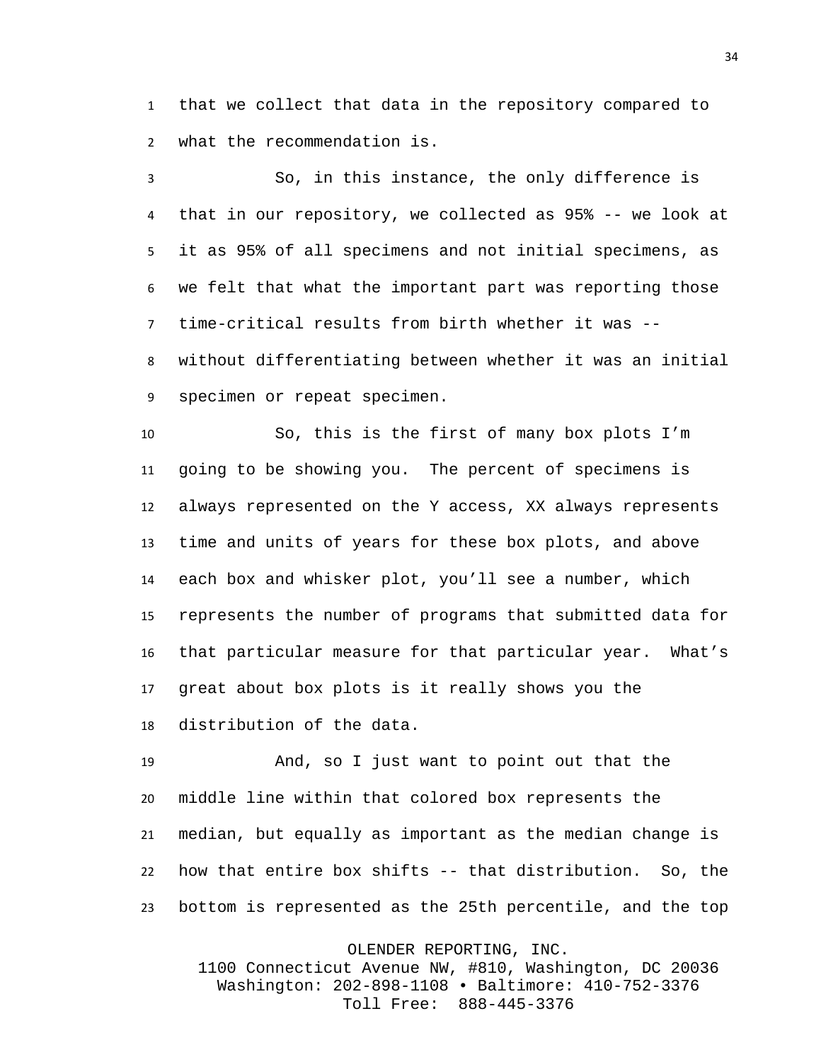that we collect that data in the repository compared to what the recommendation is.

 So, in this instance, the only difference is that in our repository, we collected as 95% -- we look at it as 95% of all specimens and not initial specimens, as we felt that what the important part was reporting those time-critical results from birth whether it was -- without differentiating between whether it was an initial specimen or repeat specimen.

 So, this is the first of many box plots I'm going to be showing you. The percent of specimens is always represented on the Y access, XX always represents time and units of years for these box plots, and above each box and whisker plot, you'll see a number, which represents the number of programs that submitted data for that particular measure for that particular year. What's great about box plots is it really shows you the distribution of the data.

 And, so I just want to point out that the middle line within that colored box represents the median, but equally as important as the median change is how that entire box shifts -- that distribution. So, the bottom is represented as the 25th percentile, and the top

OLENDER REPORTING, INC.

1100 Connecticut Avenue NW, #810, Washington, DC 20036 Washington: 202-898-1108 • Baltimore: 410-752-3376 Toll Free: 888-445-3376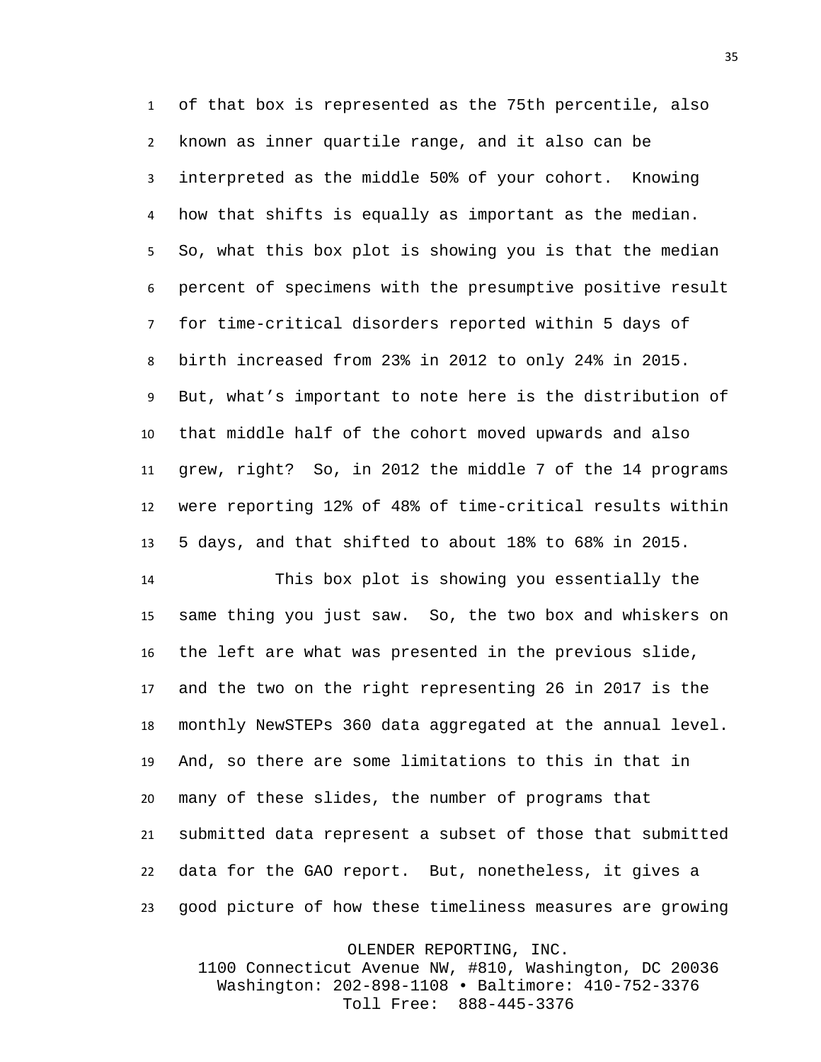of that box is represented as the 75th percentile, also known as inner quartile range, and it also can be interpreted as the middle 50% of your cohort. Knowing how that shifts is equally as important as the median. So, what this box plot is showing you is that the median percent of specimens with the presumptive positive result for time-critical disorders reported within 5 days of birth increased from 23% in 2012 to only 24% in 2015. But, what's important to note here is the distribution of that middle half of the cohort moved upwards and also grew, right? So, in 2012 the middle 7 of the 14 programs were reporting 12% of 48% of time-critical results within 5 days, and that shifted to about 18% to 68% in 2015.

 This box plot is showing you essentially the same thing you just saw. So, the two box and whiskers on the left are what was presented in the previous slide, and the two on the right representing 26 in 2017 is the monthly NewSTEPs 360 data aggregated at the annual level. And, so there are some limitations to this in that in many of these slides, the number of programs that submitted data represent a subset of those that submitted data for the GAO report. But, nonetheless, it gives a good picture of how these timeliness measures are growing

OLENDER REPORTING, INC.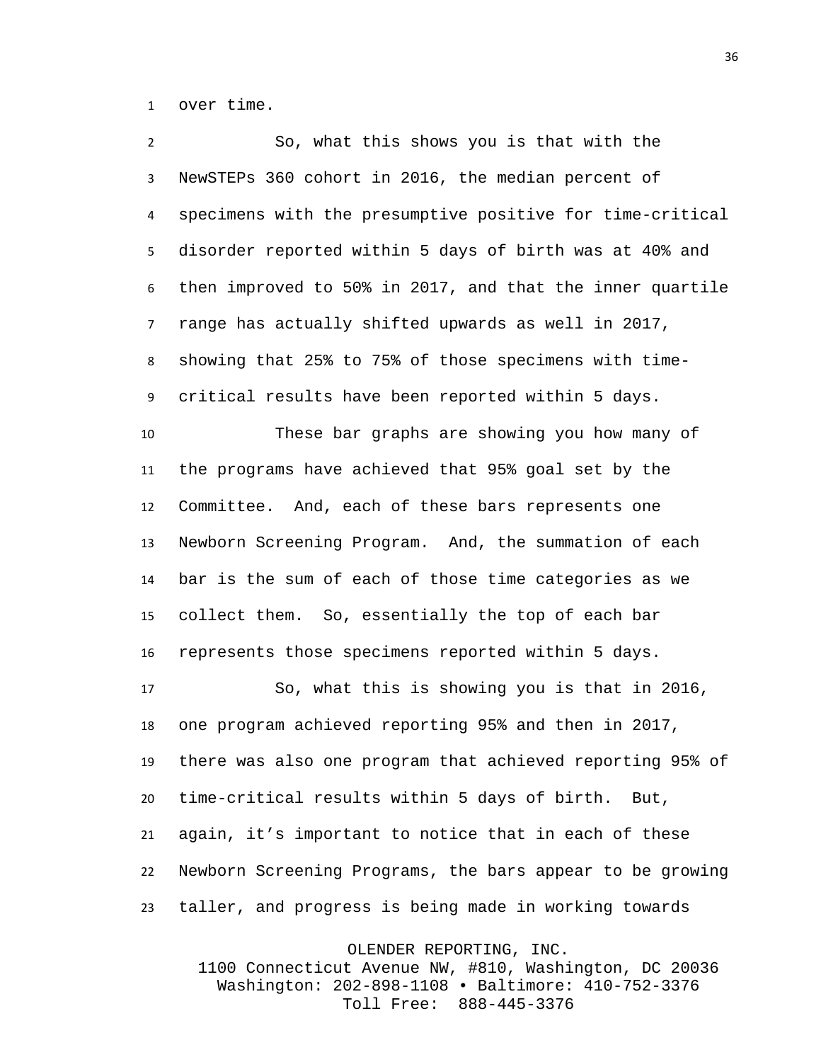over time.

 So, what this shows you is that with the NewSTEPs 360 cohort in 2016, the median percent of specimens with the presumptive positive for time-critical disorder reported within 5 days of birth was at 40% and then improved to 50% in 2017, and that the inner quartile range has actually shifted upwards as well in 2017, showing that 25% to 75% of those specimens with time- critical results have been reported within 5 days. These bar graphs are showing you how many of the programs have achieved that 95% goal set by the Committee. And, each of these bars represents one Newborn Screening Program. And, the summation of each bar is the sum of each of those time categories as we collect them. So, essentially the top of each bar represents those specimens reported within 5 days. So, what this is showing you is that in 2016, one program achieved reporting 95% and then in 2017, there was also one program that achieved reporting 95% of time-critical results within 5 days of birth. But, again, it's important to notice that in each of these Newborn Screening Programs, the bars appear to be growing taller, and progress is being made in working towards

OLENDER REPORTING, INC.

1100 Connecticut Avenue NW, #810, Washington, DC 20036 Washington: 202-898-1108 • Baltimore: 410-752-3376 Toll Free: 888-445-3376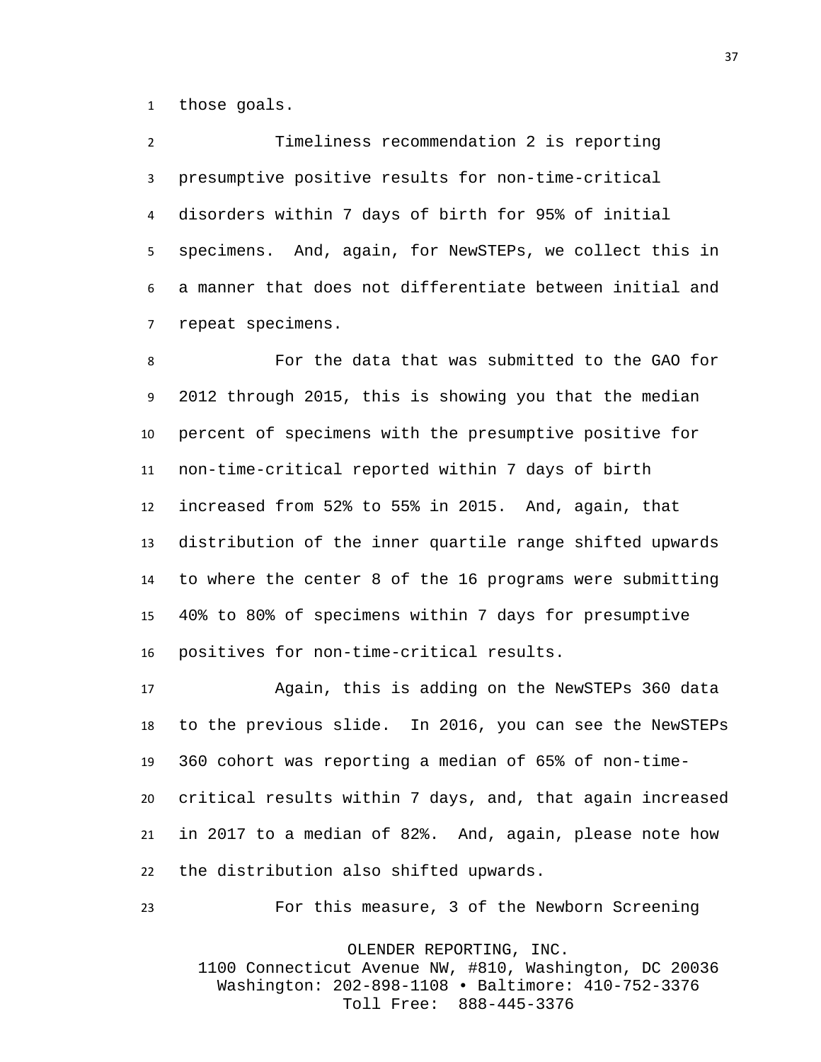those goals.

 Timeliness recommendation 2 is reporting presumptive positive results for non-time-critical disorders within 7 days of birth for 95% of initial specimens. And, again, for NewSTEPs, we collect this in a manner that does not differentiate between initial and repeat specimens.

 For the data that was submitted to the GAO for 2012 through 2015, this is showing you that the median percent of specimens with the presumptive positive for non-time-critical reported within 7 days of birth increased from 52% to 55% in 2015. And, again, that distribution of the inner quartile range shifted upwards to where the center 8 of the 16 programs were submitting 40% to 80% of specimens within 7 days for presumptive positives for non-time-critical results.

 Again, this is adding on the NewSTEPs 360 data to the previous slide. In 2016, you can see the NewSTEPs 360 cohort was reporting a median of 65% of non-time- critical results within 7 days, and, that again increased in 2017 to a median of 82%. And, again, please note how the distribution also shifted upwards.

For this measure, 3 of the Newborn Screening

OLENDER REPORTING, INC.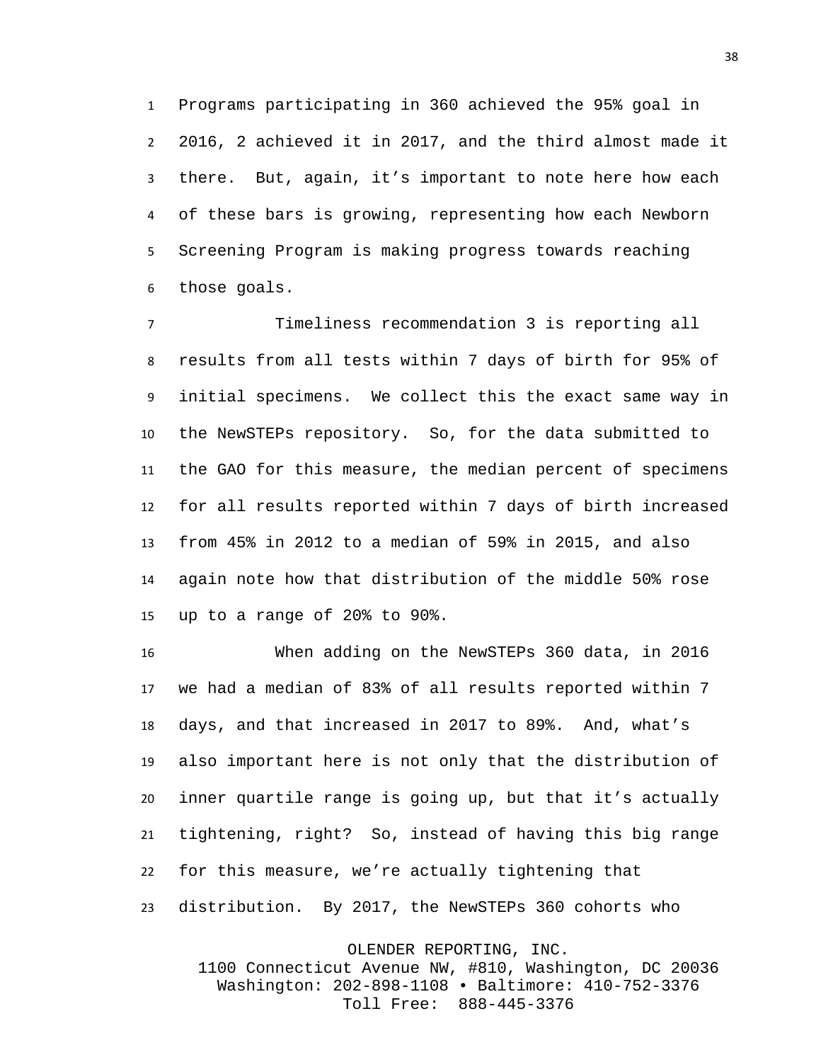Programs participating in 360 achieved the 95% goal in 2016, 2 achieved it in 2017, and the third almost made it there. But, again, it's important to note here how each of these bars is growing, representing how each Newborn Screening Program is making progress towards reaching those goals.

 Timeliness recommendation 3 is reporting all results from all tests within 7 days of birth for 95% of initial specimens. We collect this the exact same way in the NewSTEPs repository. So, for the data submitted to the GAO for this measure, the median percent of specimens for all results reported within 7 days of birth increased from 45% in 2012 to a median of 59% in 2015, and also again note how that distribution of the middle 50% rose up to a range of 20% to 90%.

 When adding on the NewSTEPs 360 data, in 2016 we had a median of 83% of all results reported within 7 days, and that increased in 2017 to 89%. And, what's also important here is not only that the distribution of inner quartile range is going up, but that it's actually tightening, right? So, instead of having this big range for this measure, we're actually tightening that distribution. By 2017, the NewSTEPs 360 cohorts who

> OLENDER REPORTING, INC. 1100 Connecticut Avenue NW, #810, Washington, DC 20036 Washington: 202-898-1108 • Baltimore: 410-752-3376 Toll Free: 888-445-3376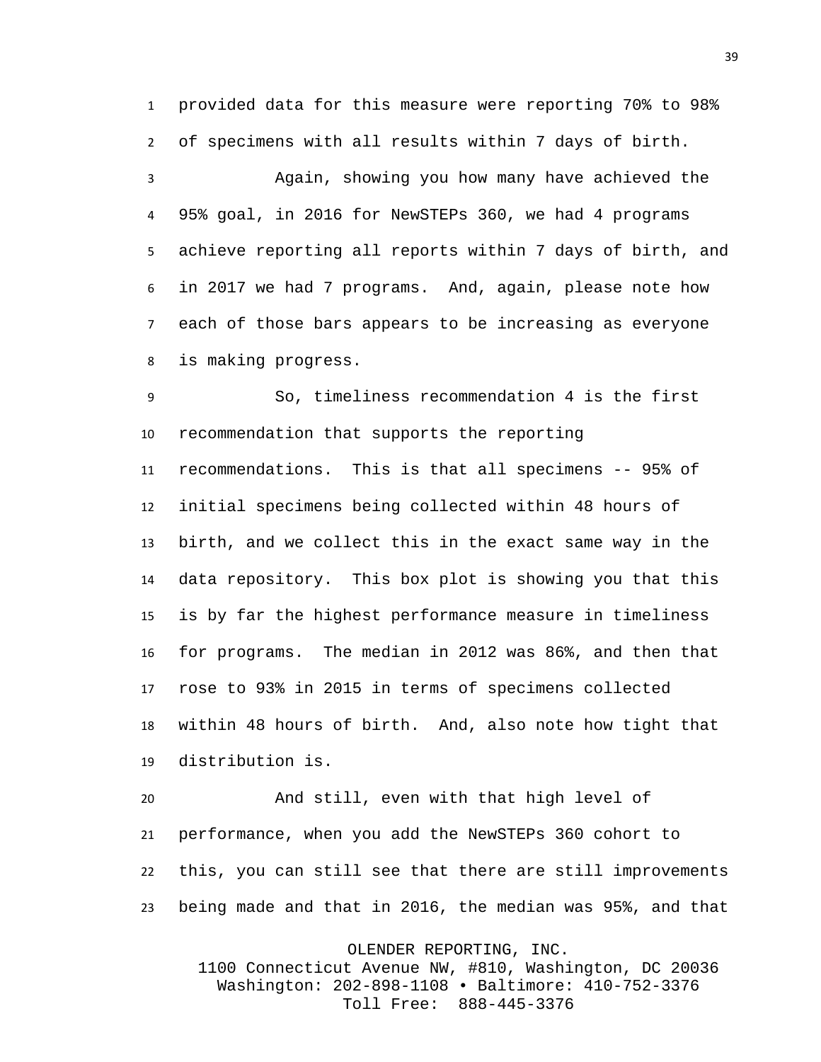provided data for this measure were reporting 70% to 98% of specimens with all results within 7 days of birth.

 Again, showing you how many have achieved the 95% goal, in 2016 for NewSTEPs 360, we had 4 programs achieve reporting all reports within 7 days of birth, and in 2017 we had 7 programs. And, again, please note how each of those bars appears to be increasing as everyone is making progress.

 So, timeliness recommendation 4 is the first recommendation that supports the reporting recommendations. This is that all specimens -- 95% of initial specimens being collected within 48 hours of birth, and we collect this in the exact same way in the data repository. This box plot is showing you that this is by far the highest performance measure in timeliness for programs. The median in 2012 was 86%, and then that rose to 93% in 2015 in terms of specimens collected within 48 hours of birth. And, also note how tight that distribution is.

 And still, even with that high level of performance, when you add the NewSTEPs 360 cohort to this, you can still see that there are still improvements being made and that in 2016, the median was 95%, and that

OLENDER REPORTING, INC.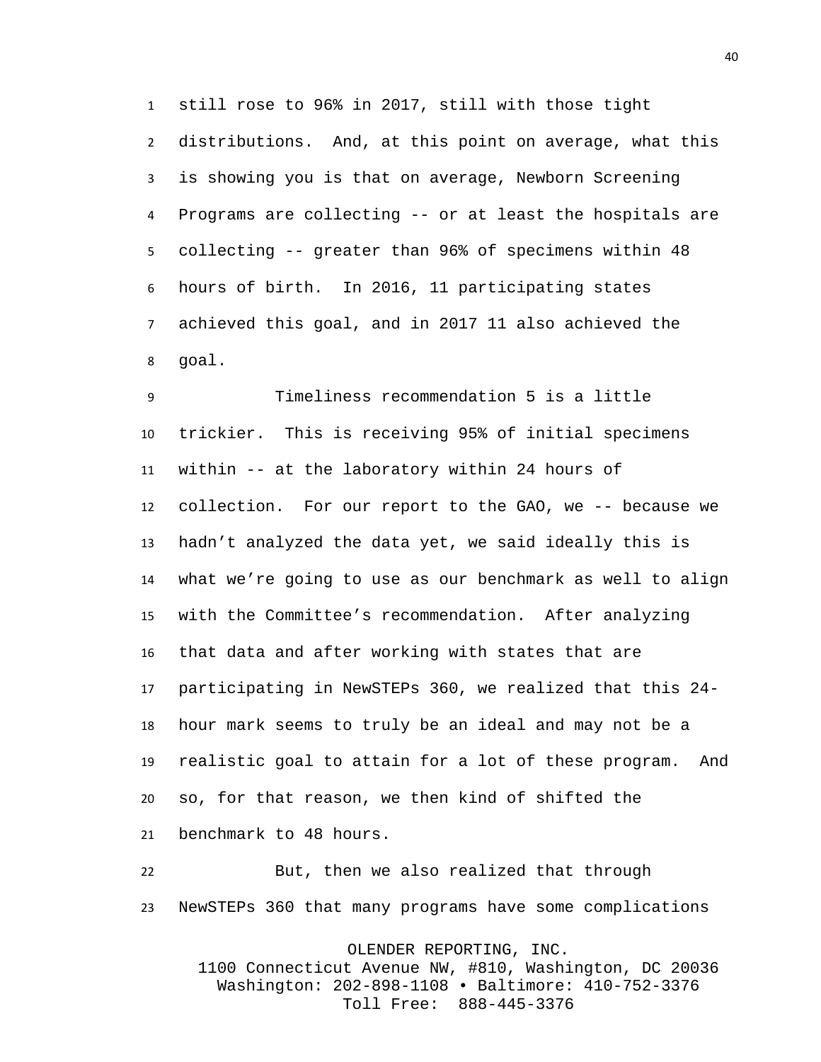still rose to 96% in 2017, still with those tight distributions. And, at this point on average, what this is showing you is that on average, Newborn Screening Programs are collecting -- or at least the hospitals are collecting -- greater than 96% of specimens within 48 hours of birth. In 2016, 11 participating states achieved this goal, and in 2017 11 also achieved the goal.

 Timeliness recommendation 5 is a little trickier. This is receiving 95% of initial specimens within -- at the laboratory within 24 hours of collection. For our report to the GAO, we -- because we hadn't analyzed the data yet, we said ideally this is what we're going to use as our benchmark as well to align with the Committee's recommendation. After analyzing that data and after working with states that are participating in NewSTEPs 360, we realized that this 24- hour mark seems to truly be an ideal and may not be a realistic goal to attain for a lot of these program. And so, for that reason, we then kind of shifted the benchmark to 48 hours.

 But, then we also realized that through NewSTEPs 360 that many programs have some complications

OLENDER REPORTING, INC.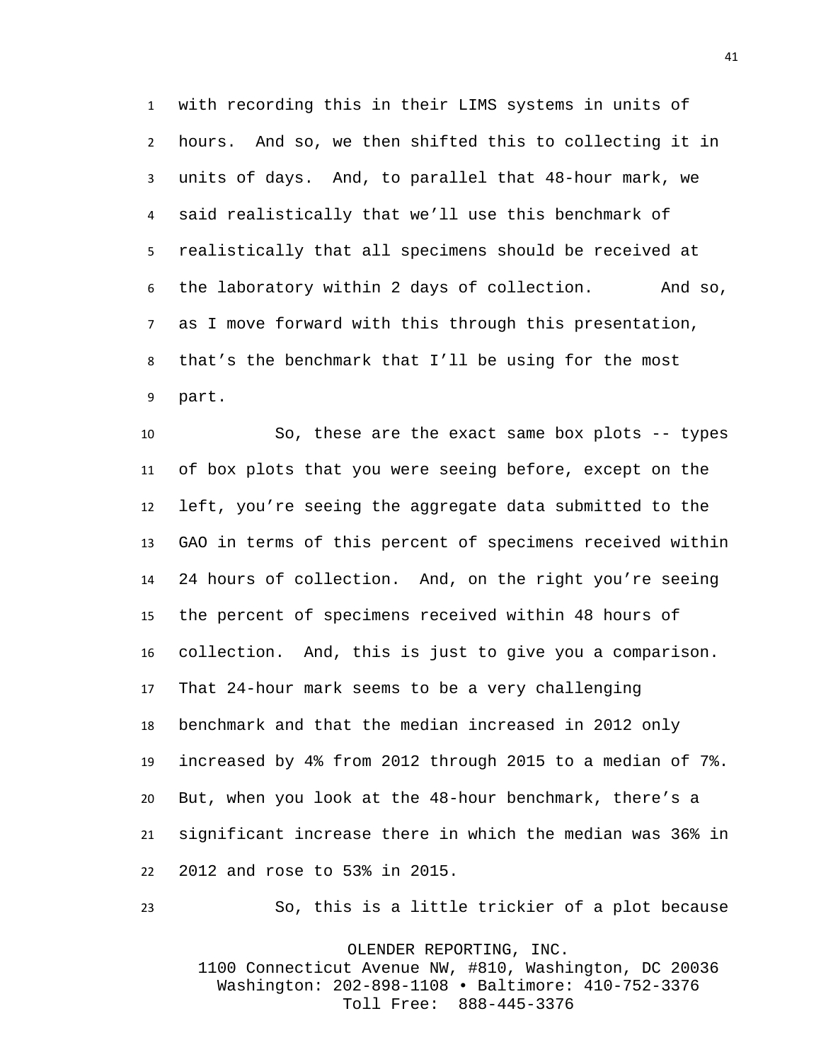with recording this in their LIMS systems in units of hours. And so, we then shifted this to collecting it in units of days. And, to parallel that 48-hour mark, we said realistically that we'll use this benchmark of realistically that all specimens should be received at the laboratory within 2 days of collection. And so, as I move forward with this through this presentation, that's the benchmark that I'll be using for the most part.

 So, these are the exact same box plots -- types of box plots that you were seeing before, except on the left, you're seeing the aggregate data submitted to the GAO in terms of this percent of specimens received within 24 hours of collection. And, on the right you're seeing the percent of specimens received within 48 hours of collection. And, this is just to give you a comparison. That 24-hour mark seems to be a very challenging benchmark and that the median increased in 2012 only increased by 4% from 2012 through 2015 to a median of 7%. But, when you look at the 48-hour benchmark, there's a significant increase there in which the median was 36% in 2012 and rose to 53% in 2015.

So, this is a little trickier of a plot because

OLENDER REPORTING, INC. 1100 Connecticut Avenue NW, #810, Washington, DC 20036 Washington: 202-898-1108 • Baltimore: 410-752-3376 Toll Free: 888-445-3376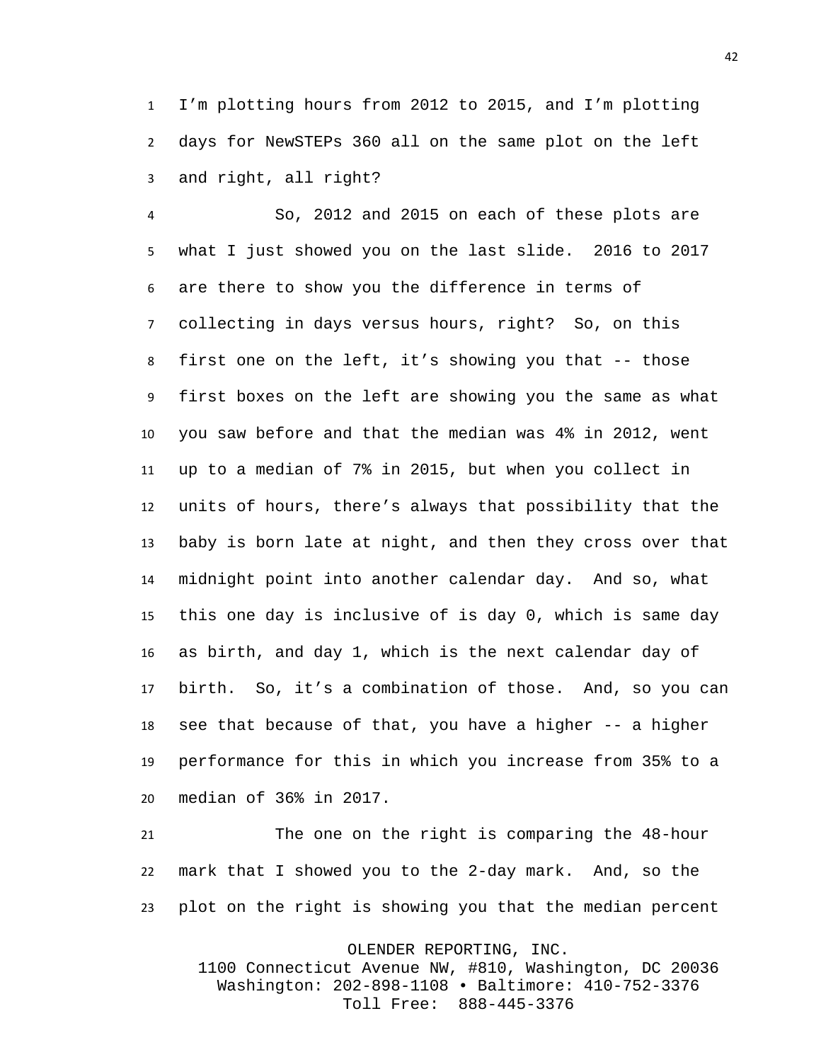I'm plotting hours from 2012 to 2015, and I'm plotting days for NewSTEPs 360 all on the same plot on the left and right, all right?

 So, 2012 and 2015 on each of these plots are what I just showed you on the last slide. 2016 to 2017 are there to show you the difference in terms of collecting in days versus hours, right? So, on this first one on the left, it's showing you that -- those first boxes on the left are showing you the same as what you saw before and that the median was 4% in 2012, went up to a median of 7% in 2015, but when you collect in units of hours, there's always that possibility that the baby is born late at night, and then they cross over that midnight point into another calendar day. And so, what this one day is inclusive of is day 0, which is same day as birth, and day 1, which is the next calendar day of birth. So, it's a combination of those. And, so you can see that because of that, you have a higher -- a higher performance for this in which you increase from 35% to a median of 36% in 2017.

 The one on the right is comparing the 48-hour mark that I showed you to the 2-day mark. And, so the plot on the right is showing you that the median percent

OLENDER REPORTING, INC.

1100 Connecticut Avenue NW, #810, Washington, DC 20036 Washington: 202-898-1108 • Baltimore: 410-752-3376 Toll Free: 888-445-3376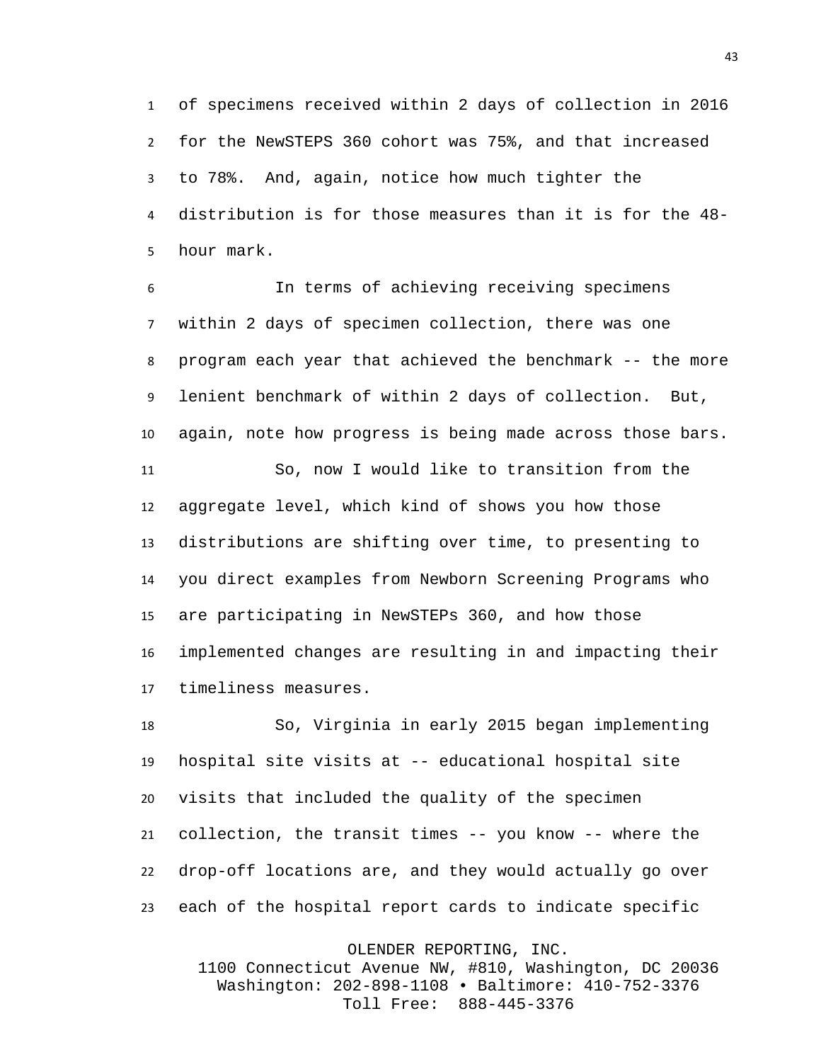of specimens received within 2 days of collection in 2016 for the NewSTEPS 360 cohort was 75%, and that increased to 78%. And, again, notice how much tighter the distribution is for those measures than it is for the 48- hour mark.

 In terms of achieving receiving specimens within 2 days of specimen collection, there was one program each year that achieved the benchmark -- the more lenient benchmark of within 2 days of collection. But, again, note how progress is being made across those bars.

 So, now I would like to transition from the aggregate level, which kind of shows you how those distributions are shifting over time, to presenting to you direct examples from Newborn Screening Programs who are participating in NewSTEPs 360, and how those implemented changes are resulting in and impacting their timeliness measures.

 So, Virginia in early 2015 began implementing hospital site visits at -- educational hospital site visits that included the quality of the specimen collection, the transit times -- you know -- where the drop-off locations are, and they would actually go over each of the hospital report cards to indicate specific

OLENDER REPORTING, INC.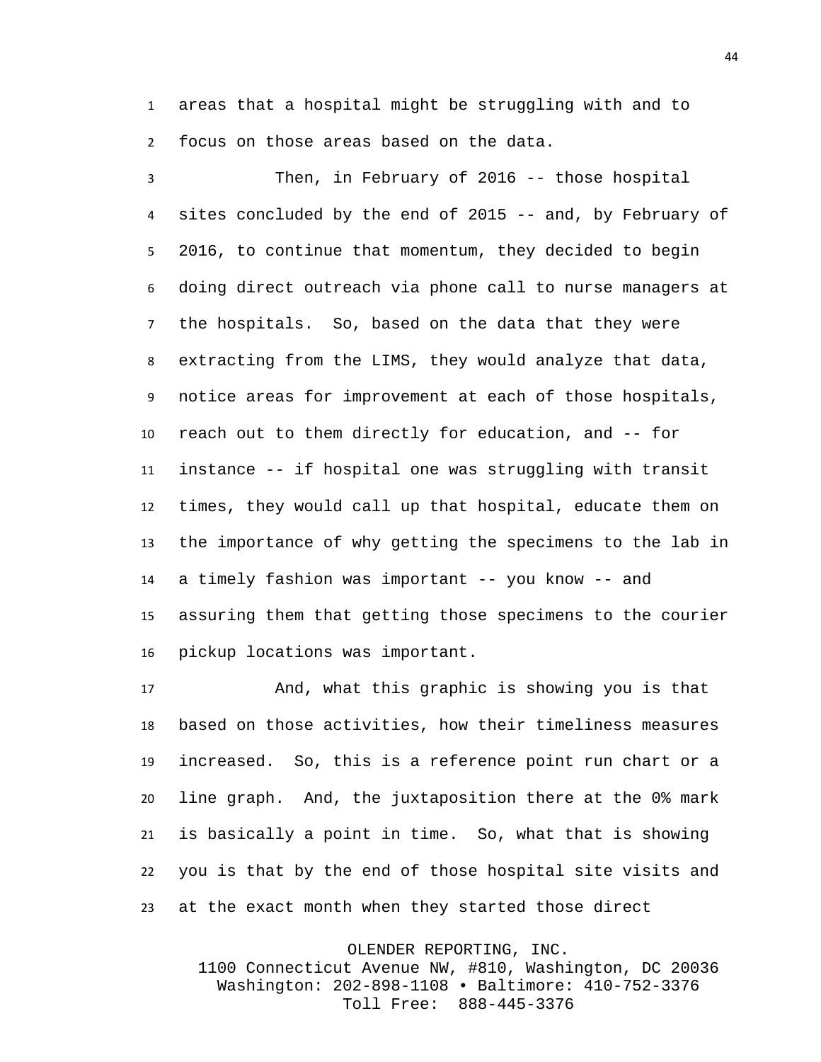areas that a hospital might be struggling with and to focus on those areas based on the data.

 Then, in February of 2016 -- those hospital sites concluded by the end of 2015 -- and, by February of 2016, to continue that momentum, they decided to begin doing direct outreach via phone call to nurse managers at the hospitals. So, based on the data that they were extracting from the LIMS, they would analyze that data, notice areas for improvement at each of those hospitals, reach out to them directly for education, and -- for instance -- if hospital one was struggling with transit times, they would call up that hospital, educate them on the importance of why getting the specimens to the lab in a timely fashion was important -- you know -- and assuring them that getting those specimens to the courier pickup locations was important.

 And, what this graphic is showing you is that based on those activities, how their timeliness measures increased. So, this is a reference point run chart or a line graph. And, the juxtaposition there at the 0% mark is basically a point in time. So, what that is showing you is that by the end of those hospital site visits and at the exact month when they started those direct

> OLENDER REPORTING, INC. 1100 Connecticut Avenue NW, #810, Washington, DC 20036 Washington: 202-898-1108 • Baltimore: 410-752-3376 Toll Free: 888-445-3376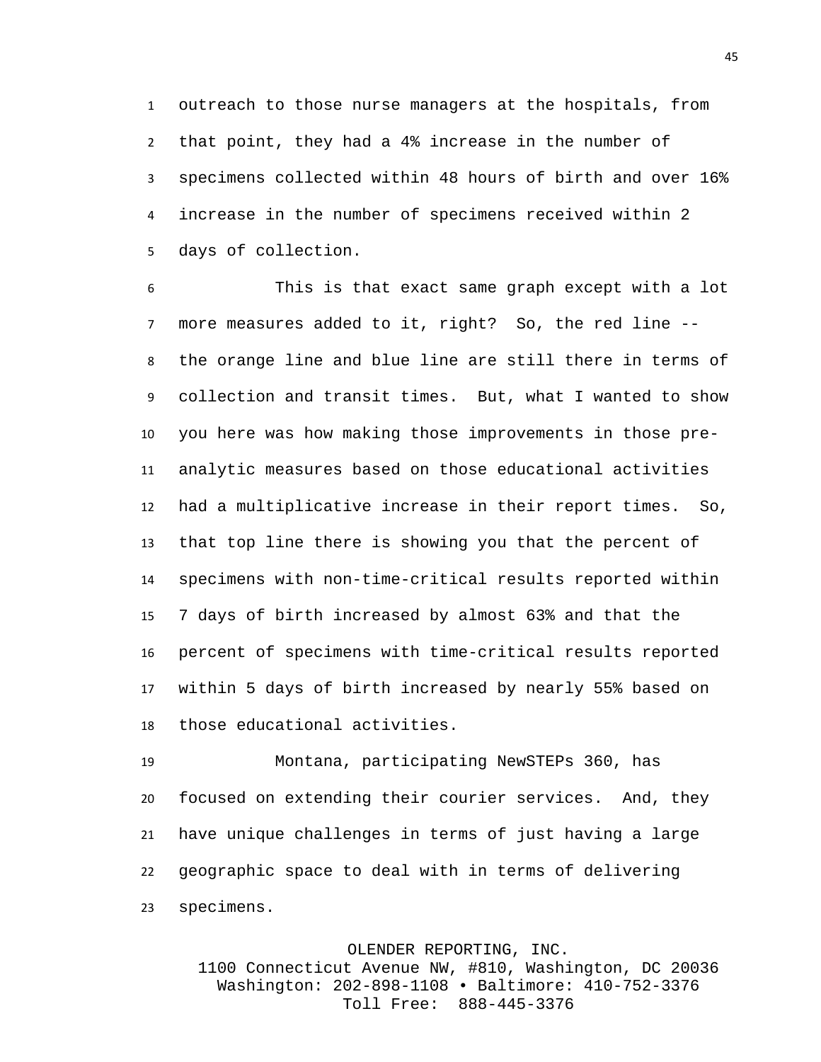outreach to those nurse managers at the hospitals, from that point, they had a 4% increase in the number of specimens collected within 48 hours of birth and over 16% increase in the number of specimens received within 2 days of collection.

 This is that exact same graph except with a lot more measures added to it, right? So, the red line -- the orange line and blue line are still there in terms of collection and transit times. But, what I wanted to show you here was how making those improvements in those pre- analytic measures based on those educational activities had a multiplicative increase in their report times. So, that top line there is showing you that the percent of specimens with non-time-critical results reported within 7 days of birth increased by almost 63% and that the percent of specimens with time-critical results reported within 5 days of birth increased by nearly 55% based on those educational activities.

 Montana, participating NewSTEPs 360, has focused on extending their courier services. And, they have unique challenges in terms of just having a large geographic space to deal with in terms of delivering specimens.

OLENDER REPORTING, INC.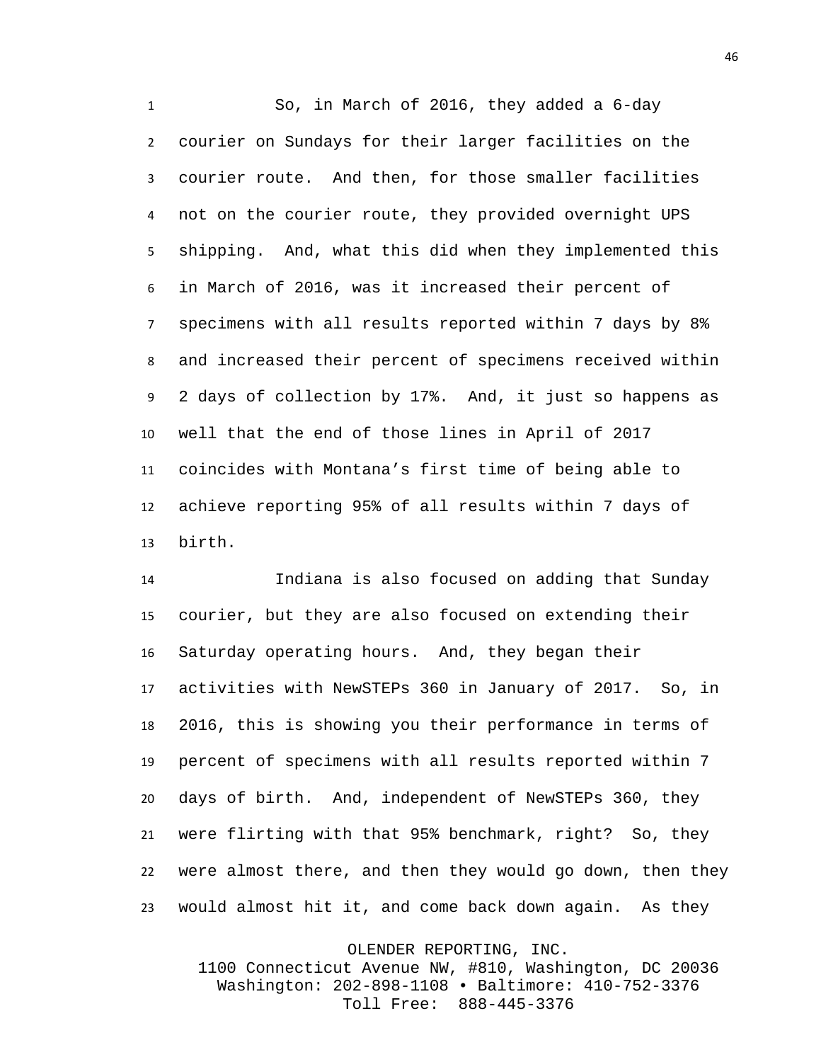So, in March of 2016, they added a 6-day courier on Sundays for their larger facilities on the courier route. And then, for those smaller facilities not on the courier route, they provided overnight UPS shipping. And, what this did when they implemented this in March of 2016, was it increased their percent of specimens with all results reported within 7 days by 8% and increased their percent of specimens received within 2 days of collection by 17%. And, it just so happens as well that the end of those lines in April of 2017 coincides with Montana's first time of being able to achieve reporting 95% of all results within 7 days of birth.

 Indiana is also focused on adding that Sunday courier, but they are also focused on extending their Saturday operating hours. And, they began their activities with NewSTEPs 360 in January of 2017. So, in 2016, this is showing you their performance in terms of percent of specimens with all results reported within 7 days of birth. And, independent of NewSTEPs 360, they were flirting with that 95% benchmark, right? So, they were almost there, and then they would go down, then they would almost hit it, and come back down again. As they

OLENDER REPORTING, INC.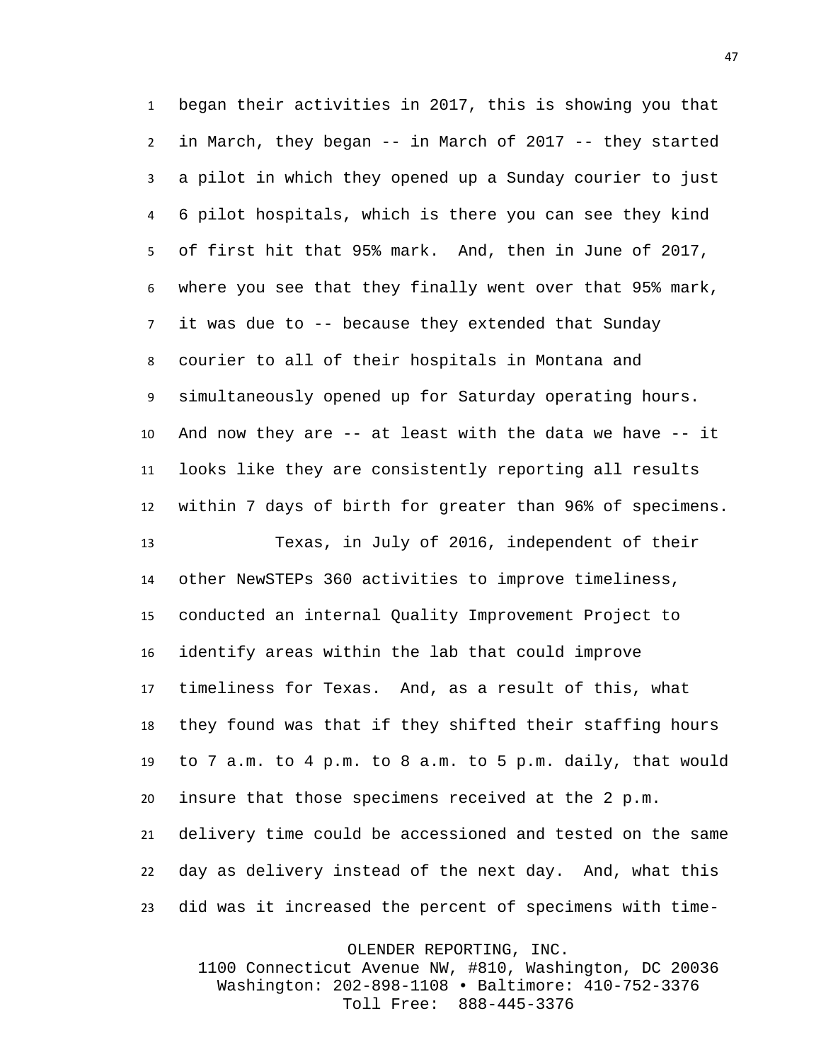began their activities in 2017, this is showing you that in March, they began -- in March of 2017 -- they started a pilot in which they opened up a Sunday courier to just 6 pilot hospitals, which is there you can see they kind of first hit that 95% mark. And, then in June of 2017, where you see that they finally went over that 95% mark, it was due to -- because they extended that Sunday courier to all of their hospitals in Montana and simultaneously opened up for Saturday operating hours. And now they are -- at least with the data we have -- it looks like they are consistently reporting all results within 7 days of birth for greater than 96% of specimens.

 Texas, in July of 2016, independent of their other NewSTEPs 360 activities to improve timeliness, conducted an internal Quality Improvement Project to identify areas within the lab that could improve timeliness for Texas. And, as a result of this, what they found was that if they shifted their staffing hours to 7 a.m. to 4 p.m. to 8 a.m. to 5 p.m. daily, that would insure that those specimens received at the 2 p.m. delivery time could be accessioned and tested on the same day as delivery instead of the next day. And, what this did was it increased the percent of specimens with time-

OLENDER REPORTING, INC.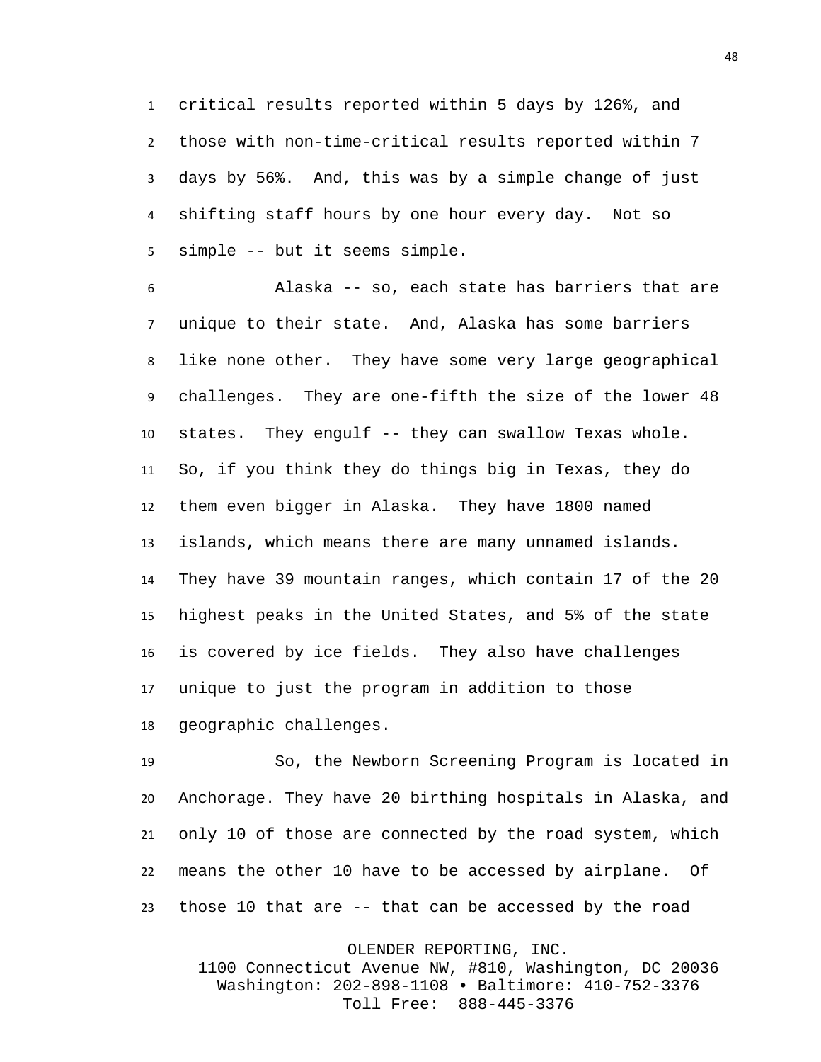critical results reported within 5 days by 126%, and those with non-time-critical results reported within 7 days by 56%. And, this was by a simple change of just shifting staff hours by one hour every day. Not so simple -- but it seems simple.

 Alaska -- so, each state has barriers that are unique to their state. And, Alaska has some barriers like none other. They have some very large geographical challenges. They are one-fifth the size of the lower 48 states. They engulf -- they can swallow Texas whole. So, if you think they do things big in Texas, they do them even bigger in Alaska. They have 1800 named islands, which means there are many unnamed islands. They have 39 mountain ranges, which contain 17 of the 20 highest peaks in the United States, and 5% of the state is covered by ice fields. They also have challenges unique to just the program in addition to those geographic challenges.

 So, the Newborn Screening Program is located in Anchorage. They have 20 birthing hospitals in Alaska, and only 10 of those are connected by the road system, which means the other 10 have to be accessed by airplane. Of those 10 that are -- that can be accessed by the road

OLENDER REPORTING, INC.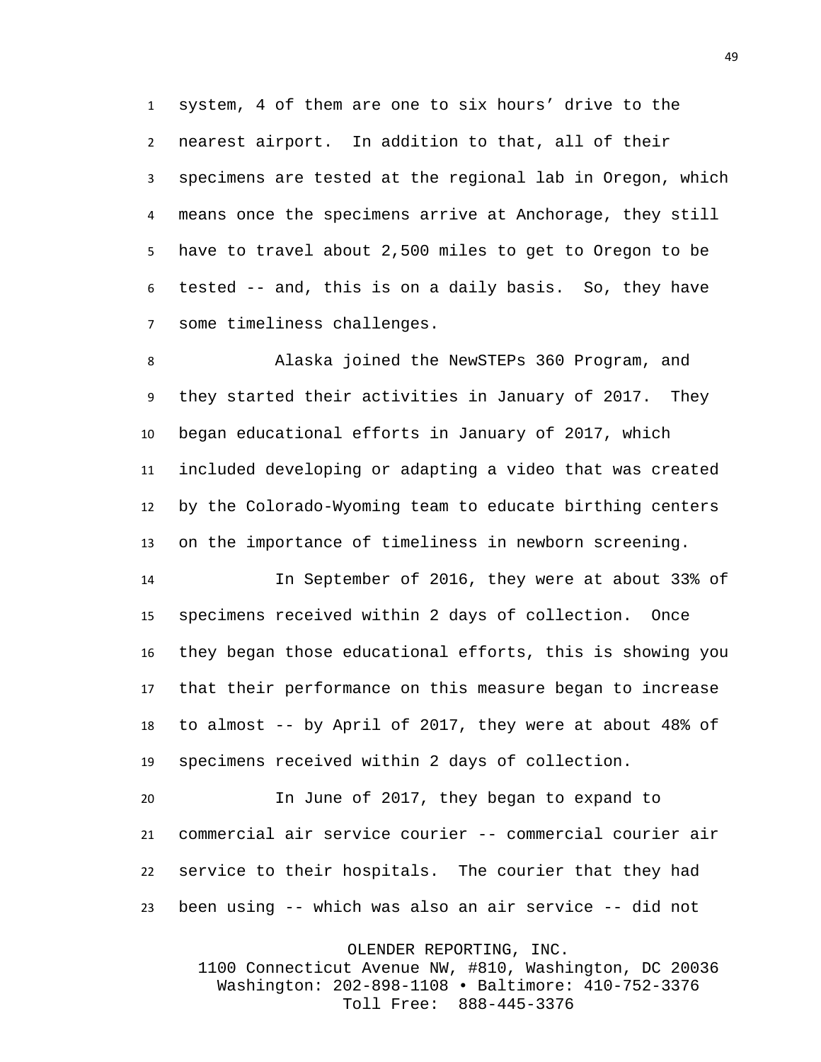system, 4 of them are one to six hours' drive to the nearest airport. In addition to that, all of their specimens are tested at the regional lab in Oregon, which means once the specimens arrive at Anchorage, they still have to travel about 2,500 miles to get to Oregon to be tested -- and, this is on a daily basis. So, they have some timeliness challenges.

 Alaska joined the NewSTEPs 360 Program, and they started their activities in January of 2017. They began educational efforts in January of 2017, which included developing or adapting a video that was created by the Colorado-Wyoming team to educate birthing centers on the importance of timeliness in newborn screening.

 In September of 2016, they were at about 33% of specimens received within 2 days of collection. Once they began those educational efforts, this is showing you that their performance on this measure began to increase to almost -- by April of 2017, they were at about 48% of specimens received within 2 days of collection.

 In June of 2017, they began to expand to commercial air service courier -- commercial courier air service to their hospitals. The courier that they had been using -- which was also an air service -- did not

OLENDER REPORTING, INC.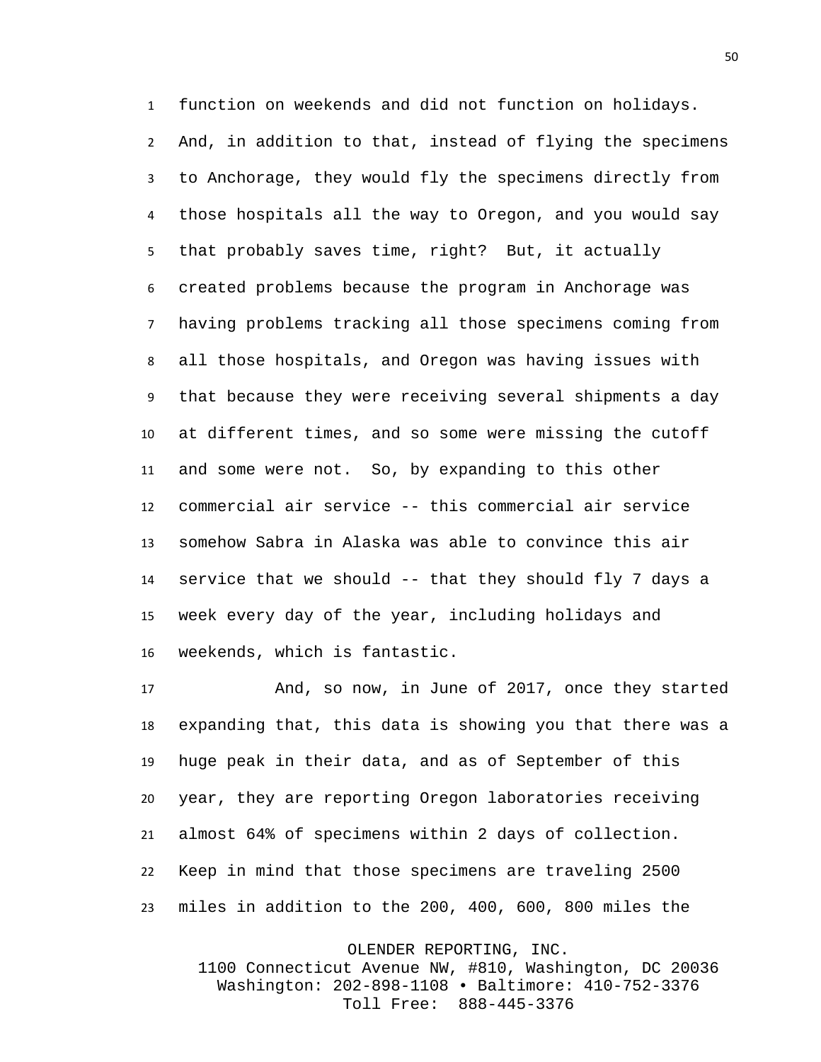function on weekends and did not function on holidays. And, in addition to that, instead of flying the specimens to Anchorage, they would fly the specimens directly from those hospitals all the way to Oregon, and you would say that probably saves time, right? But, it actually created problems because the program in Anchorage was having problems tracking all those specimens coming from all those hospitals, and Oregon was having issues with that because they were receiving several shipments a day at different times, and so some were missing the cutoff and some were not. So, by expanding to this other commercial air service -- this commercial air service somehow Sabra in Alaska was able to convince this air service that we should -- that they should fly 7 days a week every day of the year, including holidays and weekends, which is fantastic.

 And, so now, in June of 2017, once they started expanding that, this data is showing you that there was a huge peak in their data, and as of September of this year, they are reporting Oregon laboratories receiving almost 64% of specimens within 2 days of collection. Keep in mind that those specimens are traveling 2500 miles in addition to the 200, 400, 600, 800 miles the

OLENDER REPORTING, INC.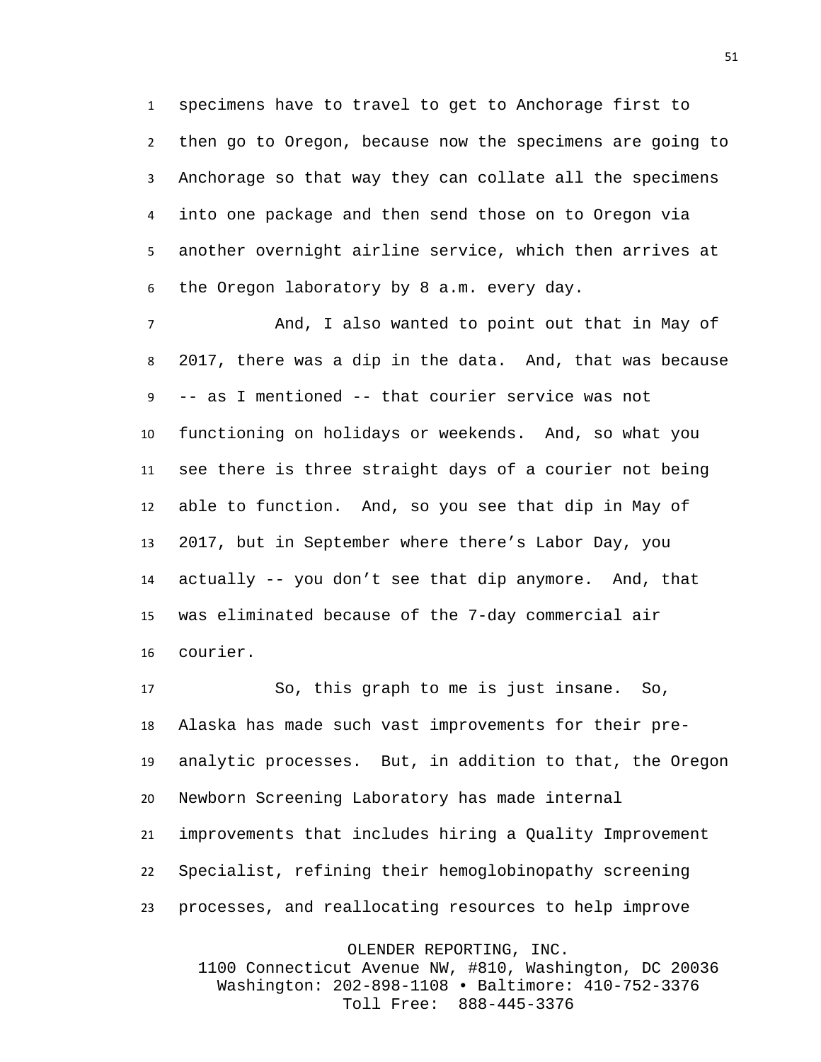specimens have to travel to get to Anchorage first to then go to Oregon, because now the specimens are going to Anchorage so that way they can collate all the specimens into one package and then send those on to Oregon via another overnight airline service, which then arrives at the Oregon laboratory by 8 a.m. every day.

 And, I also wanted to point out that in May of 2017, there was a dip in the data. And, that was because -- as I mentioned -- that courier service was not functioning on holidays or weekends. And, so what you see there is three straight days of a courier not being able to function. And, so you see that dip in May of 2017, but in September where there's Labor Day, you actually -- you don't see that dip anymore. And, that was eliminated because of the 7-day commercial air courier.

 So, this graph to me is just insane. So, Alaska has made such vast improvements for their pre- analytic processes. But, in addition to that, the Oregon Newborn Screening Laboratory has made internal improvements that includes hiring a Quality Improvement Specialist, refining their hemoglobinopathy screening processes, and reallocating resources to help improve

OLENDER REPORTING, INC.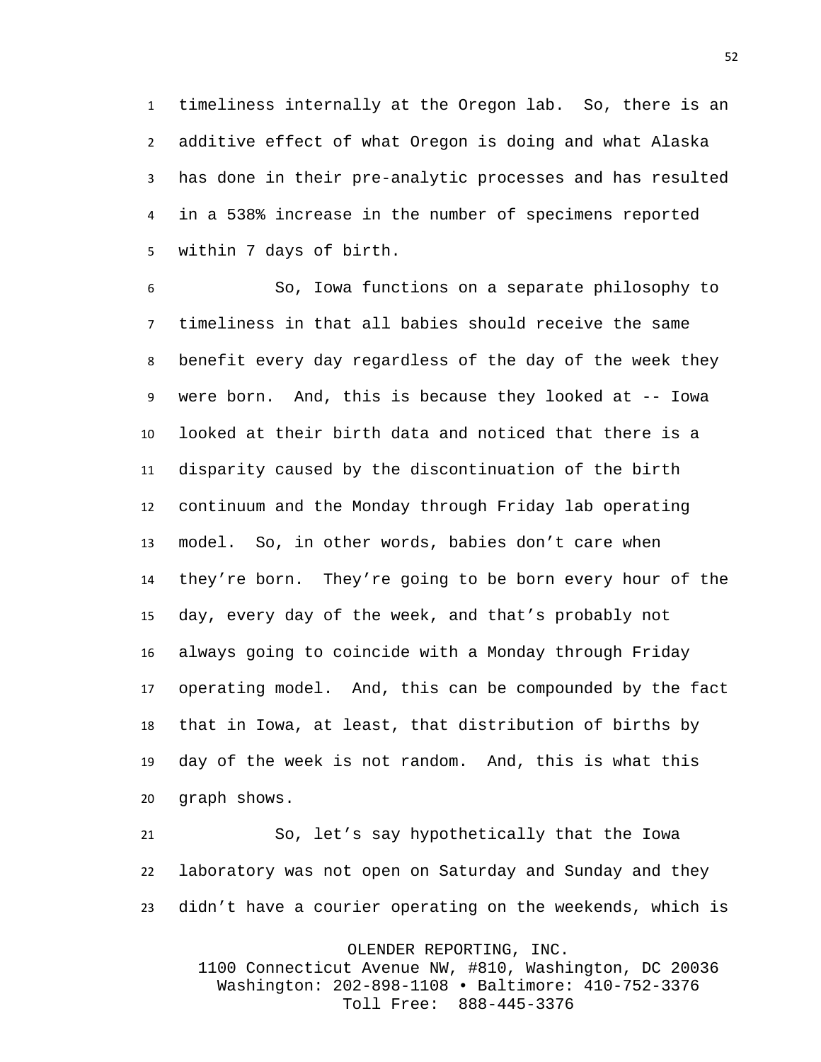timeliness internally at the Oregon lab. So, there is an additive effect of what Oregon is doing and what Alaska has done in their pre-analytic processes and has resulted in a 538% increase in the number of specimens reported within 7 days of birth.

 So, Iowa functions on a separate philosophy to timeliness in that all babies should receive the same benefit every day regardless of the day of the week they were born. And, this is because they looked at -- Iowa looked at their birth data and noticed that there is a disparity caused by the discontinuation of the birth continuum and the Monday through Friday lab operating model. So, in other words, babies don't care when they're born. They're going to be born every hour of the day, every day of the week, and that's probably not always going to coincide with a Monday through Friday operating model. And, this can be compounded by the fact that in Iowa, at least, that distribution of births by day of the week is not random. And, this is what this graph shows.

 So, let's say hypothetically that the Iowa laboratory was not open on Saturday and Sunday and they didn't have a courier operating on the weekends, which is

OLENDER REPORTING, INC.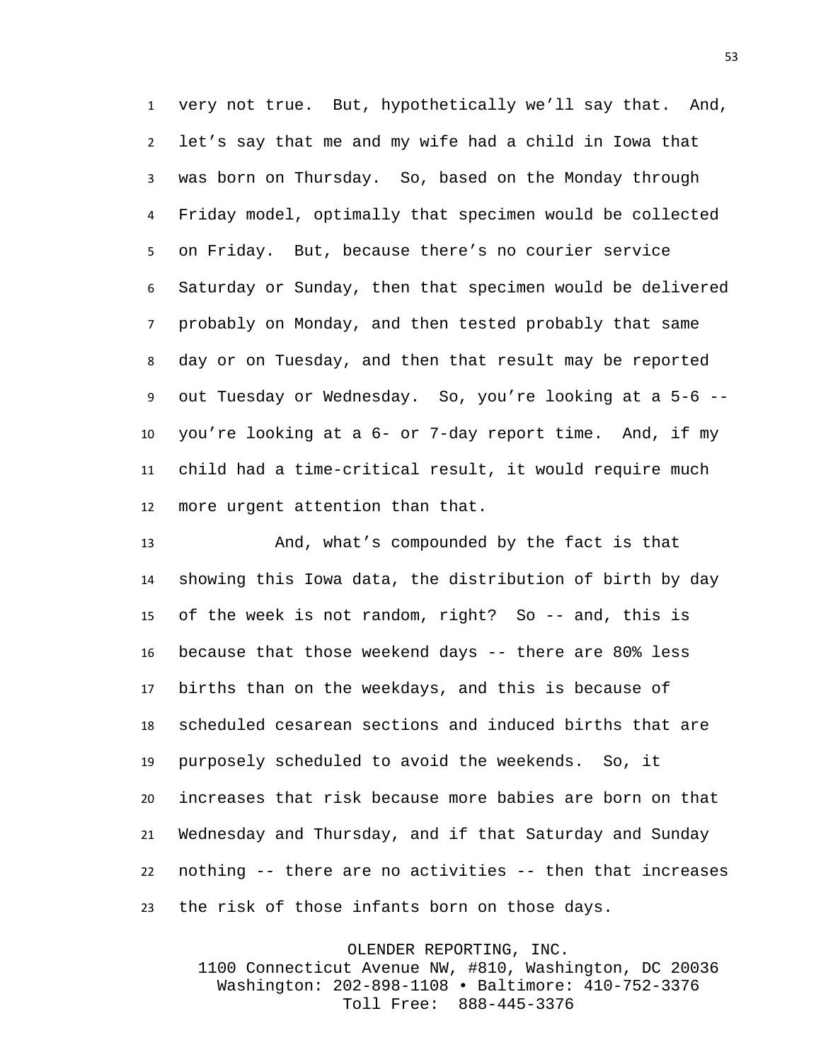very not true. But, hypothetically we'll say that. And, let's say that me and my wife had a child in Iowa that was born on Thursday. So, based on the Monday through Friday model, optimally that specimen would be collected on Friday. But, because there's no courier service Saturday or Sunday, then that specimen would be delivered probably on Monday, and then tested probably that same day or on Tuesday, and then that result may be reported out Tuesday or Wednesday. So, you're looking at a 5-6 -- you're looking at a 6- or 7-day report time. And, if my child had a time-critical result, it would require much more urgent attention than that.

 And, what's compounded by the fact is that showing this Iowa data, the distribution of birth by day of the week is not random, right? So -- and, this is because that those weekend days -- there are 80% less births than on the weekdays, and this is because of scheduled cesarean sections and induced births that are purposely scheduled to avoid the weekends. So, it increases that risk because more babies are born on that Wednesday and Thursday, and if that Saturday and Sunday nothing -- there are no activities -- then that increases the risk of those infants born on those days.

> OLENDER REPORTING, INC. 1100 Connecticut Avenue NW, #810, Washington, DC 20036 Washington: 202-898-1108 • Baltimore: 410-752-3376 Toll Free: 888-445-3376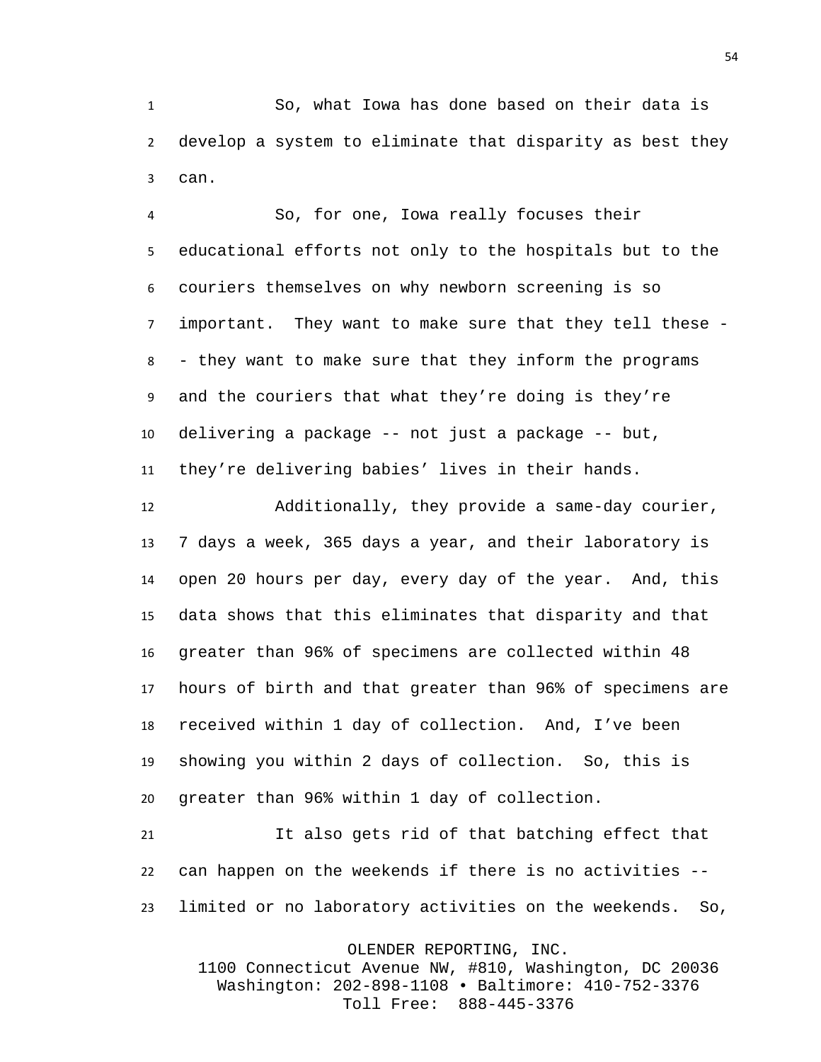So, what Iowa has done based on their data is develop a system to eliminate that disparity as best they can.

 So, for one, Iowa really focuses their educational efforts not only to the hospitals but to the couriers themselves on why newborn screening is so important. They want to make sure that they tell these - - they want to make sure that they inform the programs and the couriers that what they're doing is they're delivering a package -- not just a package -- but, they're delivering babies' lives in their hands.

 Additionally, they provide a same-day courier, 7 days a week, 365 days a year, and their laboratory is open 20 hours per day, every day of the year. And, this data shows that this eliminates that disparity and that greater than 96% of specimens are collected within 48 hours of birth and that greater than 96% of specimens are received within 1 day of collection. And, I've been showing you within 2 days of collection. So, this is greater than 96% within 1 day of collection.

 It also gets rid of that batching effect that can happen on the weekends if there is no activities -- limited or no laboratory activities on the weekends. So,

OLENDER REPORTING, INC.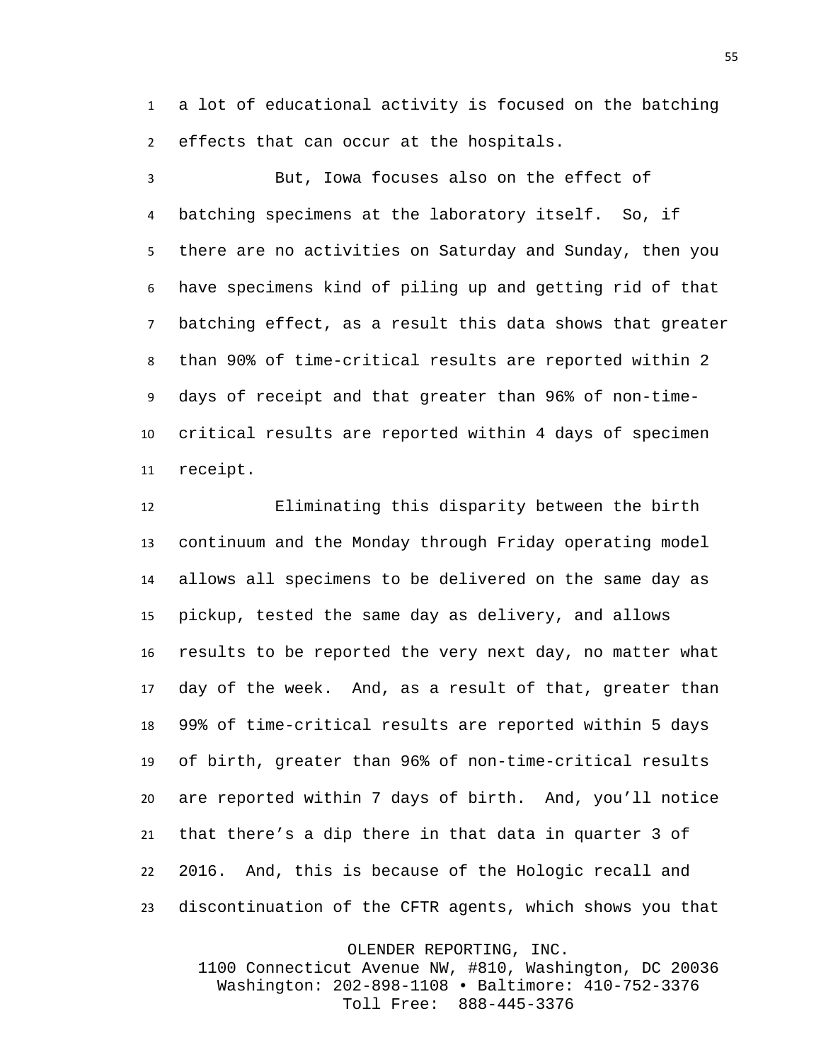a lot of educational activity is focused on the batching effects that can occur at the hospitals.

 But, Iowa focuses also on the effect of batching specimens at the laboratory itself. So, if there are no activities on Saturday and Sunday, then you have specimens kind of piling up and getting rid of that batching effect, as a result this data shows that greater than 90% of time-critical results are reported within 2 days of receipt and that greater than 96% of non-time- critical results are reported within 4 days of specimen receipt.

 Eliminating this disparity between the birth continuum and the Monday through Friday operating model allows all specimens to be delivered on the same day as pickup, tested the same day as delivery, and allows results to be reported the very next day, no matter what day of the week. And, as a result of that, greater than 99% of time-critical results are reported within 5 days of birth, greater than 96% of non-time-critical results are reported within 7 days of birth. And, you'll notice that there's a dip there in that data in quarter 3 of 2016. And, this is because of the Hologic recall and discontinuation of the CFTR agents, which shows you that

OLENDER REPORTING, INC.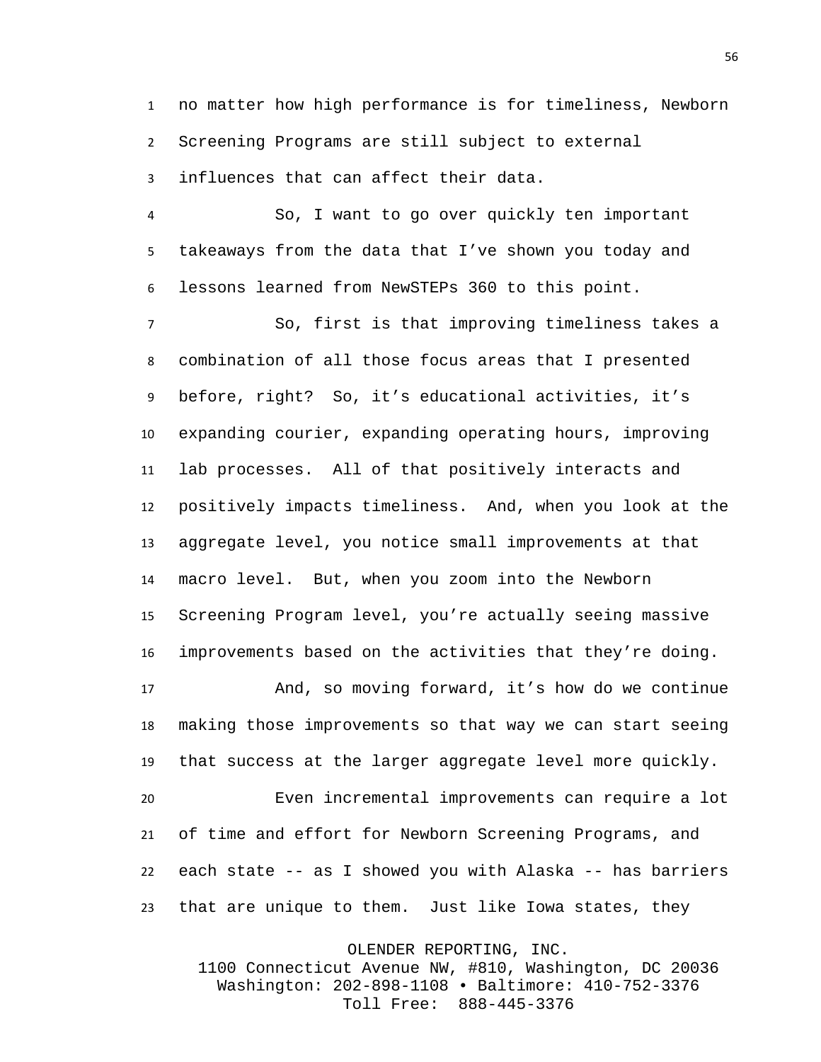no matter how high performance is for timeliness, Newborn Screening Programs are still subject to external influences that can affect their data.

 So, I want to go over quickly ten important takeaways from the data that I've shown you today and lessons learned from NewSTEPs 360 to this point.

 So, first is that improving timeliness takes a combination of all those focus areas that I presented before, right? So, it's educational activities, it's expanding courier, expanding operating hours, improving lab processes. All of that positively interacts and positively impacts timeliness. And, when you look at the aggregate level, you notice small improvements at that macro level. But, when you zoom into the Newborn Screening Program level, you're actually seeing massive improvements based on the activities that they're doing.

 And, so moving forward, it's how do we continue making those improvements so that way we can start seeing that success at the larger aggregate level more quickly.

 Even incremental improvements can require a lot of time and effort for Newborn Screening Programs, and each state -- as I showed you with Alaska -- has barriers that are unique to them. Just like Iowa states, they

OLENDER REPORTING, INC.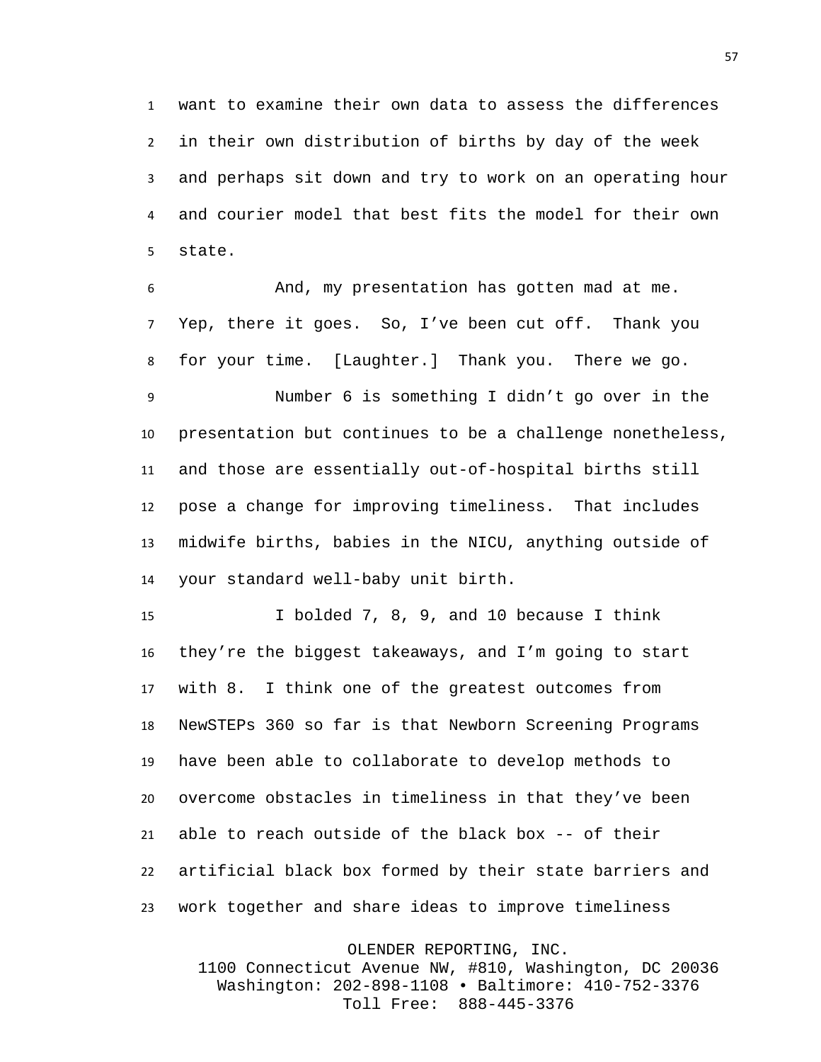want to examine their own data to assess the differences in their own distribution of births by day of the week and perhaps sit down and try to work on an operating hour and courier model that best fits the model for their own state.

 And, my presentation has gotten mad at me. Yep, there it goes. So, I've been cut off. Thank you for your time. [Laughter.] Thank you. There we go.

 Number 6 is something I didn't go over in the presentation but continues to be a challenge nonetheless, and those are essentially out-of-hospital births still pose a change for improving timeliness. That includes midwife births, babies in the NICU, anything outside of your standard well-baby unit birth.

 I bolded 7, 8, 9, and 10 because I think they're the biggest takeaways, and I'm going to start with 8. I think one of the greatest outcomes from NewSTEPs 360 so far is that Newborn Screening Programs have been able to collaborate to develop methods to overcome obstacles in timeliness in that they've been able to reach outside of the black box -- of their artificial black box formed by their state barriers and work together and share ideas to improve timeliness

OLENDER REPORTING, INC.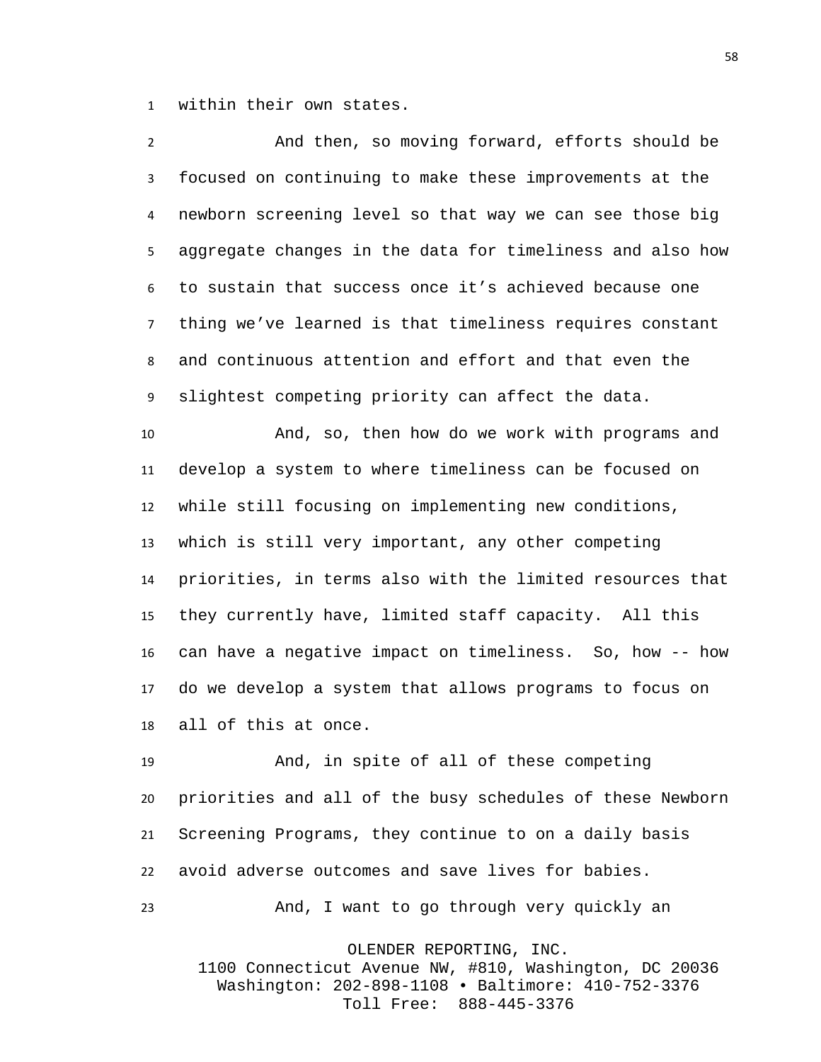within their own states.

 And then, so moving forward, efforts should be focused on continuing to make these improvements at the newborn screening level so that way we can see those big aggregate changes in the data for timeliness and also how to sustain that success once it's achieved because one thing we've learned is that timeliness requires constant and continuous attention and effort and that even the slightest competing priority can affect the data.

 And, so, then how do we work with programs and develop a system to where timeliness can be focused on while still focusing on implementing new conditions, which is still very important, any other competing priorities, in terms also with the limited resources that they currently have, limited staff capacity. All this can have a negative impact on timeliness. So, how -- how do we develop a system that allows programs to focus on all of this at once.

 And, in spite of all of these competing priorities and all of the busy schedules of these Newborn Screening Programs, they continue to on a daily basis avoid adverse outcomes and save lives for babies. And, I want to go through very quickly an

OLENDER REPORTING, INC.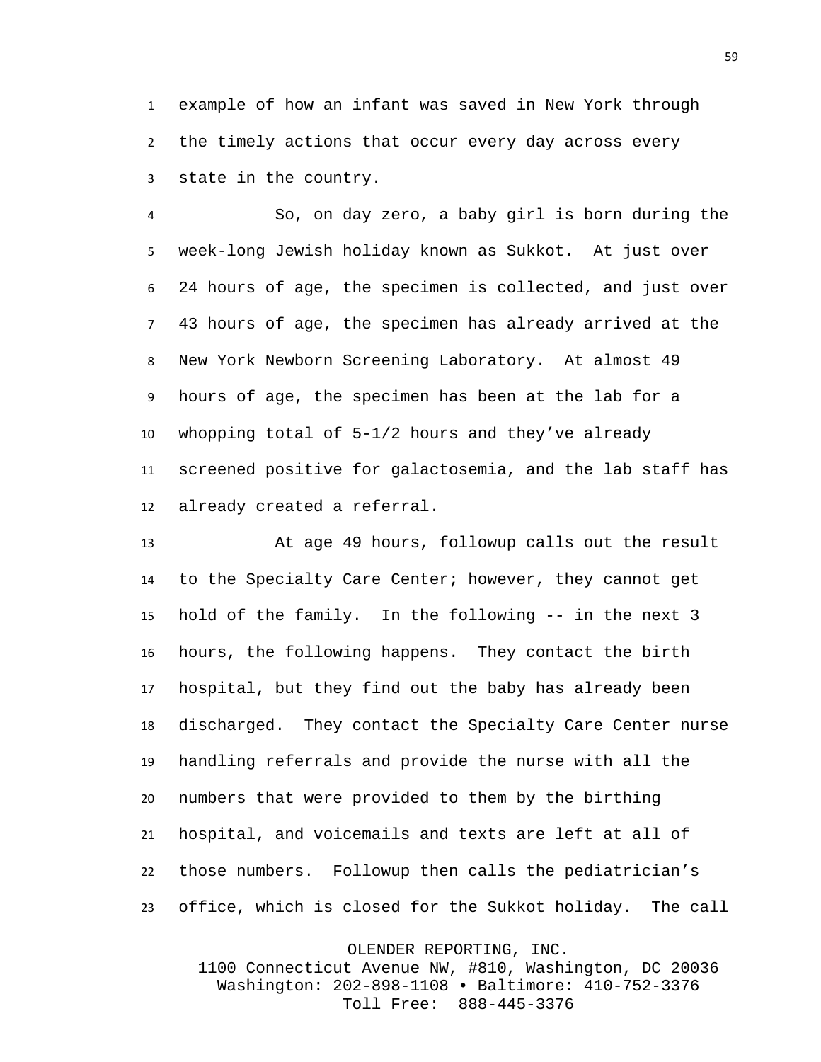example of how an infant was saved in New York through the timely actions that occur every day across every state in the country.

 So, on day zero, a baby girl is born during the week-long Jewish holiday known as Sukkot. At just over 24 hours of age, the specimen is collected, and just over 43 hours of age, the specimen has already arrived at the New York Newborn Screening Laboratory. At almost 49 hours of age, the specimen has been at the lab for a whopping total of 5-1/2 hours and they've already screened positive for galactosemia, and the lab staff has already created a referral.

 At age 49 hours, followup calls out the result to the Specialty Care Center; however, they cannot get hold of the family. In the following -- in the next 3 hours, the following happens. They contact the birth hospital, but they find out the baby has already been discharged. They contact the Specialty Care Center nurse handling referrals and provide the nurse with all the numbers that were provided to them by the birthing hospital, and voicemails and texts are left at all of those numbers. Followup then calls the pediatrician's office, which is closed for the Sukkot holiday. The call

OLENDER REPORTING, INC.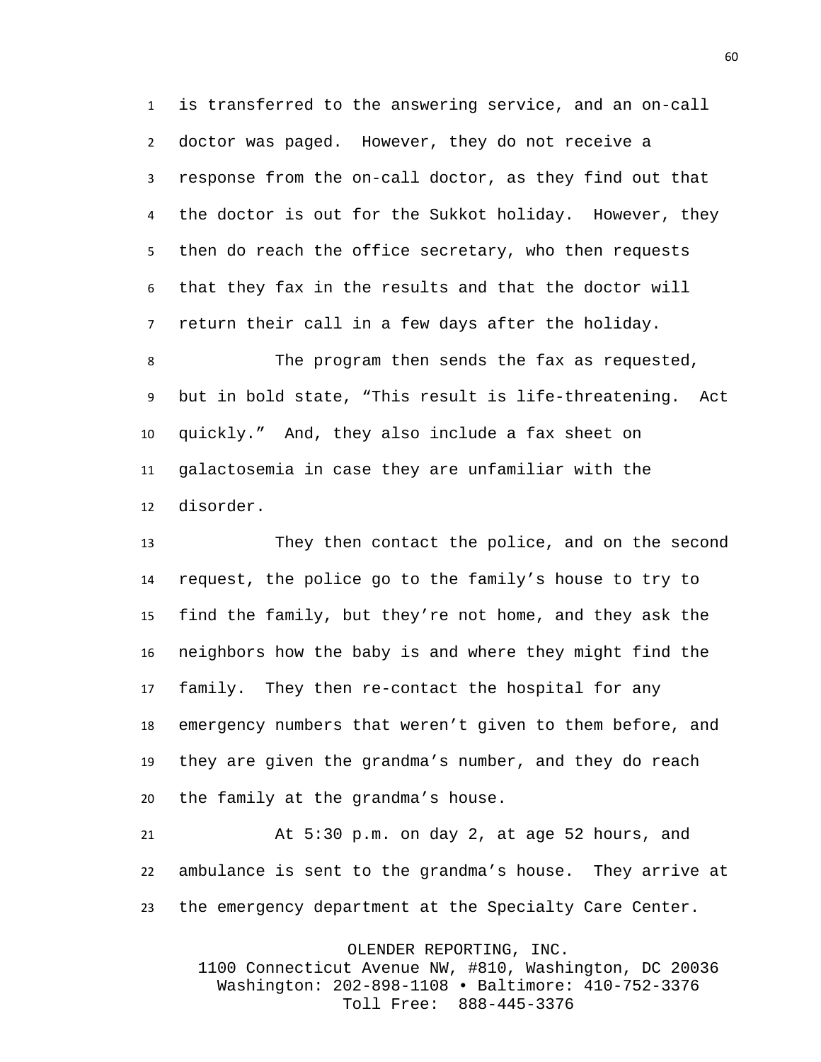is transferred to the answering service, and an on-call doctor was paged. However, they do not receive a response from the on-call doctor, as they find out that the doctor is out for the Sukkot holiday. However, they then do reach the office secretary, who then requests that they fax in the results and that the doctor will return their call in a few days after the holiday.

 The program then sends the fax as requested, but in bold state, "This result is life-threatening. Act quickly." And, they also include a fax sheet on galactosemia in case they are unfamiliar with the disorder.

 They then contact the police, and on the second request, the police go to the family's house to try to find the family, but they're not home, and they ask the neighbors how the baby is and where they might find the family. They then re-contact the hospital for any emergency numbers that weren't given to them before, and they are given the grandma's number, and they do reach the family at the grandma's house.

 At 5:30 p.m. on day 2, at age 52 hours, and ambulance is sent to the grandma's house. They arrive at the emergency department at the Specialty Care Center.

OLENDER REPORTING, INC.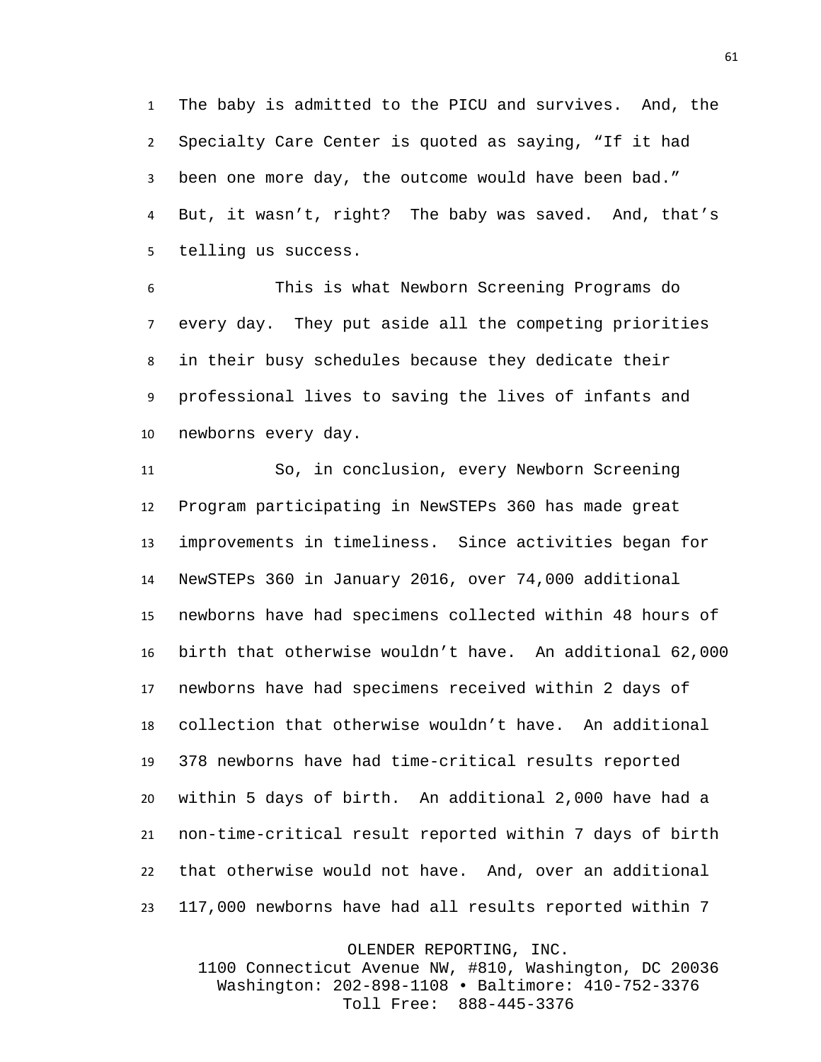The baby is admitted to the PICU and survives. And, the Specialty Care Center is quoted as saying, "If it had been one more day, the outcome would have been bad." But, it wasn't, right? The baby was saved. And, that's telling us success.

 This is what Newborn Screening Programs do every day. They put aside all the competing priorities in their busy schedules because they dedicate their professional lives to saving the lives of infants and newborns every day.

 So, in conclusion, every Newborn Screening Program participating in NewSTEPs 360 has made great improvements in timeliness. Since activities began for NewSTEPs 360 in January 2016, over 74,000 additional newborns have had specimens collected within 48 hours of birth that otherwise wouldn't have. An additional 62,000 newborns have had specimens received within 2 days of collection that otherwise wouldn't have. An additional 378 newborns have had time-critical results reported within 5 days of birth. An additional 2,000 have had a non-time-critical result reported within 7 days of birth that otherwise would not have. And, over an additional 117,000 newborns have had all results reported within 7

OLENDER REPORTING, INC.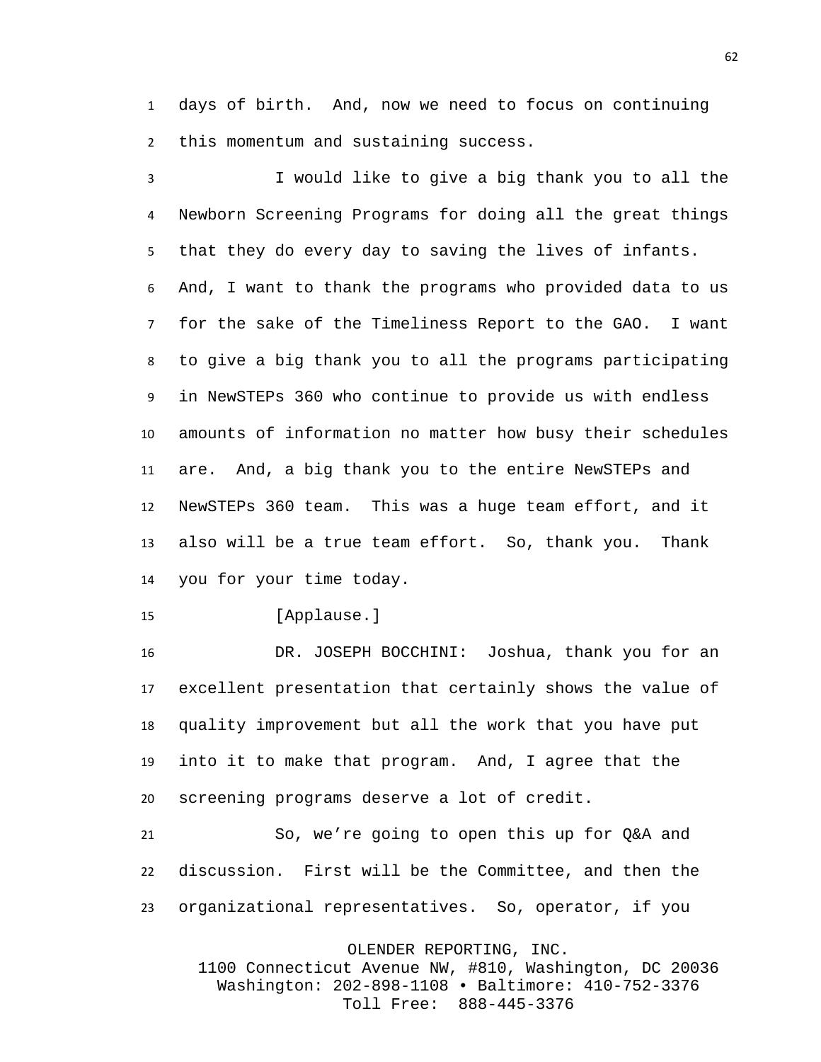days of birth. And, now we need to focus on continuing this momentum and sustaining success.

I would like to give a big thank you to all the Newborn Screening Programs for doing all the great things that they do every day to saving the lives of infants. And, I want to thank the programs who provided data to us for the sake of the Timeliness Report to the GAO. I want to give a big thank you to all the programs participating in NewSTEPs 360 who continue to provide us with endless amounts of information no matter how busy their schedules are. And, a big thank you to the entire NewSTEPs and NewSTEPs 360 team. This was a huge team effort, and it also will be a true team effort. So, thank you. Thank you for your time today.

[Applause.]

 DR. JOSEPH BOCCHINI: Joshua, thank you for an excellent presentation that certainly shows the value of quality improvement but all the work that you have put into it to make that program. And, I agree that the screening programs deserve a lot of credit.

 So, we're going to open this up for Q&A and discussion. First will be the Committee, and then the organizational representatives. So, operator, if you

OLENDER REPORTING, INC.

1100 Connecticut Avenue NW, #810, Washington, DC 20036 Washington: 202-898-1108 • Baltimore: 410-752-3376 Toll Free: 888-445-3376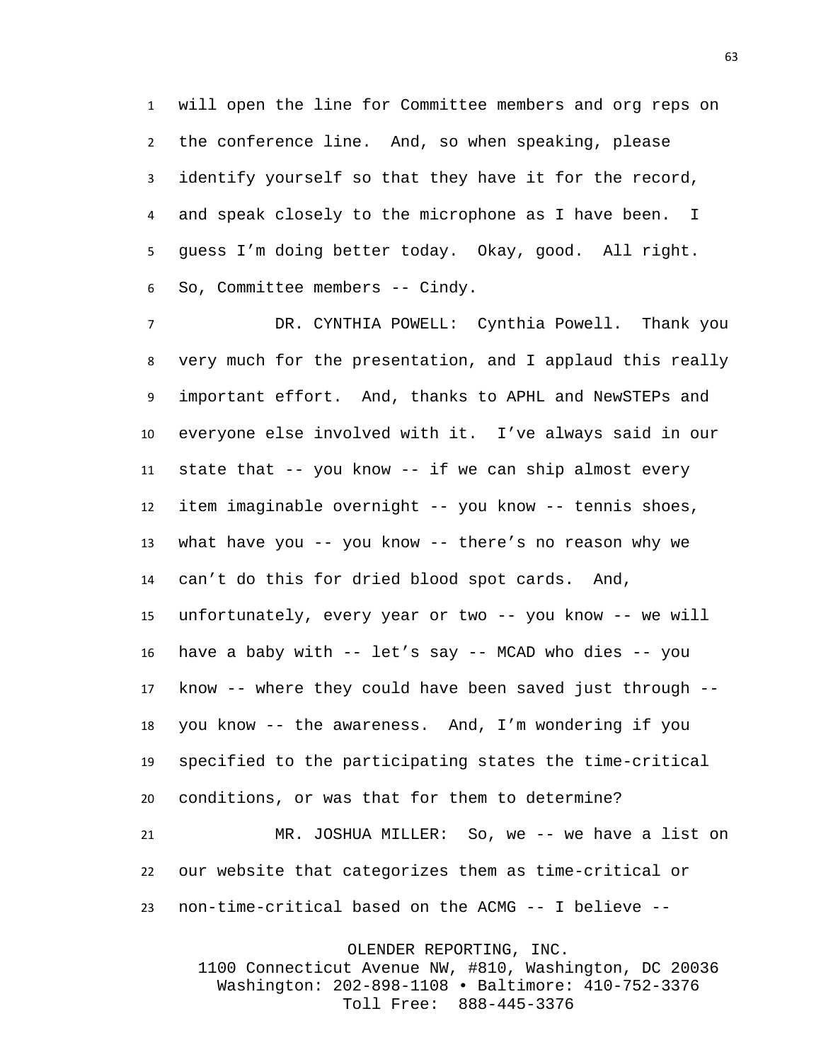will open the line for Committee members and org reps on the conference line. And, so when speaking, please identify yourself so that they have it for the record, and speak closely to the microphone as I have been. I guess I'm doing better today. Okay, good. All right. So, Committee members -- Cindy.

 DR. CYNTHIA POWELL: Cynthia Powell. Thank you very much for the presentation, and I applaud this really important effort. And, thanks to APHL and NewSTEPs and everyone else involved with it. I've always said in our state that -- you know -- if we can ship almost every item imaginable overnight -- you know -- tennis shoes, what have you -- you know -- there's no reason why we can't do this for dried blood spot cards. And, unfortunately, every year or two -- you know -- we will have a baby with -- let's say -- MCAD who dies -- you know -- where they could have been saved just through -- you know -- the awareness. And, I'm wondering if you specified to the participating states the time-critical conditions, or was that for them to determine? MR. JOSHUA MILLER: So, we -- we have a list on our website that categorizes them as time-critical or

non-time-critical based on the ACMG -- I believe --

OLENDER REPORTING, INC.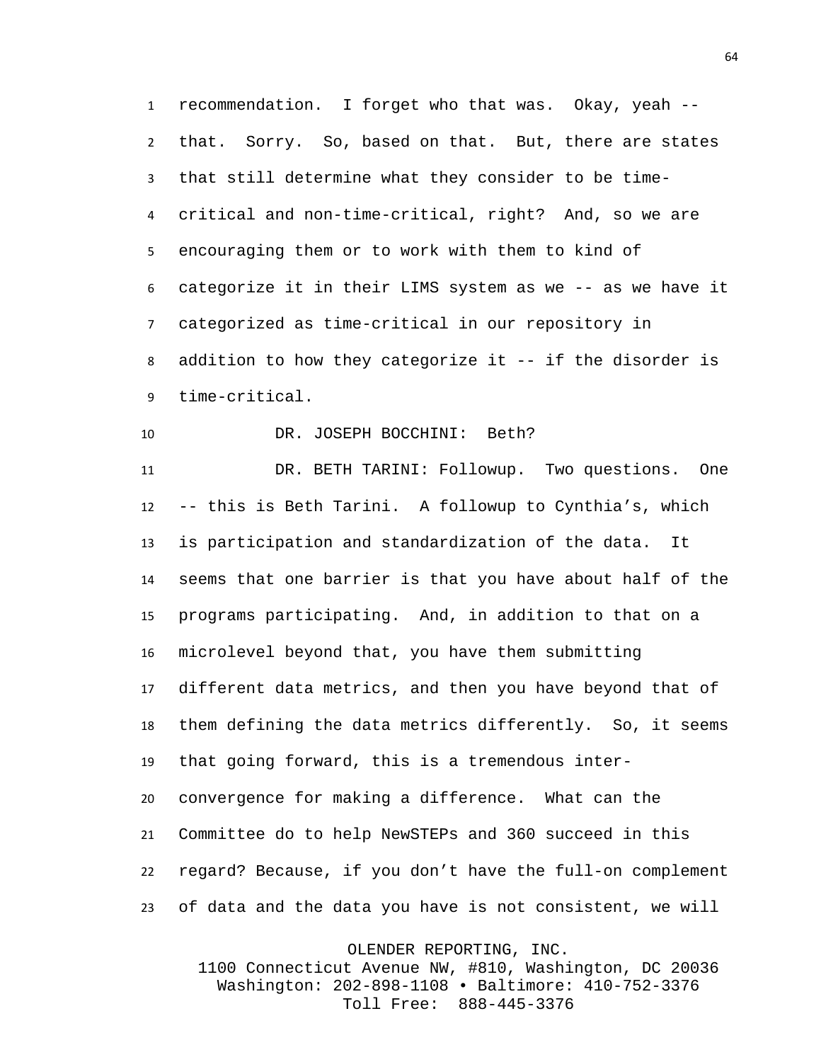recommendation. I forget who that was. Okay, yeah -- that. Sorry. So, based on that. But, there are states that still determine what they consider to be time- critical and non-time-critical, right? And, so we are encouraging them or to work with them to kind of categorize it in their LIMS system as we -- as we have it categorized as time-critical in our repository in addition to how they categorize it -- if the disorder is time-critical.

## DR. JOSEPH BOCCHINI: Beth?

 DR. BETH TARINI: Followup. Two questions. One -- this is Beth Tarini. A followup to Cynthia's, which is participation and standardization of the data. It seems that one barrier is that you have about half of the programs participating. And, in addition to that on a microlevel beyond that, you have them submitting different data metrics, and then you have beyond that of them defining the data metrics differently. So, it seems that going forward, this is a tremendous inter- convergence for making a difference. What can the Committee do to help NewSTEPs and 360 succeed in this regard? Because, if you don't have the full-on complement of data and the data you have is not consistent, we will

OLENDER REPORTING, INC.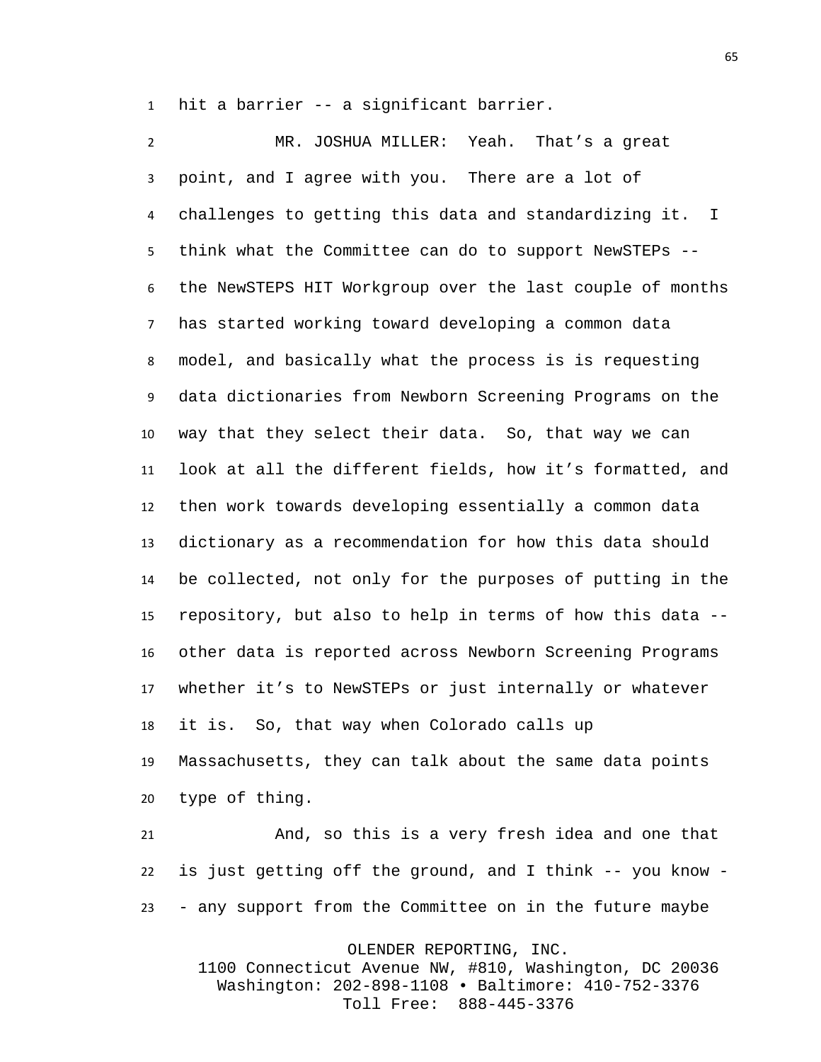hit a barrier -- a significant barrier.

 MR. JOSHUA MILLER: Yeah. That's a great point, and I agree with you. There are a lot of challenges to getting this data and standardizing it. I think what the Committee can do to support NewSTEPs -- the NewSTEPS HIT Workgroup over the last couple of months has started working toward developing a common data model, and basically what the process is is requesting data dictionaries from Newborn Screening Programs on the way that they select their data. So, that way we can look at all the different fields, how it's formatted, and then work towards developing essentially a common data dictionary as a recommendation for how this data should be collected, not only for the purposes of putting in the repository, but also to help in terms of how this data -- other data is reported across Newborn Screening Programs whether it's to NewSTEPs or just internally or whatever it is. So, that way when Colorado calls up Massachusetts, they can talk about the same data points type of thing.

 And, so this is a very fresh idea and one that is just getting off the ground, and I think -- you know - - any support from the Committee on in the future maybe

OLENDER REPORTING, INC.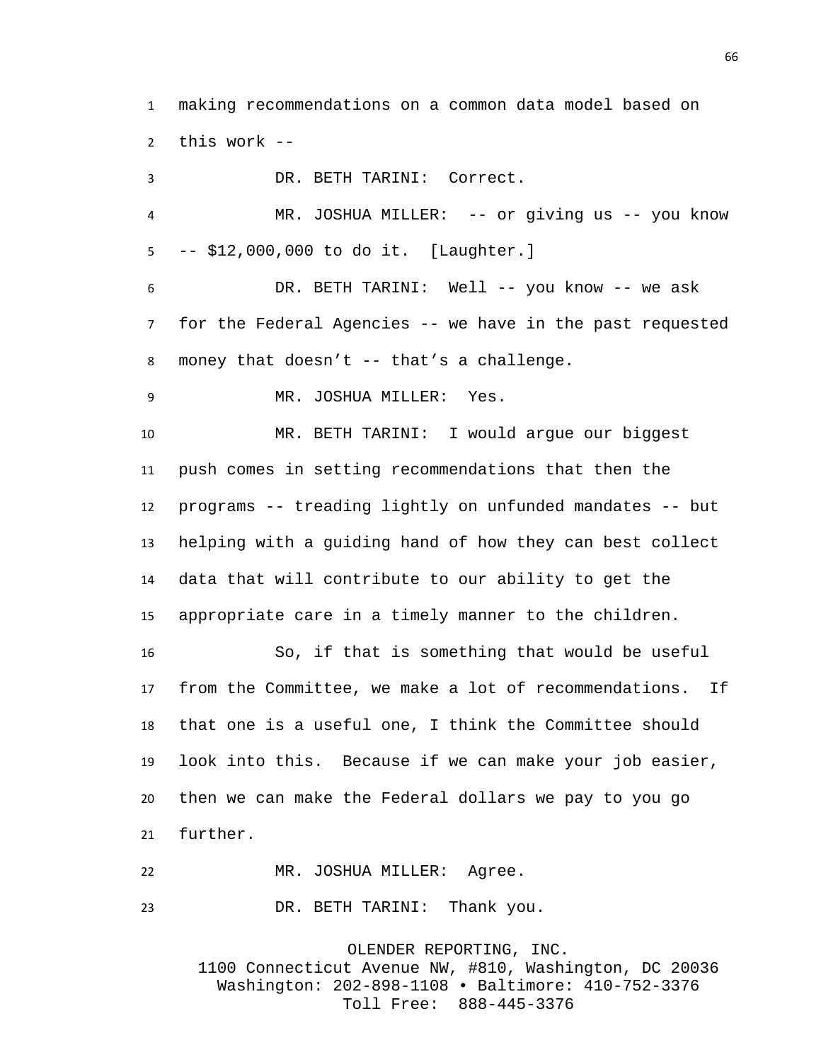making recommendations on a common data model based on this work --

 DR. BETH TARINI: Correct. MR. JOSHUA MILLER: -- or giving us -- you know -- \$12,000,000 to do it. [Laughter.] DR. BETH TARINI: Well -- you know -- we ask for the Federal Agencies -- we have in the past requested money that doesn't -- that's a challenge. MR. JOSHUA MILLER: Yes. MR. BETH TARINI: I would argue our biggest push comes in setting recommendations that then the programs -- treading lightly on unfunded mandates -- but helping with a guiding hand of how they can best collect data that will contribute to our ability to get the appropriate care in a timely manner to the children. So, if that is something that would be useful from the Committee, we make a lot of recommendations. If that one is a useful one, I think the Committee should look into this. Because if we can make your job easier, then we can make the Federal dollars we pay to you go further. MR. JOSHUA MILLER: Agree.

DR. BETH TARINI: Thank you.

OLENDER REPORTING, INC. 1100 Connecticut Avenue NW, #810, Washington, DC 20036 Washington: 202-898-1108 • Baltimore: 410-752-3376 Toll Free: 888-445-3376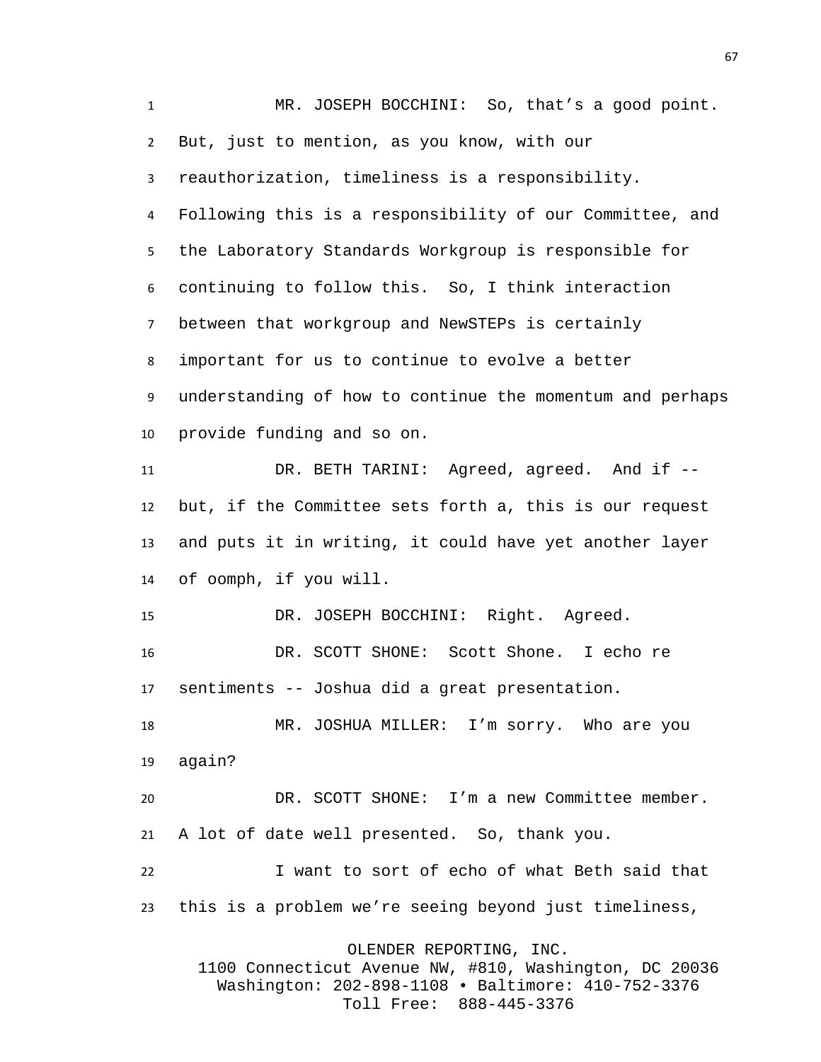MR. JOSEPH BOCCHINI: So, that's a good point. But, just to mention, as you know, with our reauthorization, timeliness is a responsibility. Following this is a responsibility of our Committee, and the Laboratory Standards Workgroup is responsible for continuing to follow this. So, I think interaction between that workgroup and NewSTEPs is certainly important for us to continue to evolve a better understanding of how to continue the momentum and perhaps provide funding and so on. DR. BETH TARINI: Agreed, agreed. And if -- but, if the Committee sets forth a, this is our request and puts it in writing, it could have yet another layer of oomph, if you will. DR. JOSEPH BOCCHINI: Right. Agreed. DR. SCOTT SHONE: Scott Shone. I echo re sentiments -- Joshua did a great presentation. MR. JOSHUA MILLER: I'm sorry. Who are you again? DR. SCOTT SHONE: I'm a new Committee member. A lot of date well presented. So, thank you. I want to sort of echo of what Beth said that this is a problem we're seeing beyond just timeliness, OLENDER REPORTING, INC. 1100 Connecticut Avenue NW, #810, Washington, DC 20036 Washington: 202-898-1108 • Baltimore: 410-752-3376

Toll Free: 888-445-3376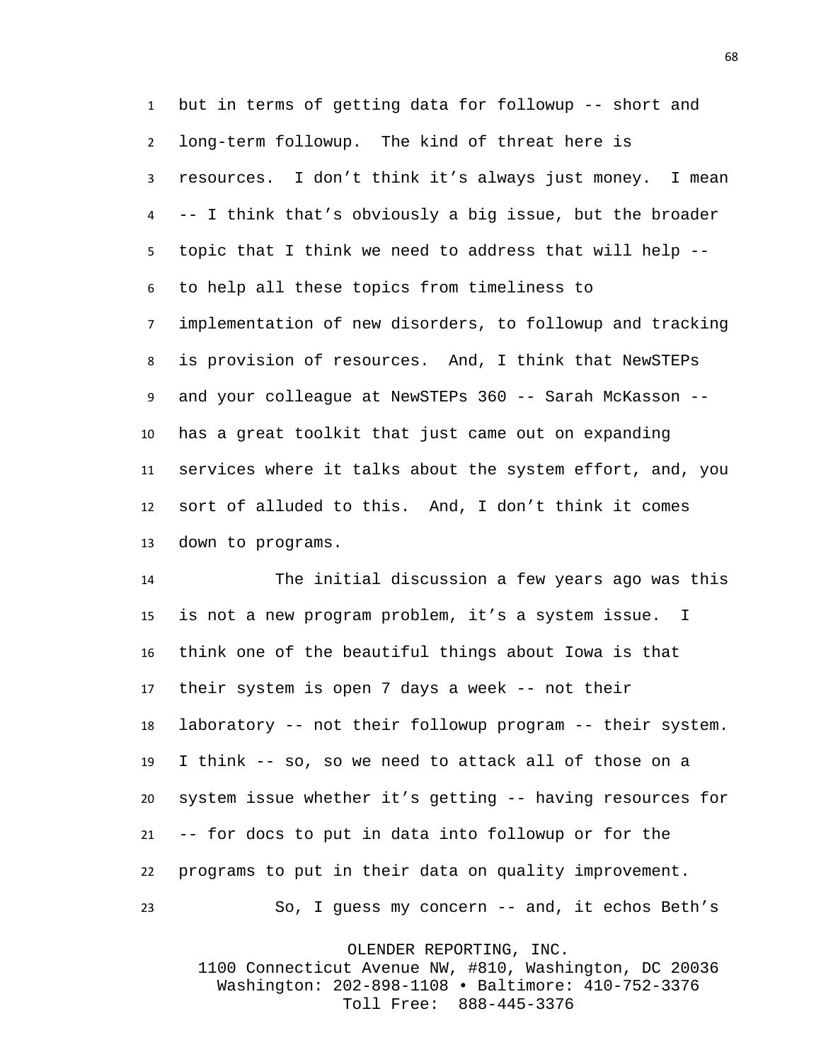but in terms of getting data for followup -- short and long-term followup. The kind of threat here is resources. I don't think it's always just money. I mean -- I think that's obviously a big issue, but the broader topic that I think we need to address that will help -- to help all these topics from timeliness to implementation of new disorders, to followup and tracking is provision of resources. And, I think that NewSTEPs and your colleague at NewSTEPs 360 -- Sarah McKasson -- has a great toolkit that just came out on expanding services where it talks about the system effort, and, you sort of alluded to this. And, I don't think it comes down to programs.

 The initial discussion a few years ago was this is not a new program problem, it's a system issue. I think one of the beautiful things about Iowa is that their system is open 7 days a week -- not their laboratory -- not their followup program -- their system. I think -- so, so we need to attack all of those on a system issue whether it's getting -- having resources for -- for docs to put in data into followup or for the programs to put in their data on quality improvement. So, I guess my concern -- and, it echos Beth's

OLENDER REPORTING, INC.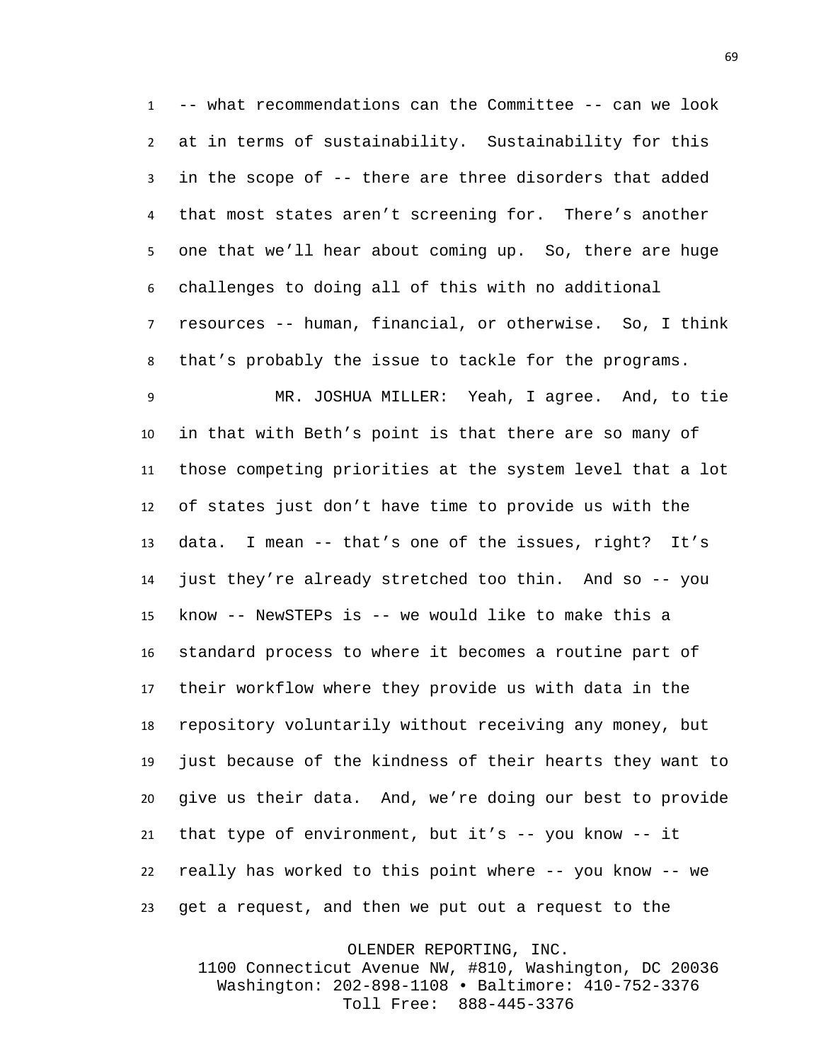-- what recommendations can the Committee -- can we look at in terms of sustainability. Sustainability for this in the scope of -- there are three disorders that added that most states aren't screening for. There's another one that we'll hear about coming up. So, there are huge challenges to doing all of this with no additional resources -- human, financial, or otherwise. So, I think that's probably the issue to tackle for the programs.

 MR. JOSHUA MILLER: Yeah, I agree. And, to tie in that with Beth's point is that there are so many of those competing priorities at the system level that a lot of states just don't have time to provide us with the data. I mean -- that's one of the issues, right? It's just they're already stretched too thin. And so -- you know -- NewSTEPs is -- we would like to make this a standard process to where it becomes a routine part of their workflow where they provide us with data in the repository voluntarily without receiving any money, but just because of the kindness of their hearts they want to give us their data. And, we're doing our best to provide that type of environment, but it's -- you know -- it really has worked to this point where -- you know -- we get a request, and then we put out a request to the

OLENDER REPORTING, INC.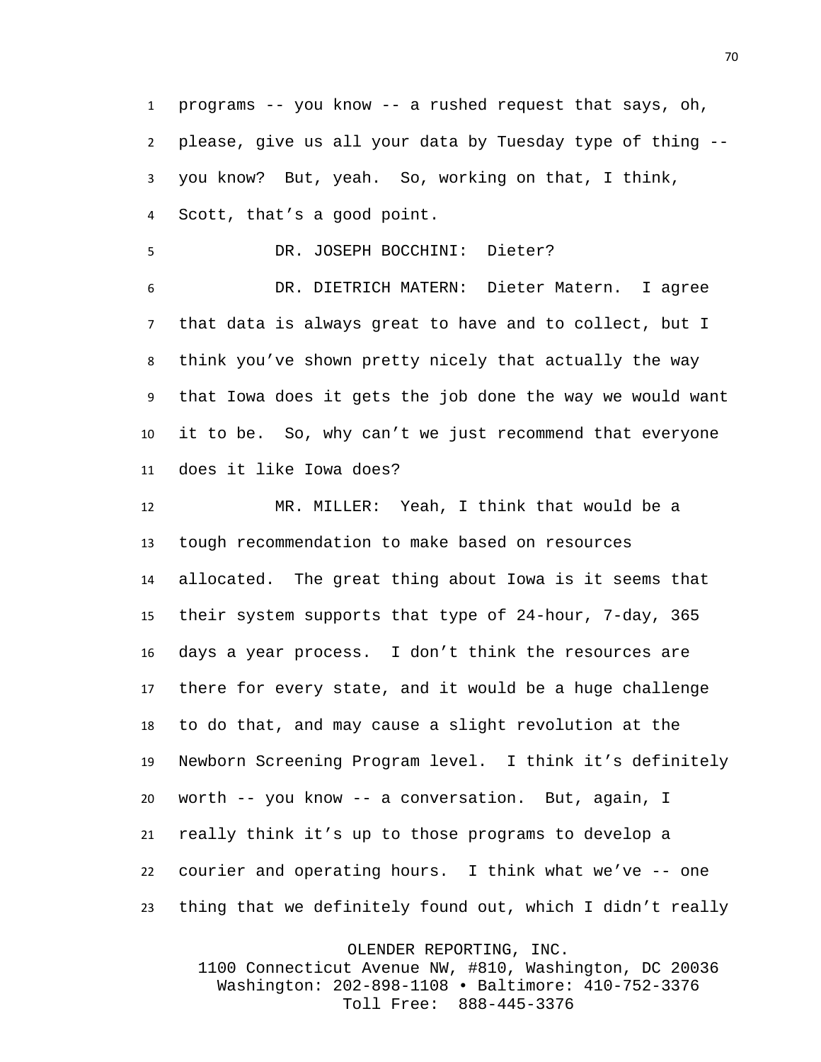programs -- you know -- a rushed request that says, oh, please, give us all your data by Tuesday type of thing -- you know? But, yeah. So, working on that, I think, Scott, that's a good point.

DR. JOSEPH BOCCHINI: Dieter?

 DR. DIETRICH MATERN: Dieter Matern. I agree that data is always great to have and to collect, but I think you've shown pretty nicely that actually the way that Iowa does it gets the job done the way we would want it to be. So, why can't we just recommend that everyone does it like Iowa does?

 MR. MILLER: Yeah, I think that would be a tough recommendation to make based on resources allocated. The great thing about Iowa is it seems that their system supports that type of 24-hour, 7-day, 365 days a year process. I don't think the resources are there for every state, and it would be a huge challenge to do that, and may cause a slight revolution at the Newborn Screening Program level. I think it's definitely worth -- you know -- a conversation. But, again, I really think it's up to those programs to develop a courier and operating hours. I think what we've -- one thing that we definitely found out, which I didn't really

OLENDER REPORTING, INC.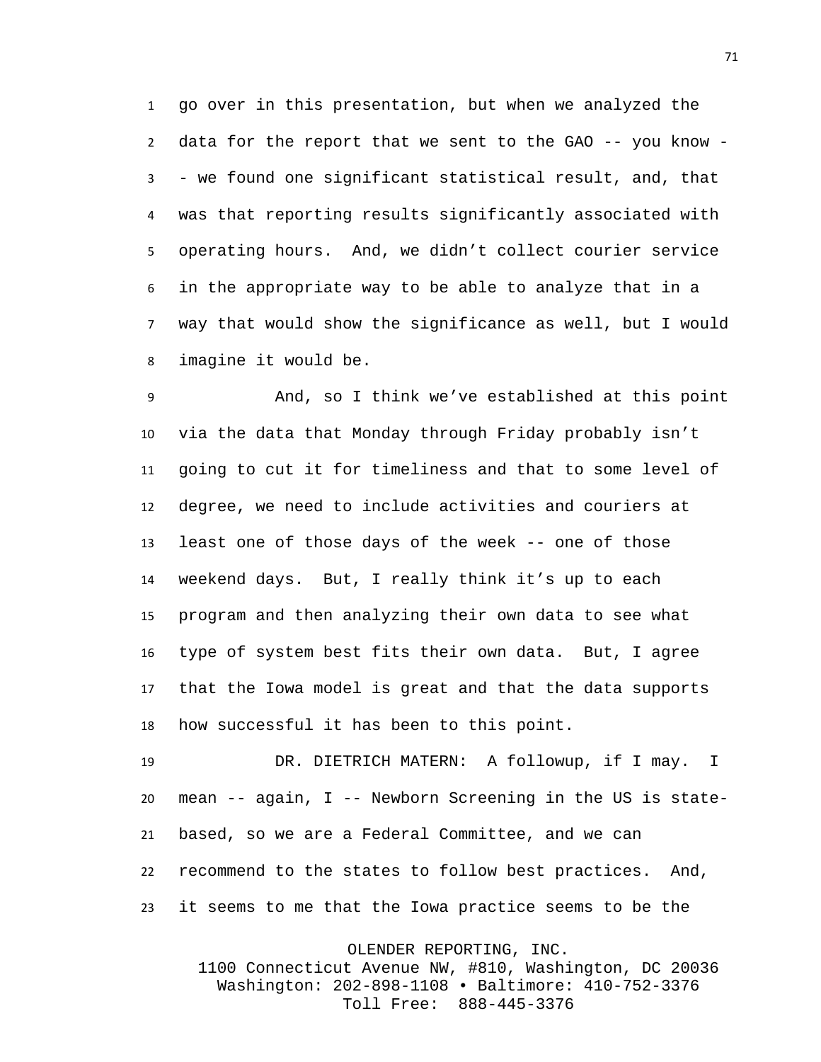go over in this presentation, but when we analyzed the data for the report that we sent to the GAO -- you know - - we found one significant statistical result, and, that was that reporting results significantly associated with operating hours. And, we didn't collect courier service in the appropriate way to be able to analyze that in a way that would show the significance as well, but I would imagine it would be.

 And, so I think we've established at this point via the data that Monday through Friday probably isn't going to cut it for timeliness and that to some level of degree, we need to include activities and couriers at least one of those days of the week -- one of those weekend days. But, I really think it's up to each program and then analyzing their own data to see what type of system best fits their own data. But, I agree that the Iowa model is great and that the data supports how successful it has been to this point.

 DR. DIETRICH MATERN: A followup, if I may. I mean -- again, I -- Newborn Screening in the US is state- based, so we are a Federal Committee, and we can recommend to the states to follow best practices. And, it seems to me that the Iowa practice seems to be the

OLENDER REPORTING, INC.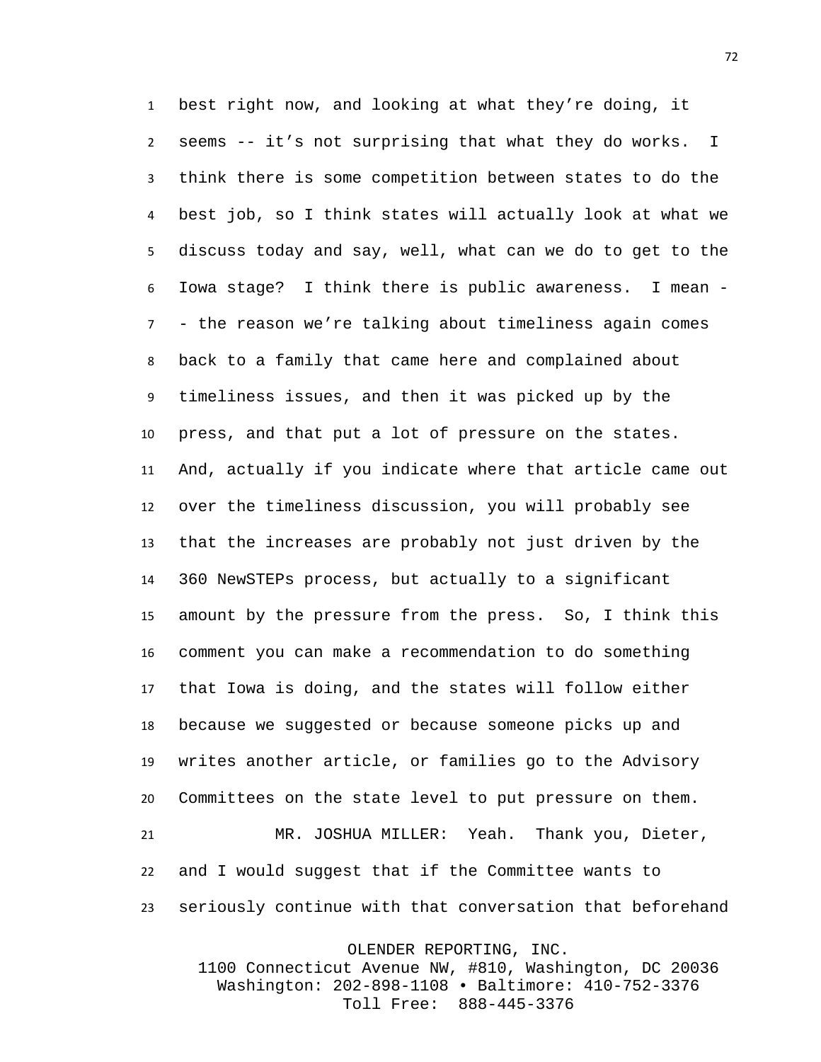best right now, and looking at what they're doing, it seems -- it's not surprising that what they do works. I think there is some competition between states to do the best job, so I think states will actually look at what we discuss today and say, well, what can we do to get to the Iowa stage? I think there is public awareness. I mean - - the reason we're talking about timeliness again comes back to a family that came here and complained about timeliness issues, and then it was picked up by the press, and that put a lot of pressure on the states. And, actually if you indicate where that article came out over the timeliness discussion, you will probably see that the increases are probably not just driven by the 360 NewSTEPs process, but actually to a significant amount by the pressure from the press. So, I think this comment you can make a recommendation to do something that Iowa is doing, and the states will follow either because we suggested or because someone picks up and writes another article, or families go to the Advisory Committees on the state level to put pressure on them. MR. JOSHUA MILLER: Yeah. Thank you, Dieter, and I would suggest that if the Committee wants to seriously continue with that conversation that beforehand

OLENDER REPORTING, INC.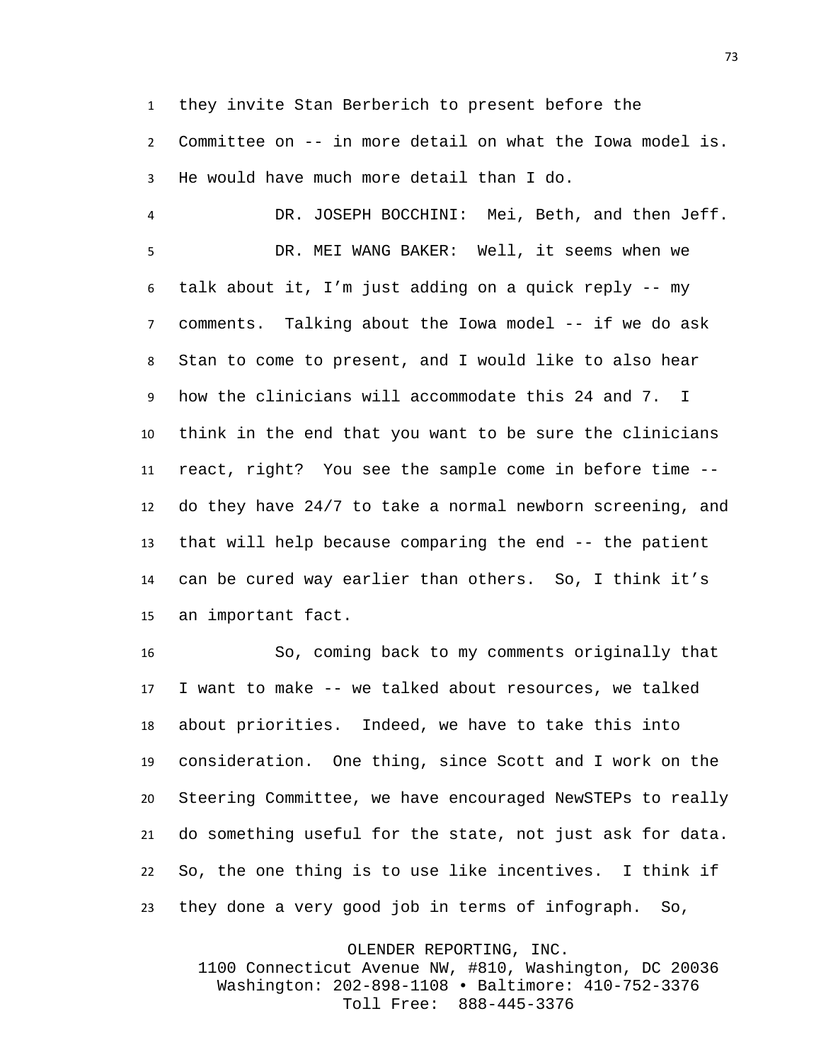they invite Stan Berberich to present before the

 Committee on -- in more detail on what the Iowa model is. He would have much more detail than I do.

 DR. JOSEPH BOCCHINI: Mei, Beth, and then Jeff. DR. MEI WANG BAKER: Well, it seems when we talk about it, I'm just adding on a quick reply -- my comments. Talking about the Iowa model -- if we do ask Stan to come to present, and I would like to also hear how the clinicians will accommodate this 24 and 7. I think in the end that you want to be sure the clinicians react, right? You see the sample come in before time -- do they have 24/7 to take a normal newborn screening, and that will help because comparing the end -- the patient can be cured way earlier than others. So, I think it's an important fact.

 So, coming back to my comments originally that I want to make -- we talked about resources, we talked about priorities. Indeed, we have to take this into consideration. One thing, since Scott and I work on the Steering Committee, we have encouraged NewSTEPs to really do something useful for the state, not just ask for data. So, the one thing is to use like incentives. I think if they done a very good job in terms of infograph. So,

OLENDER REPORTING, INC.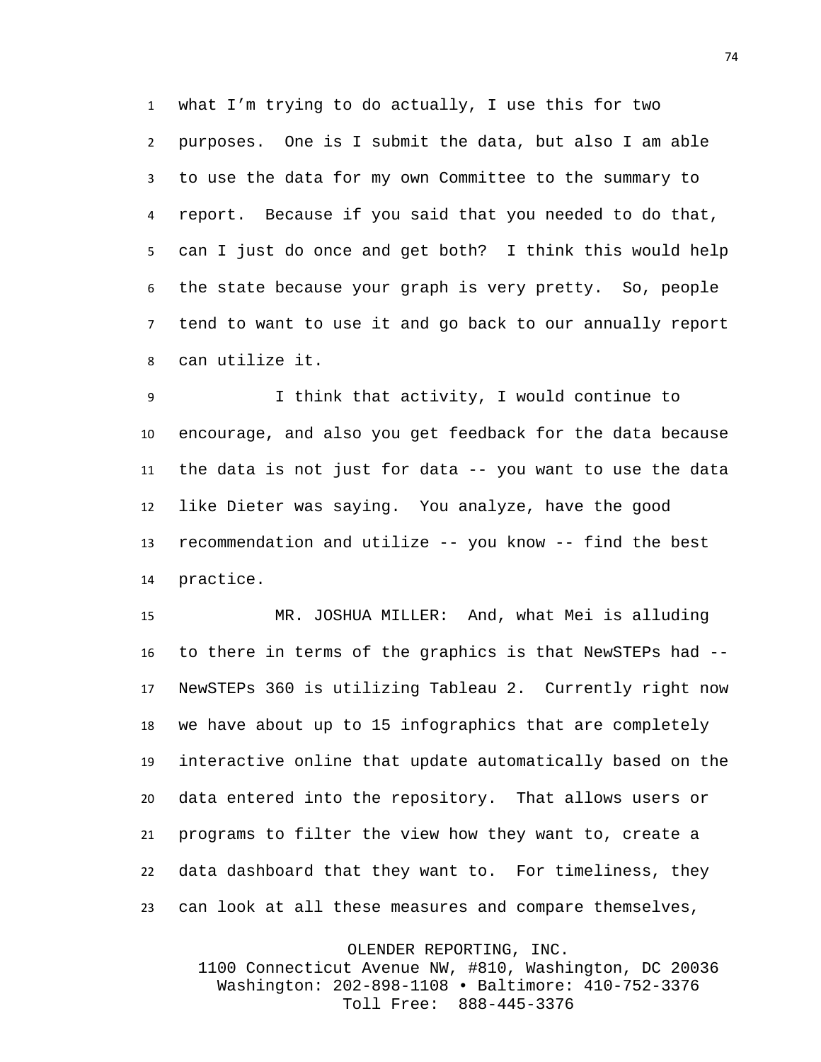what I'm trying to do actually, I use this for two purposes. One is I submit the data, but also I am able to use the data for my own Committee to the summary to report. Because if you said that you needed to do that, can I just do once and get both? I think this would help the state because your graph is very pretty. So, people tend to want to use it and go back to our annually report can utilize it.

 I think that activity, I would continue to encourage, and also you get feedback for the data because the data is not just for data -- you want to use the data like Dieter was saying. You analyze, have the good recommendation and utilize -- you know -- find the best practice.

 MR. JOSHUA MILLER: And, what Mei is alluding to there in terms of the graphics is that NewSTEPs had -- NewSTEPs 360 is utilizing Tableau 2. Currently right now we have about up to 15 infographics that are completely interactive online that update automatically based on the data entered into the repository. That allows users or programs to filter the view how they want to, create a data dashboard that they want to. For timeliness, they can look at all these measures and compare themselves,

OLENDER REPORTING, INC.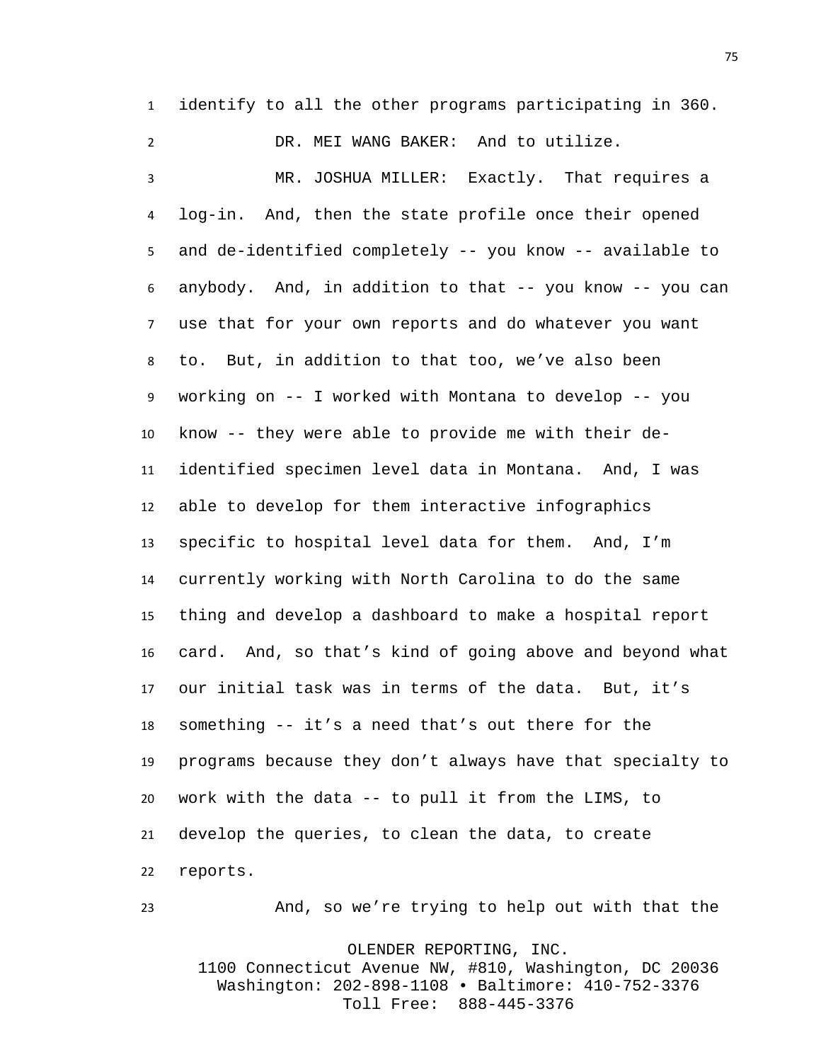identify to all the other programs participating in 360.

 DR. MEI WANG BAKER: And to utilize. MR. JOSHUA MILLER: Exactly. That requires a log-in. And, then the state profile once their opened and de-identified completely -- you know -- available to anybody. And, in addition to that -- you know -- you can use that for your own reports and do whatever you want to. But, in addition to that too, we've also been working on -- I worked with Montana to develop -- you know -- they were able to provide me with their de- identified specimen level data in Montana. And, I was able to develop for them interactive infographics specific to hospital level data for them. And, I'm currently working with North Carolina to do the same thing and develop a dashboard to make a hospital report card. And, so that's kind of going above and beyond what our initial task was in terms of the data. But, it's something -- it's a need that's out there for the programs because they don't always have that specialty to work with the data -- to pull it from the LIMS, to develop the queries, to clean the data, to create reports.

OLENDER REPORTING, INC. 1100 Connecticut Avenue NW, #810, Washington, DC 20036 Washington: 202-898-1108 • Baltimore: 410-752-3376 Toll Free: 888-445-3376

And, so we're trying to help out with that the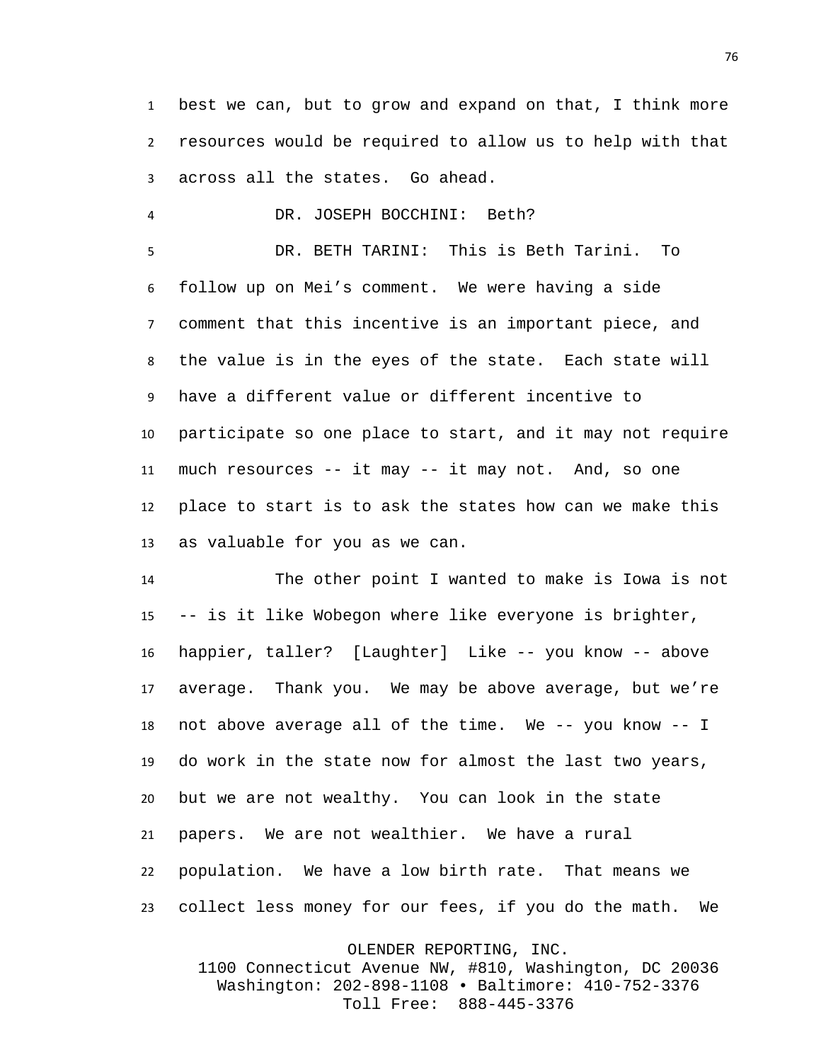best we can, but to grow and expand on that, I think more resources would be required to allow us to help with that across all the states. Go ahead.

DR. JOSEPH BOCCHINI: Beth?

 DR. BETH TARINI: This is Beth Tarini. To follow up on Mei's comment. We were having a side comment that this incentive is an important piece, and the value is in the eyes of the state. Each state will have a different value or different incentive to participate so one place to start, and it may not require much resources -- it may -- it may not. And, so one place to start is to ask the states how can we make this as valuable for you as we can.

 The other point I wanted to make is Iowa is not -- is it like Wobegon where like everyone is brighter, happier, taller? [Laughter] Like -- you know -- above average. Thank you. We may be above average, but we're not above average all of the time. We -- you know -- I do work in the state now for almost the last two years, but we are not wealthy. You can look in the state papers. We are not wealthier. We have a rural population. We have a low birth rate. That means we collect less money for our fees, if you do the math. We

OLENDER REPORTING, INC.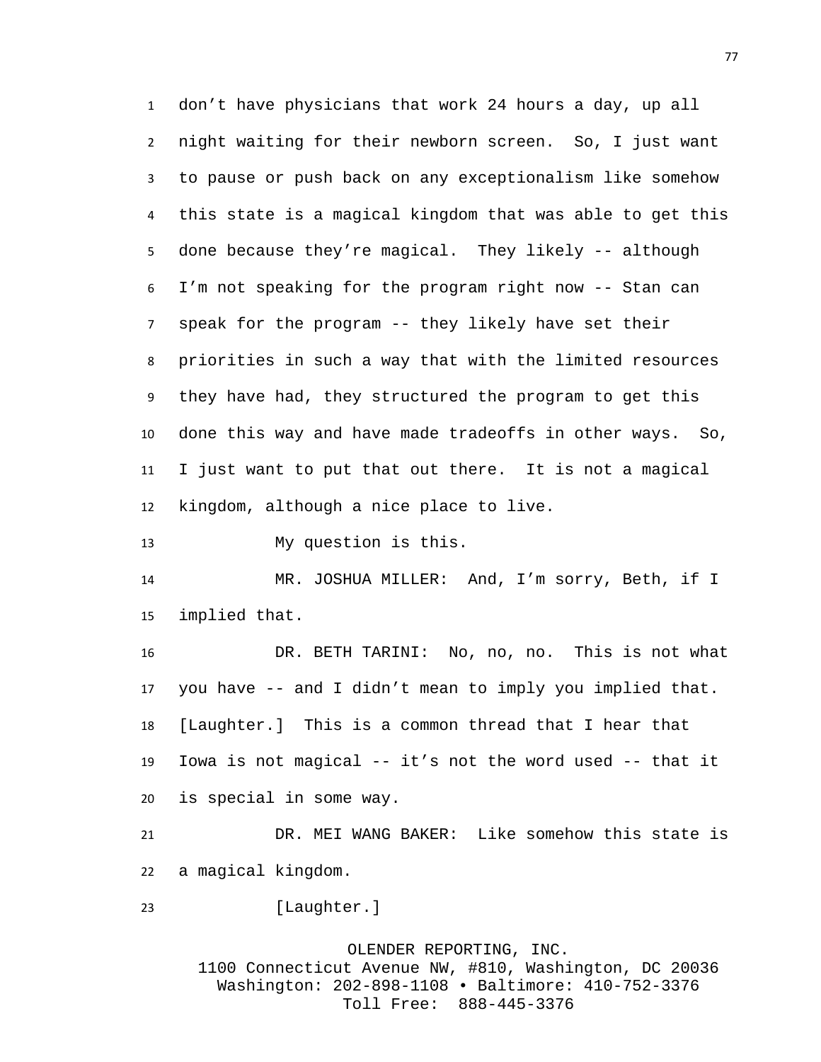don't have physicians that work 24 hours a day, up all night waiting for their newborn screen. So, I just want to pause or push back on any exceptionalism like somehow this state is a magical kingdom that was able to get this done because they're magical. They likely -- although I'm not speaking for the program right now -- Stan can speak for the program -- they likely have set their priorities in such a way that with the limited resources they have had, they structured the program to get this done this way and have made tradeoffs in other ways. So, I just want to put that out there. It is not a magical kingdom, although a nice place to live.

My question is this.

 MR. JOSHUA MILLER: And, I'm sorry, Beth, if I implied that.

 DR. BETH TARINI: No, no, no. This is not what you have -- and I didn't mean to imply you implied that. [Laughter.] This is a common thread that I hear that Iowa is not magical -- it's not the word used -- that it is special in some way.

 DR. MEI WANG BAKER: Like somehow this state is a magical kingdom.

23 [Laughter.]

OLENDER REPORTING, INC. 1100 Connecticut Avenue NW, #810, Washington, DC 20036 Washington: 202-898-1108 • Baltimore: 410-752-3376 Toll Free: 888-445-3376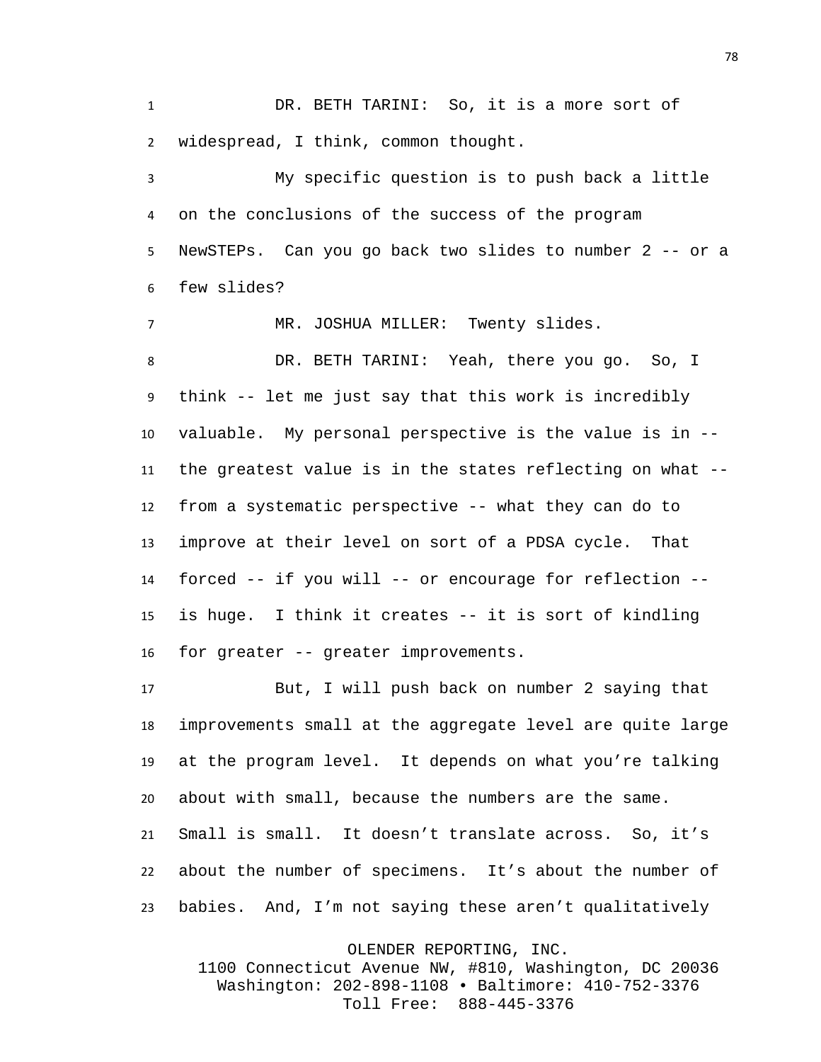DR. BETH TARINI: So, it is a more sort of widespread, I think, common thought.

 My specific question is to push back a little on the conclusions of the success of the program NewSTEPs. Can you go back two slides to number 2 -- or a few slides?

MR. JOSHUA MILLER: Twenty slides.

 DR. BETH TARINI: Yeah, there you go. So, I think -- let me just say that this work is incredibly valuable. My personal perspective is the value is in -- the greatest value is in the states reflecting on what -- from a systematic perspective -- what they can do to improve at their level on sort of a PDSA cycle. That forced -- if you will -- or encourage for reflection -- is huge. I think it creates -- it is sort of kindling for greater -- greater improvements.

 But, I will push back on number 2 saying that improvements small at the aggregate level are quite large at the program level. It depends on what you're talking about with small, because the numbers are the same. Small is small. It doesn't translate across. So, it's about the number of specimens. It's about the number of babies. And, I'm not saying these aren't qualitatively

OLENDER REPORTING, INC.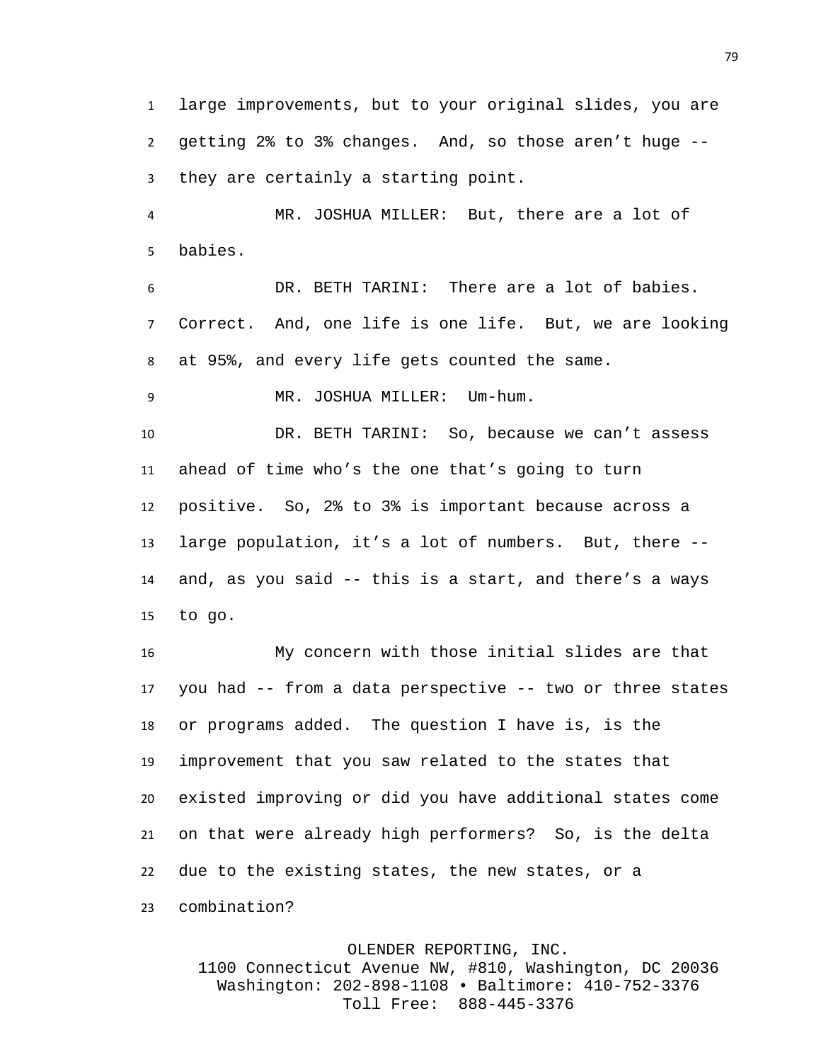large improvements, but to your original slides, you are getting 2% to 3% changes. And, so those aren't huge -- they are certainly a starting point.

 MR. JOSHUA MILLER: But, there are a lot of babies.

 DR. BETH TARINI: There are a lot of babies. Correct. And, one life is one life. But, we are looking at 95%, and every life gets counted the same.

MR. JOSHUA MILLER: Um-hum.

 DR. BETH TARINI: So, because we can't assess ahead of time who's the one that's going to turn positive. So, 2% to 3% is important because across a large population, it's a lot of numbers. But, there -- and, as you said -- this is a start, and there's a ways to go.

 My concern with those initial slides are that you had -- from a data perspective -- two or three states or programs added. The question I have is, is the improvement that you saw related to the states that existed improving or did you have additional states come on that were already high performers? So, is the delta due to the existing states, the new states, or a combination?

OLENDER REPORTING, INC. 1100 Connecticut Avenue NW, #810, Washington, DC 20036 Washington: 202-898-1108 • Baltimore: 410-752-3376 Toll Free: 888-445-3376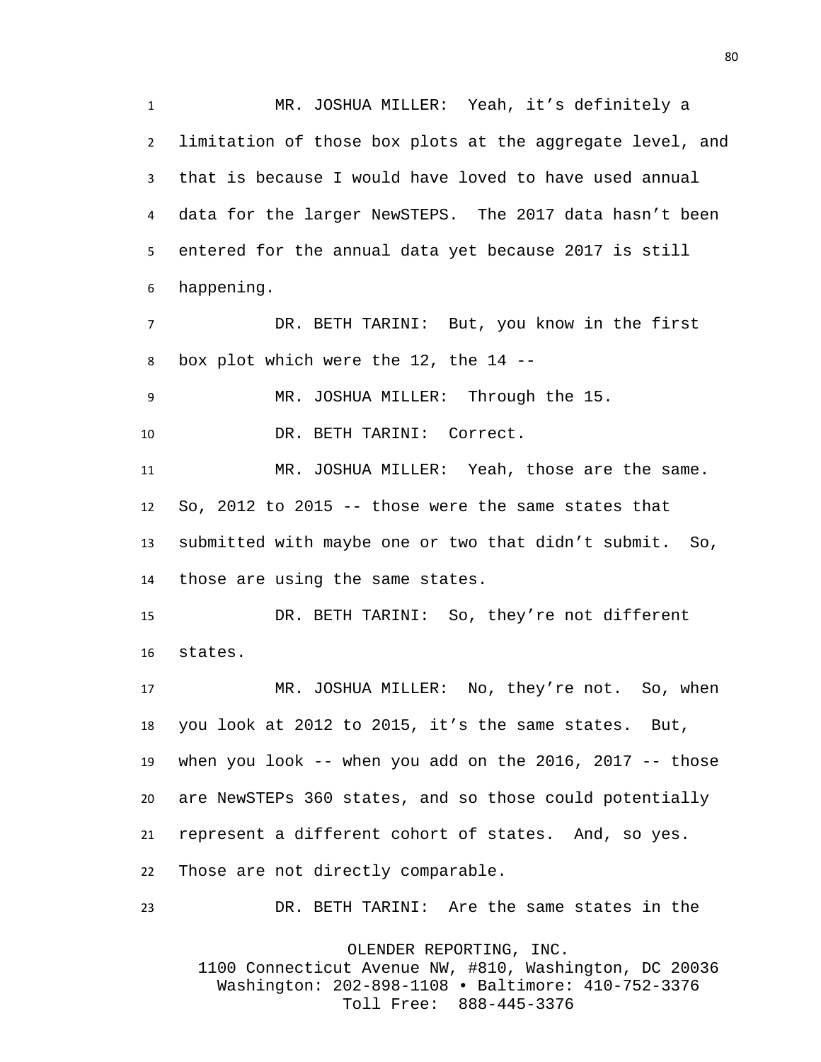MR. JOSHUA MILLER: Yeah, it's definitely a limitation of those box plots at the aggregate level, and that is because I would have loved to have used annual data for the larger NewSTEPS. The 2017 data hasn't been entered for the annual data yet because 2017 is still happening.

 DR. BETH TARINI: But, you know in the first box plot which were the 12, the 14 --

MR. JOSHUA MILLER: Through the 15.

DR. BETH TARINI: Correct.

 MR. JOSHUA MILLER: Yeah, those are the same. So, 2012 to 2015 -- those were the same states that submitted with maybe one or two that didn't submit. So, those are using the same states.

 DR. BETH TARINI: So, they're not different states.

 MR. JOSHUA MILLER: No, they're not. So, when you look at 2012 to 2015, it's the same states. But, when you look -- when you add on the 2016, 2017 -- those are NewSTEPs 360 states, and so those could potentially represent a different cohort of states. And, so yes. Those are not directly comparable.

DR. BETH TARINI: Are the same states in the

OLENDER REPORTING, INC.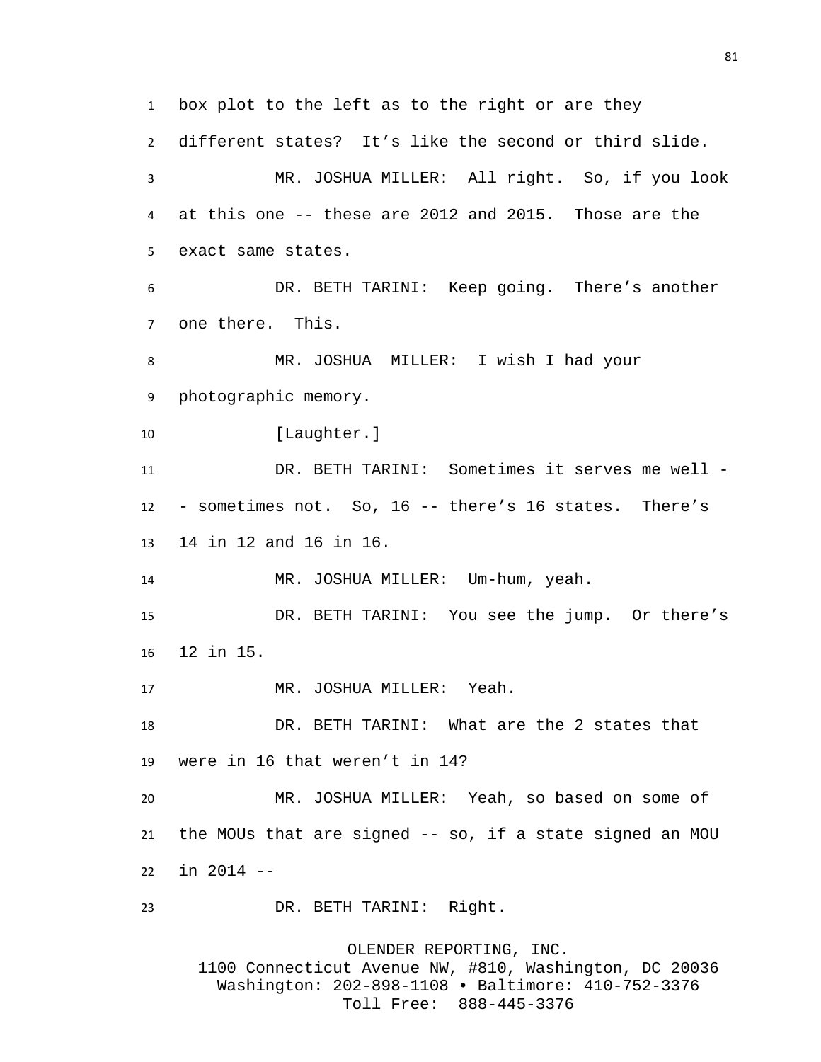box plot to the left as to the right or are they different states? It's like the second or third slide. MR. JOSHUA MILLER: All right. So, if you look at this one -- these are 2012 and 2015. Those are the exact same states. DR. BETH TARINI: Keep going. There's another one there. This. MR. JOSHUA MILLER: I wish I had your photographic memory. 10 [Laughter.] DR. BETH TARINI: Sometimes it serves me well - - sometimes not. So, 16 -- there's 16 states. There's 14 in 12 and 16 in 16. MR. JOSHUA MILLER: Um-hum, yeah. DR. BETH TARINI: You see the jump. Or there's 12 in 15. MR. JOSHUA MILLER: Yeah. DR. BETH TARINI: What are the 2 states that were in 16 that weren't in 14? MR. JOSHUA MILLER: Yeah, so based on some of the MOUs that are signed -- so, if a state signed an MOU in 2014 -- DR. BETH TARINI: Right. OLENDER REPORTING, INC.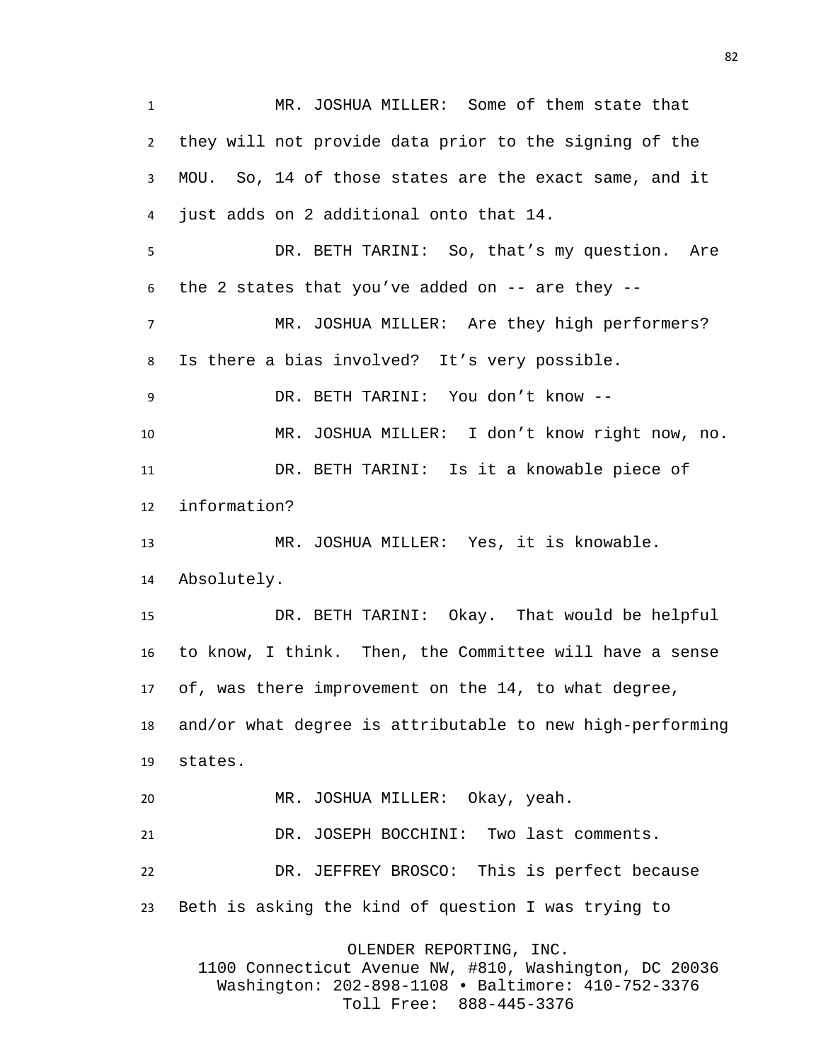MR. JOSHUA MILLER: Some of them state that they will not provide data prior to the signing of the MOU. So, 14 of those states are the exact same, and it just adds on 2 additional onto that 14. DR. BETH TARINI: So, that's my question. Are the 2 states that you've added on -- are they -- MR. JOSHUA MILLER: Are they high performers? Is there a bias involved? It's very possible. DR. BETH TARINI: You don't know -- MR. JOSHUA MILLER: I don't know right now, no. DR. BETH TARINI: Is it a knowable piece of information? MR. JOSHUA MILLER: Yes, it is knowable. Absolutely. DR. BETH TARINI: Okay. That would be helpful to know, I think. Then, the Committee will have a sense of, was there improvement on the 14, to what degree, and/or what degree is attributable to new high-performing states. MR. JOSHUA MILLER: Okay, yeah. DR. JOSEPH BOCCHINI: Two last comments. DR. JEFFREY BROSCO: This is perfect because Beth is asking the kind of question I was trying to OLENDER REPORTING, INC. 1100 Connecticut Avenue NW, #810, Washington, DC 20036

> Washington: 202-898-1108 • Baltimore: 410-752-3376 Toll Free: 888-445-3376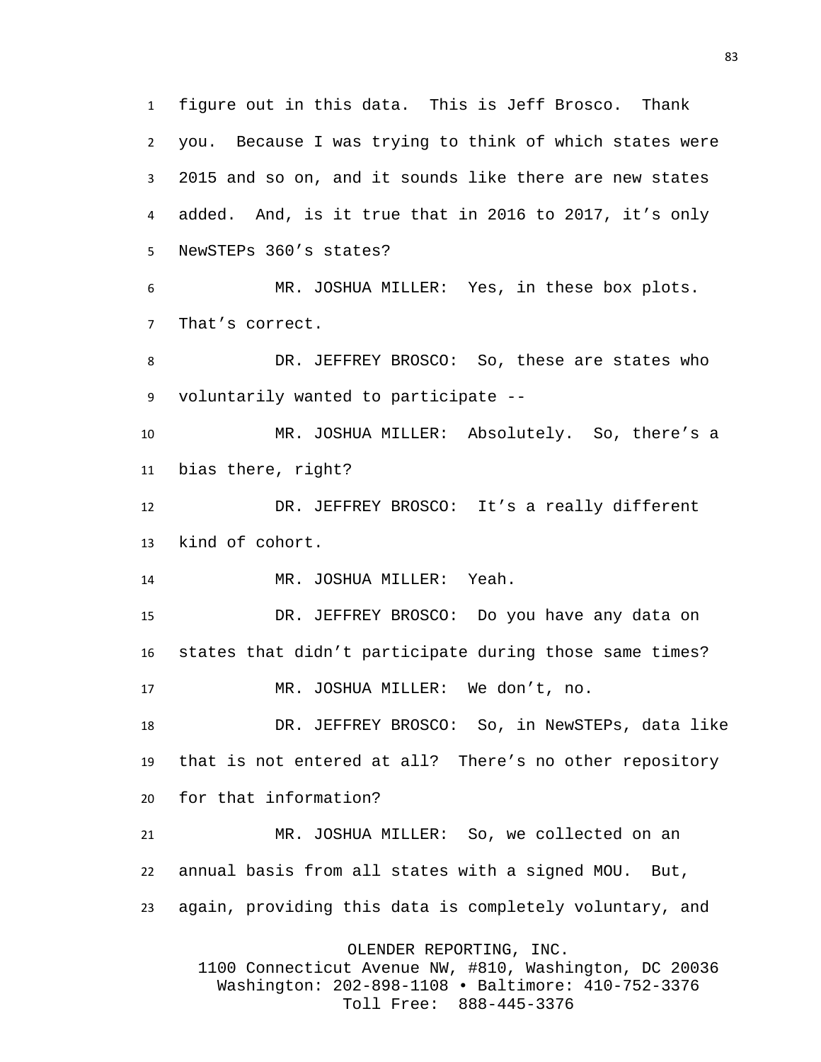figure out in this data. This is Jeff Brosco. Thank you. Because I was trying to think of which states were 2015 and so on, and it sounds like there are new states added. And, is it true that in 2016 to 2017, it's only NewSTEPs 360's states? MR. JOSHUA MILLER: Yes, in these box plots. That's correct. DR. JEFFREY BROSCO: So, these are states who voluntarily wanted to participate -- MR. JOSHUA MILLER: Absolutely. So, there's a bias there, right? DR. JEFFREY BROSCO: It's a really different kind of cohort. MR. JOSHUA MILLER: Yeah. DR. JEFFREY BROSCO: Do you have any data on states that didn't participate during those same times? MR. JOSHUA MILLER: We don't, no. DR. JEFFREY BROSCO: So, in NewSTEPs, data like that is not entered at all? There's no other repository for that information? MR. JOSHUA MILLER: So, we collected on an annual basis from all states with a signed MOU. But, again, providing this data is completely voluntary, and OLENDER REPORTING, INC. 1100 Connecticut Avenue NW, #810, Washington, DC 20036 Washington: 202-898-1108 • Baltimore: 410-752-3376

Toll Free: 888-445-3376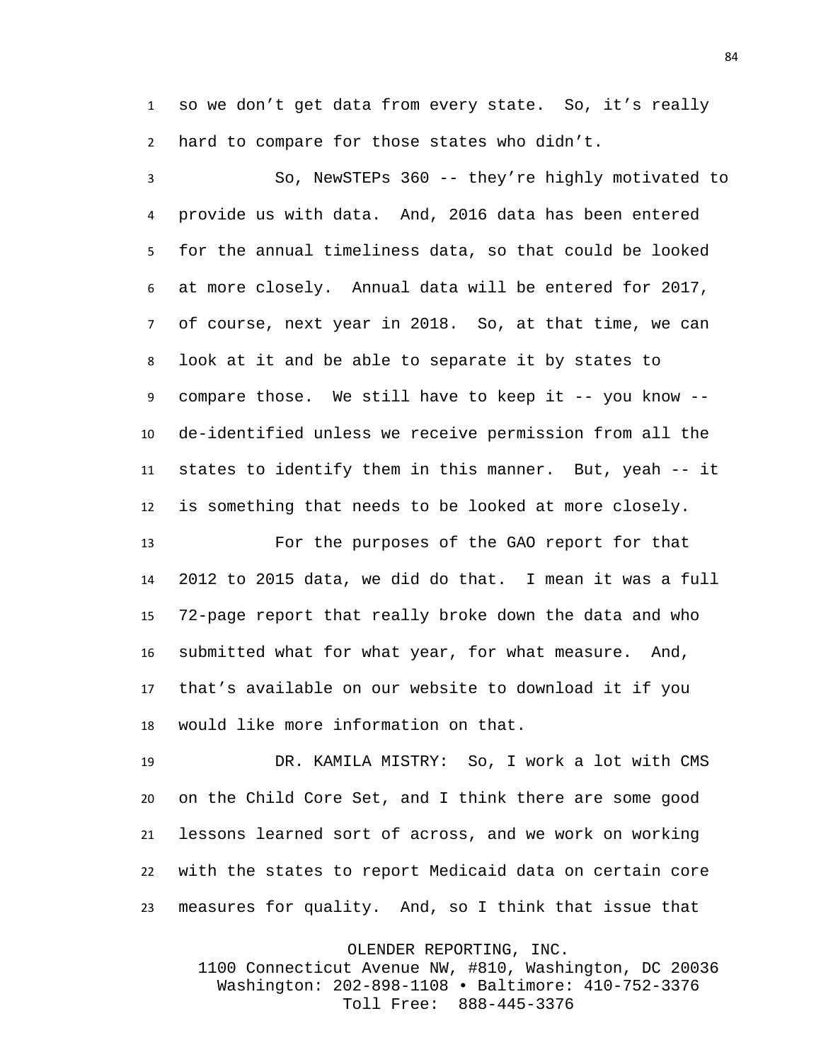so we don't get data from every state. So, it's really hard to compare for those states who didn't.

 So, NewSTEPs 360 -- they're highly motivated to provide us with data. And, 2016 data has been entered for the annual timeliness data, so that could be looked at more closely. Annual data will be entered for 2017, of course, next year in 2018. So, at that time, we can look at it and be able to separate it by states to compare those. We still have to keep it -- you know -- de-identified unless we receive permission from all the states to identify them in this manner. But, yeah -- it is something that needs to be looked at more closely.

 For the purposes of the GAO report for that 2012 to 2015 data, we did do that. I mean it was a full 72-page report that really broke down the data and who submitted what for what year, for what measure. And, that's available on our website to download it if you would like more information on that.

 DR. KAMILA MISTRY: So, I work a lot with CMS on the Child Core Set, and I think there are some good lessons learned sort of across, and we work on working with the states to report Medicaid data on certain core measures for quality. And, so I think that issue that

OLENDER REPORTING, INC.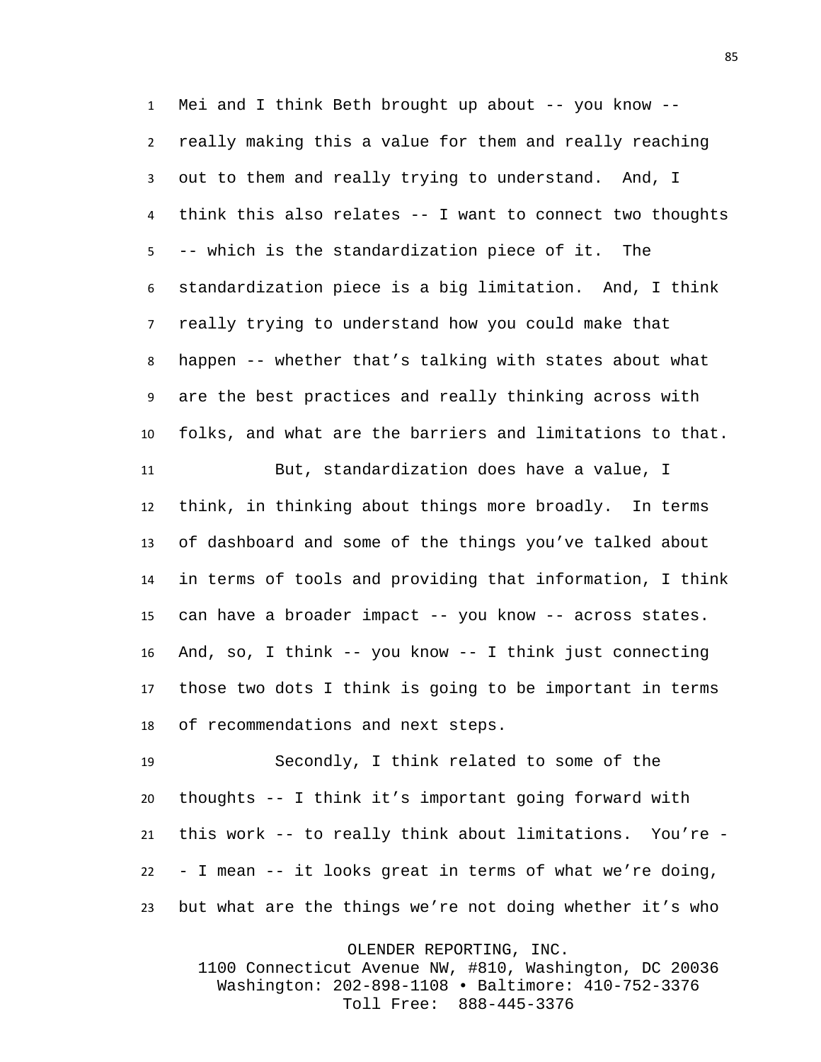Mei and I think Beth brought up about -- you know -- really making this a value for them and really reaching out to them and really trying to understand. And, I think this also relates -- I want to connect two thoughts -- which is the standardization piece of it. The standardization piece is a big limitation. And, I think really trying to understand how you could make that happen -- whether that's talking with states about what are the best practices and really thinking across with folks, and what are the barriers and limitations to that.

 But, standardization does have a value, I think, in thinking about things more broadly. In terms of dashboard and some of the things you've talked about in terms of tools and providing that information, I think can have a broader impact -- you know -- across states. And, so, I think -- you know -- I think just connecting those two dots I think is going to be important in terms of recommendations and next steps.

 Secondly, I think related to some of the thoughts -- I think it's important going forward with this work -- to really think about limitations. You're - - I mean -- it looks great in terms of what we're doing, but what are the things we're not doing whether it's who

OLENDER REPORTING, INC.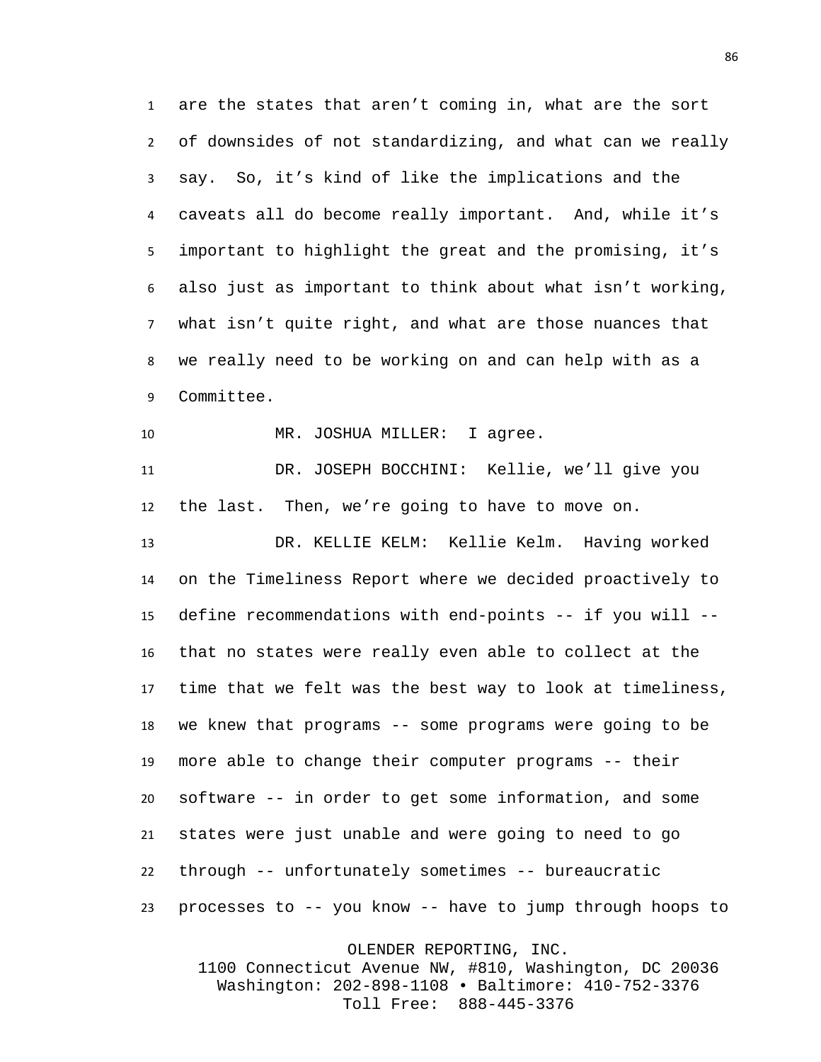are the states that aren't coming in, what are the sort of downsides of not standardizing, and what can we really say. So, it's kind of like the implications and the caveats all do become really important. And, while it's important to highlight the great and the promising, it's also just as important to think about what isn't working, what isn't quite right, and what are those nuances that we really need to be working on and can help with as a Committee.

10 MR. JOSHUA MILLER: I agree.

 DR. JOSEPH BOCCHINI: Kellie, we'll give you the last. Then, we're going to have to move on.

 DR. KELLIE KELM: Kellie Kelm. Having worked on the Timeliness Report where we decided proactively to define recommendations with end-points -- if you will -- that no states were really even able to collect at the time that we felt was the best way to look at timeliness, we knew that programs -- some programs were going to be more able to change their computer programs -- their software -- in order to get some information, and some states were just unable and were going to need to go through -- unfortunately sometimes -- bureaucratic processes to -- you know -- have to jump through hoops to

OLENDER REPORTING, INC.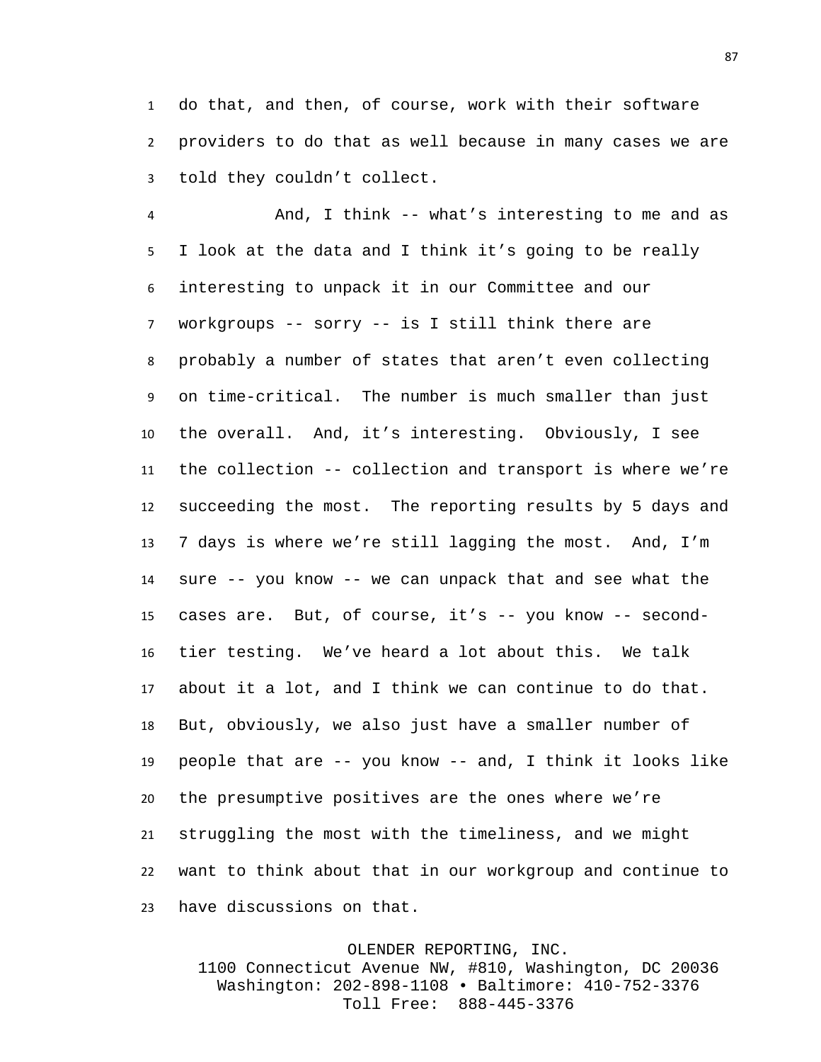do that, and then, of course, work with their software providers to do that as well because in many cases we are told they couldn't collect.

 And, I think -- what's interesting to me and as I look at the data and I think it's going to be really interesting to unpack it in our Committee and our workgroups -- sorry -- is I still think there are probably a number of states that aren't even collecting on time-critical. The number is much smaller than just the overall. And, it's interesting. Obviously, I see the collection -- collection and transport is where we're succeeding the most. The reporting results by 5 days and 7 days is where we're still lagging the most. And, I'm sure -- you know -- we can unpack that and see what the cases are. But, of course, it's -- you know -- second- tier testing. We've heard a lot about this. We talk about it a lot, and I think we can continue to do that. But, obviously, we also just have a smaller number of people that are -- you know -- and, I think it looks like the presumptive positives are the ones where we're struggling the most with the timeliness, and we might want to think about that in our workgroup and continue to have discussions on that.

## OLENDER REPORTING, INC.

1100 Connecticut Avenue NW, #810, Washington, DC 20036 Washington: 202-898-1108 • Baltimore: 410-752-3376 Toll Free: 888-445-3376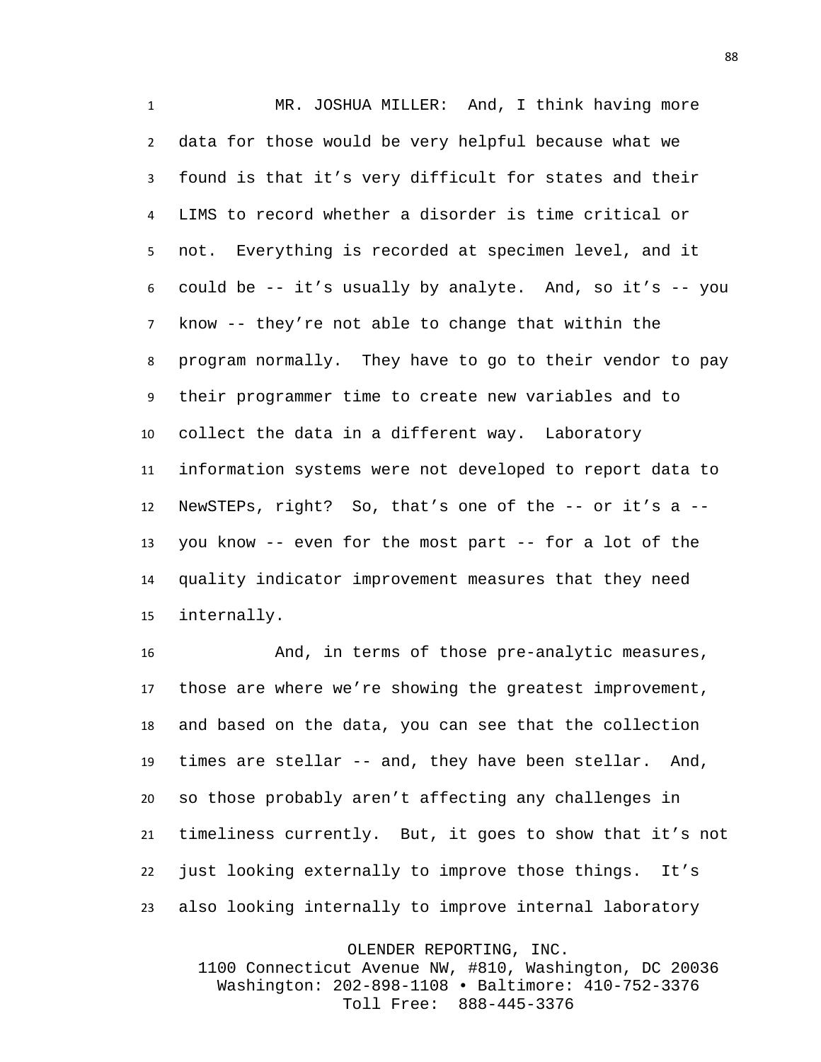MR. JOSHUA MILLER: And, I think having more data for those would be very helpful because what we found is that it's very difficult for states and their LIMS to record whether a disorder is time critical or not. Everything is recorded at specimen level, and it 6 could be  $-$  it's usually by analyte. And, so it's  $-$  you know -- they're not able to change that within the program normally. They have to go to their vendor to pay their programmer time to create new variables and to collect the data in a different way. Laboratory information systems were not developed to report data to NewSTEPs, right? So, that's one of the -- or it's a -- you know -- even for the most part -- for a lot of the quality indicator improvement measures that they need internally.

 And, in terms of those pre-analytic measures, those are where we're showing the greatest improvement, and based on the data, you can see that the collection times are stellar -- and, they have been stellar. And, so those probably aren't affecting any challenges in timeliness currently. But, it goes to show that it's not just looking externally to improve those things. It's also looking internally to improve internal laboratory

OLENDER REPORTING, INC.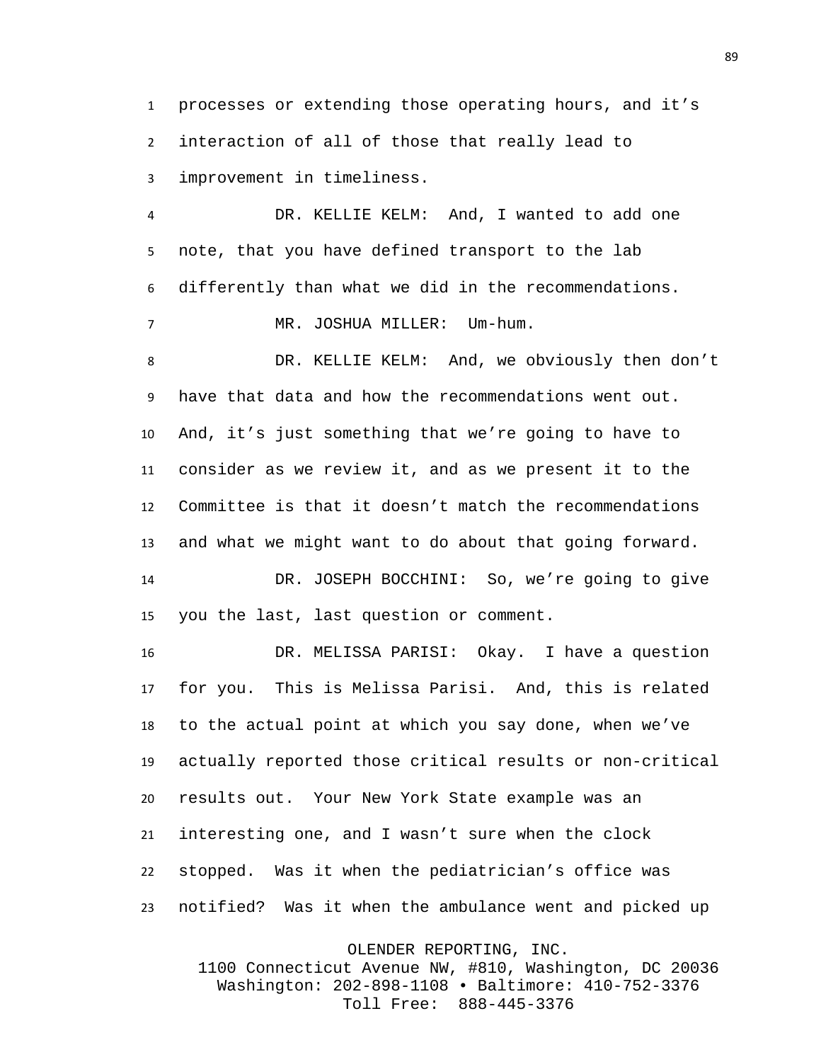processes or extending those operating hours, and it's interaction of all of those that really lead to improvement in timeliness.

 DR. KELLIE KELM: And, I wanted to add one note, that you have defined transport to the lab differently than what we did in the recommendations.

MR. JOSHUA MILLER: Um-hum.

 DR. KELLIE KELM: And, we obviously then don't have that data and how the recommendations went out. And, it's just something that we're going to have to consider as we review it, and as we present it to the Committee is that it doesn't match the recommendations and what we might want to do about that going forward.

 DR. JOSEPH BOCCHINI: So, we're going to give you the last, last question or comment.

 DR. MELISSA PARISI: Okay. I have a question for you. This is Melissa Parisi. And, this is related to the actual point at which you say done, when we've actually reported those critical results or non-critical results out. Your New York State example was an interesting one, and I wasn't sure when the clock stopped. Was it when the pediatrician's office was notified? Was it when the ambulance went and picked up

OLENDER REPORTING, INC.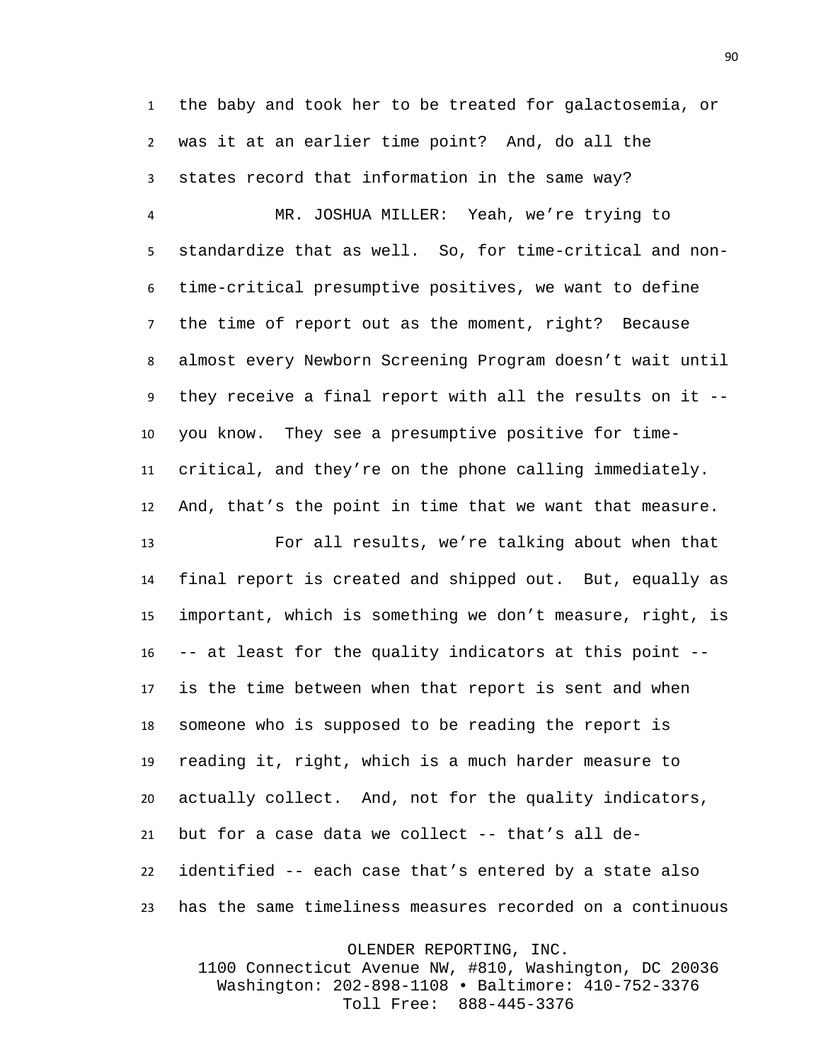the baby and took her to be treated for galactosemia, or was it at an earlier time point? And, do all the states record that information in the same way?

 MR. JOSHUA MILLER: Yeah, we're trying to standardize that as well. So, for time-critical and non- time-critical presumptive positives, we want to define the time of report out as the moment, right? Because almost every Newborn Screening Program doesn't wait until they receive a final report with all the results on it -- you know. They see a presumptive positive for time- critical, and they're on the phone calling immediately. And, that's the point in time that we want that measure.

 For all results, we're talking about when that final report is created and shipped out. But, equally as important, which is something we don't measure, right, is -- at least for the quality indicators at this point -- is the time between when that report is sent and when someone who is supposed to be reading the report is reading it, right, which is a much harder measure to actually collect. And, not for the quality indicators, but for a case data we collect -- that's all de- identified -- each case that's entered by a state also has the same timeliness measures recorded on a continuous

OLENDER REPORTING, INC.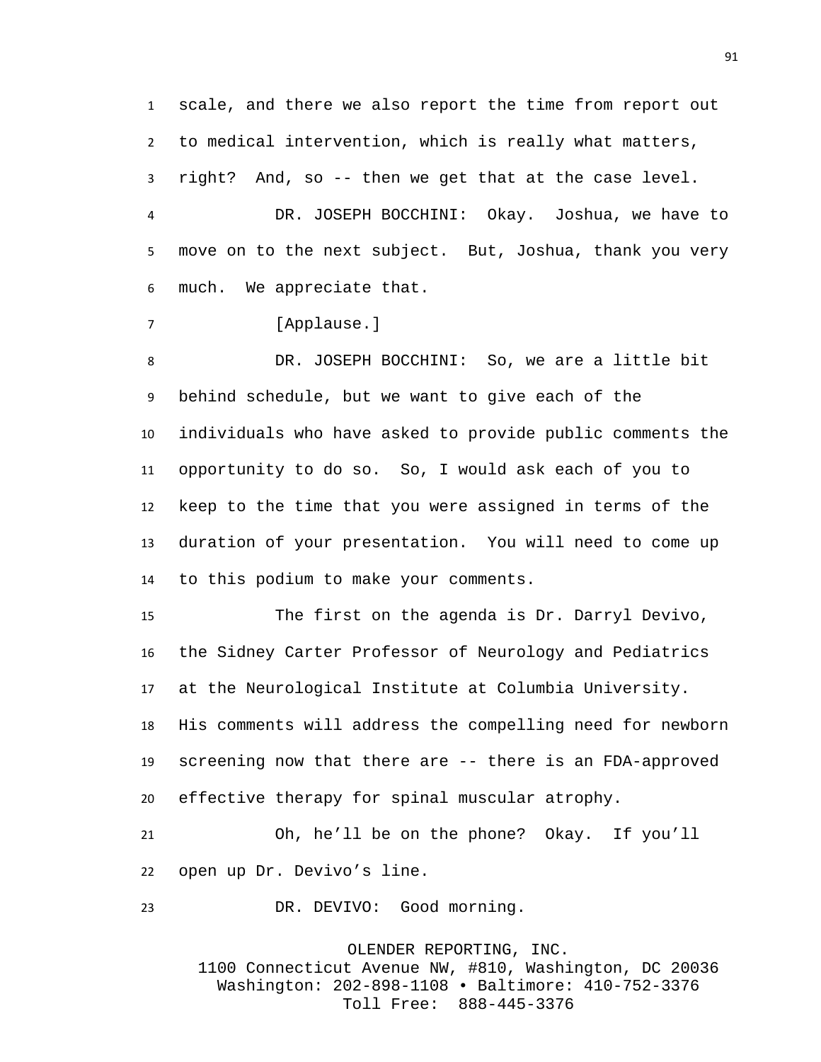scale, and there we also report the time from report out to medical intervention, which is really what matters, right? And, so -- then we get that at the case level.

DR. JOSEPH BOCCHINI: Okay. Joshua, we have to move on to the next subject. But, Joshua, thank you very much. We appreciate that.

[Applause.]

DR. JOSEPH BOCCHINI: So, we are a little bit behind schedule, but we want to give each of the individuals who have asked to provide public comments the opportunity to do so. So, I would ask each of you to keep to the time that you were assigned in terms of the duration of your presentation. You will need to come up to this podium to make your comments.

 The first on the agenda is Dr. Darryl Devivo, the Sidney Carter Professor of Neurology and Pediatrics at the Neurological Institute at Columbia University. His comments will address the compelling need for newborn screening now that there are -- there is an FDA-approved effective therapy for spinal muscular atrophy.

 Oh, he'll be on the phone? Okay. If you'll open up Dr. Devivo's line.

DR. DEVIVO: Good morning.

OLENDER REPORTING, INC.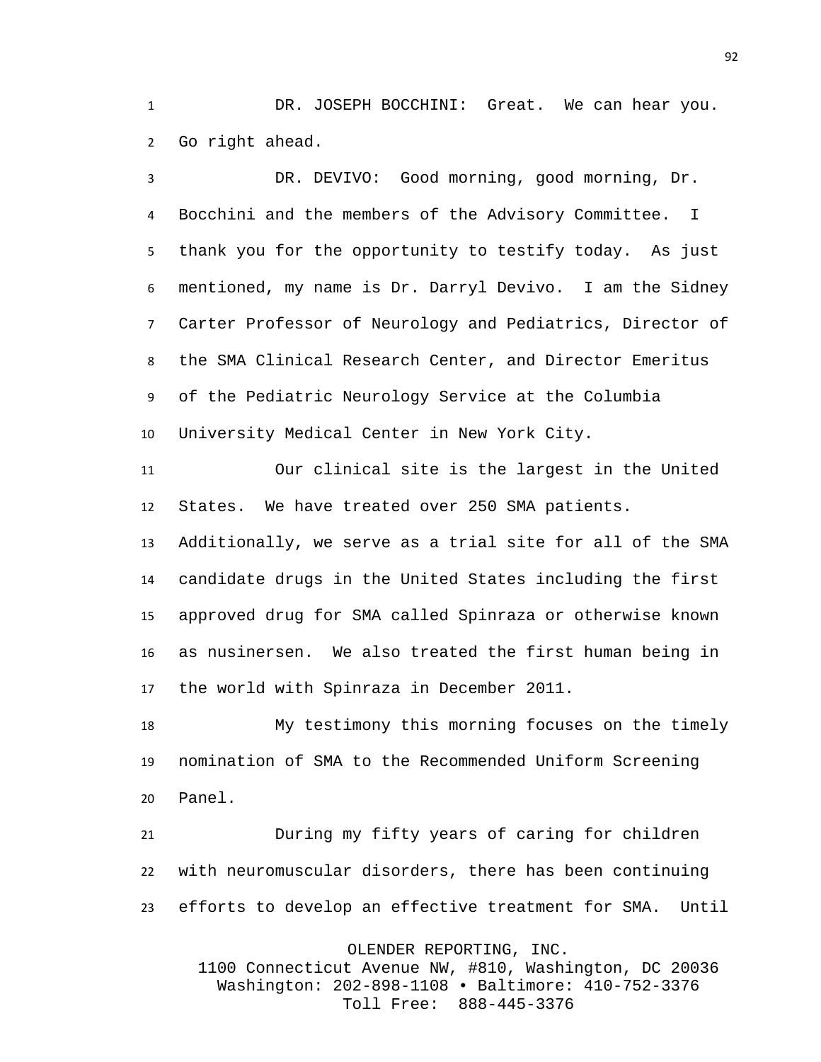DR. JOSEPH BOCCHINI: Great. We can hear you. Go right ahead.

 DR. DEVIVO: Good morning, good morning, Dr. Bocchini and the members of the Advisory Committee. I thank you for the opportunity to testify today. As just mentioned, my name is Dr. Darryl Devivo. I am the Sidney Carter Professor of Neurology and Pediatrics, Director of the SMA Clinical Research Center, and Director Emeritus of the Pediatric Neurology Service at the Columbia University Medical Center in New York City.

 Our clinical site is the largest in the United States. We have treated over 250 SMA patients.

 Additionally, we serve as a trial site for all of the SMA candidate drugs in the United States including the first approved drug for SMA called Spinraza or otherwise known as nusinersen. We also treated the first human being in the world with Spinraza in December 2011.

 My testimony this morning focuses on the timely nomination of SMA to the Recommended Uniform Screening Panel.

 During my fifty years of caring for children with neuromuscular disorders, there has been continuing efforts to develop an effective treatment for SMA. Until

OLENDER REPORTING, INC.

1100 Connecticut Avenue NW, #810, Washington, DC 20036 Washington: 202-898-1108 • Baltimore: 410-752-3376 Toll Free: 888-445-3376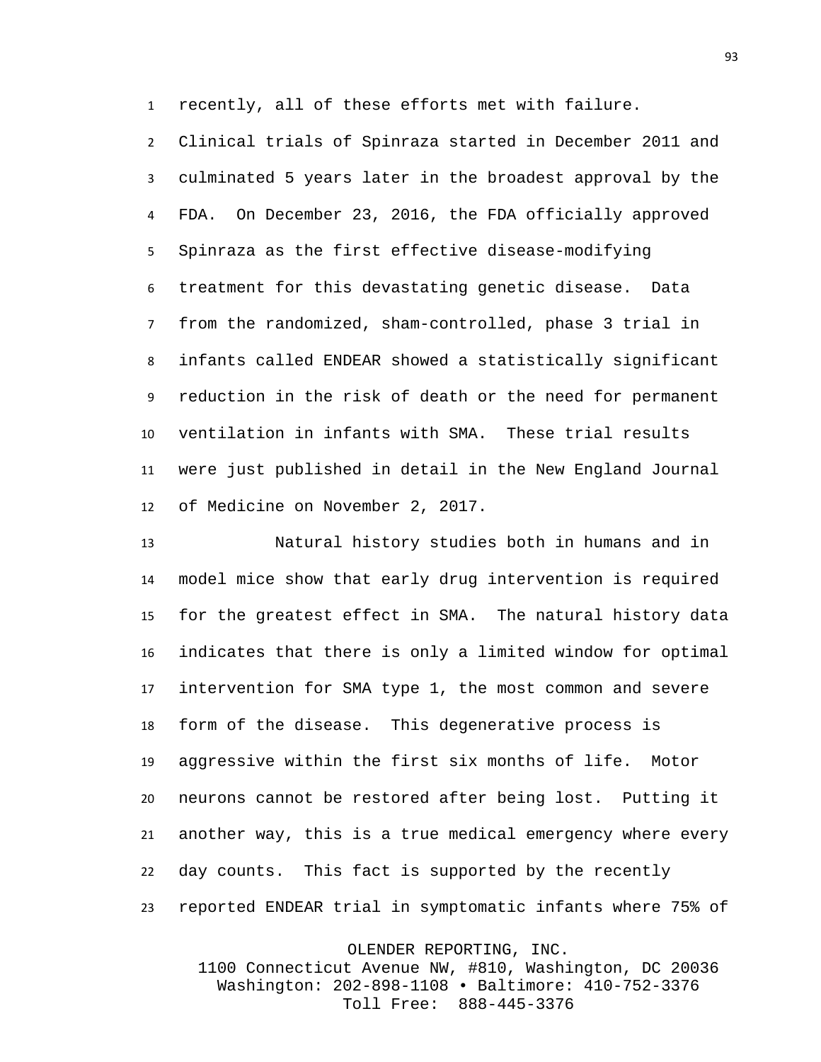recently, all of these efforts met with failure.

 Clinical trials of Spinraza started in December 2011 and culminated 5 years later in the broadest approval by the FDA. On December 23, 2016, the FDA officially approved Spinraza as the first effective disease-modifying treatment for this devastating genetic disease. Data from the randomized, sham-controlled, phase 3 trial in infants called ENDEAR showed a statistically significant reduction in the risk of death or the need for permanent ventilation in infants with SMA. These trial results were just published in detail in the New England Journal of Medicine on November 2, 2017.

 Natural history studies both in humans and in model mice show that early drug intervention is required for the greatest effect in SMA. The natural history data indicates that there is only a limited window for optimal intervention for SMA type 1, the most common and severe form of the disease. This degenerative process is aggressive within the first six months of life. Motor neurons cannot be restored after being lost. Putting it another way, this is a true medical emergency where every day counts. This fact is supported by the recently reported ENDEAR trial in symptomatic infants where 75% of

OLENDER REPORTING, INC.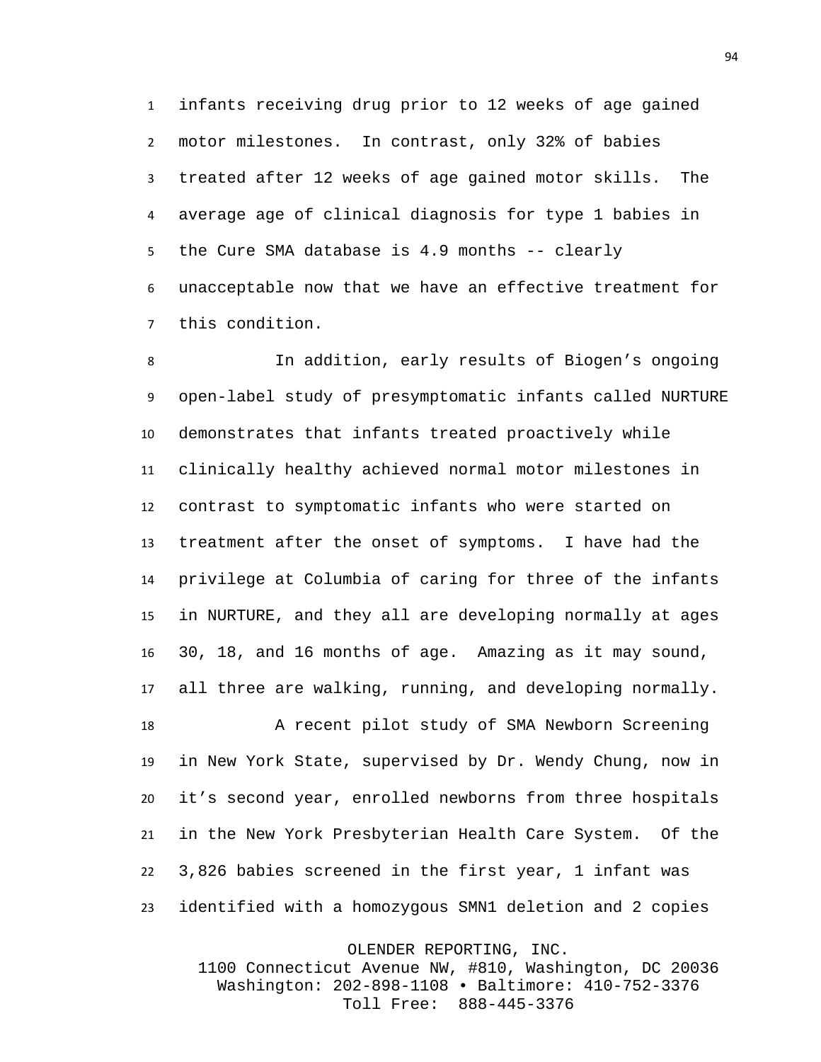infants receiving drug prior to 12 weeks of age gained motor milestones. In contrast, only 32% of babies treated after 12 weeks of age gained motor skills. The average age of clinical diagnosis for type 1 babies in the Cure SMA database is 4.9 months -- clearly unacceptable now that we have an effective treatment for this condition.

 In addition, early results of Biogen's ongoing open-label study of presymptomatic infants called NURTURE demonstrates that infants treated proactively while clinically healthy achieved normal motor milestones in contrast to symptomatic infants who were started on treatment after the onset of symptoms. I have had the privilege at Columbia of caring for three of the infants in NURTURE, and they all are developing normally at ages 30, 18, and 16 months of age. Amazing as it may sound, all three are walking, running, and developing normally.

 A recent pilot study of SMA Newborn Screening in New York State, supervised by Dr. Wendy Chung, now in it's second year, enrolled newborns from three hospitals in the New York Presbyterian Health Care System. Of the 3,826 babies screened in the first year, 1 infant was identified with a homozygous SMN1 deletion and 2 copies

OLENDER REPORTING, INC.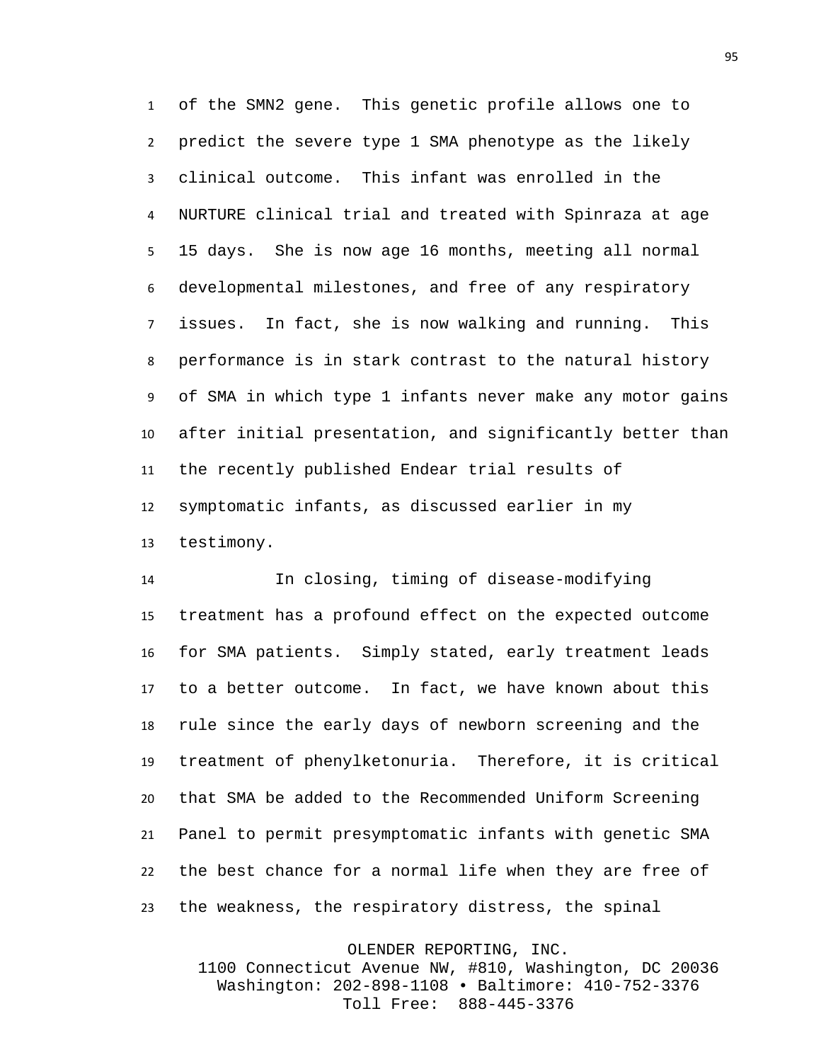of the SMN2 gene. This genetic profile allows one to predict the severe type 1 SMA phenotype as the likely clinical outcome. This infant was enrolled in the NURTURE clinical trial and treated with Spinraza at age 15 days. She is now age 16 months, meeting all normal developmental milestones, and free of any respiratory issues. In fact, she is now walking and running. This performance is in stark contrast to the natural history of SMA in which type 1 infants never make any motor gains after initial presentation, and significantly better than the recently published Endear trial results of symptomatic infants, as discussed earlier in my testimony.

 In closing, timing of disease-modifying treatment has a profound effect on the expected outcome for SMA patients. Simply stated, early treatment leads to a better outcome. In fact, we have known about this rule since the early days of newborn screening and the treatment of phenylketonuria. Therefore, it is critical that SMA be added to the Recommended Uniform Screening Panel to permit presymptomatic infants with genetic SMA the best chance for a normal life when they are free of the weakness, the respiratory distress, the spinal

OLENDER REPORTING, INC.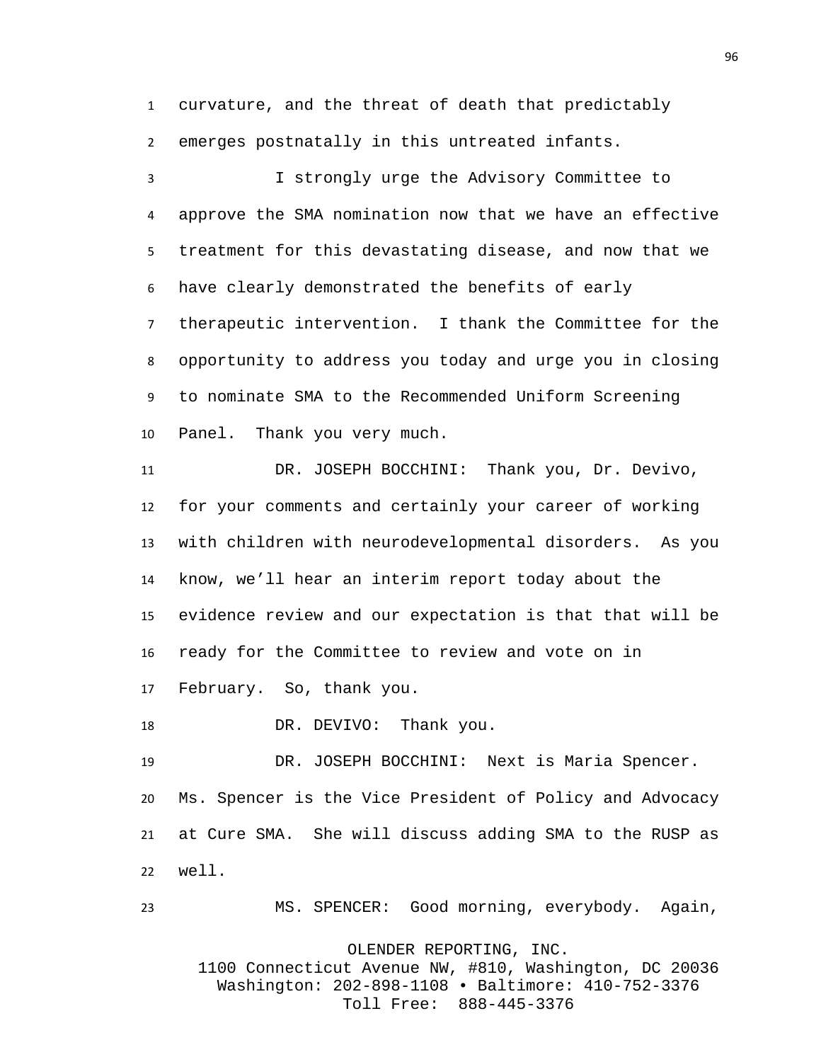curvature, and the threat of death that predictably emerges postnatally in this untreated infants.

 I strongly urge the Advisory Committee to approve the SMA nomination now that we have an effective treatment for this devastating disease, and now that we have clearly demonstrated the benefits of early therapeutic intervention. I thank the Committee for the opportunity to address you today and urge you in closing to nominate SMA to the Recommended Uniform Screening Panel. Thank you very much.

 DR. JOSEPH BOCCHINI: Thank you, Dr. Devivo, for your comments and certainly your career of working with children with neurodevelopmental disorders. As you know, we'll hear an interim report today about the evidence review and our expectation is that that will be ready for the Committee to review and vote on in February. So, thank you.

18 DR. DEVIVO: Thank you.

 DR. JOSEPH BOCCHINI: Next is Maria Spencer. Ms. Spencer is the Vice President of Policy and Advocacy at Cure SMA. She will discuss adding SMA to the RUSP as well.

MS. SPENCER: Good morning, everybody. Again,

OLENDER REPORTING, INC.

1100 Connecticut Avenue NW, #810, Washington, DC 20036 Washington: 202-898-1108 • Baltimore: 410-752-3376 Toll Free: 888-445-3376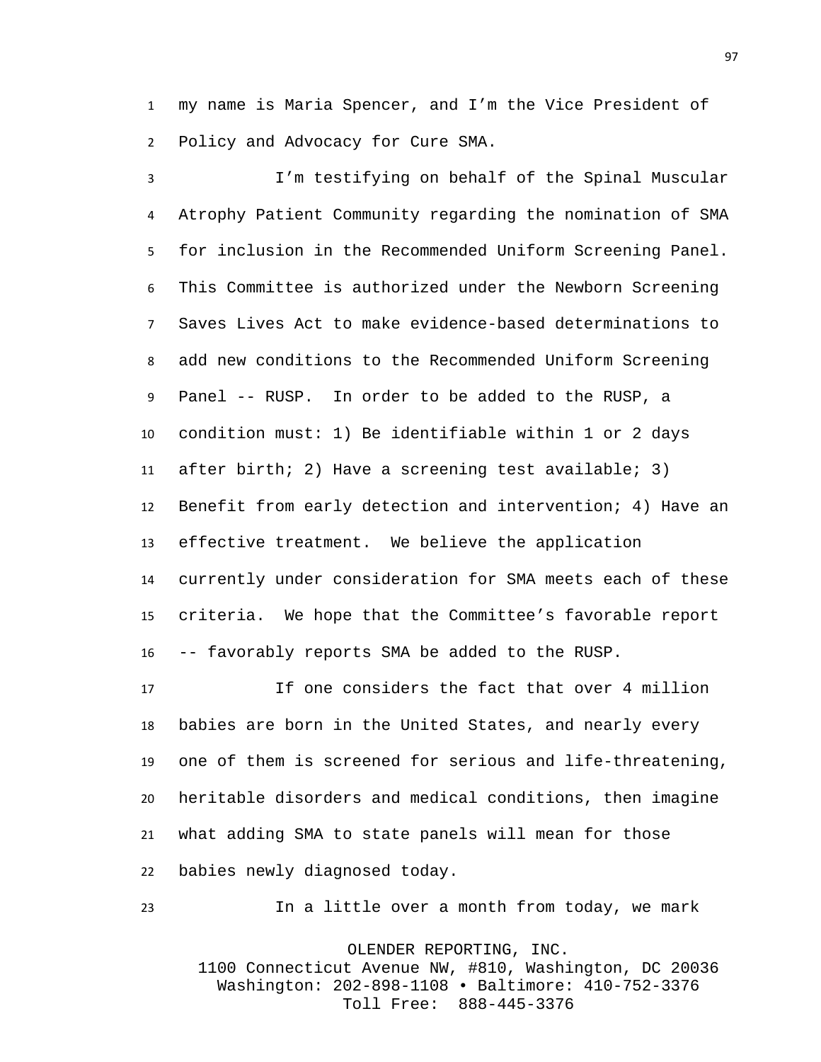my name is Maria Spencer, and I'm the Vice President of Policy and Advocacy for Cure SMA.

 I'm testifying on behalf of the Spinal Muscular Atrophy Patient Community regarding the nomination of SMA for inclusion in the Recommended Uniform Screening Panel. This Committee is authorized under the Newborn Screening Saves Lives Act to make evidence-based determinations to add new conditions to the Recommended Uniform Screening Panel -- RUSP. In order to be added to the RUSP, a condition must: 1) Be identifiable within 1 or 2 days after birth; 2) Have a screening test available; 3) Benefit from early detection and intervention; 4) Have an effective treatment. We believe the application currently under consideration for SMA meets each of these criteria. We hope that the Committee's favorable report -- favorably reports SMA be added to the RUSP.

 If one considers the fact that over 4 million babies are born in the United States, and nearly every one of them is screened for serious and life-threatening, heritable disorders and medical conditions, then imagine what adding SMA to state panels will mean for those babies newly diagnosed today.

In a little over a month from today, we mark

OLENDER REPORTING, INC.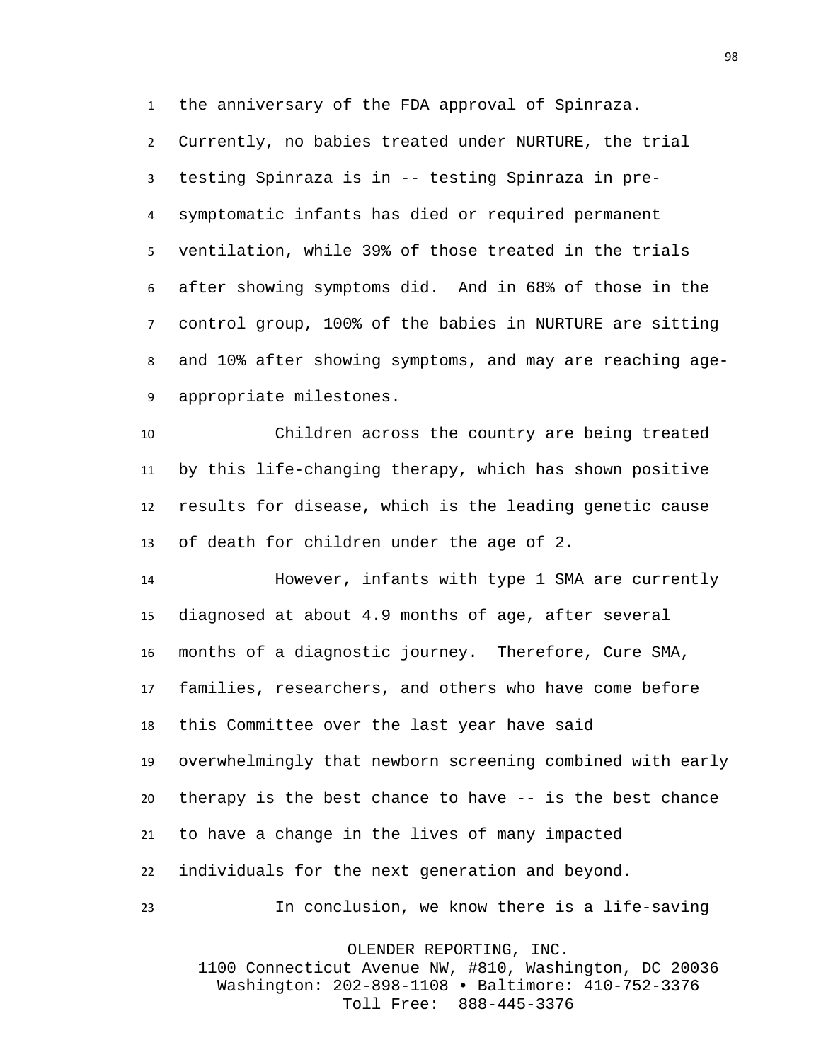the anniversary of the FDA approval of Spinraza.

 Currently, no babies treated under NURTURE, the trial testing Spinraza is in -- testing Spinraza in pre- symptomatic infants has died or required permanent ventilation, while 39% of those treated in the trials after showing symptoms did. And in 68% of those in the control group, 100% of the babies in NURTURE are sitting and 10% after showing symptoms, and may are reaching age-appropriate milestones.

 Children across the country are being treated by this life-changing therapy, which has shown positive results for disease, which is the leading genetic cause of death for children under the age of 2.

 However, infants with type 1 SMA are currently diagnosed at about 4.9 months of age, after several months of a diagnostic journey. Therefore, Cure SMA, families, researchers, and others who have come before this Committee over the last year have said overwhelmingly that newborn screening combined with early therapy is the best chance to have -- is the best chance to have a change in the lives of many impacted individuals for the next generation and beyond.

In conclusion, we know there is a life-saving

OLENDER REPORTING, INC.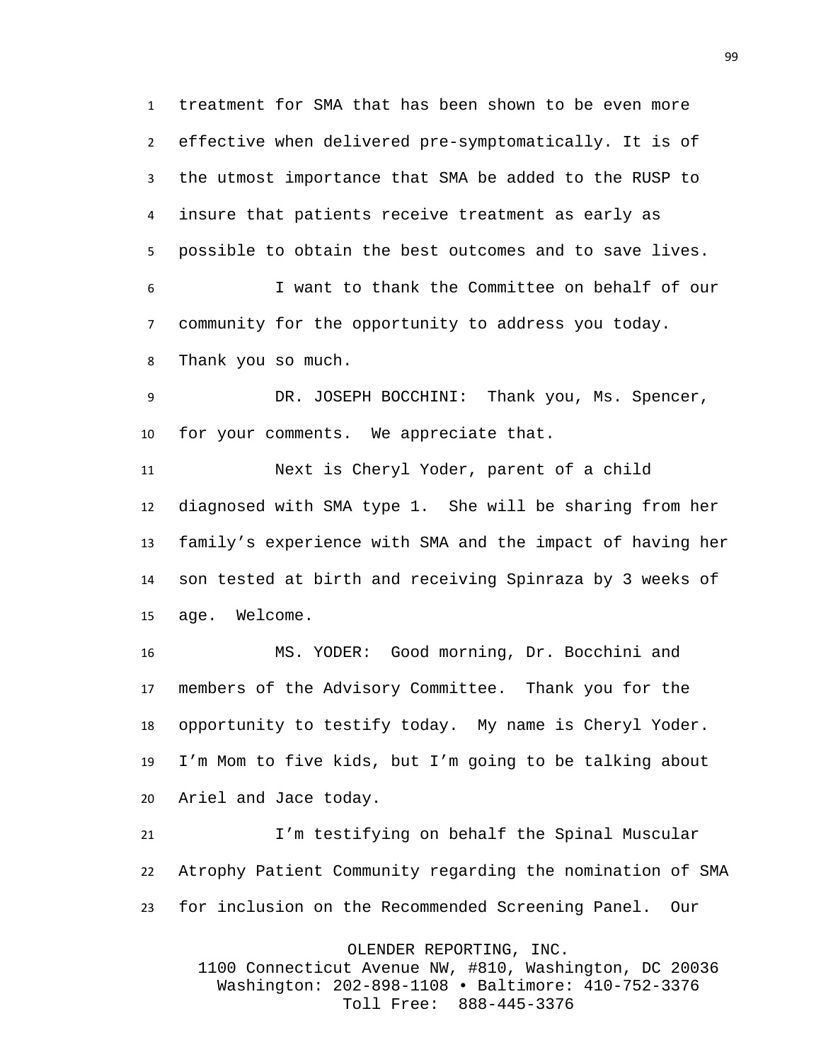treatment for SMA that has been shown to be even more effective when delivered pre-symptomatically. It is of the utmost importance that SMA be added to the RUSP to insure that patients receive treatment as early as possible to obtain the best outcomes and to save lives.

 I want to thank the Committee on behalf of our community for the opportunity to address you today. Thank you so much.

 DR. JOSEPH BOCCHINI: Thank you, Ms. Spencer, for your comments. We appreciate that.

 Next is Cheryl Yoder, parent of a child diagnosed with SMA type 1. She will be sharing from her family's experience with SMA and the impact of having her son tested at birth and receiving Spinraza by 3 weeks of age. Welcome.

 MS. YODER: Good morning, Dr. Bocchini and members of the Advisory Committee. Thank you for the opportunity to testify today. My name is Cheryl Yoder. I'm Mom to five kids, but I'm going to be talking about Ariel and Jace today.

 I'm testifying on behalf the Spinal Muscular Atrophy Patient Community regarding the nomination of SMA for inclusion on the Recommended Screening Panel. Our

OLENDER REPORTING, INC.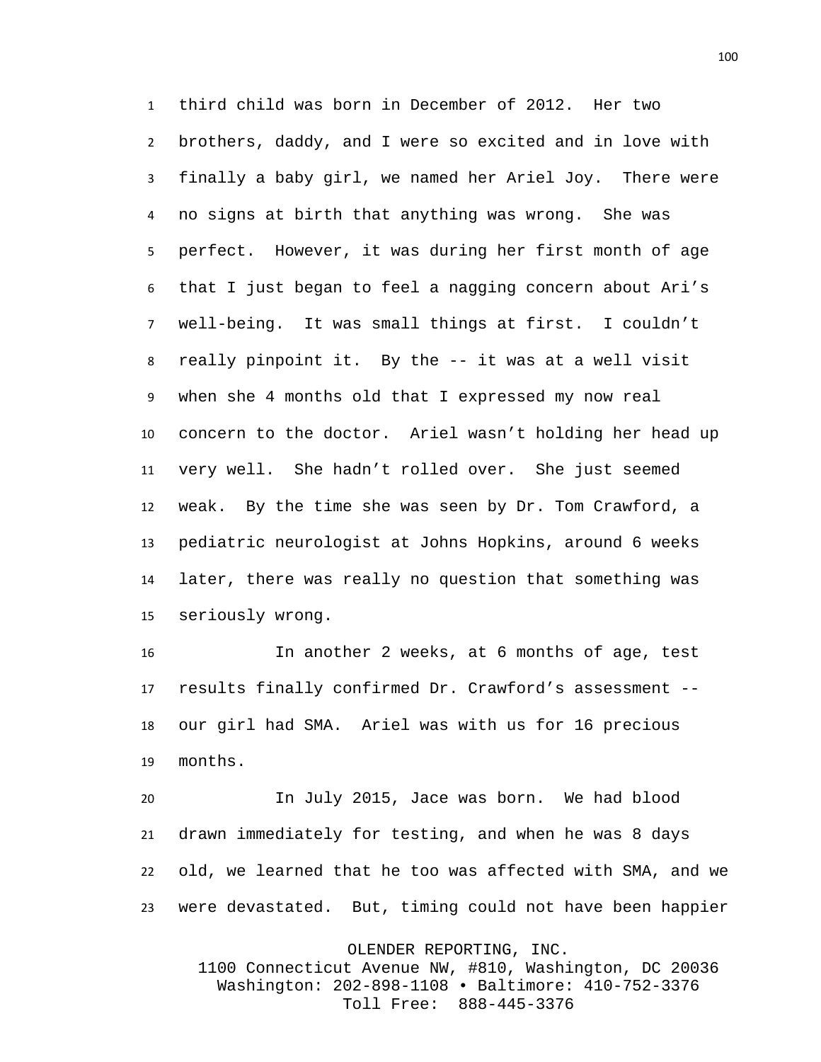third child was born in December of 2012. Her two brothers, daddy, and I were so excited and in love with finally a baby girl, we named her Ariel Joy. There were no signs at birth that anything was wrong. She was perfect. However, it was during her first month of age that I just began to feel a nagging concern about Ari's well-being. It was small things at first. I couldn't really pinpoint it. By the -- it was at a well visit when she 4 months old that I expressed my now real concern to the doctor. Ariel wasn't holding her head up very well. She hadn't rolled over. She just seemed weak. By the time she was seen by Dr. Tom Crawford, a pediatric neurologist at Johns Hopkins, around 6 weeks later, there was really no question that something was seriously wrong.

 In another 2 weeks, at 6 months of age, test results finally confirmed Dr. Crawford's assessment -- our girl had SMA. Ariel was with us for 16 precious months.

 In July 2015, Jace was born. We had blood drawn immediately for testing, and when he was 8 days old, we learned that he too was affected with SMA, and we were devastated. But, timing could not have been happier

OLENDER REPORTING, INC.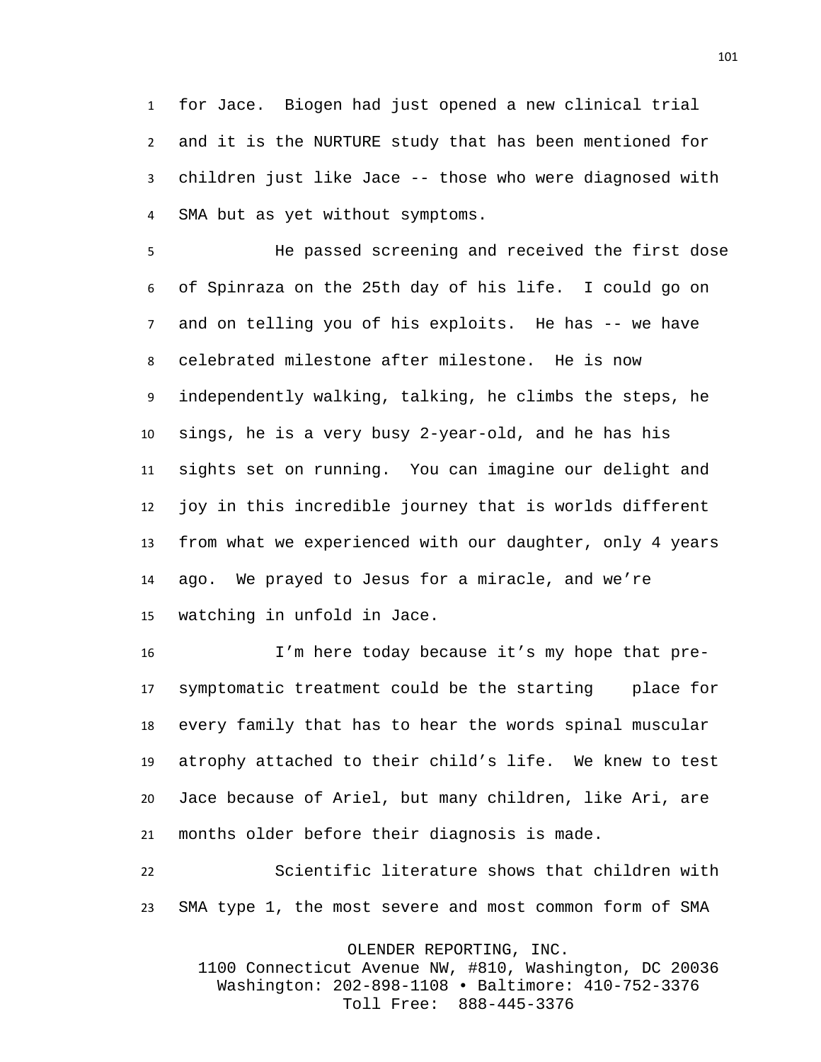for Jace. Biogen had just opened a new clinical trial and it is the NURTURE study that has been mentioned for children just like Jace -- those who were diagnosed with SMA but as yet without symptoms.

 He passed screening and received the first dose of Spinraza on the 25th day of his life. I could go on and on telling you of his exploits. He has -- we have celebrated milestone after milestone. He is now independently walking, talking, he climbs the steps, he sings, he is a very busy 2-year-old, and he has his sights set on running. You can imagine our delight and joy in this incredible journey that is worlds different from what we experienced with our daughter, only 4 years ago. We prayed to Jesus for a miracle, and we're watching in unfold in Jace.

 I'm here today because it's my hope that pre- symptomatic treatment could be the starting place for every family that has to hear the words spinal muscular atrophy attached to their child's life. We knew to test Jace because of Ariel, but many children, like Ari, are months older before their diagnosis is made.

 Scientific literature shows that children with SMA type 1, the most severe and most common form of SMA

OLENDER REPORTING, INC.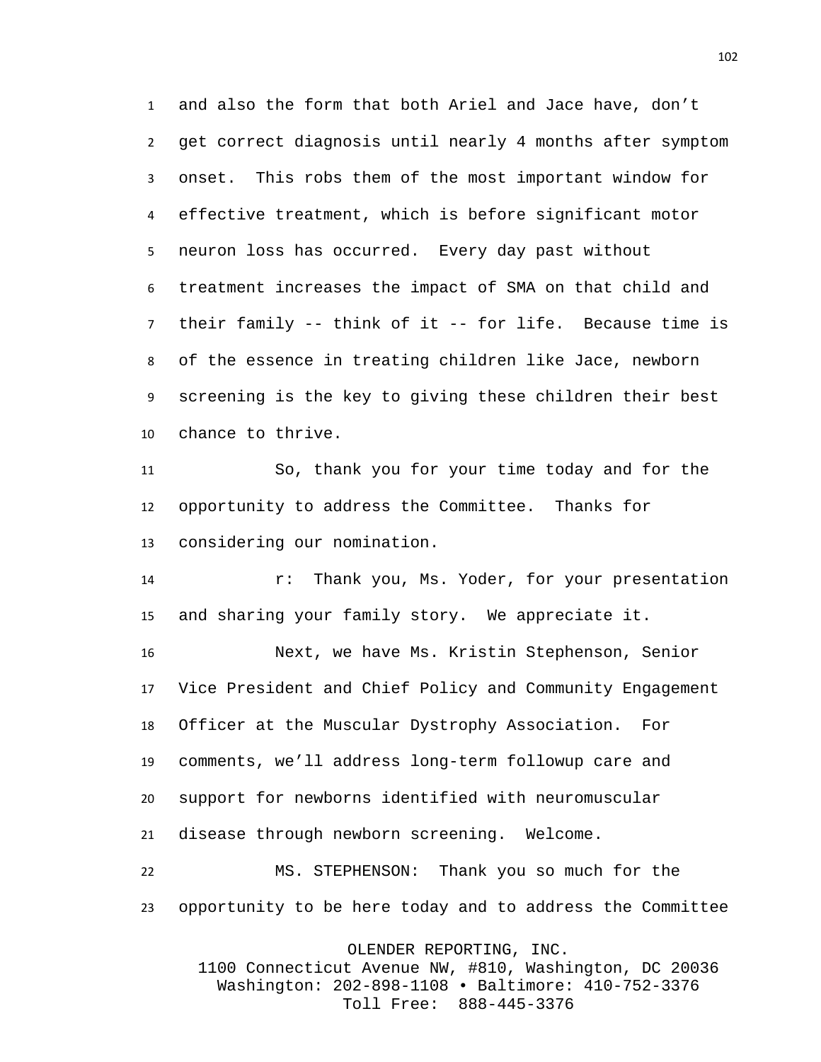and also the form that both Ariel and Jace have, don't get correct diagnosis until nearly 4 months after symptom onset. This robs them of the most important window for effective treatment, which is before significant motor neuron loss has occurred. Every day past without treatment increases the impact of SMA on that child and their family -- think of it -- for life. Because time is of the essence in treating children like Jace, newborn screening is the key to giving these children their best chance to thrive.

 So, thank you for your time today and for the opportunity to address the Committee. Thanks for considering our nomination.

 r: Thank you, Ms. Yoder, for your presentation and sharing your family story. We appreciate it.

 Next, we have Ms. Kristin Stephenson, Senior Vice President and Chief Policy and Community Engagement Officer at the Muscular Dystrophy Association. For comments, we'll address long-term followup care and support for newborns identified with neuromuscular disease through newborn screening. Welcome.

 MS. STEPHENSON: Thank you so much for the opportunity to be here today and to address the Committee

OLENDER REPORTING, INC.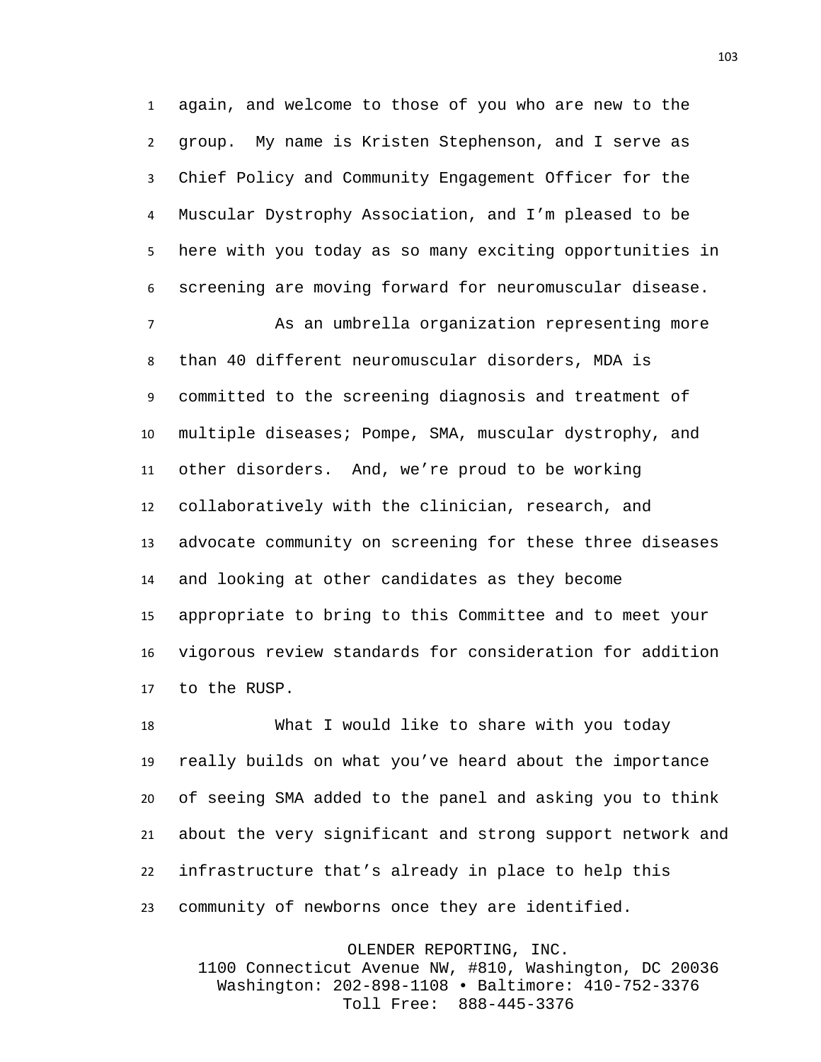again, and welcome to those of you who are new to the group. My name is Kristen Stephenson, and I serve as Chief Policy and Community Engagement Officer for the Muscular Dystrophy Association, and I'm pleased to be here with you today as so many exciting opportunities in screening are moving forward for neuromuscular disease.

 As an umbrella organization representing more than 40 different neuromuscular disorders, MDA is committed to the screening diagnosis and treatment of multiple diseases; Pompe, SMA, muscular dystrophy, and other disorders. And, we're proud to be working collaboratively with the clinician, research, and advocate community on screening for these three diseases and looking at other candidates as they become appropriate to bring to this Committee and to meet your vigorous review standards for consideration for addition to the RUSP.

 What I would like to share with you today really builds on what you've heard about the importance of seeing SMA added to the panel and asking you to think about the very significant and strong support network and infrastructure that's already in place to help this community of newborns once they are identified.

OLENDER REPORTING, INC. 1100 Connecticut Avenue NW, #810, Washington, DC 20036 Washington: 202-898-1108 • Baltimore: 410-752-3376 Toll Free: 888-445-3376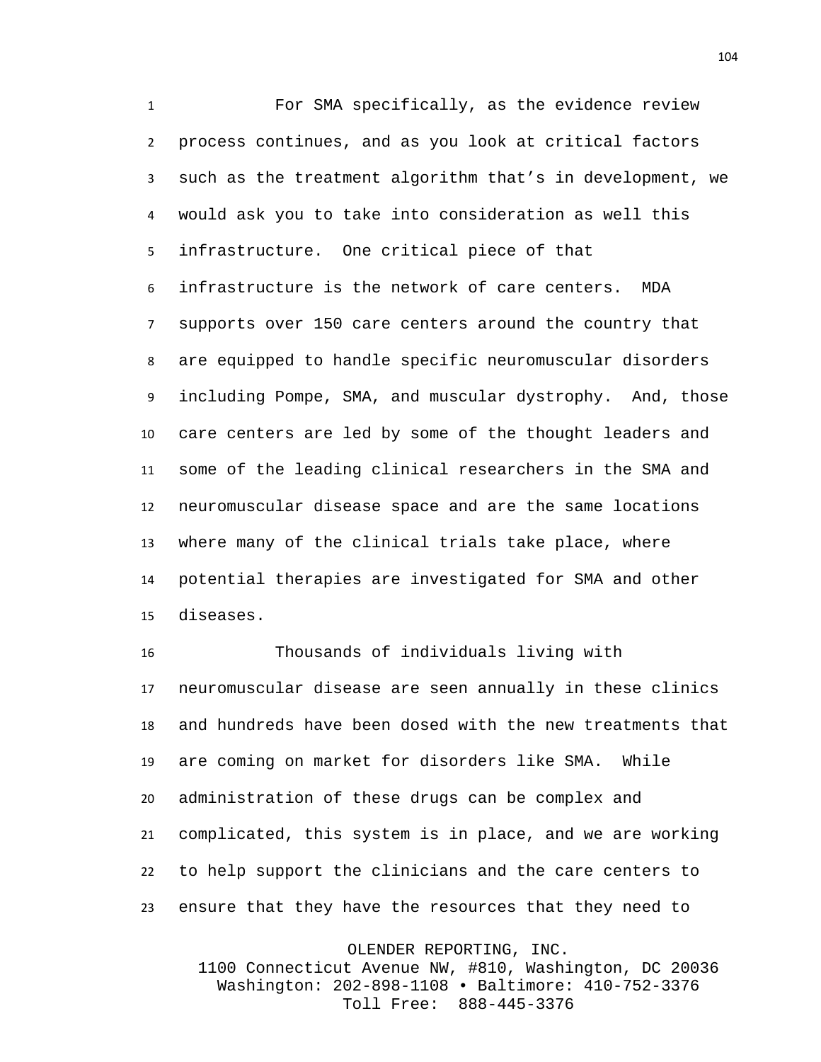For SMA specifically, as the evidence review process continues, and as you look at critical factors such as the treatment algorithm that's in development, we would ask you to take into consideration as well this infrastructure. One critical piece of that infrastructure is the network of care centers. MDA supports over 150 care centers around the country that are equipped to handle specific neuromuscular disorders including Pompe, SMA, and muscular dystrophy. And, those care centers are led by some of the thought leaders and some of the leading clinical researchers in the SMA and neuromuscular disease space and are the same locations where many of the clinical trials take place, where potential therapies are investigated for SMA and other diseases.

 Thousands of individuals living with neuromuscular disease are seen annually in these clinics and hundreds have been dosed with the new treatments that are coming on market for disorders like SMA. While administration of these drugs can be complex and complicated, this system is in place, and we are working to help support the clinicians and the care centers to ensure that they have the resources that they need to

OLENDER REPORTING, INC.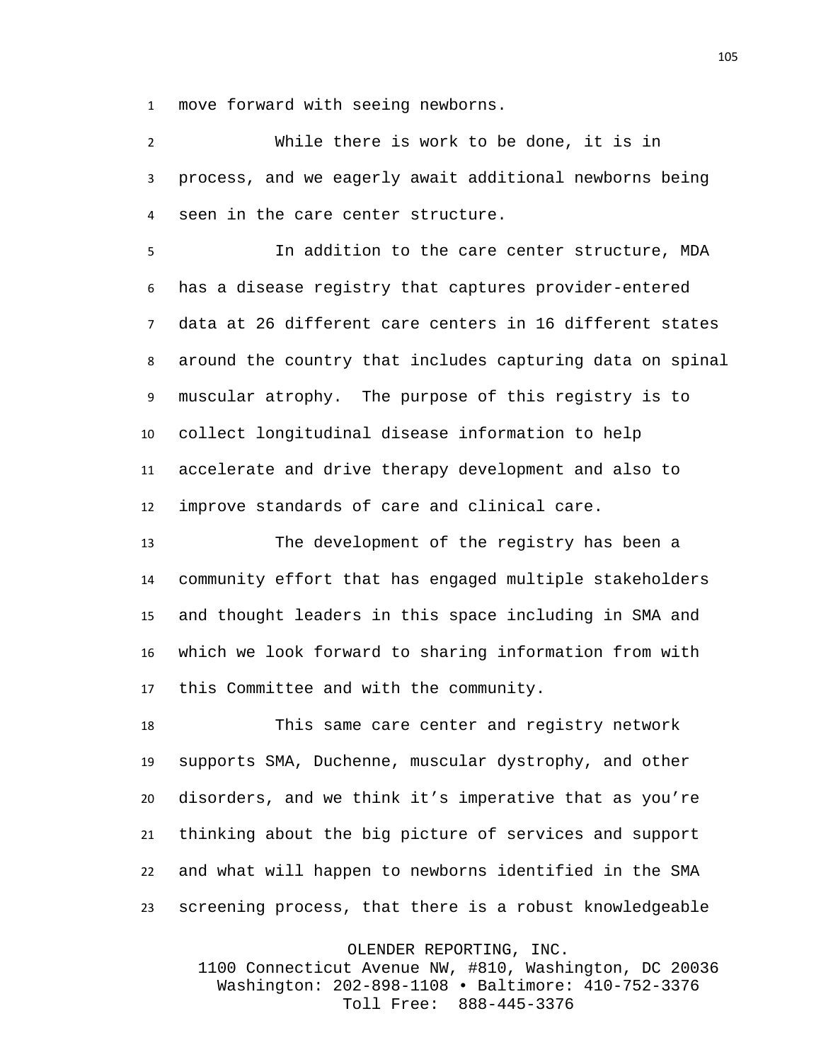move forward with seeing newborns.

 While there is work to be done, it is in process, and we eagerly await additional newborns being seen in the care center structure.

 In addition to the care center structure, MDA has a disease registry that captures provider-entered data at 26 different care centers in 16 different states around the country that includes capturing data on spinal muscular atrophy. The purpose of this registry is to collect longitudinal disease information to help accelerate and drive therapy development and also to improve standards of care and clinical care.

 The development of the registry has been a community effort that has engaged multiple stakeholders and thought leaders in this space including in SMA and which we look forward to sharing information from with this Committee and with the community.

 This same care center and registry network supports SMA, Duchenne, muscular dystrophy, and other disorders, and we think it's imperative that as you're thinking about the big picture of services and support and what will happen to newborns identified in the SMA screening process, that there is a robust knowledgeable

OLENDER REPORTING, INC.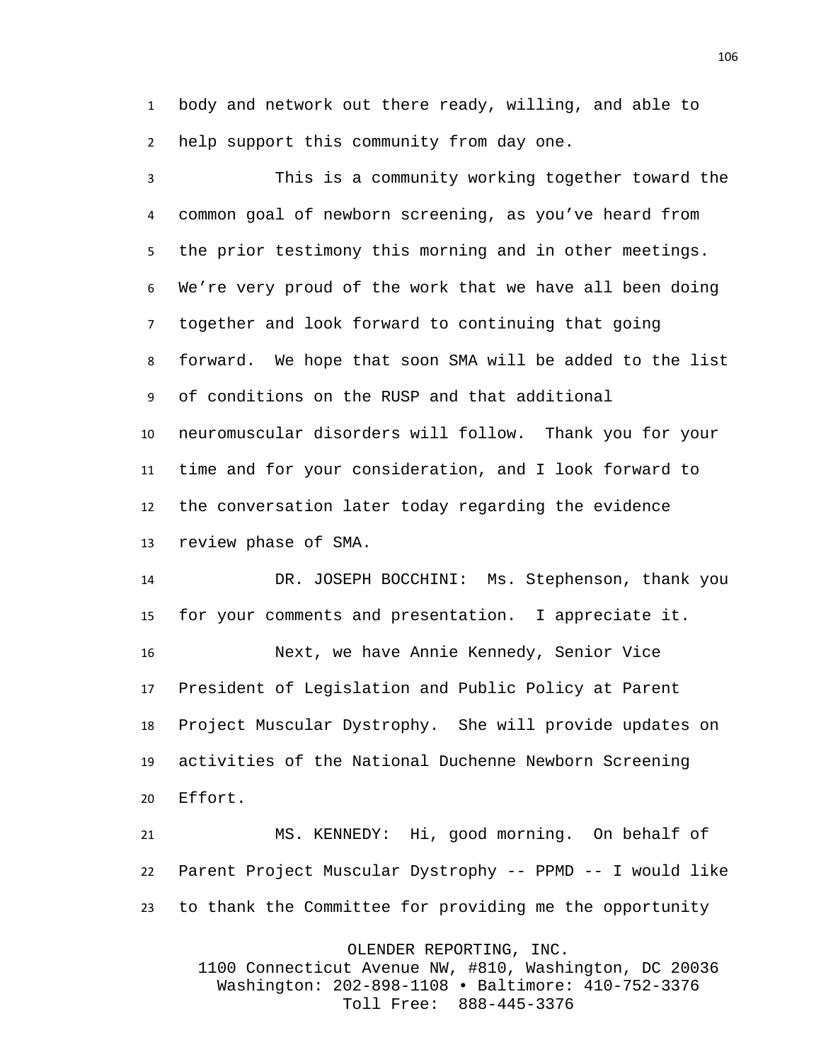body and network out there ready, willing, and able to help support this community from day one.

 This is a community working together toward the common goal of newborn screening, as you've heard from the prior testimony this morning and in other meetings. We're very proud of the work that we have all been doing together and look forward to continuing that going forward. We hope that soon SMA will be added to the list of conditions on the RUSP and that additional neuromuscular disorders will follow. Thank you for your time and for your consideration, and I look forward to the conversation later today regarding the evidence review phase of SMA.

 DR. JOSEPH BOCCHINI: Ms. Stephenson, thank you for your comments and presentation. I appreciate it. Next, we have Annie Kennedy, Senior Vice President of Legislation and Public Policy at Parent Project Muscular Dystrophy. She will provide updates on activities of the National Duchenne Newborn Screening Effort.

 MS. KENNEDY: Hi, good morning. On behalf of Parent Project Muscular Dystrophy -- PPMD -- I would like to thank the Committee for providing me the opportunity

OLENDER REPORTING, INC.

1100 Connecticut Avenue NW, #810, Washington, DC 20036 Washington: 202-898-1108 • Baltimore: 410-752-3376 Toll Free: 888-445-3376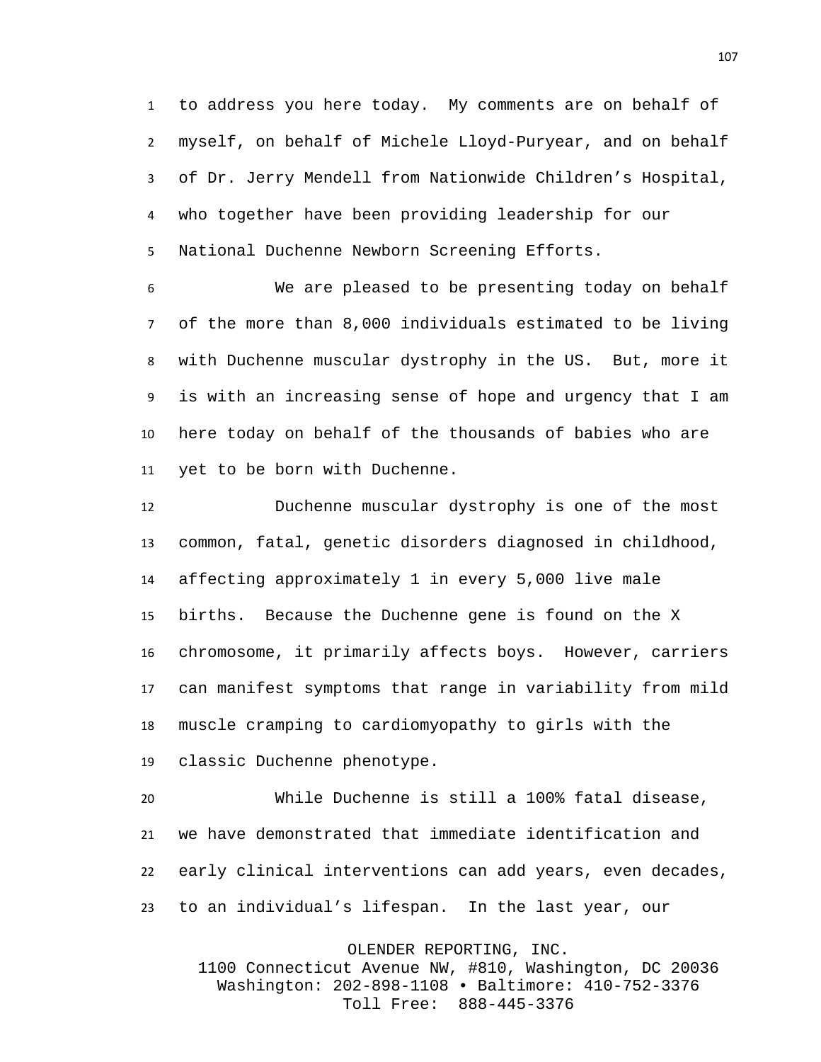to address you here today. My comments are on behalf of myself, on behalf of Michele Lloyd-Puryear, and on behalf of Dr. Jerry Mendell from Nationwide Children's Hospital, who together have been providing leadership for our National Duchenne Newborn Screening Efforts.

 We are pleased to be presenting today on behalf of the more than 8,000 individuals estimated to be living with Duchenne muscular dystrophy in the US. But, more it is with an increasing sense of hope and urgency that I am here today on behalf of the thousands of babies who are yet to be born with Duchenne.

 Duchenne muscular dystrophy is one of the most common, fatal, genetic disorders diagnosed in childhood, affecting approximately 1 in every 5,000 live male births. Because the Duchenne gene is found on the X chromosome, it primarily affects boys. However, carriers can manifest symptoms that range in variability from mild muscle cramping to cardiomyopathy to girls with the classic Duchenne phenotype.

 While Duchenne is still a 100% fatal disease, we have demonstrated that immediate identification and early clinical interventions can add years, even decades, to an individual's lifespan. In the last year, our

OLENDER REPORTING, INC.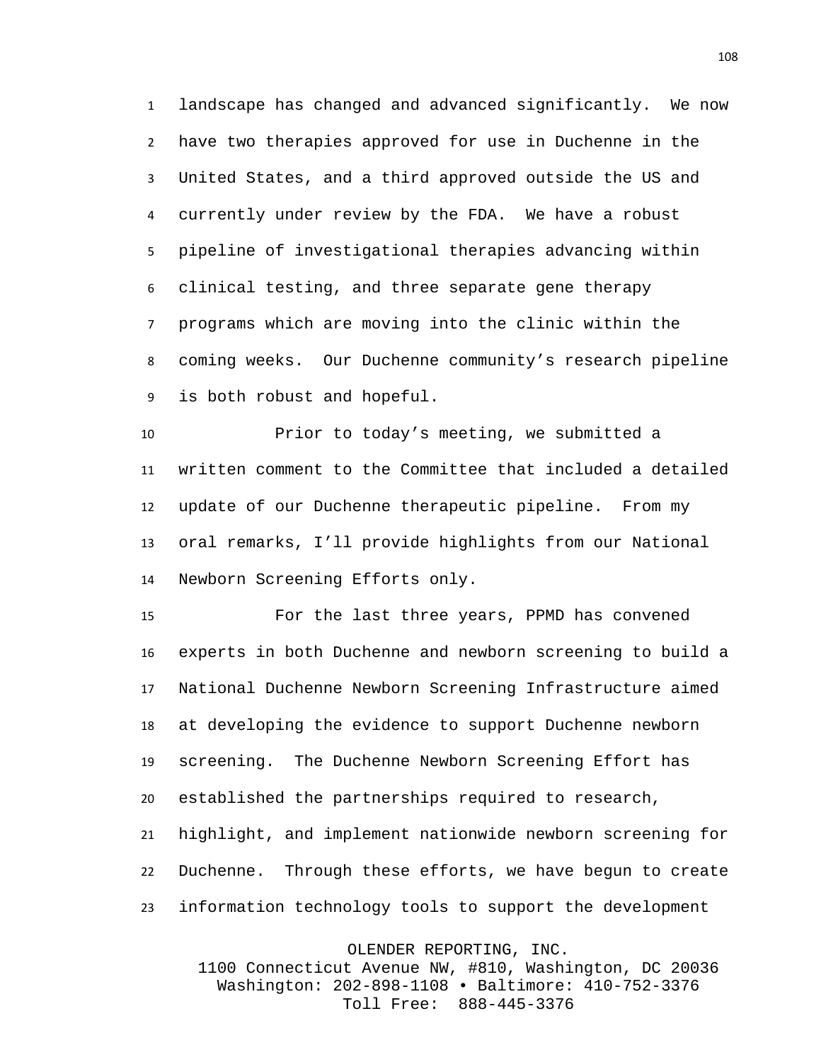landscape has changed and advanced significantly. We now have two therapies approved for use in Duchenne in the United States, and a third approved outside the US and currently under review by the FDA. We have a robust pipeline of investigational therapies advancing within clinical testing, and three separate gene therapy programs which are moving into the clinic within the coming weeks. Our Duchenne community's research pipeline is both robust and hopeful.

 Prior to today's meeting, we submitted a written comment to the Committee that included a detailed update of our Duchenne therapeutic pipeline. From my oral remarks, I'll provide highlights from our National Newborn Screening Efforts only.

 For the last three years, PPMD has convened experts in both Duchenne and newborn screening to build a National Duchenne Newborn Screening Infrastructure aimed at developing the evidence to support Duchenne newborn screening. The Duchenne Newborn Screening Effort has established the partnerships required to research, highlight, and implement nationwide newborn screening for Duchenne. Through these efforts, we have begun to create information technology tools to support the development

OLENDER REPORTING, INC.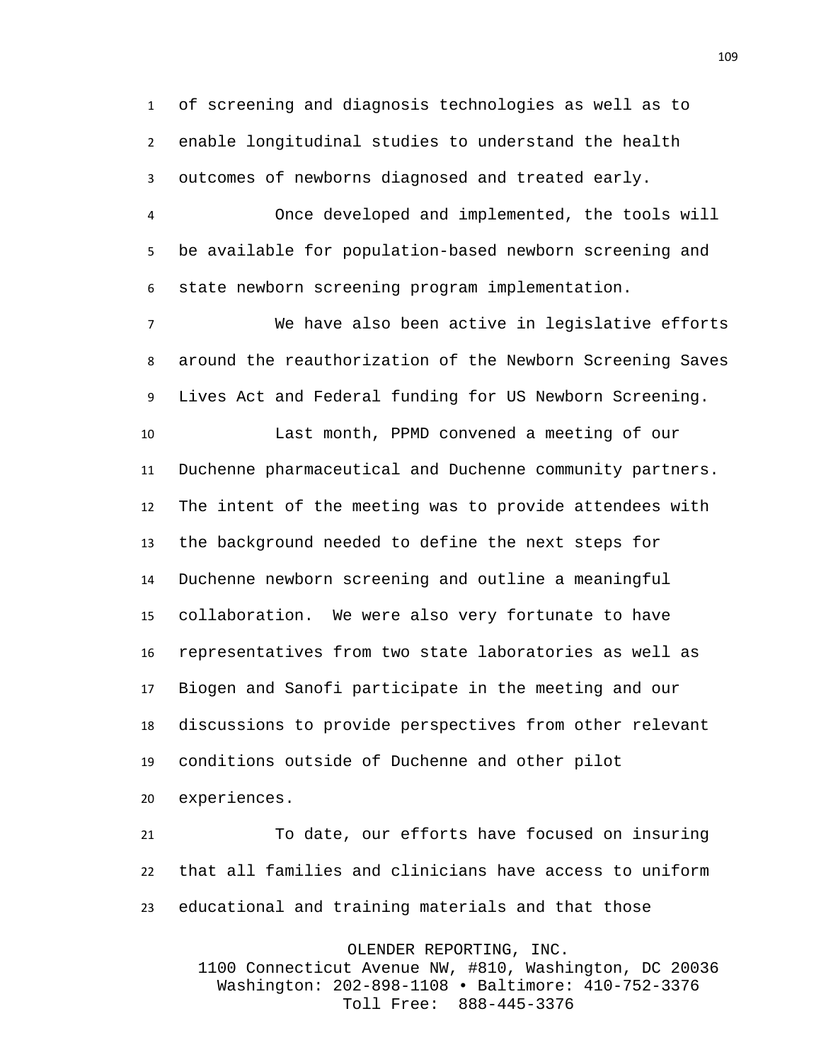of screening and diagnosis technologies as well as to enable longitudinal studies to understand the health outcomes of newborns diagnosed and treated early.

 Once developed and implemented, the tools will be available for population-based newborn screening and state newborn screening program implementation.

 We have also been active in legislative efforts around the reauthorization of the Newborn Screening Saves Lives Act and Federal funding for US Newborn Screening.

 Last month, PPMD convened a meeting of our Duchenne pharmaceutical and Duchenne community partners. The intent of the meeting was to provide attendees with the background needed to define the next steps for Duchenne newborn screening and outline a meaningful collaboration. We were also very fortunate to have representatives from two state laboratories as well as Biogen and Sanofi participate in the meeting and our discussions to provide perspectives from other relevant conditions outside of Duchenne and other pilot

experiences.

 To date, our efforts have focused on insuring that all families and clinicians have access to uniform educational and training materials and that those

OLENDER REPORTING, INC.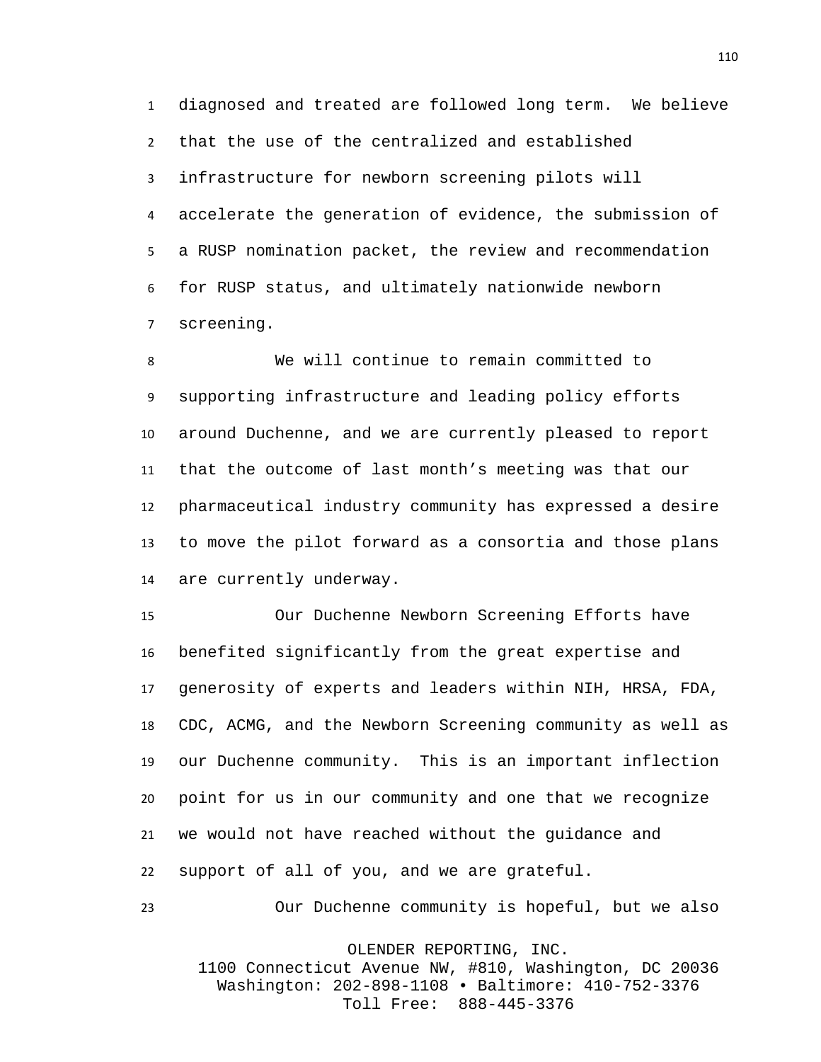diagnosed and treated are followed long term. We believe that the use of the centralized and established infrastructure for newborn screening pilots will accelerate the generation of evidence, the submission of a RUSP nomination packet, the review and recommendation for RUSP status, and ultimately nationwide newborn screening.

 We will continue to remain committed to supporting infrastructure and leading policy efforts around Duchenne, and we are currently pleased to report that the outcome of last month's meeting was that our pharmaceutical industry community has expressed a desire to move the pilot forward as a consortia and those plans are currently underway.

 Our Duchenne Newborn Screening Efforts have benefited significantly from the great expertise and generosity of experts and leaders within NIH, HRSA, FDA, CDC, ACMG, and the Newborn Screening community as well as our Duchenne community. This is an important inflection point for us in our community and one that we recognize we would not have reached without the guidance and support of all of you, and we are grateful.

Our Duchenne community is hopeful, but we also

OLENDER REPORTING, INC.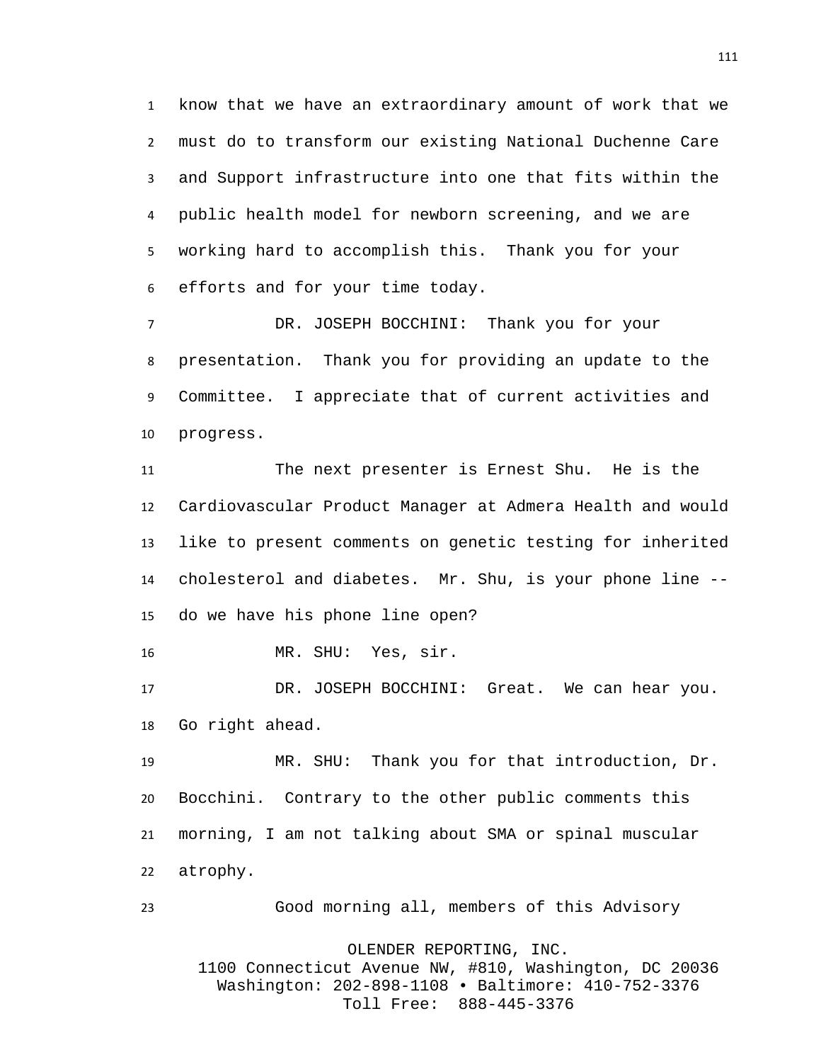know that we have an extraordinary amount of work that we must do to transform our existing National Duchenne Care and Support infrastructure into one that fits within the public health model for newborn screening, and we are working hard to accomplish this. Thank you for your efforts and for your time today.

 DR. JOSEPH BOCCHINI: Thank you for your presentation. Thank you for providing an update to the Committee. I appreciate that of current activities and progress.

 The next presenter is Ernest Shu. He is the Cardiovascular Product Manager at Admera Health and would like to present comments on genetic testing for inherited cholesterol and diabetes. Mr. Shu, is your phone line -- do we have his phone line open?

MR. SHU: Yes, sir.

 DR. JOSEPH BOCCHINI: Great. We can hear you. Go right ahead.

 MR. SHU: Thank you for that introduction, Dr. Bocchini. Contrary to the other public comments this morning, I am not talking about SMA or spinal muscular atrophy.

Good morning all, members of this Advisory

OLENDER REPORTING, INC.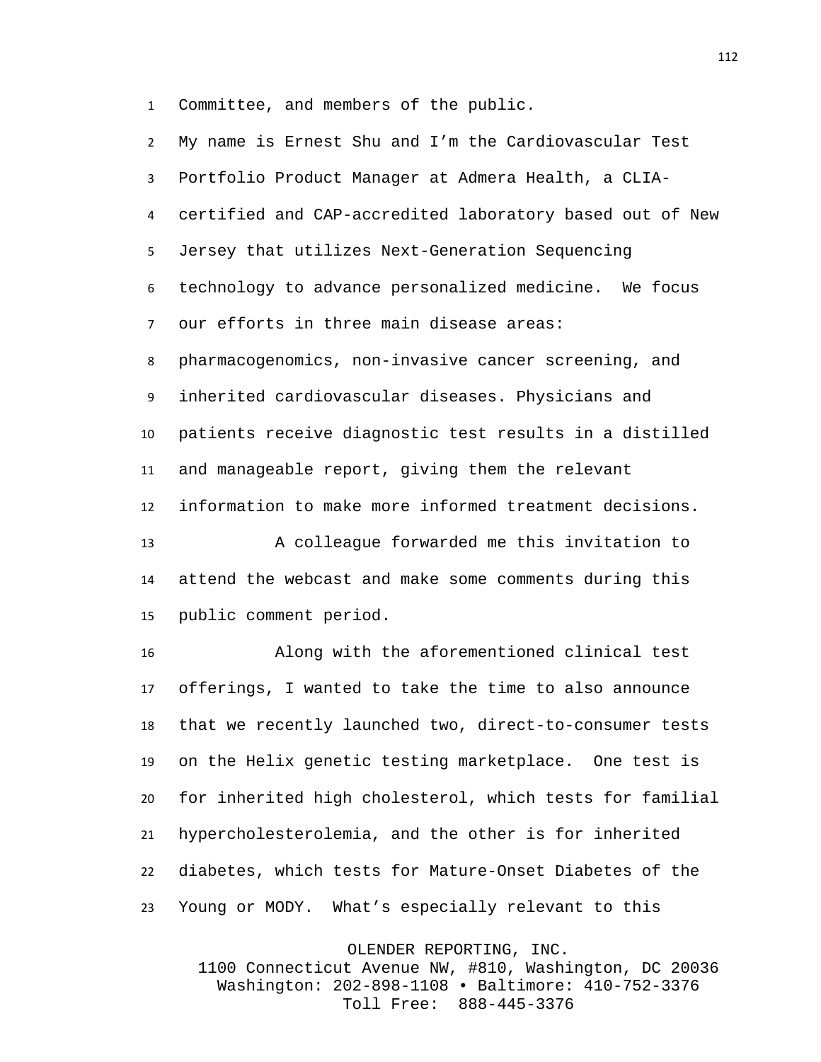Committee, and members of the public.

| $\overline{2}$ | My name is Ernest Shu and I'm the Cardiovascular Test    |
|----------------|----------------------------------------------------------|
| 3              | Portfolio Product Manager at Admera Health, a CLIA-      |
| 4              | certified and CAP-accredited laboratory based out of New |
| 5              | Jersey that utilizes Next-Generation Sequencing          |
| 6              | technology to advance personalized medicine. We focus    |
| $\overline{7}$ | our efforts in three main disease areas:                 |
| 8              | pharmacogenomics, non-invasive cancer screening, and     |
| 9              | inherited cardiovascular diseases. Physicians and        |
| 10             | patients receive diagnostic test results in a distilled  |
| 11             | and manageable report, giving them the relevant          |
| 12             | information to make more informed treatment decisions.   |
| 13             | A colleague forwarded me this invitation to              |
| 14             | attend the webcast and make some comments during this    |
| 15             | public comment period.                                   |
| 16             | Along with the aforementioned clinical test              |
| 17             | offerings, I wanted to take the time to also announce    |
|                |                                                          |
| 18             | that we recently launched two, direct-to-consumer tests  |
| 19             | on the Helix genetic testing marketplace. One test is    |
| 20             | for inherited high cholesterol, which tests for familial |

Young or MODY. What's especially relevant to this

diabetes, which tests for Mature-Onset Diabetes of the

OLENDER REPORTING, INC.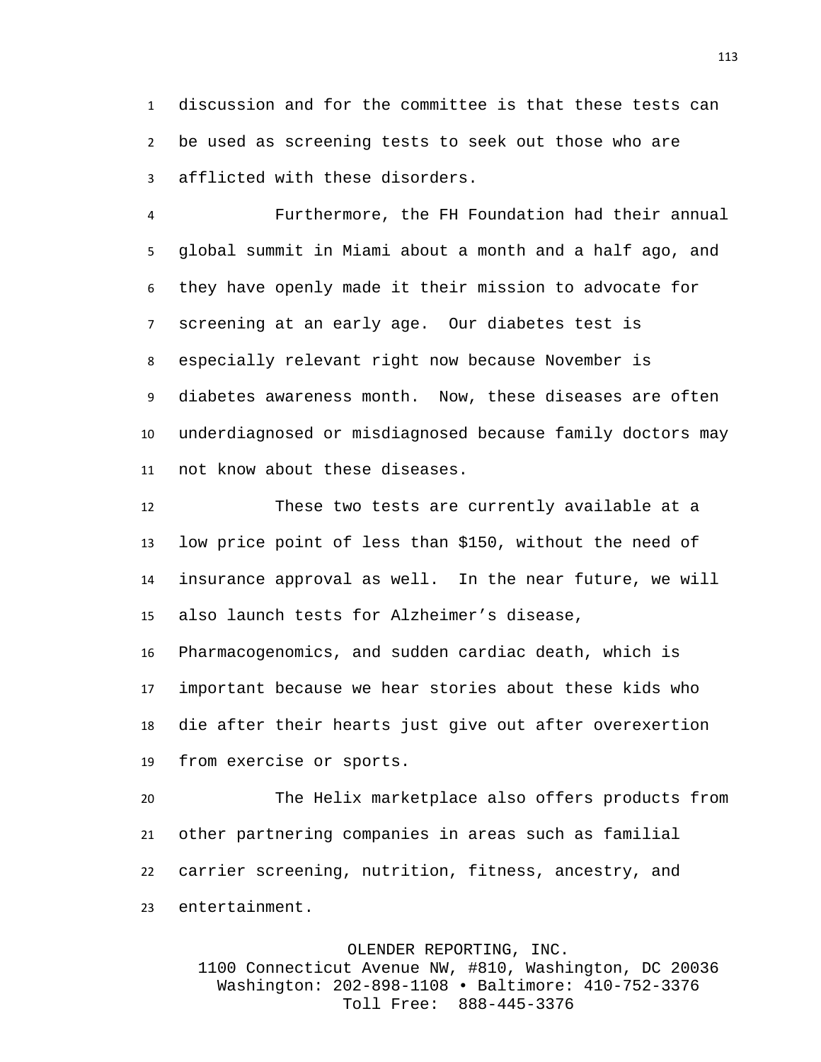discussion and for the committee is that these tests can be used as screening tests to seek out those who are afflicted with these disorders.

 Furthermore, the FH Foundation had their annual global summit in Miami about a month and a half ago, and they have openly made it their mission to advocate for screening at an early age. Our diabetes test is especially relevant right now because November is diabetes awareness month. Now, these diseases are often underdiagnosed or misdiagnosed because family doctors may not know about these diseases.

 These two tests are currently available at a low price point of less than \$150, without the need of insurance approval as well. In the near future, we will also launch tests for Alzheimer's disease, Pharmacogenomics, and sudden cardiac death, which is important because we hear stories about these kids who

 die after their hearts just give out after overexertion from exercise or sports.

 The Helix marketplace also offers products from other partnering companies in areas such as familial carrier screening, nutrition, fitness, ancestry, and entertainment.

OLENDER REPORTING, INC.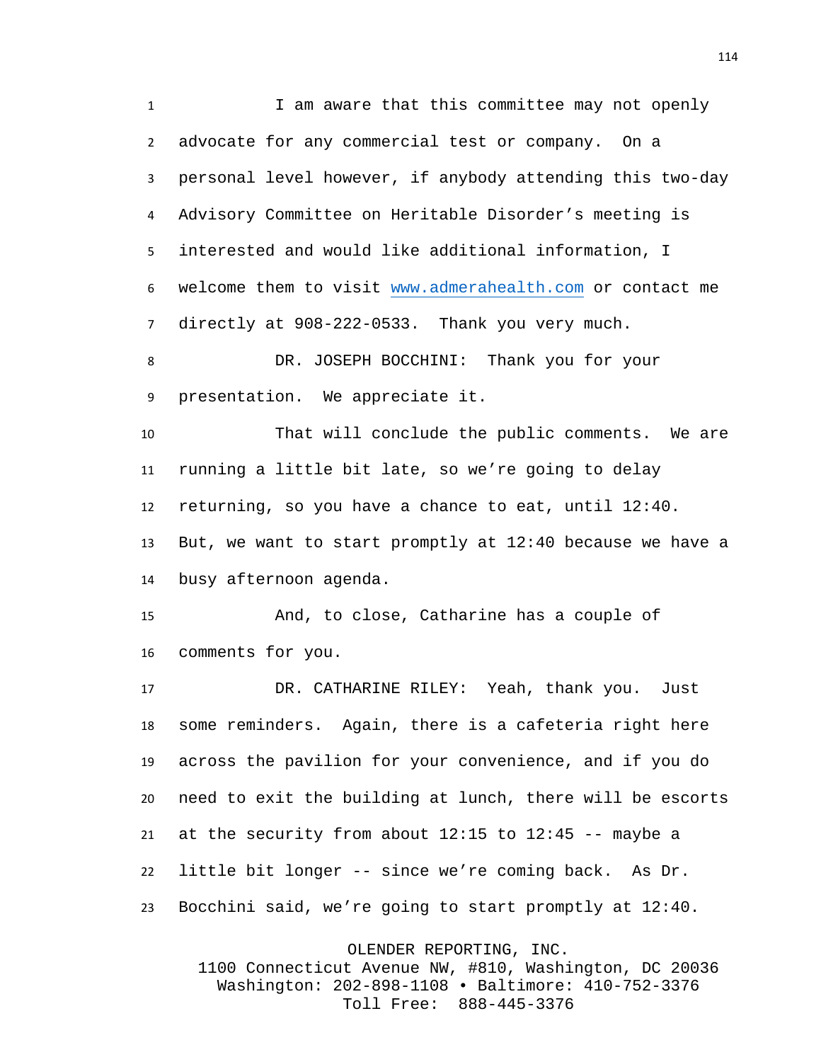1 I am aware that this committee may not openly advocate for any commercial test or company. On a personal level however, if anybody attending this two-day Advisory Committee on Heritable Disorder's meeting is interested and would like additional information, I welcome them to visit [www.admerahealth.com](http://www.admerahealth.com/) or contact me directly at 908-222-0533. Thank you very much.

 DR. JOSEPH BOCCHINI: Thank you for your presentation. We appreciate it.

 That will conclude the public comments. We are running a little bit late, so we're going to delay returning, so you have a chance to eat, until 12:40. But, we want to start promptly at 12:40 because we have a busy afternoon agenda.

 And, to close, Catharine has a couple of comments for you.

 DR. CATHARINE RILEY: Yeah, thank you. Just some reminders. Again, there is a cafeteria right here across the pavilion for your convenience, and if you do need to exit the building at lunch, there will be escorts 21 at the security from about  $12:15$  to  $12:45$  -- maybe a little bit longer -- since we're coming back. As Dr. Bocchini said, we're going to start promptly at 12:40.

OLENDER REPORTING, INC.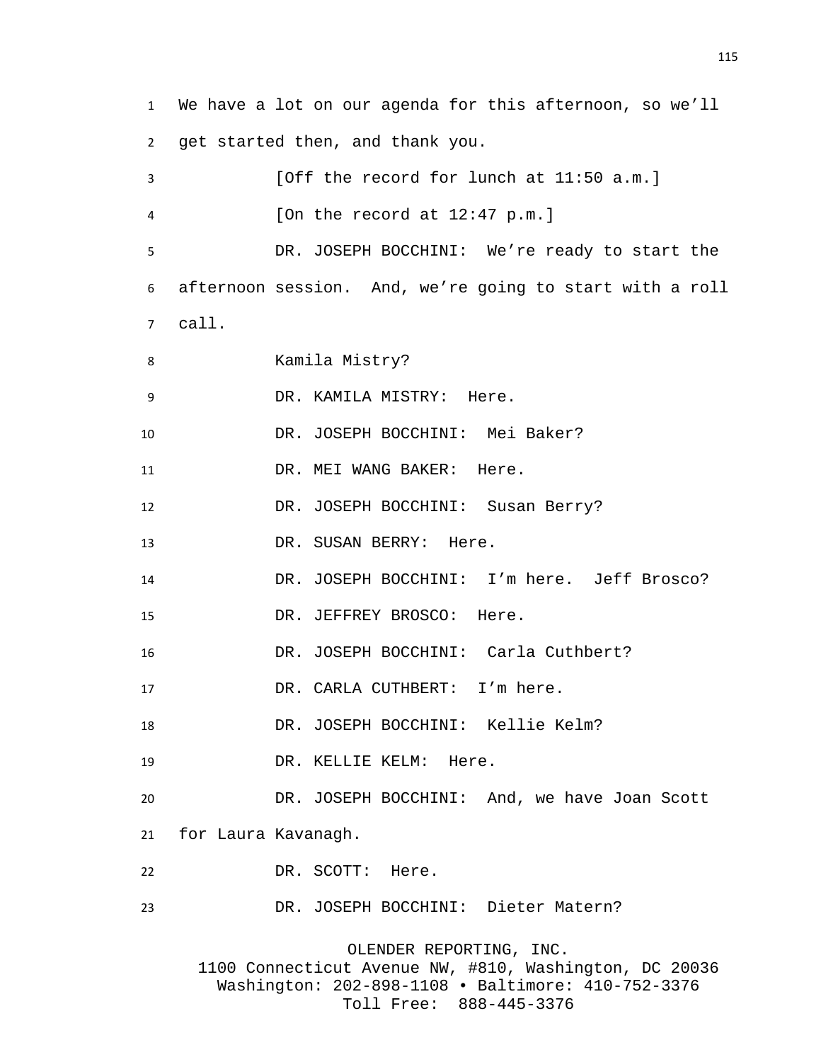We have a lot on our agenda for this afternoon, so we'll get started then, and thank you. [Off the record for lunch at 11:50 a.m.] [On the record at 12:47 p.m.] DR. JOSEPH BOCCHINI: We're ready to start the afternoon session. And, we're going to start with a roll call. Kamila Mistry? DR. KAMILA MISTRY: Here. DR. JOSEPH BOCCHINI: Mei Baker? 11 DR. MEI WANG BAKER: Here. 12 DR. JOSEPH BOCCHINI: Susan Berry? 13 DR. SUSAN BERRY: Here. DR. JOSEPH BOCCHINI: I'm here. Jeff Brosco? DR. JEFFREY BROSCO: Here. DR. JOSEPH BOCCHINI: Carla Cuthbert? 17 DR. CARLA CUTHBERT: I'm here. DR. JOSEPH BOCCHINI: Kellie Kelm? DR. KELLIE KELM: Here. DR. JOSEPH BOCCHINI: And, we have Joan Scott for Laura Kavanagh. DR. SCOTT: Here. DR. JOSEPH BOCCHINI: Dieter Matern? OLENDER REPORTING, INC. 1100 Connecticut Avenue NW, #810, Washington, DC 20036 Washington: 202-898-1108 • Baltimore: 410-752-3376

Toll Free: 888-445-3376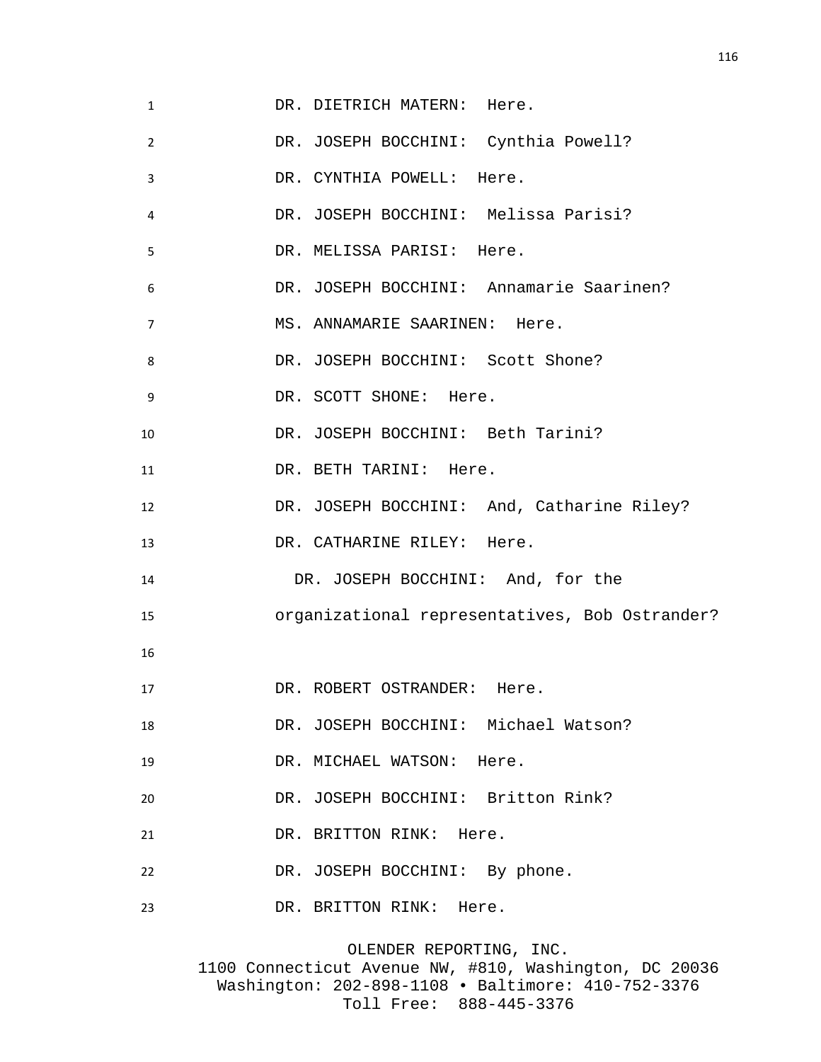| $\mathbf{1}$ | DR. DIETRICH MATERN: Here.                     |
|--------------|------------------------------------------------|
| 2            | DR. JOSEPH BOCCHINI: Cynthia Powell?           |
| 3            | DR. CYNTHIA POWELL: Here.                      |
| 4            | DR. JOSEPH BOCCHINI: Melissa Parisi?           |
| 5            | DR. MELISSA PARISI: Here.                      |
| 6            | DR. JOSEPH BOCCHINI: Annamarie Saarinen?       |
| 7            | MS. ANNAMARIE SAARINEN: Here.                  |
| 8            | DR. JOSEPH BOCCHINI: Scott Shone?              |
| 9            | DR. SCOTT SHONE: Here.                         |
| 10           | DR. JOSEPH BOCCHINI: Beth Tarini?              |
| 11           | DR. BETH TARINI: Here.                         |
| 12           | DR. JOSEPH BOCCHINI: And, Catharine Riley?     |
| 13           | DR. CATHARINE RILEY: Here.                     |
| 14           | DR. JOSEPH BOCCHINI: And, for the              |
| 15           | organizational representatives, Bob Ostrander? |
| 16           |                                                |
| 17           | DR. ROBERT OSTRANDER: Here                     |
| 18           | DR. JOSEPH BOCCHINI: Michael Watson?           |
| 19           | DR. MICHAEL WATSON: Here.                      |
| 20           | DR. JOSEPH BOCCHINI: Britton Rink?             |
| 21           | DR. BRITTON RINK: Here.                        |
| 22           | DR. JOSEPH BOCCHINI: By phone.                 |
| 23           | DR. BRITTON RINK: Here.                        |
|              |                                                |

OLENDER REPORTING, INC. 1100 Connecticut Avenue NW, #810, Washington, DC 20036 Washington: 202-898-1108 • Baltimore: 410-752-3376 Toll Free: 888-445-3376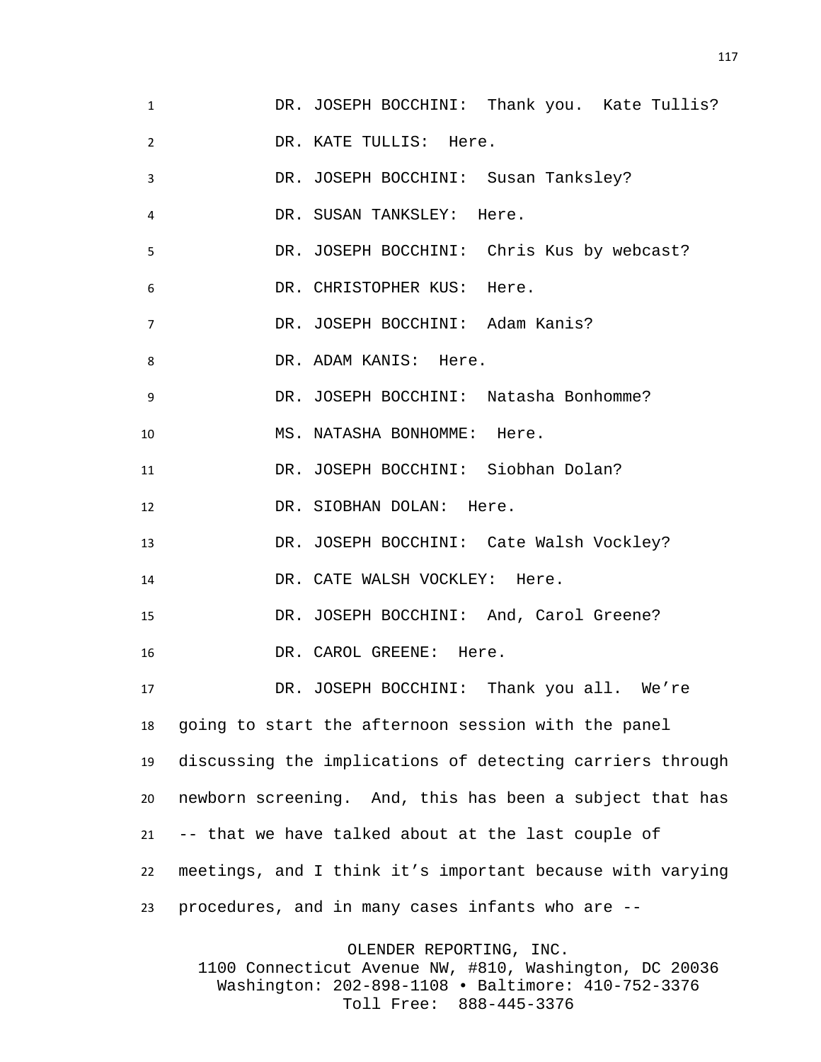DR. JOSEPH BOCCHINI: Thank you. Kate Tullis? DR. KATE TULLIS: Here. DR. JOSEPH BOCCHINI: Susan Tanksley? DR. SUSAN TANKSLEY: Here. DR. JOSEPH BOCCHINI: Chris Kus by webcast? DR. CHRISTOPHER KUS: Here. DR. JOSEPH BOCCHINI: Adam Kanis? 8 DR. ADAM KANIS: Here. DR. JOSEPH BOCCHINI: Natasha Bonhomme? 10 MS. NATASHA BONHOMME: Here. DR. JOSEPH BOCCHINI: Siobhan Dolan? DR. SIOBHAN DOLAN: Here. DR. JOSEPH BOCCHINI: Cate Walsh Vockley? 14 DR. CATE WALSH VOCKLEY: Here. DR. JOSEPH BOCCHINI: And, Carol Greene? DR. CAROL GREENE: Here. DR. JOSEPH BOCCHINI: Thank you all. We're going to start the afternoon session with the panel discussing the implications of detecting carriers through newborn screening. And, this has been a subject that has -- that we have talked about at the last couple of meetings, and I think it's important because with varying procedures, and in many cases infants who are --

OLENDER REPORTING, INC.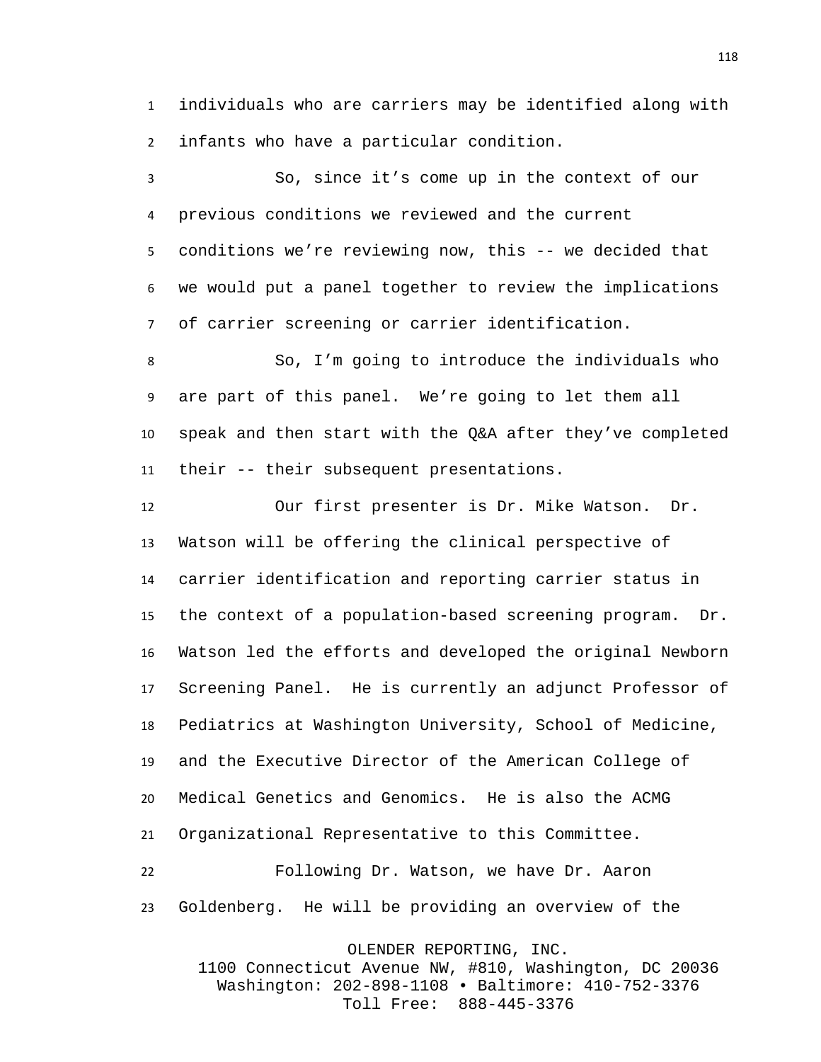individuals who are carriers may be identified along with infants who have a particular condition.

 So, since it's come up in the context of our previous conditions we reviewed and the current conditions we're reviewing now, this -- we decided that we would put a panel together to review the implications of carrier screening or carrier identification.

 So, I'm going to introduce the individuals who are part of this panel. We're going to let them all speak and then start with the Q&A after they've completed their -- their subsequent presentations.

 Our first presenter is Dr. Mike Watson. Dr. Watson will be offering the clinical perspective of carrier identification and reporting carrier status in the context of a population-based screening program. Dr. Watson led the efforts and developed the original Newborn Screening Panel. He is currently an adjunct Professor of Pediatrics at Washington University, School of Medicine, and the Executive Director of the American College of Medical Genetics and Genomics. He is also the ACMG Organizational Representative to this Committee. Following Dr. Watson, we have Dr. Aaron

Goldenberg. He will be providing an overview of the

OLENDER REPORTING, INC.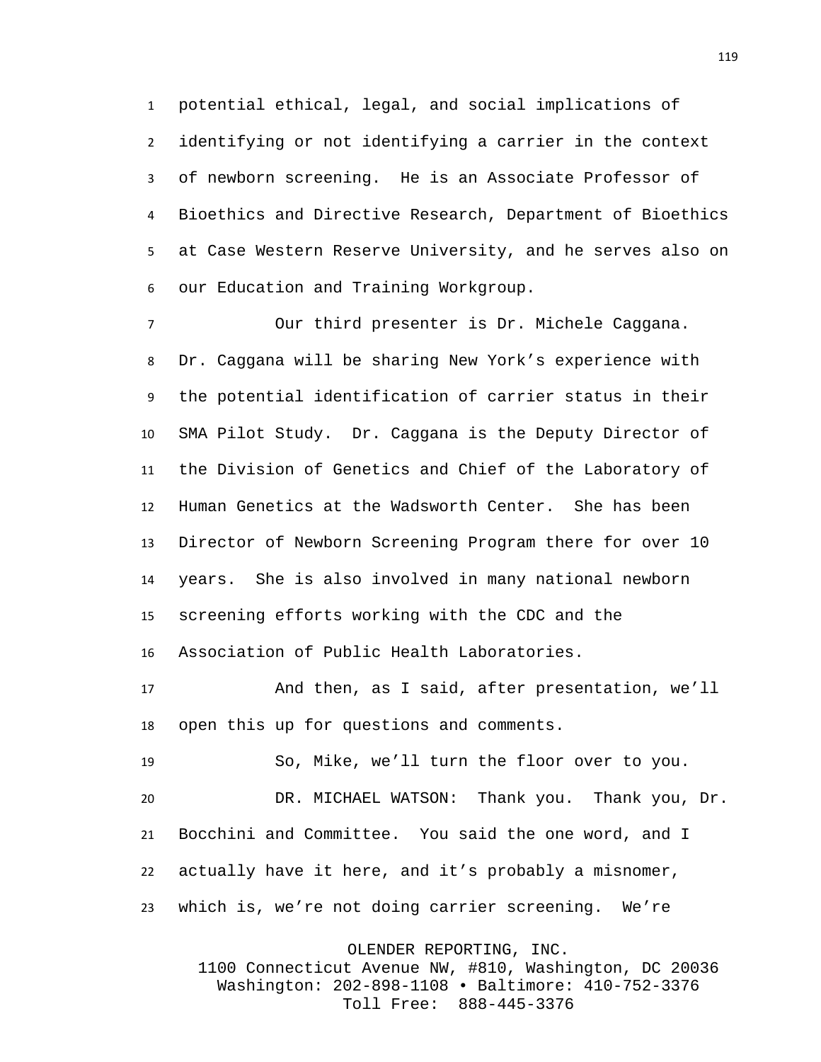potential ethical, legal, and social implications of identifying or not identifying a carrier in the context of newborn screening. He is an Associate Professor of Bioethics and Directive Research, Department of Bioethics at Case Western Reserve University, and he serves also on our Education and Training Workgroup.

 Our third presenter is Dr. Michele Caggana. Dr. Caggana will be sharing New York's experience with the potential identification of carrier status in their SMA Pilot Study. Dr. Caggana is the Deputy Director of the Division of Genetics and Chief of the Laboratory of Human Genetics at the Wadsworth Center. She has been Director of Newborn Screening Program there for over 10 years. She is also involved in many national newborn screening efforts working with the CDC and the Association of Public Health Laboratories.

 And then, as I said, after presentation, we'll open this up for questions and comments.

 So, Mike, we'll turn the floor over to you. DR. MICHAEL WATSON: Thank you. Thank you, Dr. Bocchini and Committee. You said the one word, and I actually have it here, and it's probably a misnomer, which is, we're not doing carrier screening. We're

OLENDER REPORTING, INC.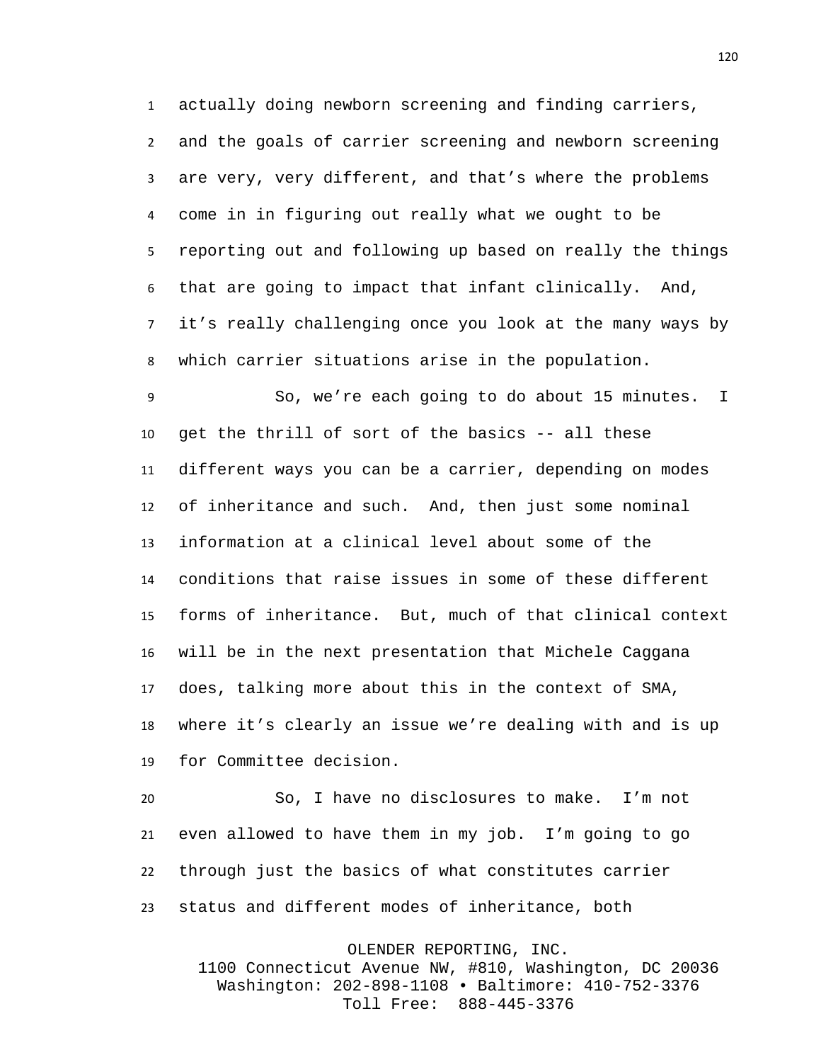actually doing newborn screening and finding carriers, and the goals of carrier screening and newborn screening are very, very different, and that's where the problems come in in figuring out really what we ought to be reporting out and following up based on really the things that are going to impact that infant clinically. And, it's really challenging once you look at the many ways by which carrier situations arise in the population.

 So, we're each going to do about 15 minutes. I get the thrill of sort of the basics -- all these different ways you can be a carrier, depending on modes of inheritance and such. And, then just some nominal information at a clinical level about some of the conditions that raise issues in some of these different forms of inheritance. But, much of that clinical context will be in the next presentation that Michele Caggana does, talking more about this in the context of SMA, where it's clearly an issue we're dealing with and is up for Committee decision.

 So, I have no disclosures to make. I'm not even allowed to have them in my job. I'm going to go through just the basics of what constitutes carrier status and different modes of inheritance, both

OLENDER REPORTING, INC.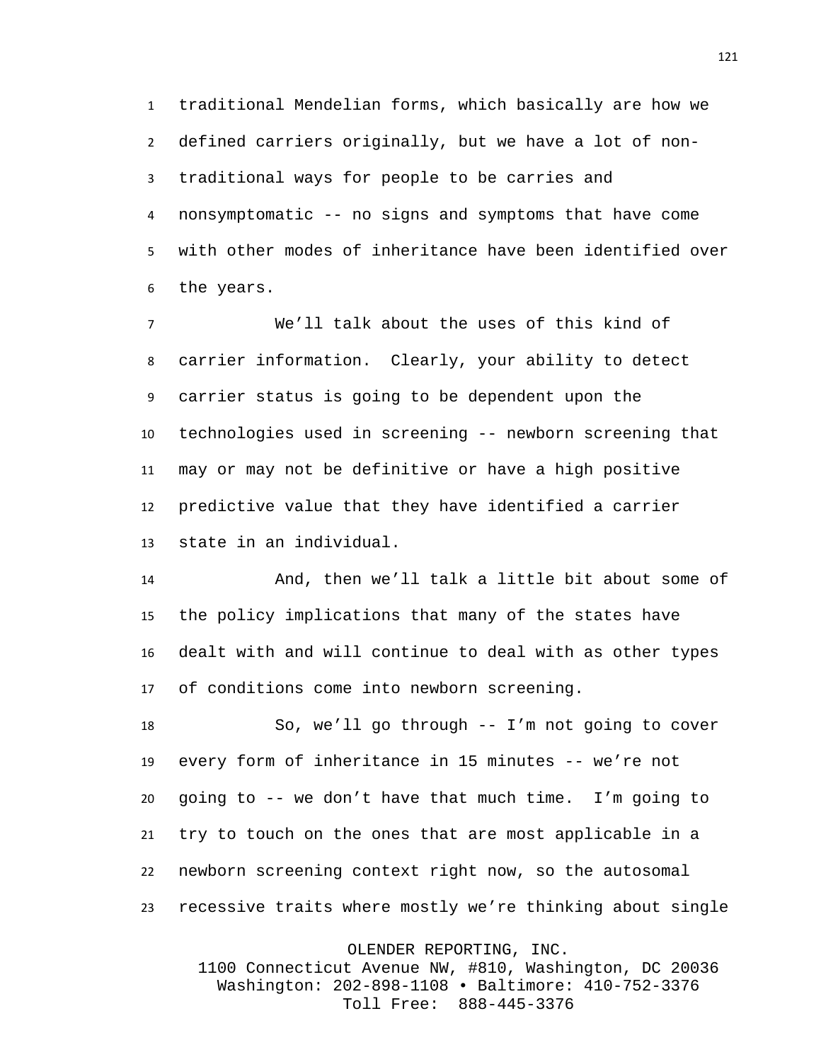traditional Mendelian forms, which basically are how we defined carriers originally, but we have a lot of non- traditional ways for people to be carries and nonsymptomatic -- no signs and symptoms that have come with other modes of inheritance have been identified over the years.

 We'll talk about the uses of this kind of carrier information. Clearly, your ability to detect carrier status is going to be dependent upon the technologies used in screening -- newborn screening that may or may not be definitive or have a high positive predictive value that they have identified a carrier state in an individual.

 And, then we'll talk a little bit about some of the policy implications that many of the states have dealt with and will continue to deal with as other types of conditions come into newborn screening.

 So, we'll go through -- I'm not going to cover every form of inheritance in 15 minutes -- we're not going to -- we don't have that much time. I'm going to try to touch on the ones that are most applicable in a newborn screening context right now, so the autosomal recessive traits where mostly we're thinking about single

OLENDER REPORTING, INC.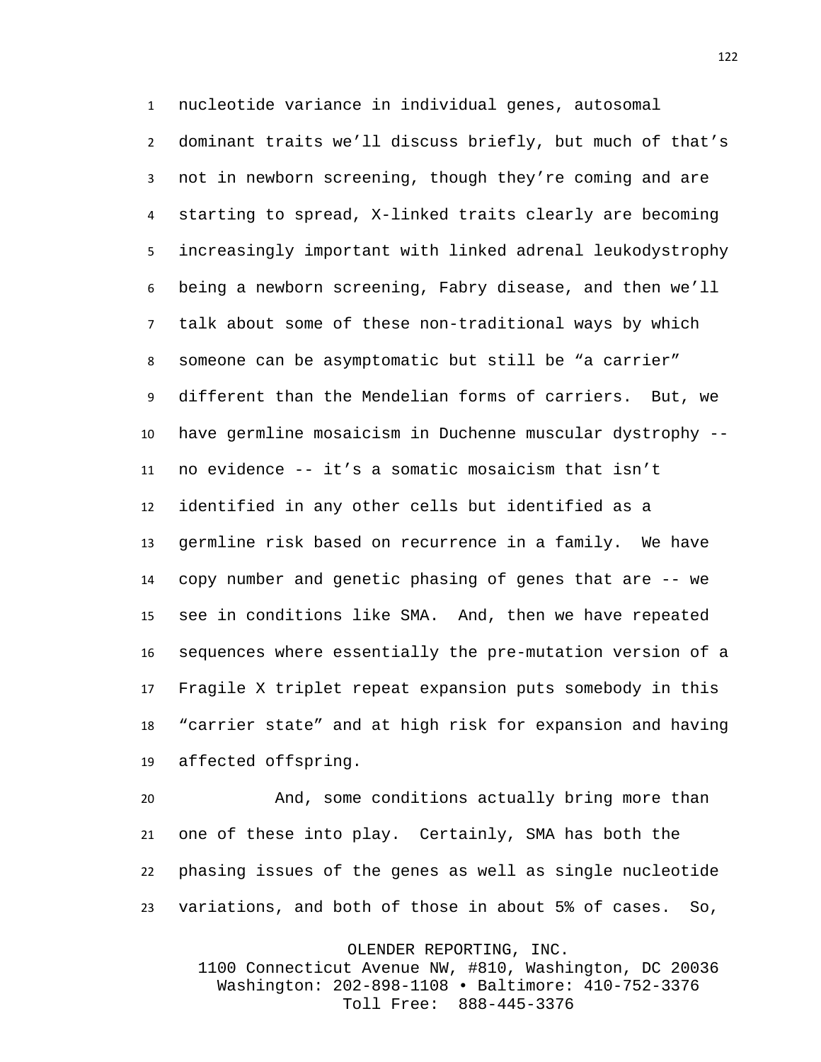nucleotide variance in individual genes, autosomal dominant traits we'll discuss briefly, but much of that's not in newborn screening, though they're coming and are starting to spread, X-linked traits clearly are becoming increasingly important with linked adrenal leukodystrophy being a newborn screening, Fabry disease, and then we'll talk about some of these non-traditional ways by which someone can be asymptomatic but still be "a carrier" different than the Mendelian forms of carriers. But, we have germline mosaicism in Duchenne muscular dystrophy -- no evidence -- it's a somatic mosaicism that isn't identified in any other cells but identified as a germline risk based on recurrence in a family. We have copy number and genetic phasing of genes that are -- we see in conditions like SMA. And, then we have repeated sequences where essentially the pre-mutation version of a Fragile X triplet repeat expansion puts somebody in this "carrier state" and at high risk for expansion and having affected offspring.

 And, some conditions actually bring more than one of these into play. Certainly, SMA has both the phasing issues of the genes as well as single nucleotide variations, and both of those in about 5% of cases. So,

OLENDER REPORTING, INC.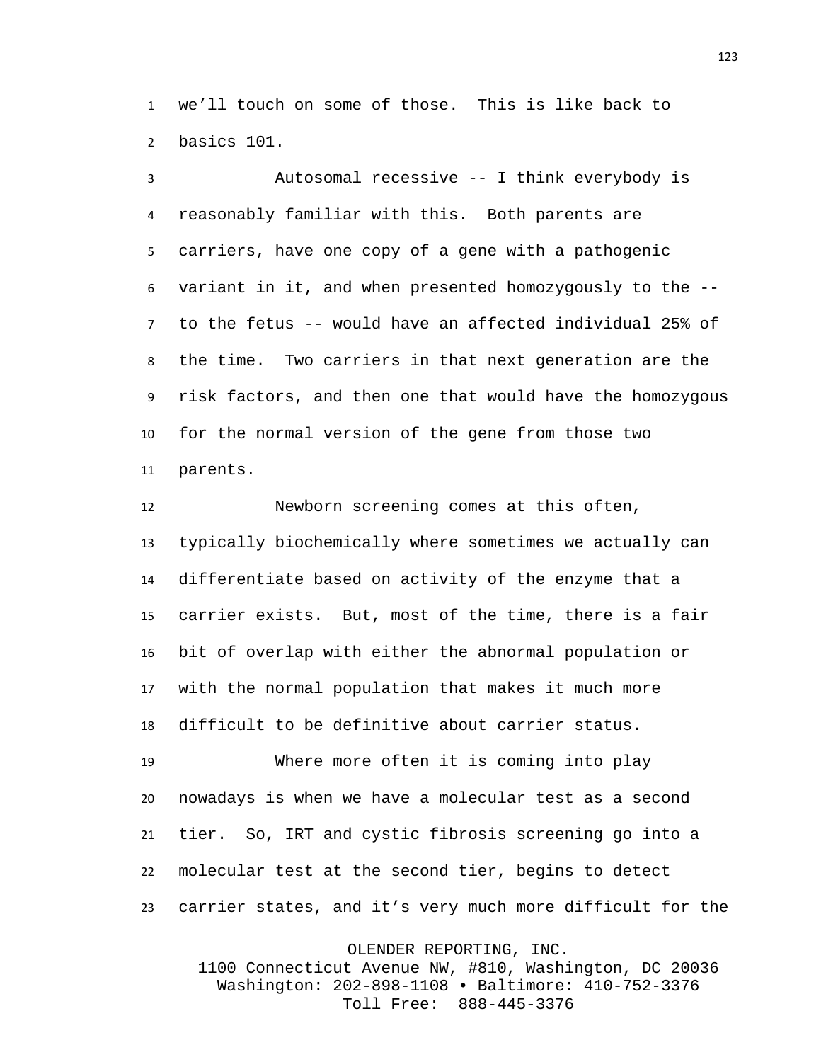we'll touch on some of those. This is like back to basics 101.

 Autosomal recessive -- I think everybody is reasonably familiar with this. Both parents are carriers, have one copy of a gene with a pathogenic variant in it, and when presented homozygously to the -- to the fetus -- would have an affected individual 25% of the time. Two carriers in that next generation are the risk factors, and then one that would have the homozygous for the normal version of the gene from those two parents.

 Newborn screening comes at this often, typically biochemically where sometimes we actually can differentiate based on activity of the enzyme that a carrier exists. But, most of the time, there is a fair bit of overlap with either the abnormal population or with the normal population that makes it much more difficult to be definitive about carrier status.

 Where more often it is coming into play nowadays is when we have a molecular test as a second tier. So, IRT and cystic fibrosis screening go into a molecular test at the second tier, begins to detect carrier states, and it's very much more difficult for the

OLENDER REPORTING, INC.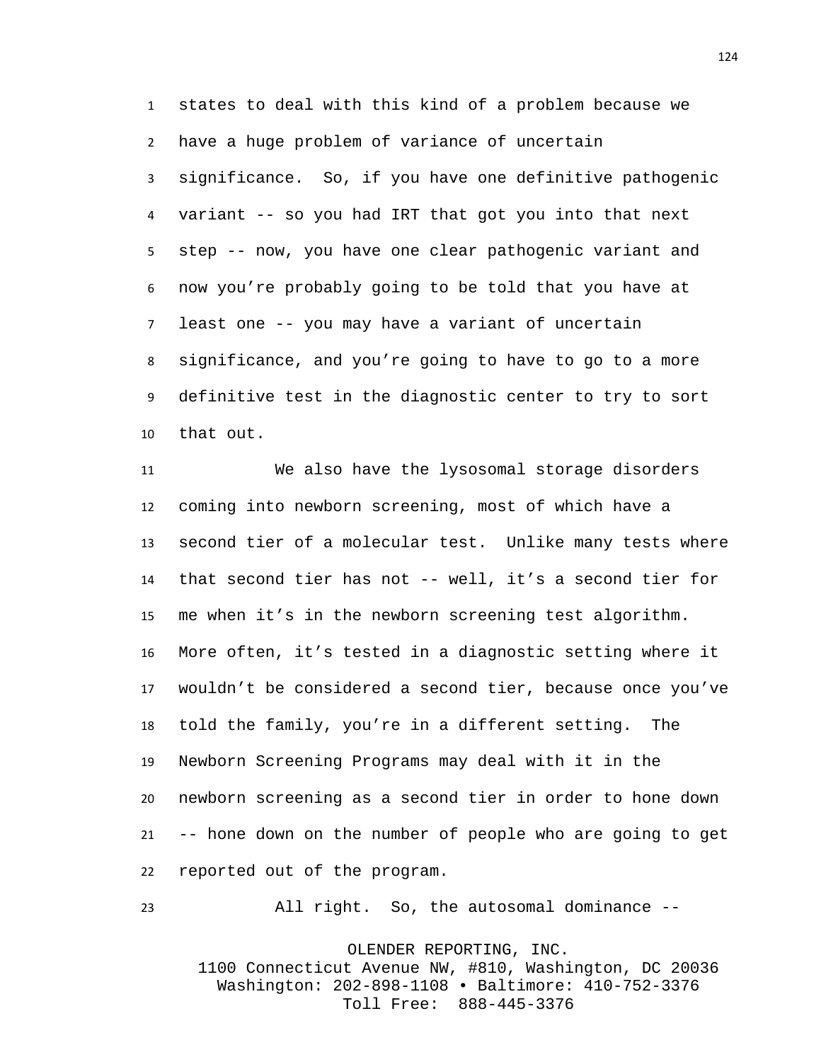states to deal with this kind of a problem because we have a huge problem of variance of uncertain significance. So, if you have one definitive pathogenic variant -- so you had IRT that got you into that next step -- now, you have one clear pathogenic variant and now you're probably going to be told that you have at least one -- you may have a variant of uncertain significance, and you're going to have to go to a more definitive test in the diagnostic center to try to sort that out.

 We also have the lysosomal storage disorders coming into newborn screening, most of which have a second tier of a molecular test. Unlike many tests where that second tier has not -- well, it's a second tier for me when it's in the newborn screening test algorithm. More often, it's tested in a diagnostic setting where it wouldn't be considered a second tier, because once you've told the family, you're in a different setting. The Newborn Screening Programs may deal with it in the newborn screening as a second tier in order to hone down -- hone down on the number of people who are going to get reported out of the program.

All right. So, the autosomal dominance --

OLENDER REPORTING, INC. 1100 Connecticut Avenue NW, #810, Washington, DC 20036 Washington: 202-898-1108 • Baltimore: 410-752-3376 Toll Free: 888-445-3376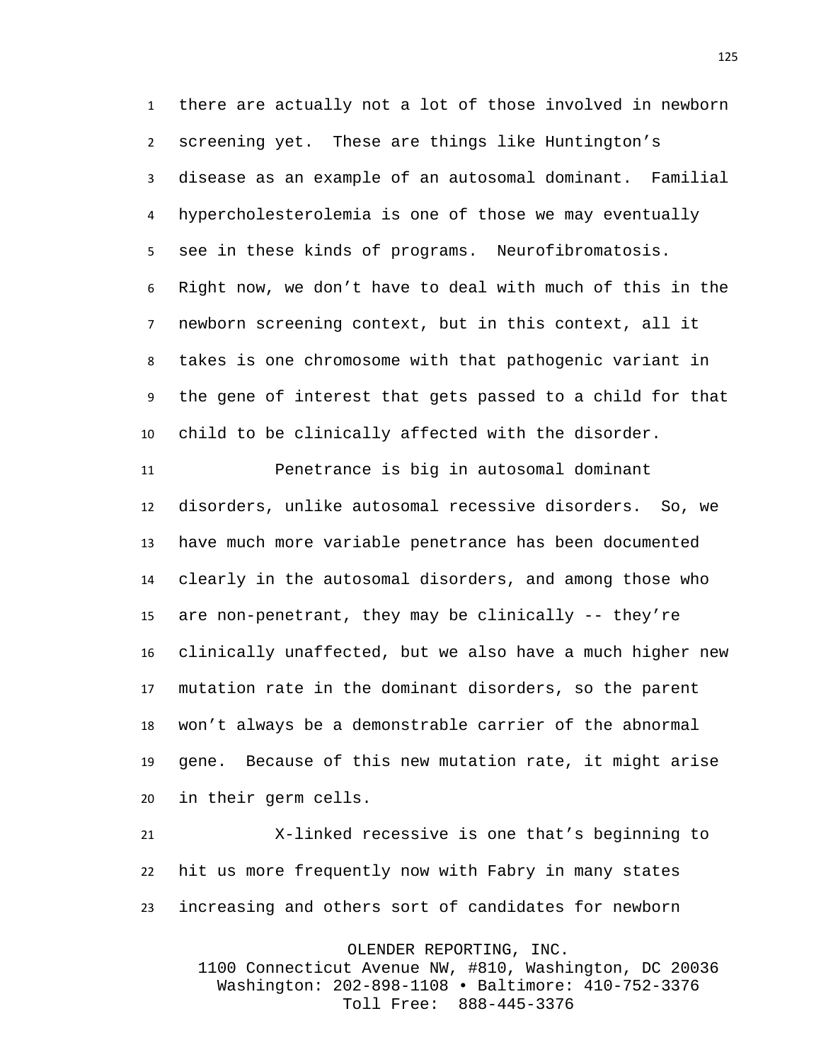there are actually not a lot of those involved in newborn screening yet. These are things like Huntington's disease as an example of an autosomal dominant. Familial hypercholesterolemia is one of those we may eventually see in these kinds of programs. Neurofibromatosis. Right now, we don't have to deal with much of this in the newborn screening context, but in this context, all it takes is one chromosome with that pathogenic variant in the gene of interest that gets passed to a child for that child to be clinically affected with the disorder.

 Penetrance is big in autosomal dominant disorders, unlike autosomal recessive disorders. So, we have much more variable penetrance has been documented clearly in the autosomal disorders, and among those who are non-penetrant, they may be clinically -- they're clinically unaffected, but we also have a much higher new mutation rate in the dominant disorders, so the parent won't always be a demonstrable carrier of the abnormal gene. Because of this new mutation rate, it might arise in their germ cells.

 X-linked recessive is one that's beginning to hit us more frequently now with Fabry in many states increasing and others sort of candidates for newborn

OLENDER REPORTING, INC.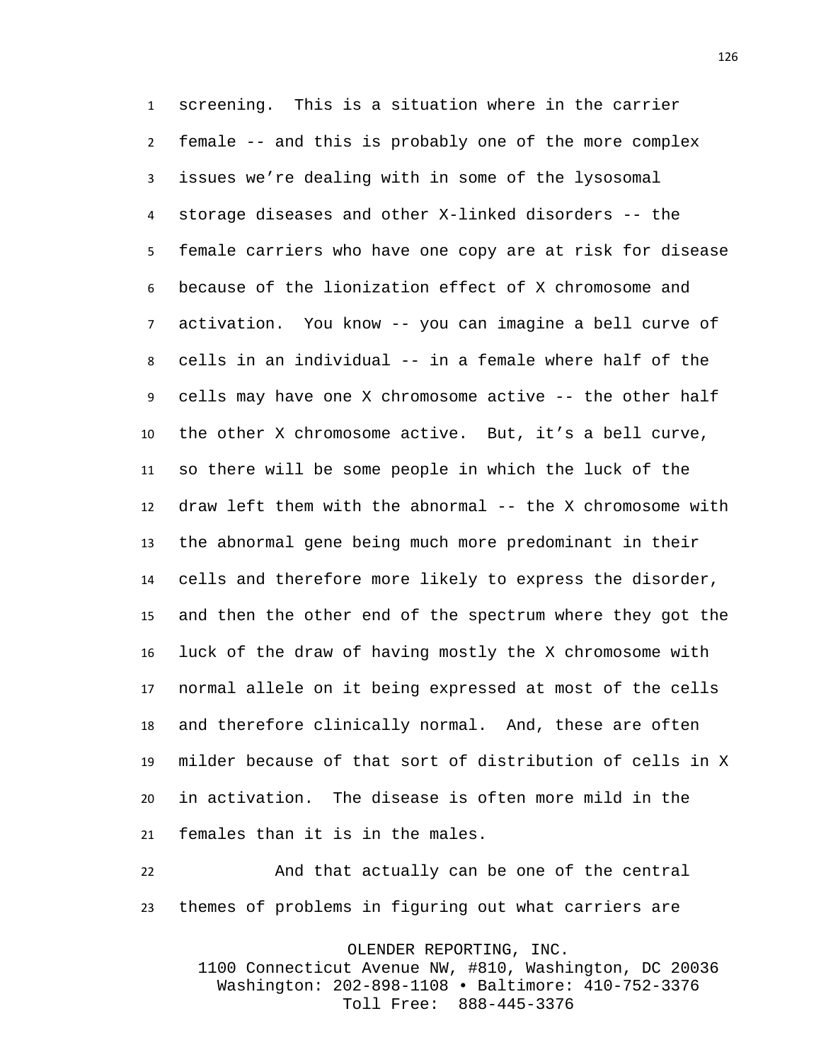screening. This is a situation where in the carrier female -- and this is probably one of the more complex issues we're dealing with in some of the lysosomal storage diseases and other X-linked disorders -- the female carriers who have one copy are at risk for disease because of the lionization effect of X chromosome and activation. You know -- you can imagine a bell curve of cells in an individual -- in a female where half of the cells may have one X chromosome active -- the other half the other X chromosome active. But, it's a bell curve, so there will be some people in which the luck of the draw left them with the abnormal -- the X chromosome with the abnormal gene being much more predominant in their cells and therefore more likely to express the disorder, and then the other end of the spectrum where they got the luck of the draw of having mostly the X chromosome with normal allele on it being expressed at most of the cells and therefore clinically normal. And, these are often milder because of that sort of distribution of cells in X in activation. The disease is often more mild in the females than it is in the males.

 And that actually can be one of the central themes of problems in figuring out what carriers are

OLENDER REPORTING, INC.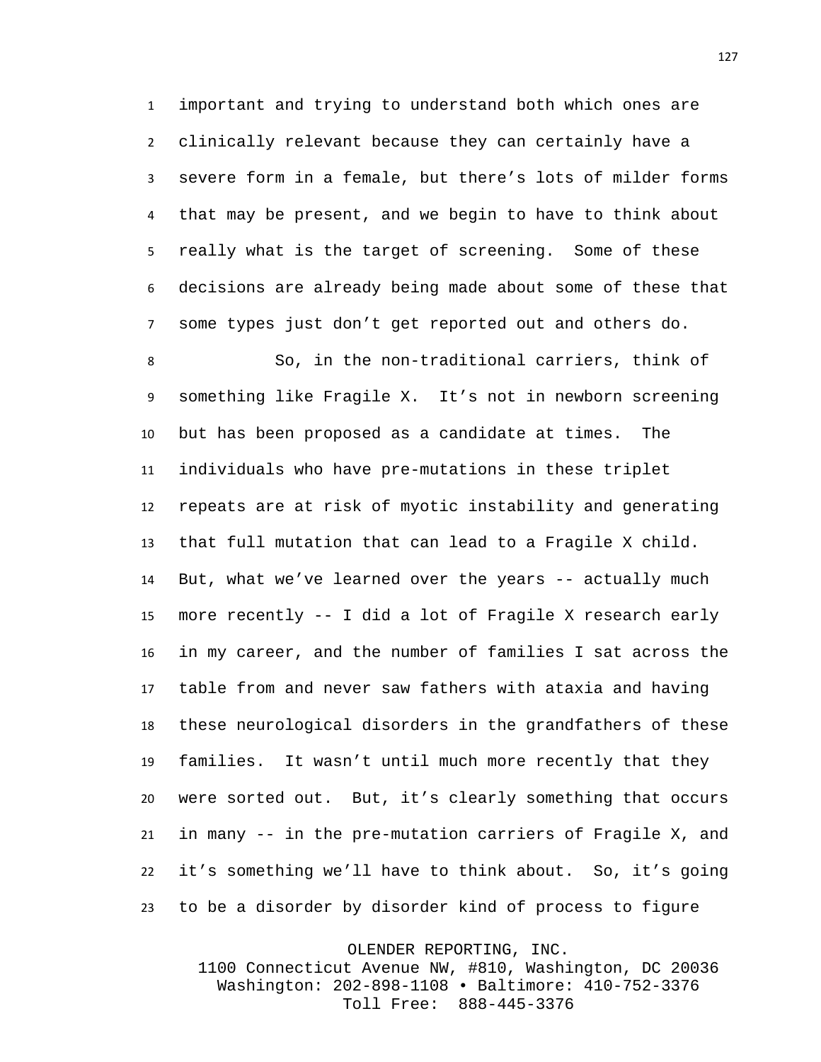important and trying to understand both which ones are clinically relevant because they can certainly have a severe form in a female, but there's lots of milder forms that may be present, and we begin to have to think about really what is the target of screening. Some of these decisions are already being made about some of these that some types just don't get reported out and others do.

 So, in the non-traditional carriers, think of something like Fragile X. It's not in newborn screening but has been proposed as a candidate at times. The individuals who have pre-mutations in these triplet repeats are at risk of myotic instability and generating that full mutation that can lead to a Fragile X child. 14 But, what we've learned over the years -- actually much more recently -- I did a lot of Fragile X research early in my career, and the number of families I sat across the table from and never saw fathers with ataxia and having these neurological disorders in the grandfathers of these families. It wasn't until much more recently that they were sorted out. But, it's clearly something that occurs in many -- in the pre-mutation carriers of Fragile X, and it's something we'll have to think about. So, it's going to be a disorder by disorder kind of process to figure

OLENDER REPORTING, INC.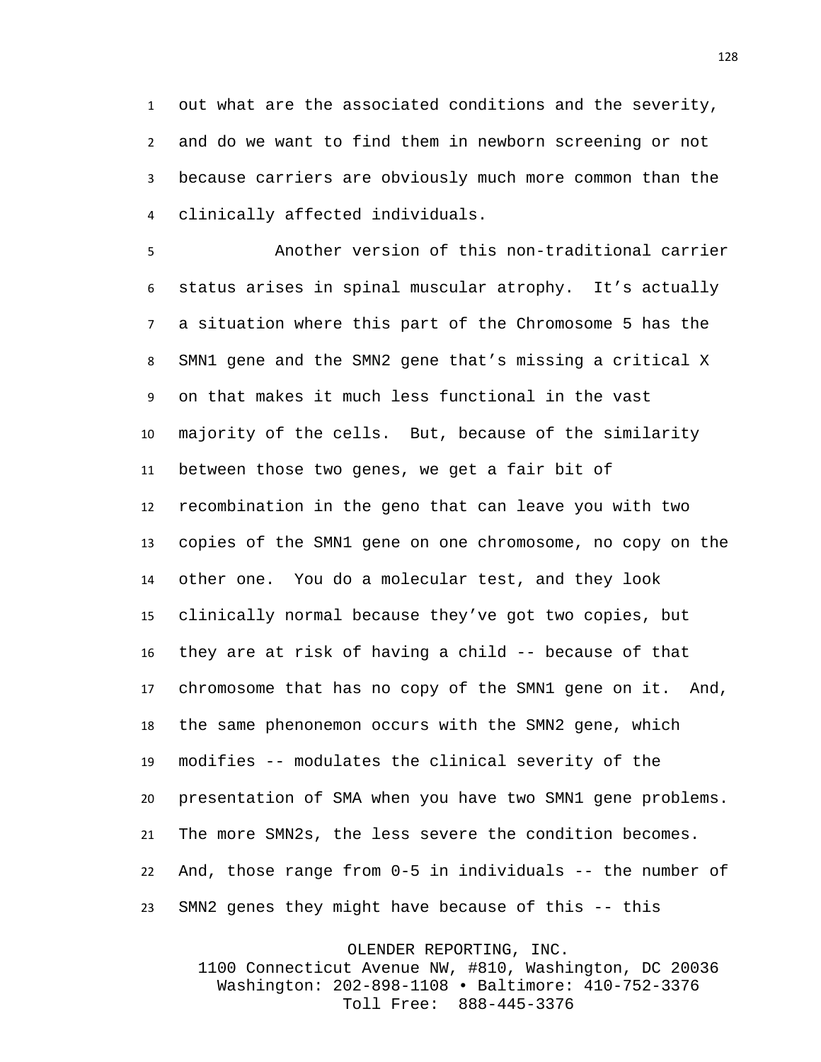out what are the associated conditions and the severity, and do we want to find them in newborn screening or not because carriers are obviously much more common than the clinically affected individuals.

 Another version of this non-traditional carrier status arises in spinal muscular atrophy. It's actually a situation where this part of the Chromosome 5 has the SMN1 gene and the SMN2 gene that's missing a critical X on that makes it much less functional in the vast majority of the cells. But, because of the similarity between those two genes, we get a fair bit of recombination in the geno that can leave you with two copies of the SMN1 gene on one chromosome, no copy on the other one. You do a molecular test, and they look clinically normal because they've got two copies, but they are at risk of having a child -- because of that chromosome that has no copy of the SMN1 gene on it. And, the same phenonemon occurs with the SMN2 gene, which modifies -- modulates the clinical severity of the presentation of SMA when you have two SMN1 gene problems. The more SMN2s, the less severe the condition becomes. And, those range from 0-5 in individuals -- the number of SMN2 genes they might have because of this -- this

OLENDER REPORTING, INC.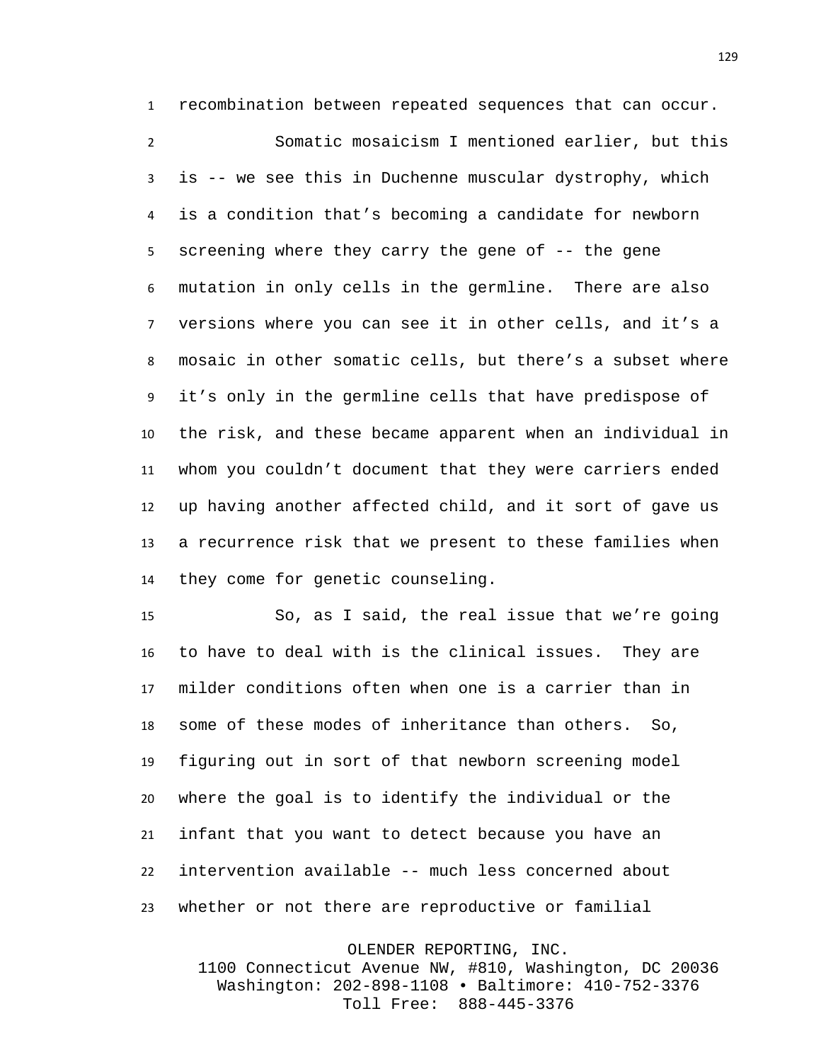recombination between repeated sequences that can occur. Somatic mosaicism I mentioned earlier, but this is -- we see this in Duchenne muscular dystrophy, which is a condition that's becoming a candidate for newborn screening where they carry the gene of -- the gene mutation in only cells in the germline. There are also versions where you can see it in other cells, and it's a mosaic in other somatic cells, but there's a subset where it's only in the germline cells that have predispose of the risk, and these became apparent when an individual in whom you couldn't document that they were carriers ended up having another affected child, and it sort of gave us a recurrence risk that we present to these families when they come for genetic counseling.

 So, as I said, the real issue that we're going to have to deal with is the clinical issues. They are milder conditions often when one is a carrier than in some of these modes of inheritance than others. So, figuring out in sort of that newborn screening model where the goal is to identify the individual or the infant that you want to detect because you have an intervention available -- much less concerned about whether or not there are reproductive or familial

OLENDER REPORTING, INC.

1100 Connecticut Avenue NW, #810, Washington, DC 20036 Washington: 202-898-1108 • Baltimore: 410-752-3376 Toll Free: 888-445-3376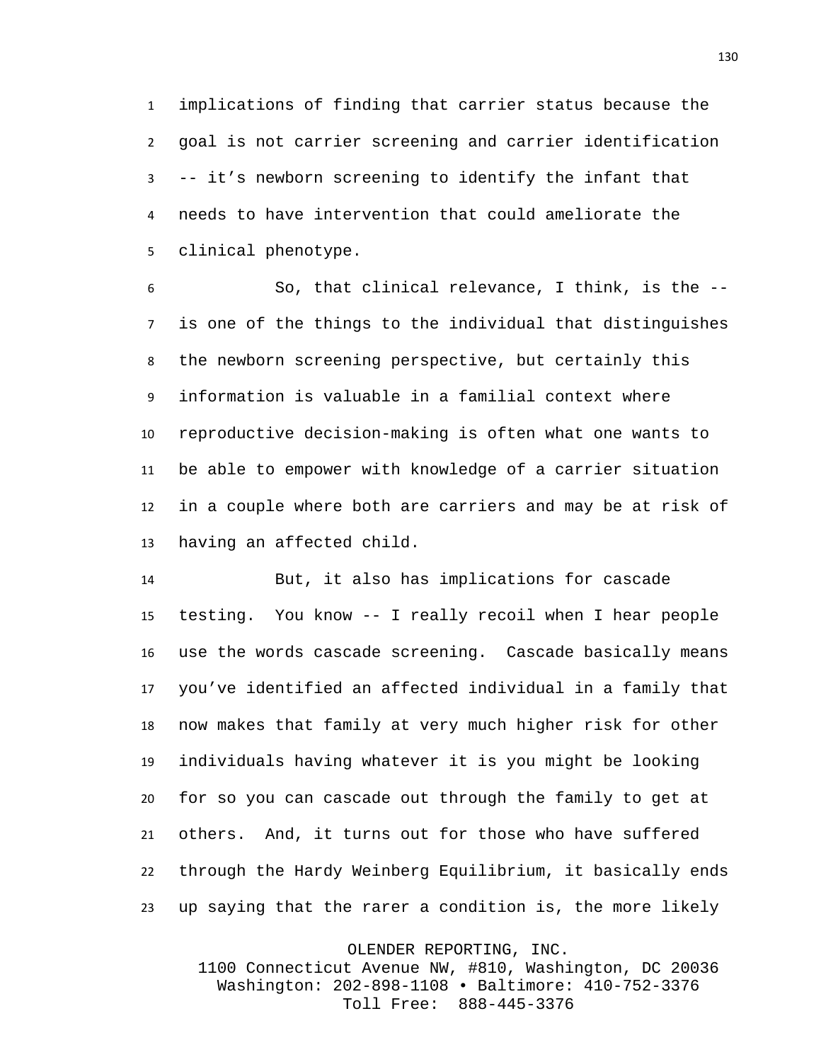implications of finding that carrier status because the goal is not carrier screening and carrier identification -- it's newborn screening to identify the infant that needs to have intervention that could ameliorate the clinical phenotype.

 So, that clinical relevance, I think, is the -- is one of the things to the individual that distinguishes the newborn screening perspective, but certainly this information is valuable in a familial context where reproductive decision-making is often what one wants to be able to empower with knowledge of a carrier situation in a couple where both are carriers and may be at risk of having an affected child.

 But, it also has implications for cascade testing. You know -- I really recoil when I hear people use the words cascade screening. Cascade basically means you've identified an affected individual in a family that now makes that family at very much higher risk for other individuals having whatever it is you might be looking for so you can cascade out through the family to get at others. And, it turns out for those who have suffered through the Hardy Weinberg Equilibrium, it basically ends up saying that the rarer a condition is, the more likely

OLENDER REPORTING, INC.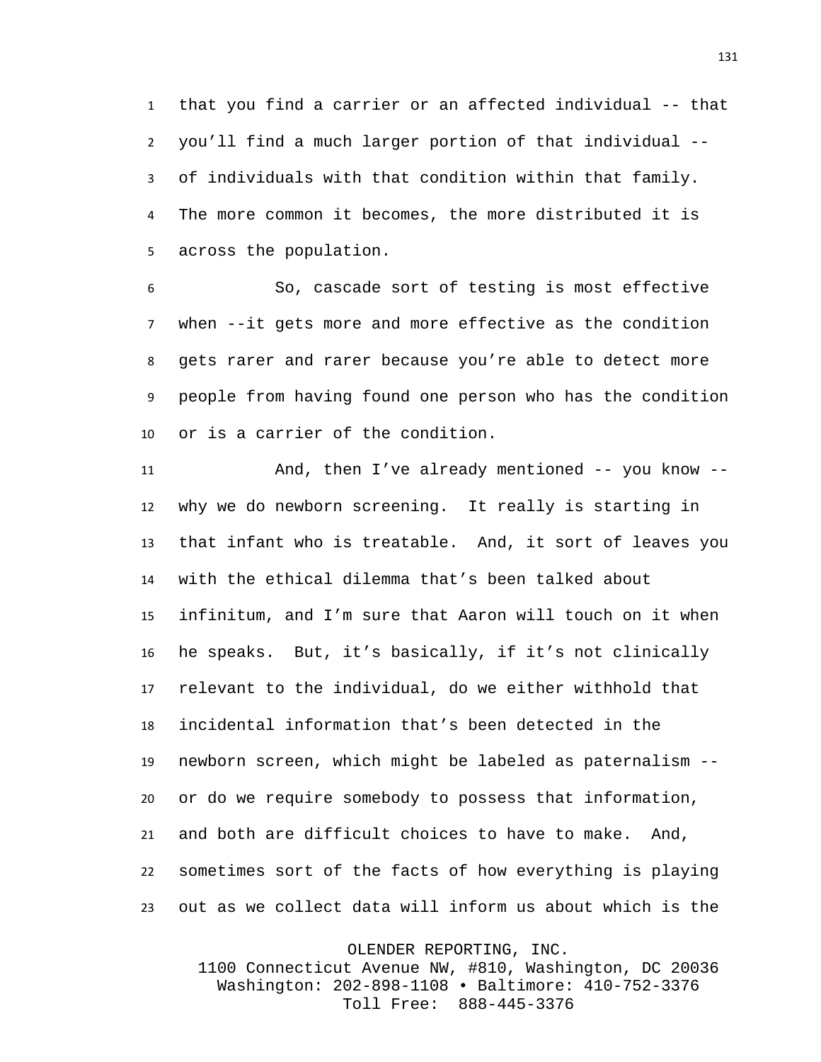that you find a carrier or an affected individual -- that you'll find a much larger portion of that individual -- of individuals with that condition within that family. The more common it becomes, the more distributed it is across the population.

 So, cascade sort of testing is most effective when --it gets more and more effective as the condition gets rarer and rarer because you're able to detect more people from having found one person who has the condition or is a carrier of the condition.

 And, then I've already mentioned -- you know -- why we do newborn screening. It really is starting in that infant who is treatable. And, it sort of leaves you with the ethical dilemma that's been talked about infinitum, and I'm sure that Aaron will touch on it when he speaks. But, it's basically, if it's not clinically relevant to the individual, do we either withhold that incidental information that's been detected in the newborn screen, which might be labeled as paternalism -- or do we require somebody to possess that information, and both are difficult choices to have to make. And, sometimes sort of the facts of how everything is playing out as we collect data will inform us about which is the

OLENDER REPORTING, INC.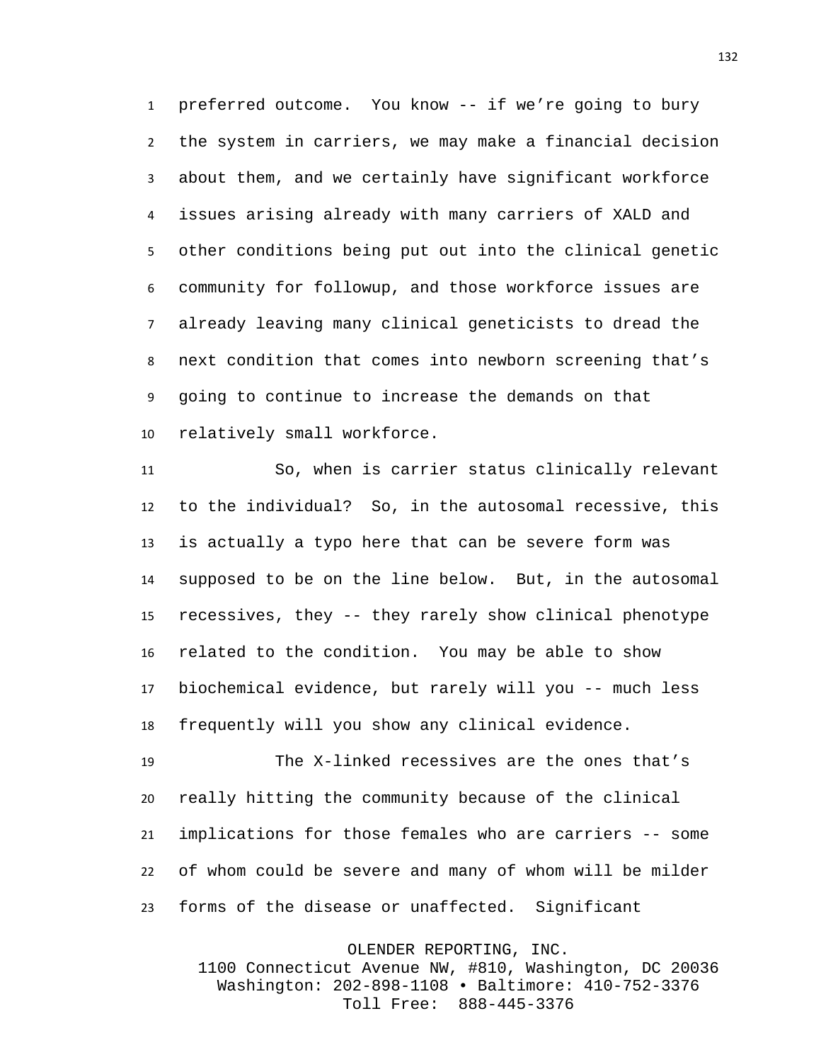preferred outcome. You know -- if we're going to bury the system in carriers, we may make a financial decision about them, and we certainly have significant workforce issues arising already with many carriers of XALD and other conditions being put out into the clinical genetic community for followup, and those workforce issues are already leaving many clinical geneticists to dread the next condition that comes into newborn screening that's going to continue to increase the demands on that relatively small workforce.

 So, when is carrier status clinically relevant to the individual? So, in the autosomal recessive, this is actually a typo here that can be severe form was supposed to be on the line below. But, in the autosomal recessives, they -- they rarely show clinical phenotype related to the condition. You may be able to show biochemical evidence, but rarely will you -- much less frequently will you show any clinical evidence.

 The X-linked recessives are the ones that's really hitting the community because of the clinical implications for those females who are carriers -- some of whom could be severe and many of whom will be milder forms of the disease or unaffected. Significant

OLENDER REPORTING, INC.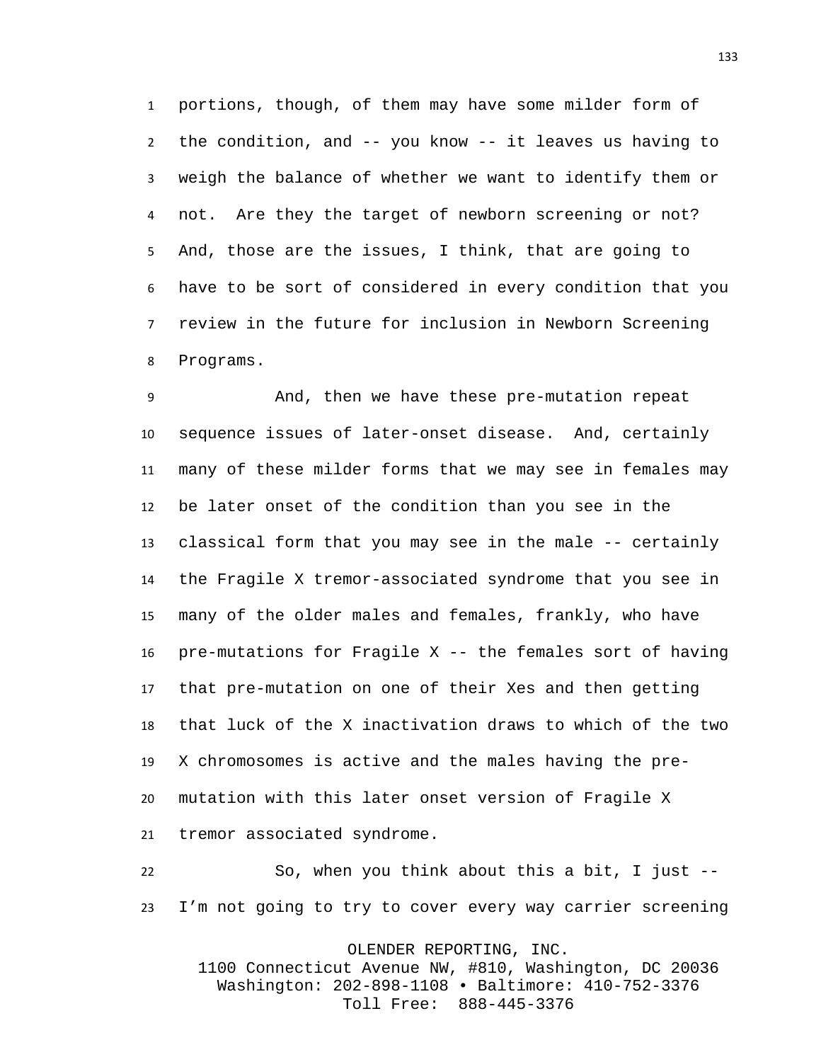portions, though, of them may have some milder form of the condition, and -- you know -- it leaves us having to weigh the balance of whether we want to identify them or not. Are they the target of newborn screening or not? And, those are the issues, I think, that are going to have to be sort of considered in every condition that you review in the future for inclusion in Newborn Screening Programs.

 And, then we have these pre-mutation repeat sequence issues of later-onset disease. And, certainly many of these milder forms that we may see in females may be later onset of the condition than you see in the classical form that you may see in the male -- certainly the Fragile X tremor-associated syndrome that you see in many of the older males and females, frankly, who have pre-mutations for Fragile X -- the females sort of having that pre-mutation on one of their Xes and then getting that luck of the X inactivation draws to which of the two X chromosomes is active and the males having the pre- mutation with this later onset version of Fragile X tremor associated syndrome.

 So, when you think about this a bit, I just -- I'm not going to try to cover every way carrier screening

OLENDER REPORTING, INC.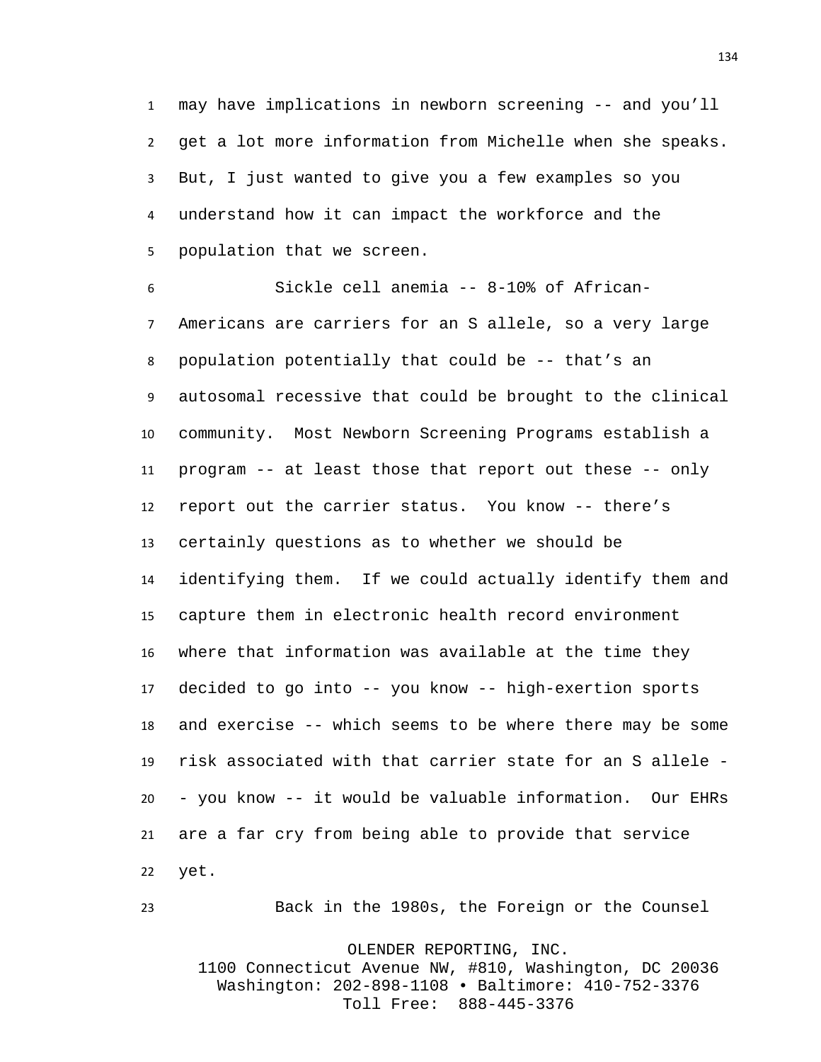may have implications in newborn screening -- and you'll get a lot more information from Michelle when she speaks. But, I just wanted to give you a few examples so you understand how it can impact the workforce and the population that we screen.

 Sickle cell anemia -- 8-10% of African- Americans are carriers for an S allele, so a very large population potentially that could be -- that's an autosomal recessive that could be brought to the clinical community. Most Newborn Screening Programs establish a program -- at least those that report out these -- only report out the carrier status. You know -- there's certainly questions as to whether we should be identifying them. If we could actually identify them and capture them in electronic health record environment where that information was available at the time they decided to go into -- you know -- high-exertion sports and exercise -- which seems to be where there may be some risk associated with that carrier state for an S allele - - you know -- it would be valuable information. Our EHRs are a far cry from being able to provide that service yet.

Back in the 1980s, the Foreign or the Counsel

OLENDER REPORTING, INC.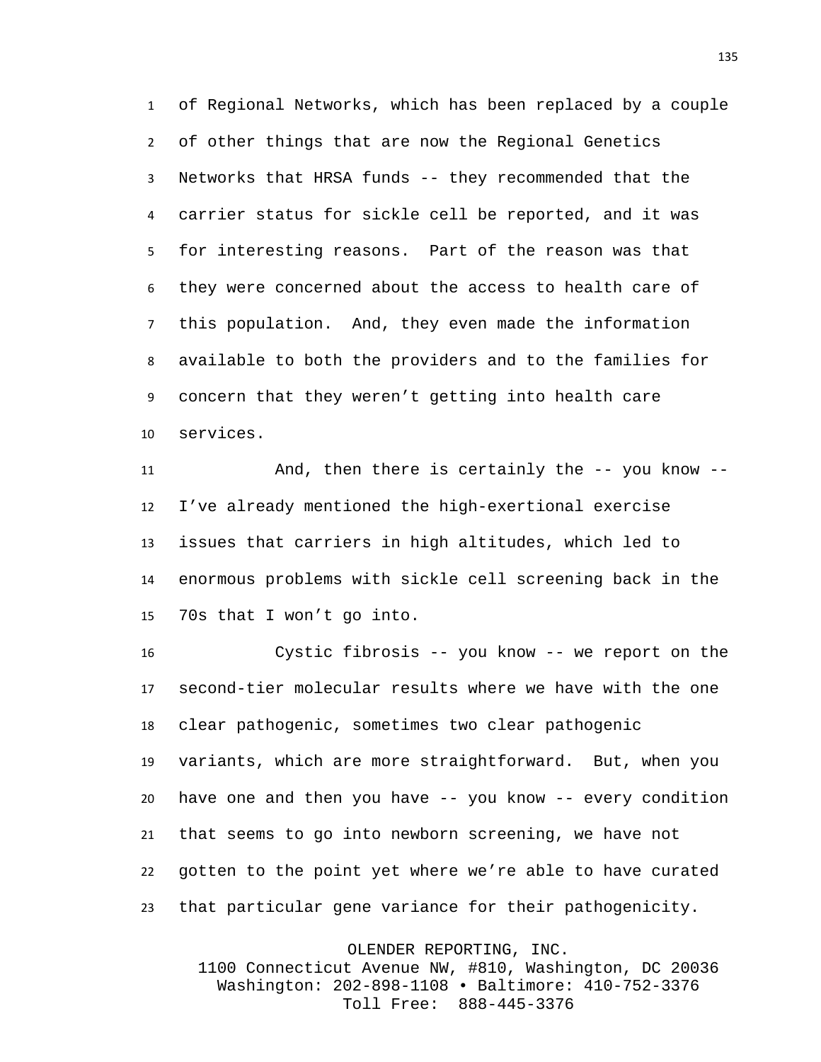of Regional Networks, which has been replaced by a couple of other things that are now the Regional Genetics Networks that HRSA funds -- they recommended that the carrier status for sickle cell be reported, and it was for interesting reasons. Part of the reason was that they were concerned about the access to health care of this population. And, they even made the information available to both the providers and to the families for concern that they weren't getting into health care services.

 And, then there is certainly the -- you know -- I've already mentioned the high-exertional exercise issues that carriers in high altitudes, which led to enormous problems with sickle cell screening back in the 70s that I won't go into.

 Cystic fibrosis -- you know -- we report on the second-tier molecular results where we have with the one clear pathogenic, sometimes two clear pathogenic variants, which are more straightforward. But, when you have one and then you have -- you know -- every condition that seems to go into newborn screening, we have not gotten to the point yet where we're able to have curated that particular gene variance for their pathogenicity.

OLENDER REPORTING, INC.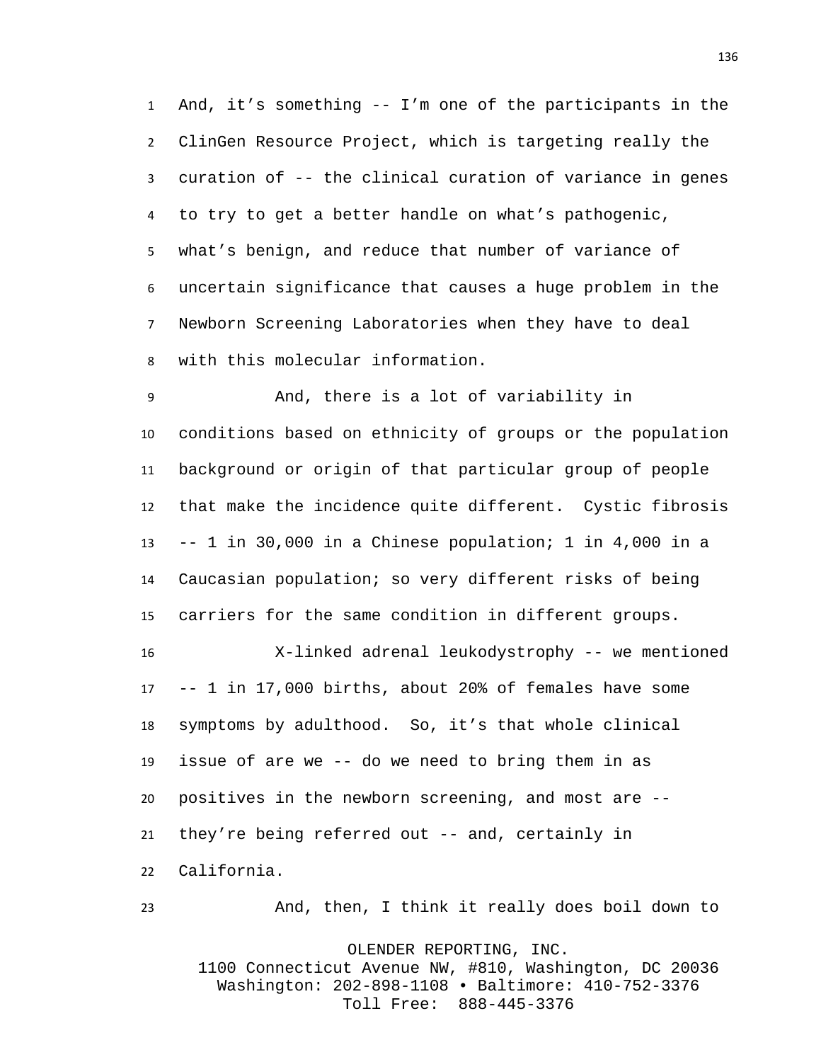And, it's something -- I'm one of the participants in the ClinGen Resource Project, which is targeting really the curation of -- the clinical curation of variance in genes to try to get a better handle on what's pathogenic, what's benign, and reduce that number of variance of uncertain significance that causes a huge problem in the Newborn Screening Laboratories when they have to deal with this molecular information.

 And, there is a lot of variability in conditions based on ethnicity of groups or the population background or origin of that particular group of people that make the incidence quite different. Cystic fibrosis -- 1 in 30,000 in a Chinese population; 1 in 4,000 in a Caucasian population; so very different risks of being carriers for the same condition in different groups.

 X-linked adrenal leukodystrophy -- we mentioned -- 1 in 17,000 births, about 20% of females have some symptoms by adulthood. So, it's that whole clinical issue of are we -- do we need to bring them in as positives in the newborn screening, and most are -- they're being referred out -- and, certainly in California.

And, then, I think it really does boil down to

OLENDER REPORTING, INC. 1100 Connecticut Avenue NW, #810, Washington, DC 20036 Washington: 202-898-1108 • Baltimore: 410-752-3376 Toll Free: 888-445-3376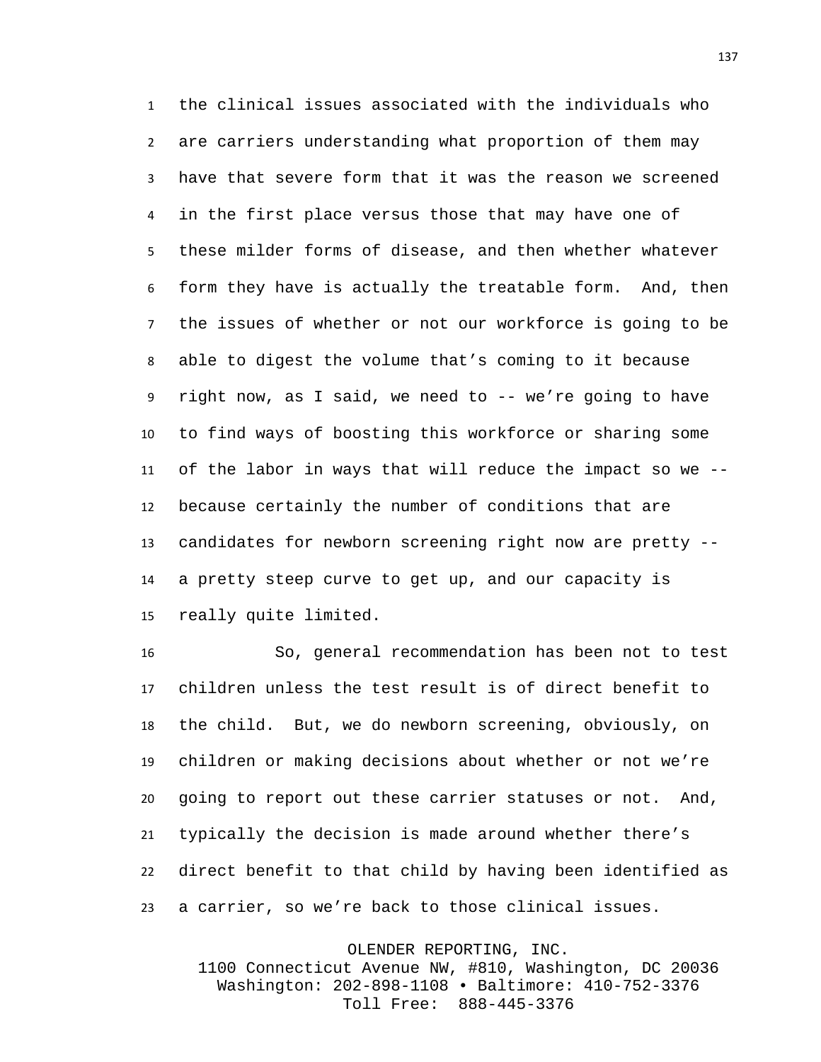the clinical issues associated with the individuals who are carriers understanding what proportion of them may have that severe form that it was the reason we screened in the first place versus those that may have one of these milder forms of disease, and then whether whatever form they have is actually the treatable form. And, then the issues of whether or not our workforce is going to be able to digest the volume that's coming to it because right now, as I said, we need to -- we're going to have to find ways of boosting this workforce or sharing some of the labor in ways that will reduce the impact so we -- because certainly the number of conditions that are candidates for newborn screening right now are pretty -- a pretty steep curve to get up, and our capacity is really quite limited.

 So, general recommendation has been not to test children unless the test result is of direct benefit to the child. But, we do newborn screening, obviously, on children or making decisions about whether or not we're going to report out these carrier statuses or not. And, typically the decision is made around whether there's direct benefit to that child by having been identified as a carrier, so we're back to those clinical issues.

> OLENDER REPORTING, INC. 1100 Connecticut Avenue NW, #810, Washington, DC 20036 Washington: 202-898-1108 • Baltimore: 410-752-3376 Toll Free: 888-445-3376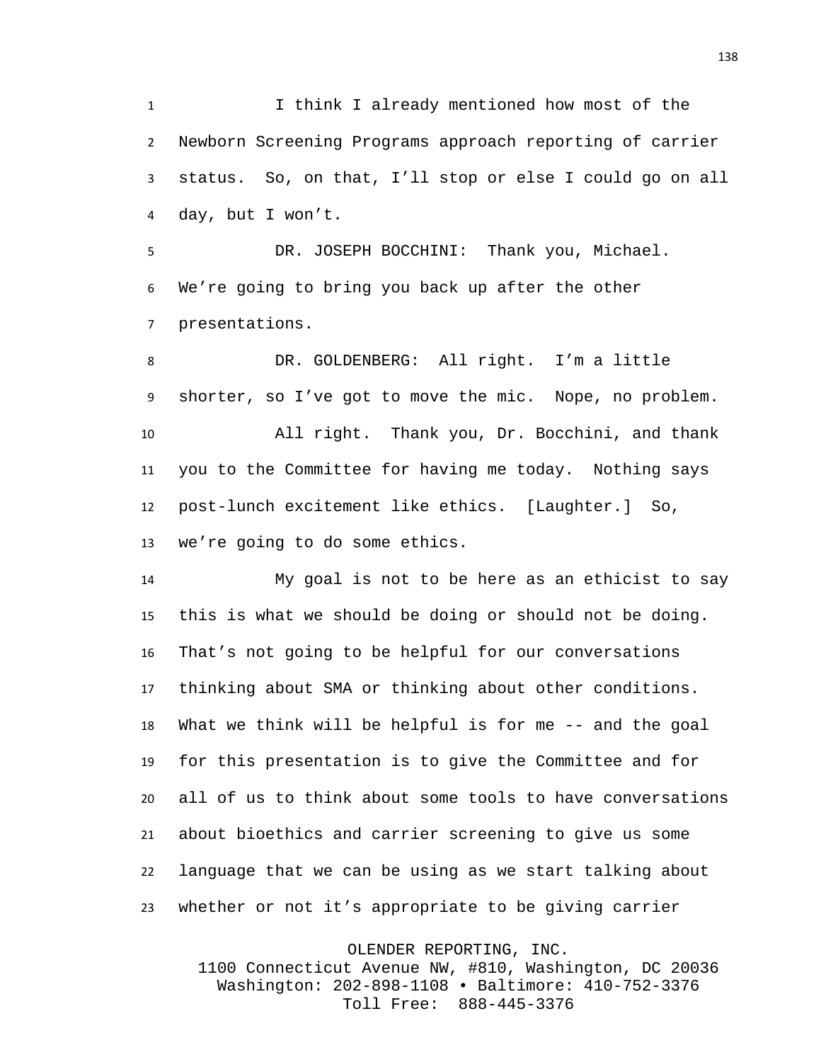I think I already mentioned how most of the Newborn Screening Programs approach reporting of carrier status. So, on that, I'll stop or else I could go on all day, but I won't.

 DR. JOSEPH BOCCHINI: Thank you, Michael. We're going to bring you back up after the other presentations.

 DR. GOLDENBERG: All right. I'm a little shorter, so I've got to move the mic. Nope, no problem. All right. Thank you, Dr. Bocchini, and thank you to the Committee for having me today. Nothing says post-lunch excitement like ethics. [Laughter.] So, we're going to do some ethics.

 My goal is not to be here as an ethicist to say this is what we should be doing or should not be doing. That's not going to be helpful for our conversations thinking about SMA or thinking about other conditions. What we think will be helpful is for me -- and the goal for this presentation is to give the Committee and for all of us to think about some tools to have conversations about bioethics and carrier screening to give us some language that we can be using as we start talking about whether or not it's appropriate to be giving carrier

OLENDER REPORTING, INC.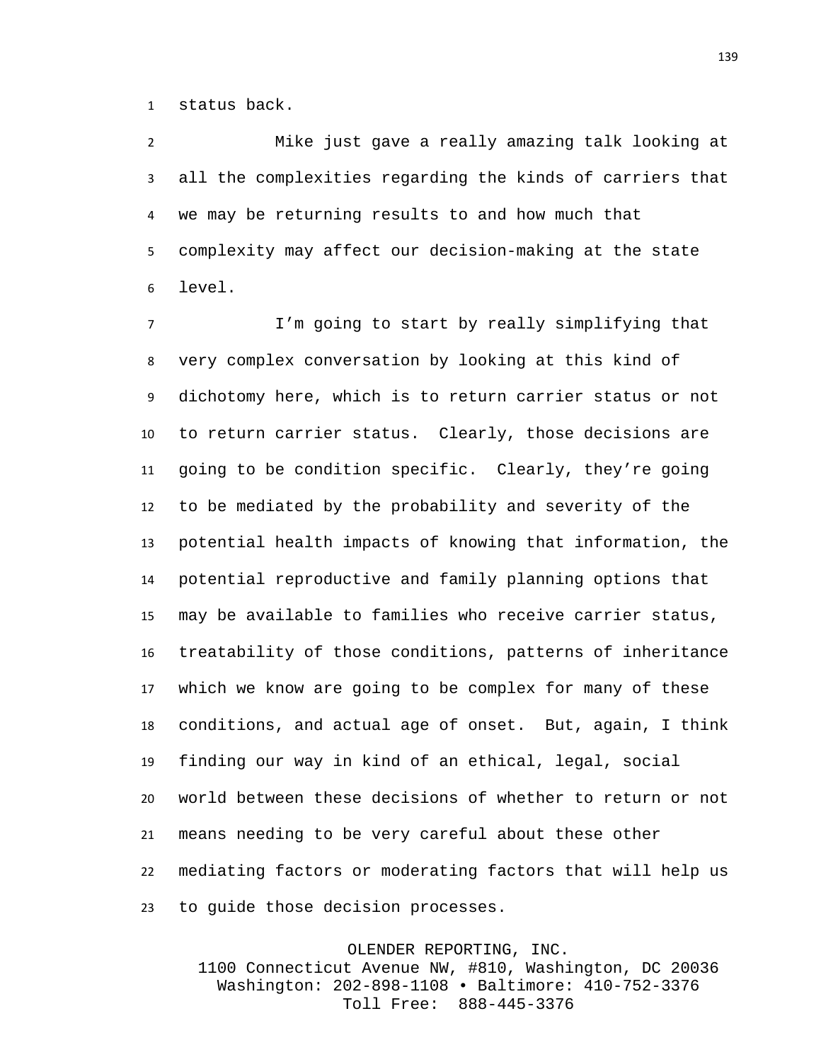status back.

 Mike just gave a really amazing talk looking at all the complexities regarding the kinds of carriers that we may be returning results to and how much that complexity may affect our decision-making at the state level.

 I'm going to start by really simplifying that very complex conversation by looking at this kind of dichotomy here, which is to return carrier status or not to return carrier status. Clearly, those decisions are going to be condition specific. Clearly, they're going to be mediated by the probability and severity of the potential health impacts of knowing that information, the potential reproductive and family planning options that may be available to families who receive carrier status, treatability of those conditions, patterns of inheritance which we know are going to be complex for many of these conditions, and actual age of onset. But, again, I think finding our way in kind of an ethical, legal, social world between these decisions of whether to return or not means needing to be very careful about these other mediating factors or moderating factors that will help us to guide those decision processes.

OLENDER REPORTING, INC.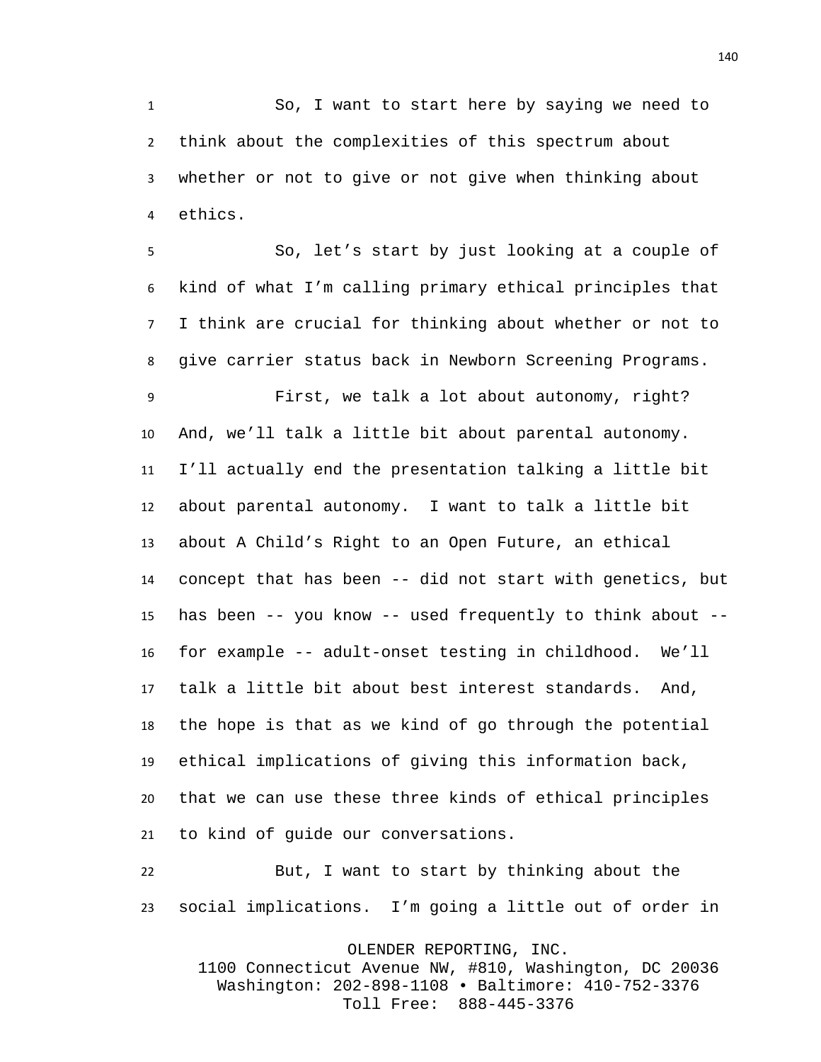So, I want to start here by saying we need to think about the complexities of this spectrum about whether or not to give or not give when thinking about ethics.

 So, let's start by just looking at a couple of kind of what I'm calling primary ethical principles that I think are crucial for thinking about whether or not to give carrier status back in Newborn Screening Programs.

 First, we talk a lot about autonomy, right? And, we'll talk a little bit about parental autonomy. I'll actually end the presentation talking a little bit about parental autonomy. I want to talk a little bit about A Child's Right to an Open Future, an ethical concept that has been -- did not start with genetics, but has been -- you know -- used frequently to think about -- for example -- adult-onset testing in childhood. We'll talk a little bit about best interest standards. And, the hope is that as we kind of go through the potential ethical implications of giving this information back, that we can use these three kinds of ethical principles to kind of guide our conversations.

 But, I want to start by thinking about the social implications. I'm going a little out of order in

OLENDER REPORTING, INC.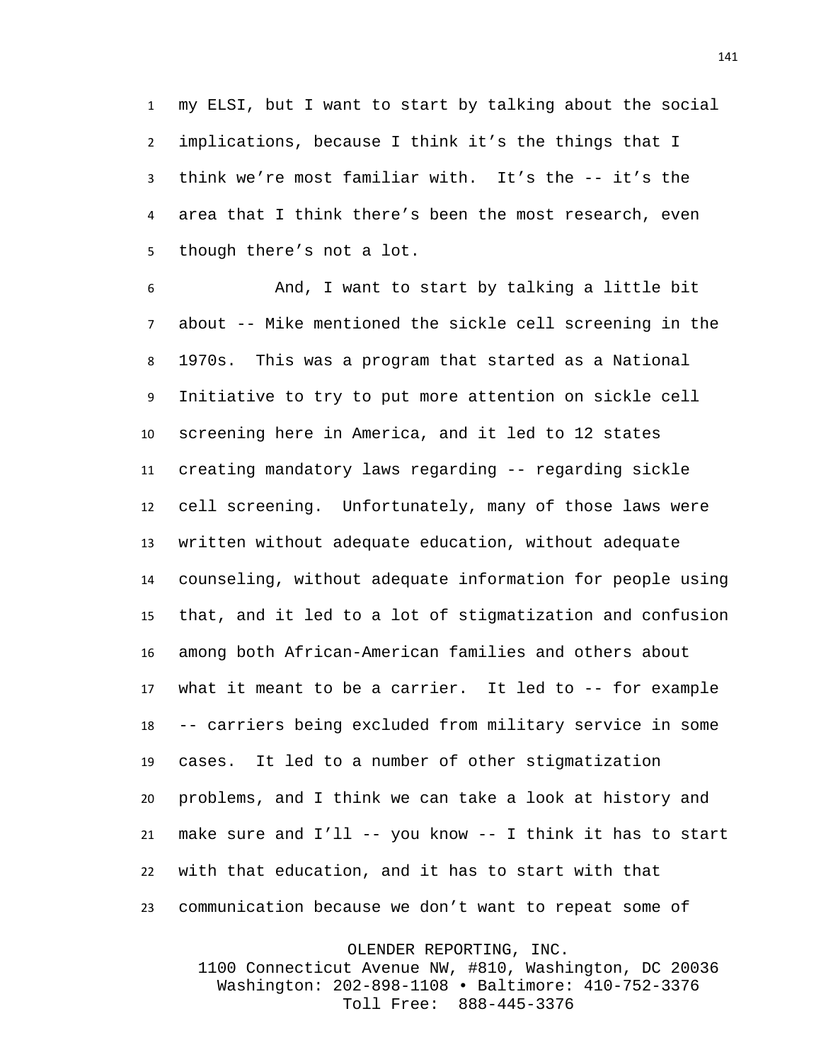my ELSI, but I want to start by talking about the social implications, because I think it's the things that I think we're most familiar with. It's the -- it's the area that I think there's been the most research, even though there's not a lot.

 And, I want to start by talking a little bit about -- Mike mentioned the sickle cell screening in the 1970s. This was a program that started as a National Initiative to try to put more attention on sickle cell screening here in America, and it led to 12 states creating mandatory laws regarding -- regarding sickle cell screening. Unfortunately, many of those laws were written without adequate education, without adequate counseling, without adequate information for people using that, and it led to a lot of stigmatization and confusion among both African-American families and others about what it meant to be a carrier. It led to -- for example -- carriers being excluded from military service in some cases. It led to a number of other stigmatization problems, and I think we can take a look at history and make sure and I'll -- you know -- I think it has to start with that education, and it has to start with that communication because we don't want to repeat some of

OLENDER REPORTING, INC.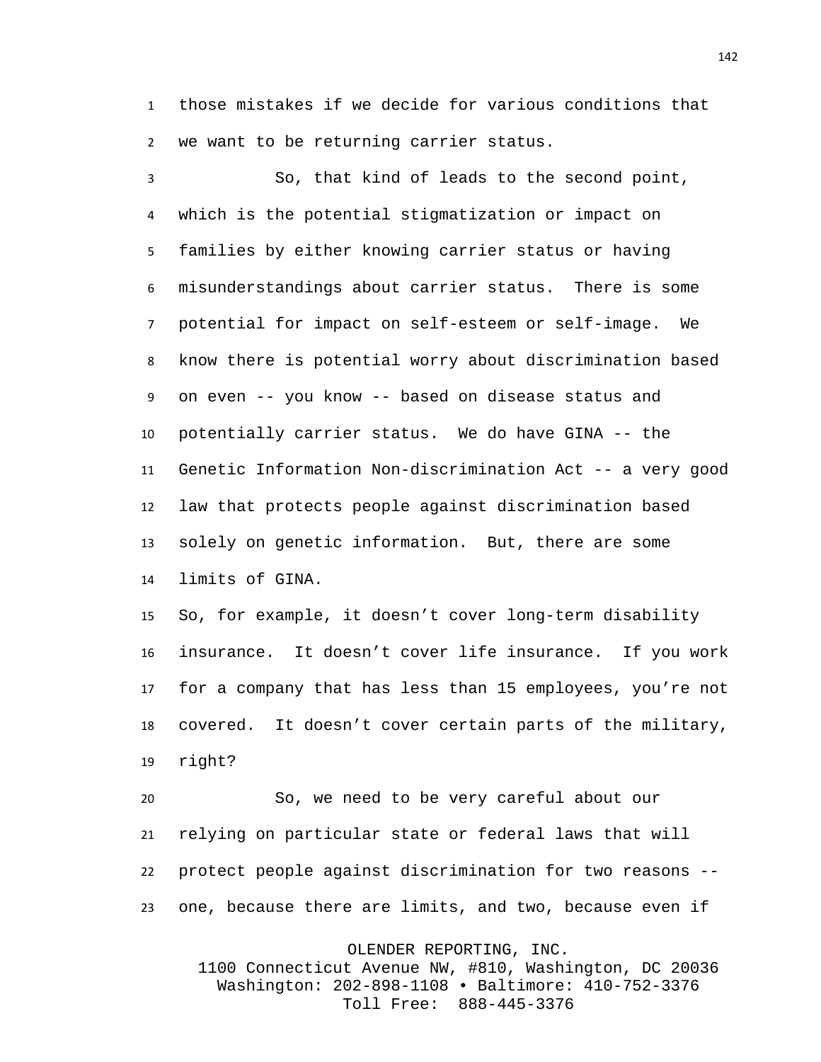those mistakes if we decide for various conditions that we want to be returning carrier status.

 So, that kind of leads to the second point, which is the potential stigmatization or impact on families by either knowing carrier status or having misunderstandings about carrier status. There is some potential for impact on self-esteem or self-image. We know there is potential worry about discrimination based on even -- you know -- based on disease status and potentially carrier status. We do have GINA -- the Genetic Information Non-discrimination Act -- a very good law that protects people against discrimination based solely on genetic information. But, there are some limits of GINA.

 So, for example, it doesn't cover long-term disability insurance. It doesn't cover life insurance. If you work for a company that has less than 15 employees, you're not covered. It doesn't cover certain parts of the military, right?

 So, we need to be very careful about our relying on particular state or federal laws that will protect people against discrimination for two reasons -- one, because there are limits, and two, because even if

OLENDER REPORTING, INC.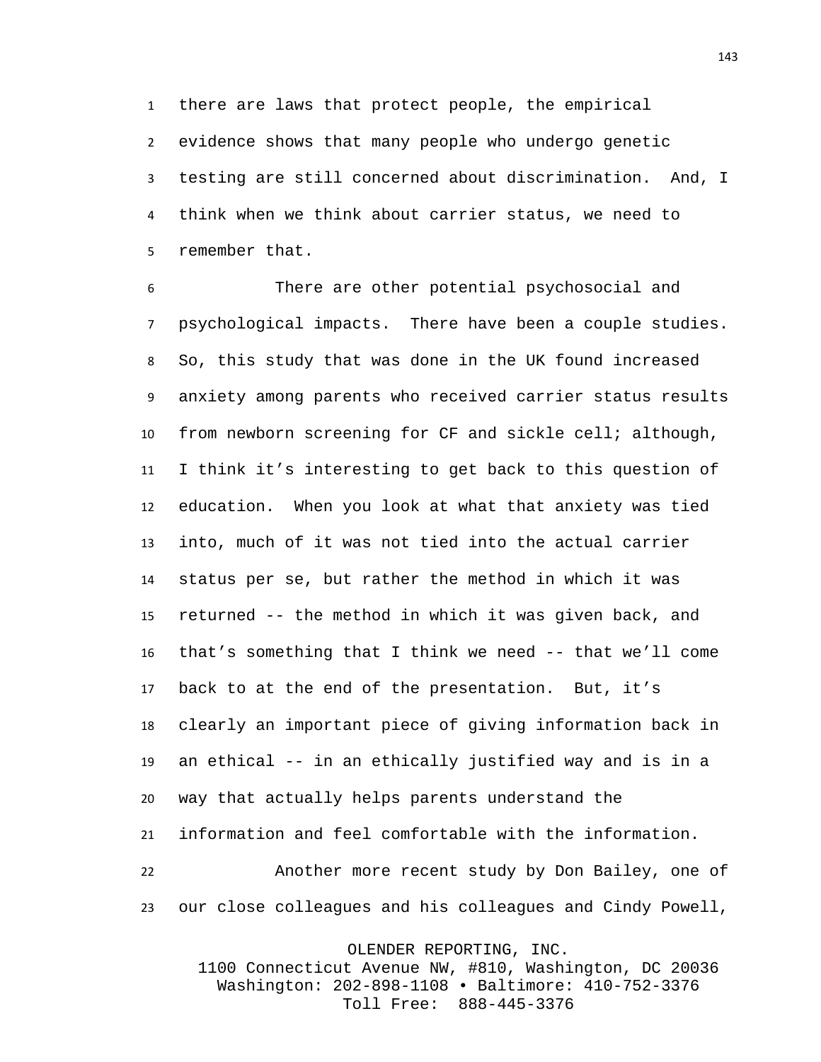there are laws that protect people, the empirical

 evidence shows that many people who undergo genetic testing are still concerned about discrimination. And, I think when we think about carrier status, we need to remember that.

 There are other potential psychosocial and psychological impacts. There have been a couple studies. So, this study that was done in the UK found increased anxiety among parents who received carrier status results from newborn screening for CF and sickle cell; although, I think it's interesting to get back to this question of education. When you look at what that anxiety was tied into, much of it was not tied into the actual carrier status per se, but rather the method in which it was returned -- the method in which it was given back, and that's something that I think we need -- that we'll come back to at the end of the presentation. But, it's clearly an important piece of giving information back in an ethical -- in an ethically justified way and is in a way that actually helps parents understand the information and feel comfortable with the information. Another more recent study by Don Bailey, one of our close colleagues and his colleagues and Cindy Powell,

OLENDER REPORTING, INC.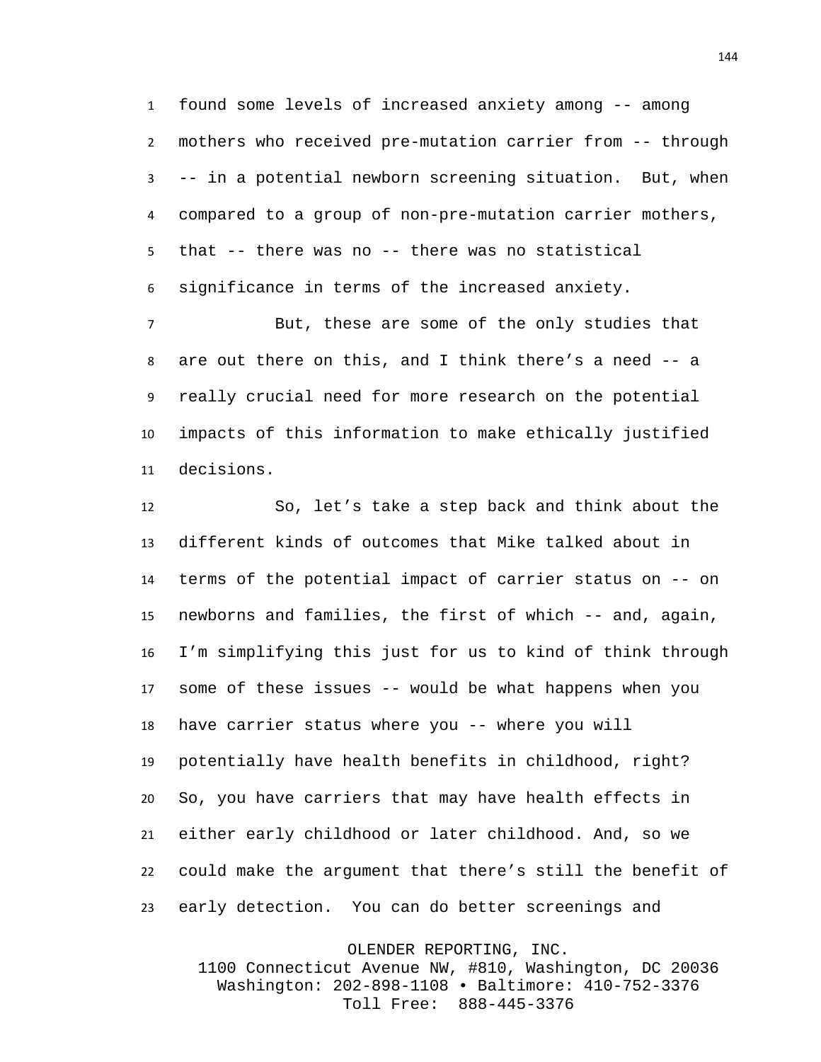found some levels of increased anxiety among -- among mothers who received pre-mutation carrier from -- through -- in a potential newborn screening situation. But, when compared to a group of non-pre-mutation carrier mothers, that -- there was no -- there was no statistical significance in terms of the increased anxiety.

 But, these are some of the only studies that are out there on this, and I think there's a need -- a really crucial need for more research on the potential impacts of this information to make ethically justified decisions.

 So, let's take a step back and think about the different kinds of outcomes that Mike talked about in terms of the potential impact of carrier status on -- on newborns and families, the first of which -- and, again, I'm simplifying this just for us to kind of think through some of these issues -- would be what happens when you have carrier status where you -- where you will potentially have health benefits in childhood, right? So, you have carriers that may have health effects in either early childhood or later childhood. And, so we could make the argument that there's still the benefit of early detection. You can do better screenings and

OLENDER REPORTING, INC.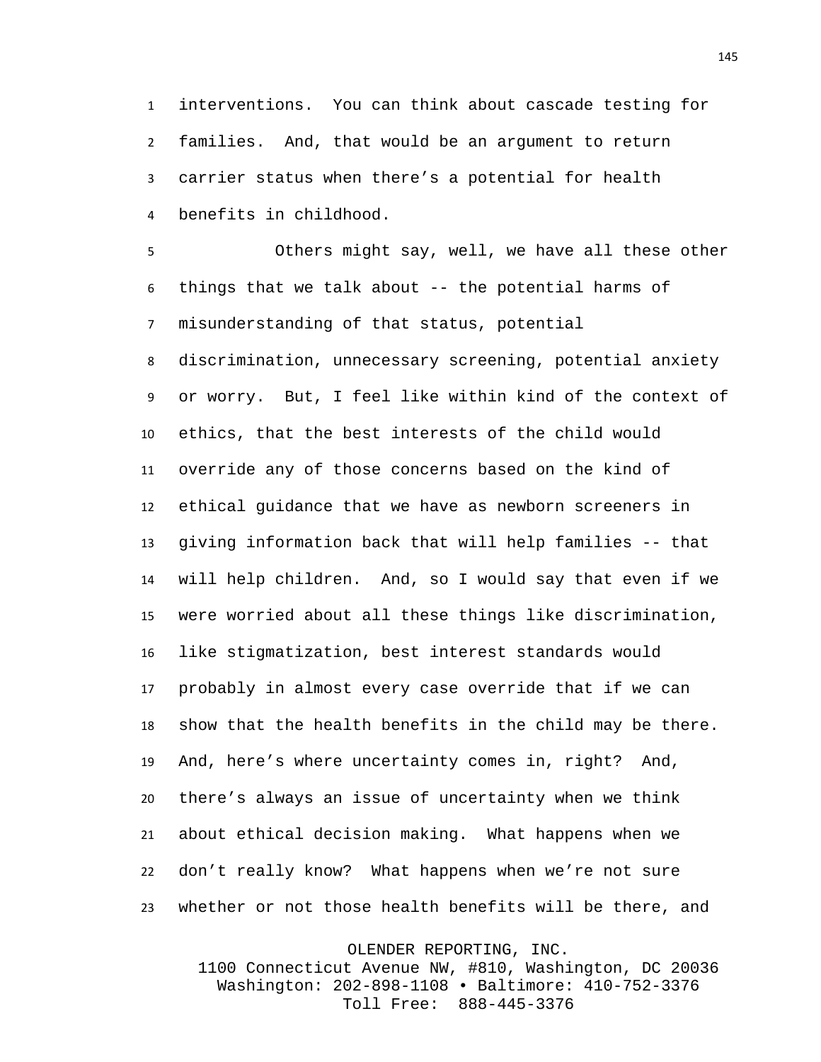interventions. You can think about cascade testing for families. And, that would be an argument to return carrier status when there's a potential for health benefits in childhood.

 Others might say, well, we have all these other things that we talk about -- the potential harms of misunderstanding of that status, potential discrimination, unnecessary screening, potential anxiety or worry. But, I feel like within kind of the context of ethics, that the best interests of the child would override any of those concerns based on the kind of ethical guidance that we have as newborn screeners in giving information back that will help families -- that will help children. And, so I would say that even if we were worried about all these things like discrimination, like stigmatization, best interest standards would probably in almost every case override that if we can show that the health benefits in the child may be there. And, here's where uncertainty comes in, right? And, there's always an issue of uncertainty when we think about ethical decision making. What happens when we don't really know? What happens when we're not sure whether or not those health benefits will be there, and

OLENDER REPORTING, INC.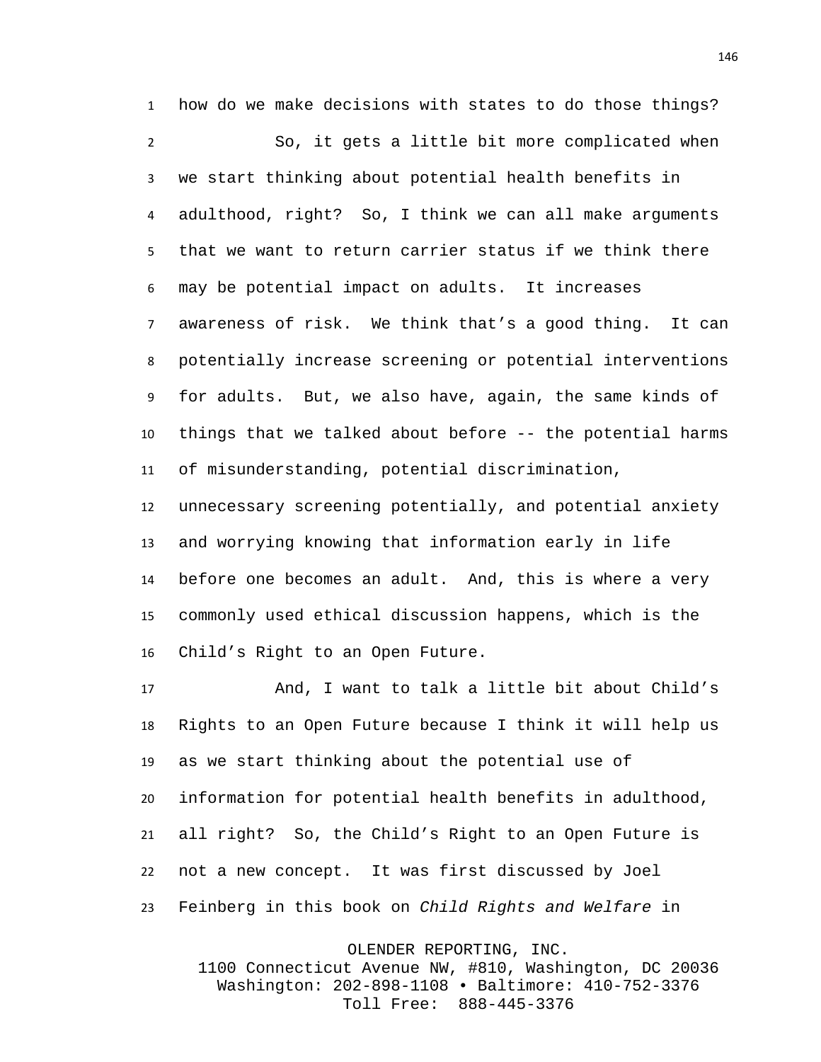how do we make decisions with states to do those things? So, it gets a little bit more complicated when we start thinking about potential health benefits in adulthood, right? So, I think we can all make arguments that we want to return carrier status if we think there may be potential impact on adults. It increases awareness of risk. We think that's a good thing. It can potentially increase screening or potential interventions for adults. But, we also have, again, the same kinds of things that we talked about before -- the potential harms of misunderstanding, potential discrimination,

 unnecessary screening potentially, and potential anxiety and worrying knowing that information early in life before one becomes an adult. And, this is where a very commonly used ethical discussion happens, which is the Child's Right to an Open Future.

 And, I want to talk a little bit about Child's Rights to an Open Future because I think it will help us as we start thinking about the potential use of information for potential health benefits in adulthood, all right? So, the Child's Right to an Open Future is not a new concept. It was first discussed by Joel Feinberg in this book on *Child Rights and Welfare* in

OLENDER REPORTING, INC.

1100 Connecticut Avenue NW, #810, Washington, DC 20036 Washington: 202-898-1108 • Baltimore: 410-752-3376 Toll Free: 888-445-3376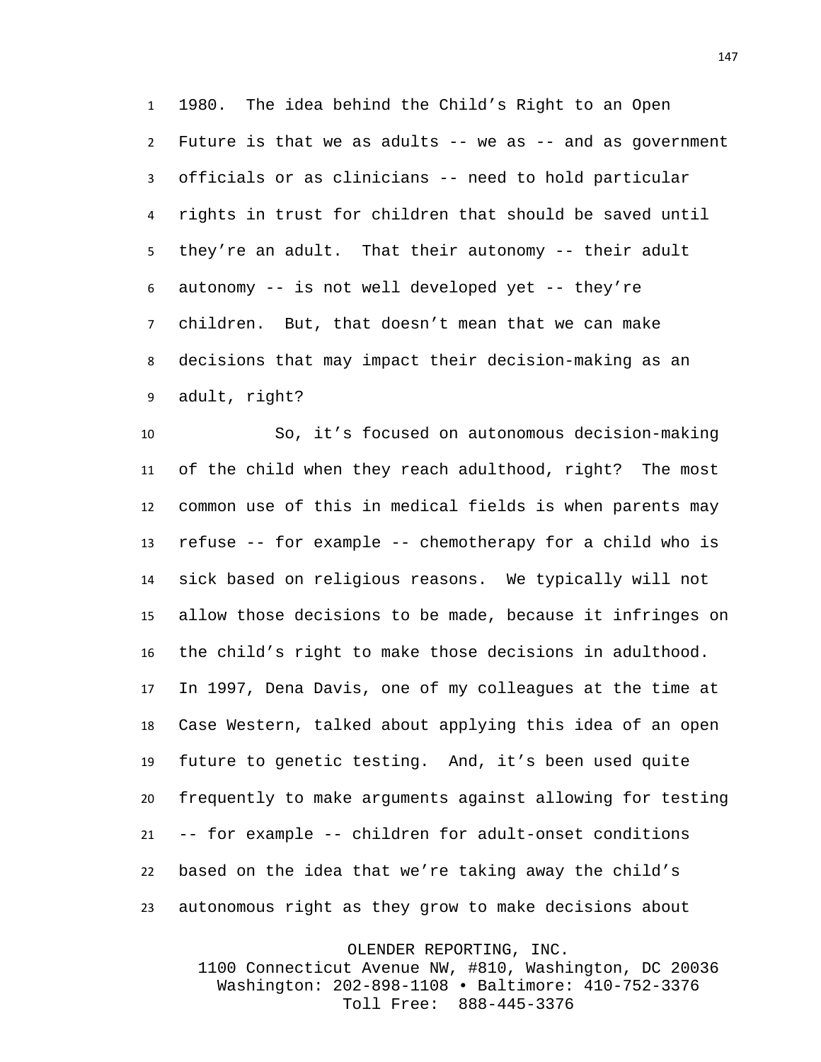1980. The idea behind the Child's Right to an Open Future is that we as adults -- we as -- and as government officials or as clinicians -- need to hold particular rights in trust for children that should be saved until they're an adult. That their autonomy -- their adult autonomy -- is not well developed yet -- they're children. But, that doesn't mean that we can make decisions that may impact their decision-making as an adult, right?

 So, it's focused on autonomous decision-making of the child when they reach adulthood, right? The most common use of this in medical fields is when parents may refuse -- for example -- chemotherapy for a child who is sick based on religious reasons. We typically will not allow those decisions to be made, because it infringes on the child's right to make those decisions in adulthood. In 1997, Dena Davis, one of my colleagues at the time at Case Western, talked about applying this idea of an open future to genetic testing. And, it's been used quite frequently to make arguments against allowing for testing -- for example -- children for adult-onset conditions based on the idea that we're taking away the child's autonomous right as they grow to make decisions about

OLENDER REPORTING, INC.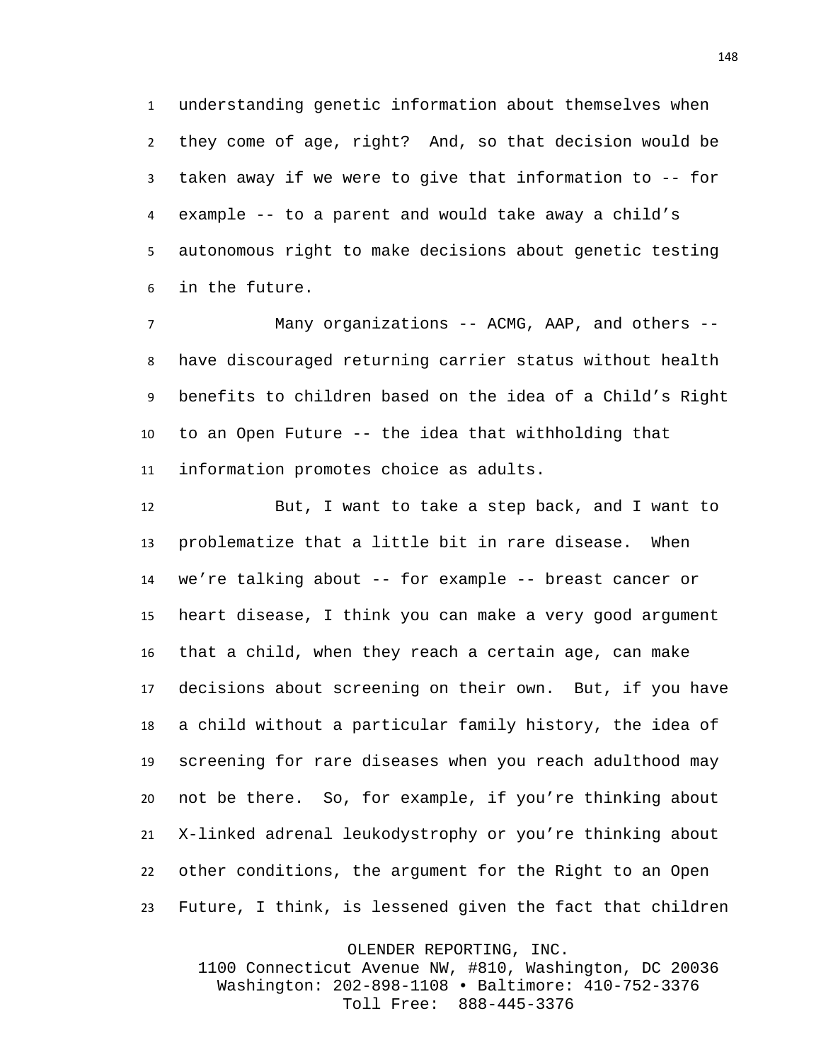understanding genetic information about themselves when they come of age, right? And, so that decision would be taken away if we were to give that information to -- for example -- to a parent and would take away a child's autonomous right to make decisions about genetic testing in the future.

 Many organizations -- ACMG, AAP, and others -- have discouraged returning carrier status without health benefits to children based on the idea of a Child's Right to an Open Future -- the idea that withholding that information promotes choice as adults.

 But, I want to take a step back, and I want to problematize that a little bit in rare disease. When we're talking about -- for example -- breast cancer or heart disease, I think you can make a very good argument that a child, when they reach a certain age, can make decisions about screening on their own. But, if you have a child without a particular family history, the idea of screening for rare diseases when you reach adulthood may not be there. So, for example, if you're thinking about X-linked adrenal leukodystrophy or you're thinking about other conditions, the argument for the Right to an Open Future, I think, is lessened given the fact that children

OLENDER REPORTING, INC.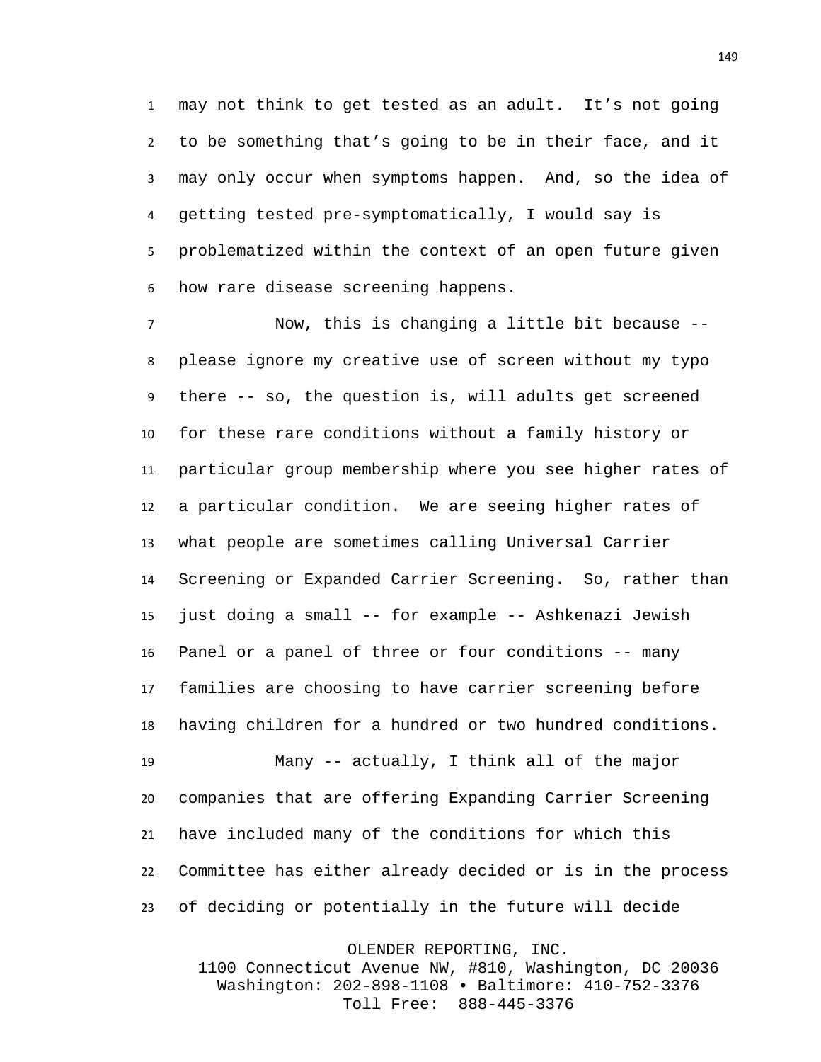may not think to get tested as an adult. It's not going to be something that's going to be in their face, and it may only occur when symptoms happen. And, so the idea of getting tested pre-symptomatically, I would say is problematized within the context of an open future given how rare disease screening happens.

 Now, this is changing a little bit because -- please ignore my creative use of screen without my typo there -- so, the question is, will adults get screened for these rare conditions without a family history or particular group membership where you see higher rates of a particular condition. We are seeing higher rates of what people are sometimes calling Universal Carrier Screening or Expanded Carrier Screening. So, rather than just doing a small -- for example -- Ashkenazi Jewish Panel or a panel of three or four conditions -- many families are choosing to have carrier screening before having children for a hundred or two hundred conditions. Many -- actually, I think all of the major companies that are offering Expanding Carrier Screening have included many of the conditions for which this

 Committee has either already decided or is in the process of deciding or potentially in the future will decide

OLENDER REPORTING, INC.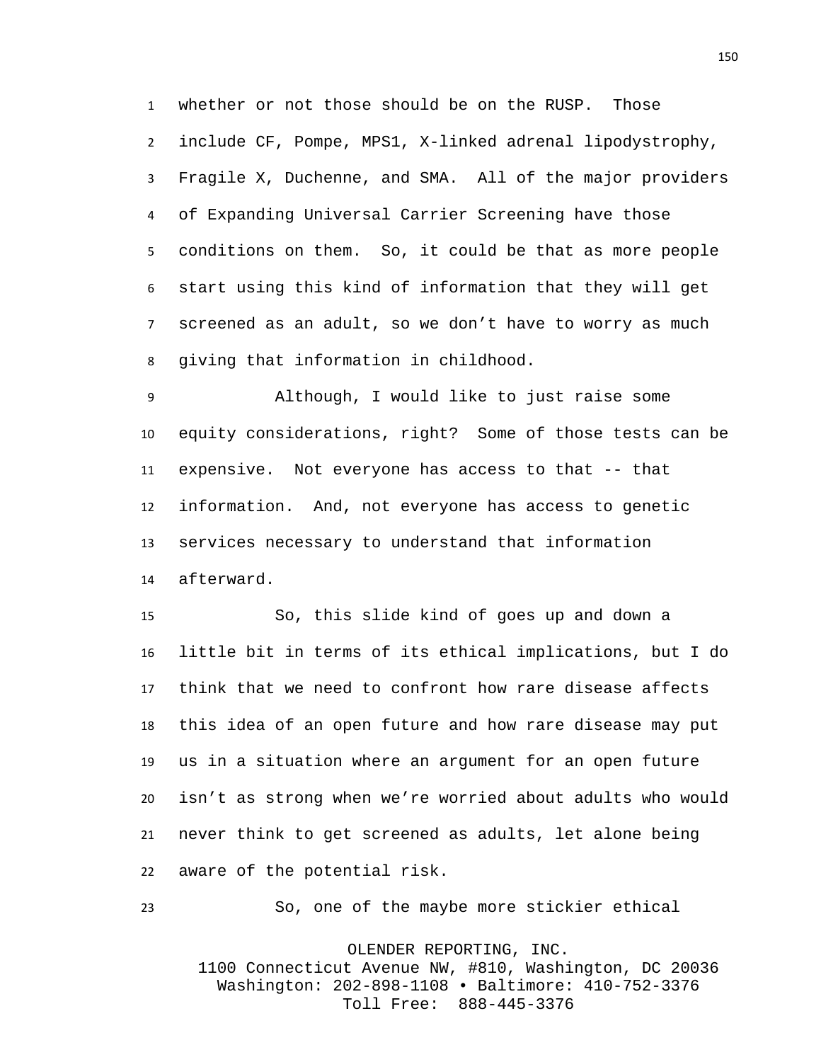whether or not those should be on the RUSP. Those include CF, Pompe, MPS1, X-linked adrenal lipodystrophy, Fragile X, Duchenne, and SMA. All of the major providers of Expanding Universal Carrier Screening have those conditions on them. So, it could be that as more people start using this kind of information that they will get screened as an adult, so we don't have to worry as much giving that information in childhood.

 Although, I would like to just raise some equity considerations, right? Some of those tests can be expensive. Not everyone has access to that -- that information. And, not everyone has access to genetic services necessary to understand that information afterward.

 So, this slide kind of goes up and down a little bit in terms of its ethical implications, but I do think that we need to confront how rare disease affects this idea of an open future and how rare disease may put us in a situation where an argument for an open future isn't as strong when we're worried about adults who would never think to get screened as adults, let alone being aware of the potential risk.

So, one of the maybe more stickier ethical

OLENDER REPORTING, INC. 1100 Connecticut Avenue NW, #810, Washington, DC 20036 Washington: 202-898-1108 • Baltimore: 410-752-3376 Toll Free: 888-445-3376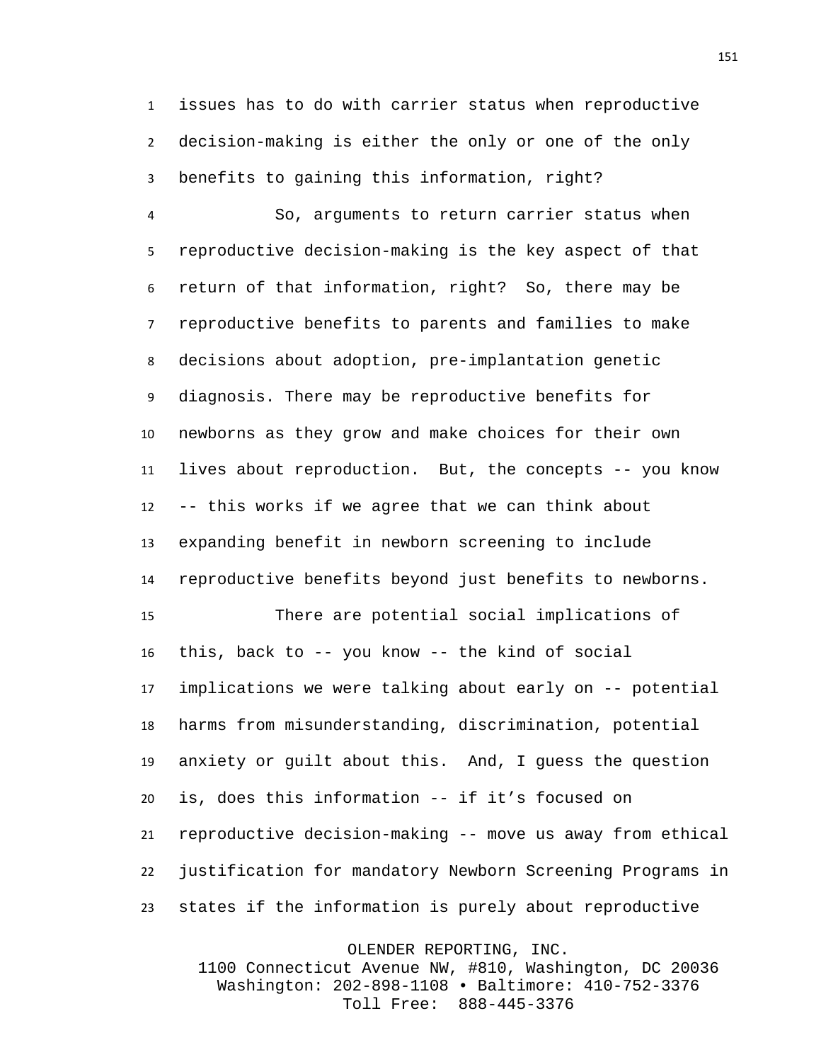issues has to do with carrier status when reproductive decision-making is either the only or one of the only benefits to gaining this information, right?

 So, arguments to return carrier status when reproductive decision-making is the key aspect of that return of that information, right? So, there may be reproductive benefits to parents and families to make decisions about adoption, pre-implantation genetic diagnosis. There may be reproductive benefits for newborns as they grow and make choices for their own lives about reproduction. But, the concepts -- you know -- this works if we agree that we can think about expanding benefit in newborn screening to include reproductive benefits beyond just benefits to newborns. There are potential social implications of this, back to -- you know -- the kind of social implications we were talking about early on -- potential harms from misunderstanding, discrimination, potential anxiety or guilt about this. And, I guess the question is, does this information -- if it's focused on reproductive decision-making -- move us away from ethical

states if the information is purely about reproductive

justification for mandatory Newborn Screening Programs in

OLENDER REPORTING, INC.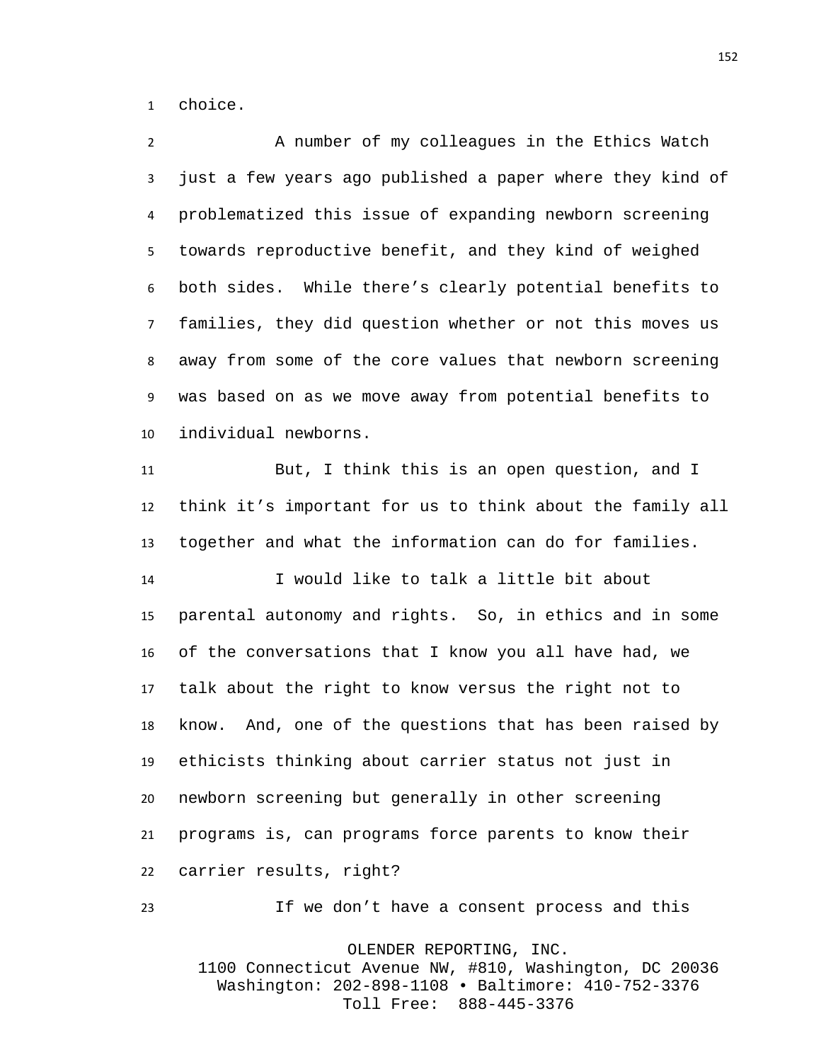choice.

 A number of my colleagues in the Ethics Watch just a few years ago published a paper where they kind of problematized this issue of expanding newborn screening towards reproductive benefit, and they kind of weighed both sides. While there's clearly potential benefits to families, they did question whether or not this moves us away from some of the core values that newborn screening was based on as we move away from potential benefits to individual newborns.

 But, I think this is an open question, and I think it's important for us to think about the family all together and what the information can do for families.

 I would like to talk a little bit about parental autonomy and rights. So, in ethics and in some of the conversations that I know you all have had, we talk about the right to know versus the right not to know. And, one of the questions that has been raised by ethicists thinking about carrier status not just in newborn screening but generally in other screening programs is, can programs force parents to know their carrier results, right?

OLENDER REPORTING, INC. 1100 Connecticut Avenue NW, #810, Washington, DC 20036 Washington: 202-898-1108 • Baltimore: 410-752-3376 Toll Free: 888-445-3376

If we don't have a consent process and this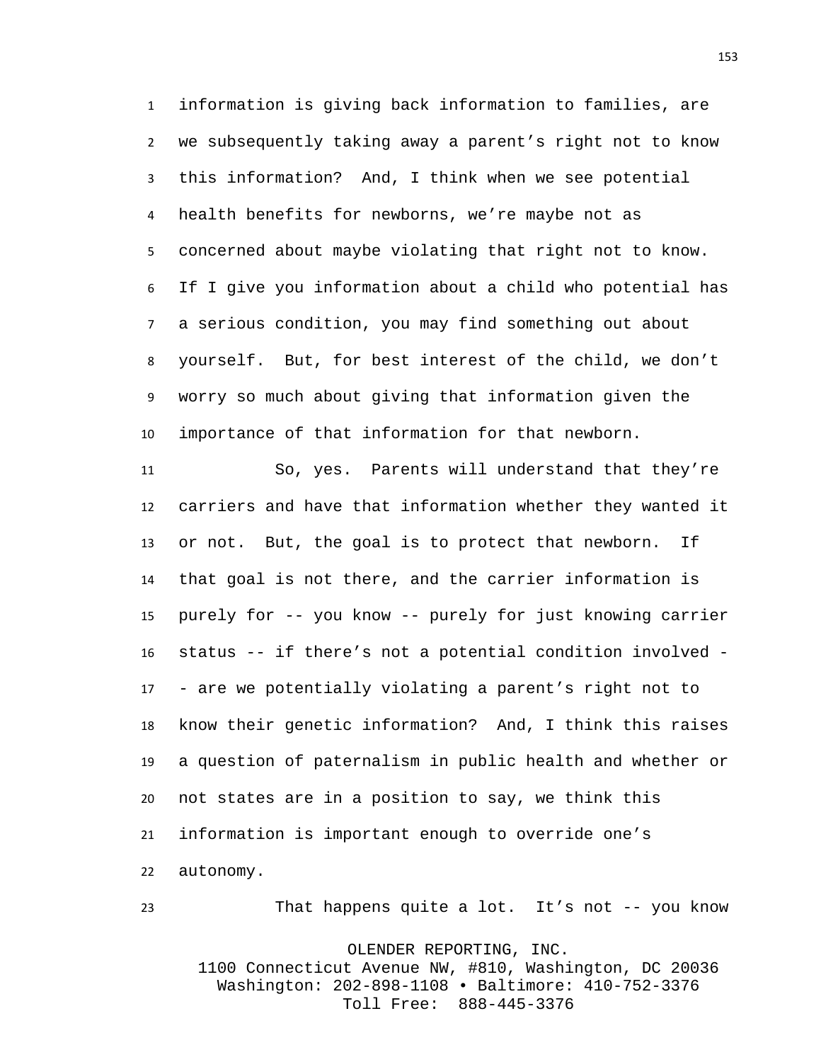information is giving back information to families, are we subsequently taking away a parent's right not to know this information? And, I think when we see potential health benefits for newborns, we're maybe not as concerned about maybe violating that right not to know. If I give you information about a child who potential has a serious condition, you may find something out about yourself. But, for best interest of the child, we don't worry so much about giving that information given the importance of that information for that newborn.

 So, yes. Parents will understand that they're carriers and have that information whether they wanted it or not. But, the goal is to protect that newborn. If that goal is not there, and the carrier information is purely for -- you know -- purely for just knowing carrier status -- if there's not a potential condition involved - - are we potentially violating a parent's right not to know their genetic information? And, I think this raises a question of paternalism in public health and whether or not states are in a position to say, we think this information is important enough to override one's autonomy.

OLENDER REPORTING, INC. 1100 Connecticut Avenue NW, #810, Washington, DC 20036 Washington: 202-898-1108 • Baltimore: 410-752-3376 Toll Free: 888-445-3376

That happens quite a lot. It's not -- you know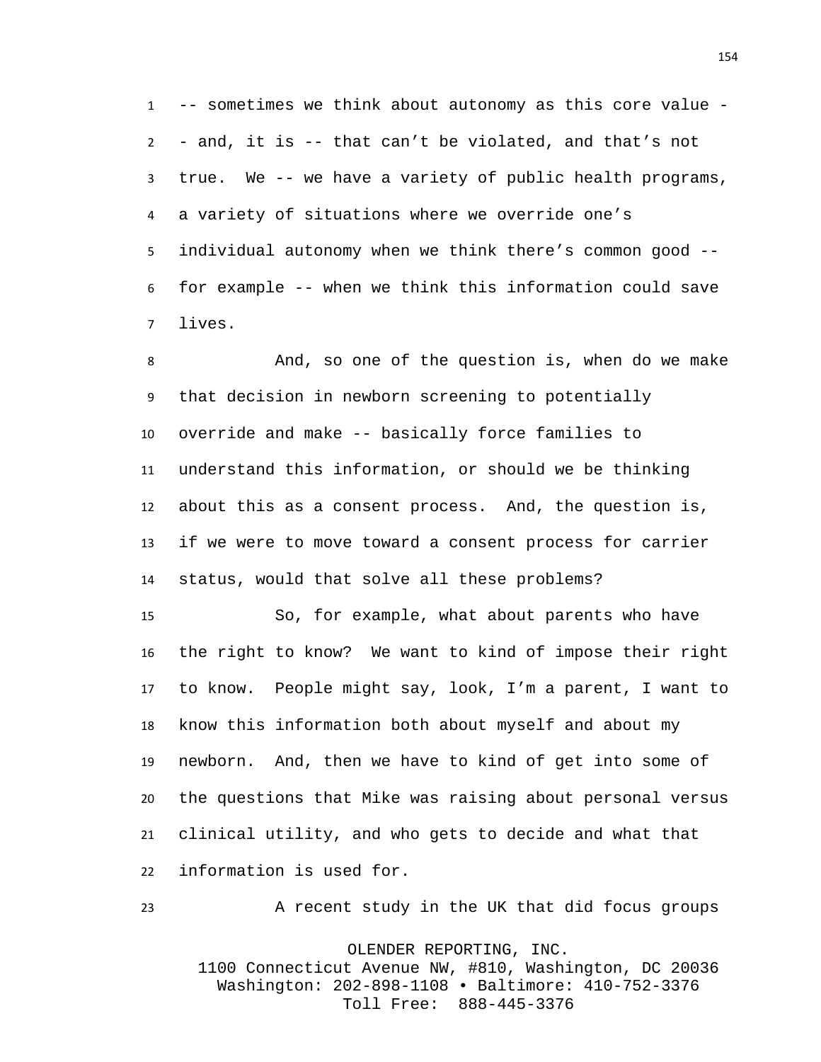-- sometimes we think about autonomy as this core value - - and, it is -- that can't be violated, and that's not true. We -- we have a variety of public health programs, a variety of situations where we override one's individual autonomy when we think there's common good -- for example -- when we think this information could save lives.

 And, so one of the question is, when do we make that decision in newborn screening to potentially override and make -- basically force families to understand this information, or should we be thinking about this as a consent process. And, the question is, if we were to move toward a consent process for carrier status, would that solve all these problems?

 So, for example, what about parents who have the right to know? We want to kind of impose their right to know. People might say, look, I'm a parent, I want to know this information both about myself and about my newborn. And, then we have to kind of get into some of the questions that Mike was raising about personal versus clinical utility, and who gets to decide and what that information is used for.

OLENDER REPORTING, INC. 1100 Connecticut Avenue NW, #810, Washington, DC 20036 Washington: 202-898-1108 • Baltimore: 410-752-3376 Toll Free: 888-445-3376

A recent study in the UK that did focus groups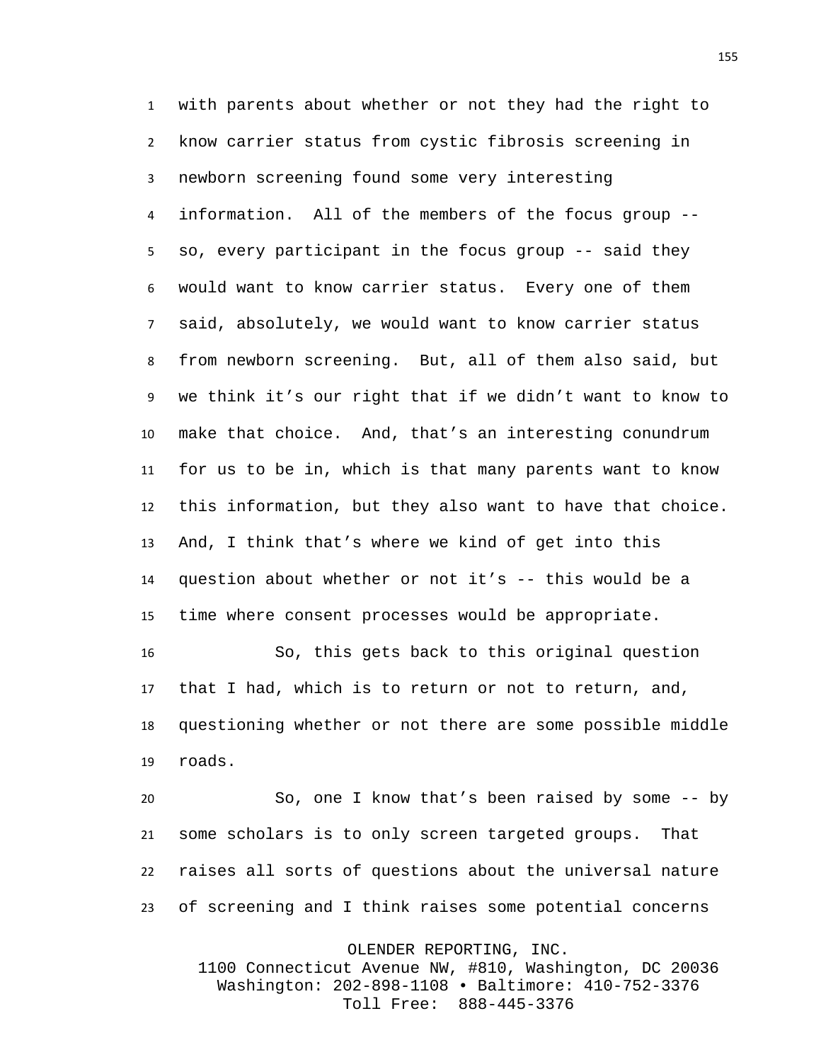with parents about whether or not they had the right to know carrier status from cystic fibrosis screening in newborn screening found some very interesting information. All of the members of the focus group -- so, every participant in the focus group -- said they would want to know carrier status. Every one of them said, absolutely, we would want to know carrier status from newborn screening. But, all of them also said, but we think it's our right that if we didn't want to know to make that choice. And, that's an interesting conundrum for us to be in, which is that many parents want to know this information, but they also want to have that choice. And, I think that's where we kind of get into this question about whether or not it's -- this would be a time where consent processes would be appropriate. So, this gets back to this original question

 that I had, which is to return or not to return, and, questioning whether or not there are some possible middle roads.

 So, one I know that's been raised by some -- by some scholars is to only screen targeted groups. That raises all sorts of questions about the universal nature of screening and I think raises some potential concerns

OLENDER REPORTING, INC.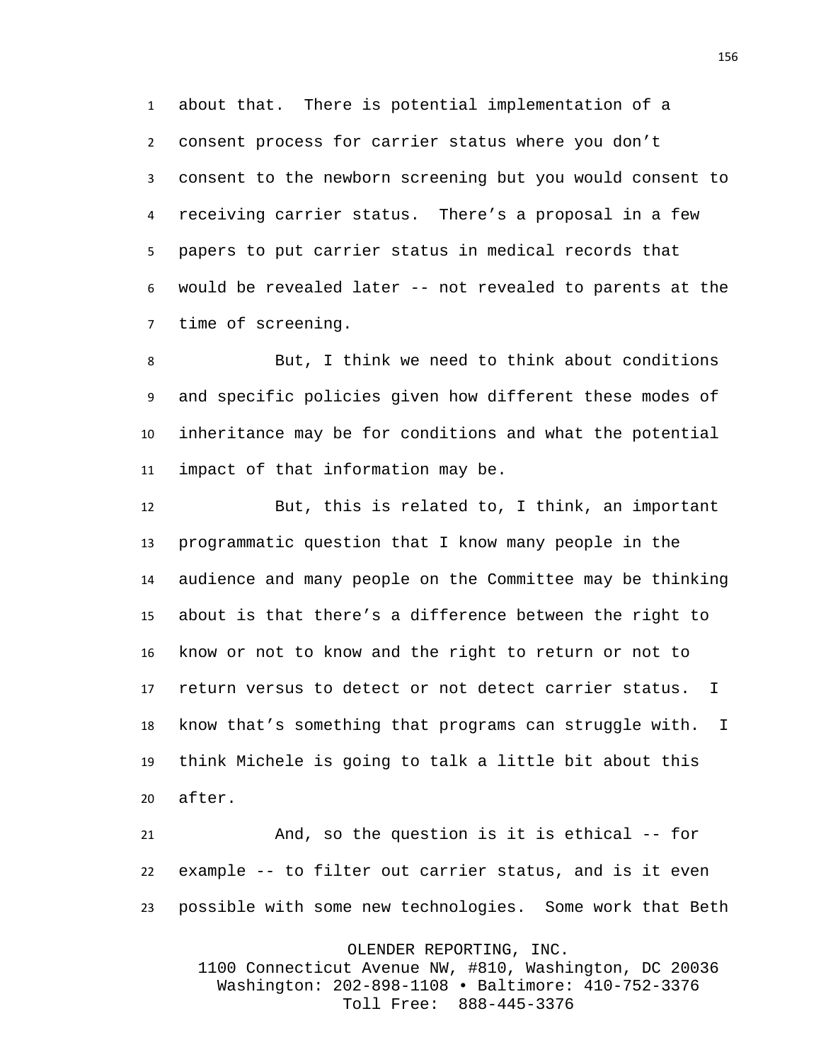about that. There is potential implementation of a consent process for carrier status where you don't consent to the newborn screening but you would consent to receiving carrier status. There's a proposal in a few papers to put carrier status in medical records that would be revealed later -- not revealed to parents at the time of screening.

 But, I think we need to think about conditions and specific policies given how different these modes of inheritance may be for conditions and what the potential impact of that information may be.

 But, this is related to, I think, an important programmatic question that I know many people in the audience and many people on the Committee may be thinking about is that there's a difference between the right to know or not to know and the right to return or not to return versus to detect or not detect carrier status. I know that's something that programs can struggle with. I think Michele is going to talk a little bit about this after.

 And, so the question is it is ethical -- for example -- to filter out carrier status, and is it even possible with some new technologies. Some work that Beth

OLENDER REPORTING, INC.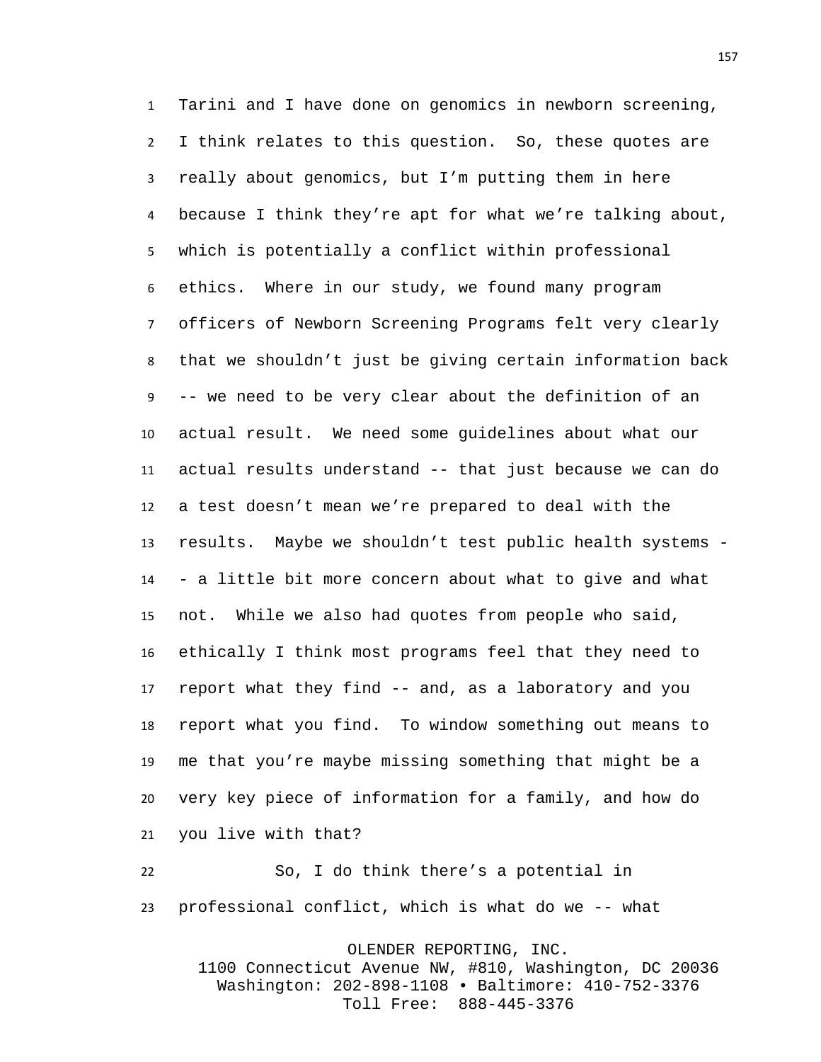Tarini and I have done on genomics in newborn screening, I think relates to this question. So, these quotes are really about genomics, but I'm putting them in here because I think they're apt for what we're talking about, which is potentially a conflict within professional ethics. Where in our study, we found many program officers of Newborn Screening Programs felt very clearly that we shouldn't just be giving certain information back -- we need to be very clear about the definition of an actual result. We need some guidelines about what our actual results understand -- that just because we can do a test doesn't mean we're prepared to deal with the results. Maybe we shouldn't test public health systems - - a little bit more concern about what to give and what not. While we also had quotes from people who said, ethically I think most programs feel that they need to report what they find -- and, as a laboratory and you report what you find. To window something out means to me that you're maybe missing something that might be a very key piece of information for a family, and how do you live with that?

 So, I do think there's a potential in professional conflict, which is what do we -- what

OLENDER REPORTING, INC.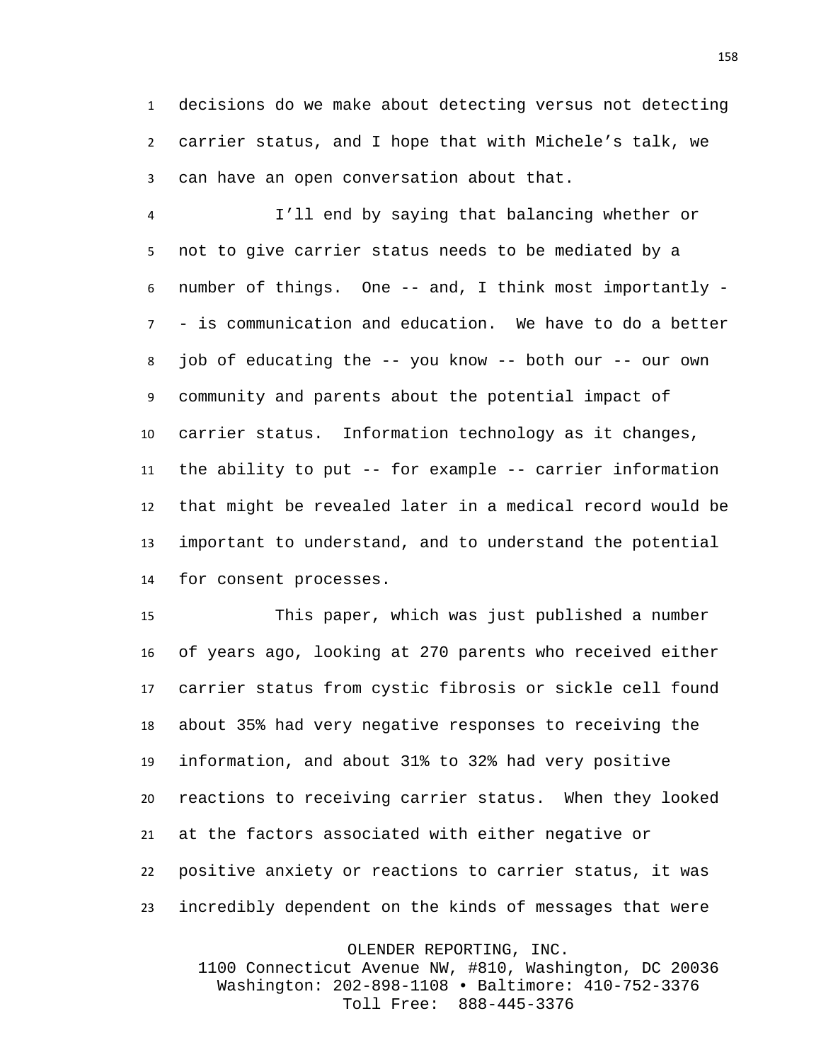decisions do we make about detecting versus not detecting carrier status, and I hope that with Michele's talk, we can have an open conversation about that.

 I'll end by saying that balancing whether or not to give carrier status needs to be mediated by a number of things. One -- and, I think most importantly - - is communication and education. We have to do a better job of educating the -- you know -- both our -- our own community and parents about the potential impact of carrier status. Information technology as it changes, the ability to put -- for example -- carrier information that might be revealed later in a medical record would be important to understand, and to understand the potential for consent processes.

 This paper, which was just published a number of years ago, looking at 270 parents who received either carrier status from cystic fibrosis or sickle cell found about 35% had very negative responses to receiving the information, and about 31% to 32% had very positive reactions to receiving carrier status. When they looked at the factors associated with either negative or positive anxiety or reactions to carrier status, it was incredibly dependent on the kinds of messages that were

OLENDER REPORTING, INC.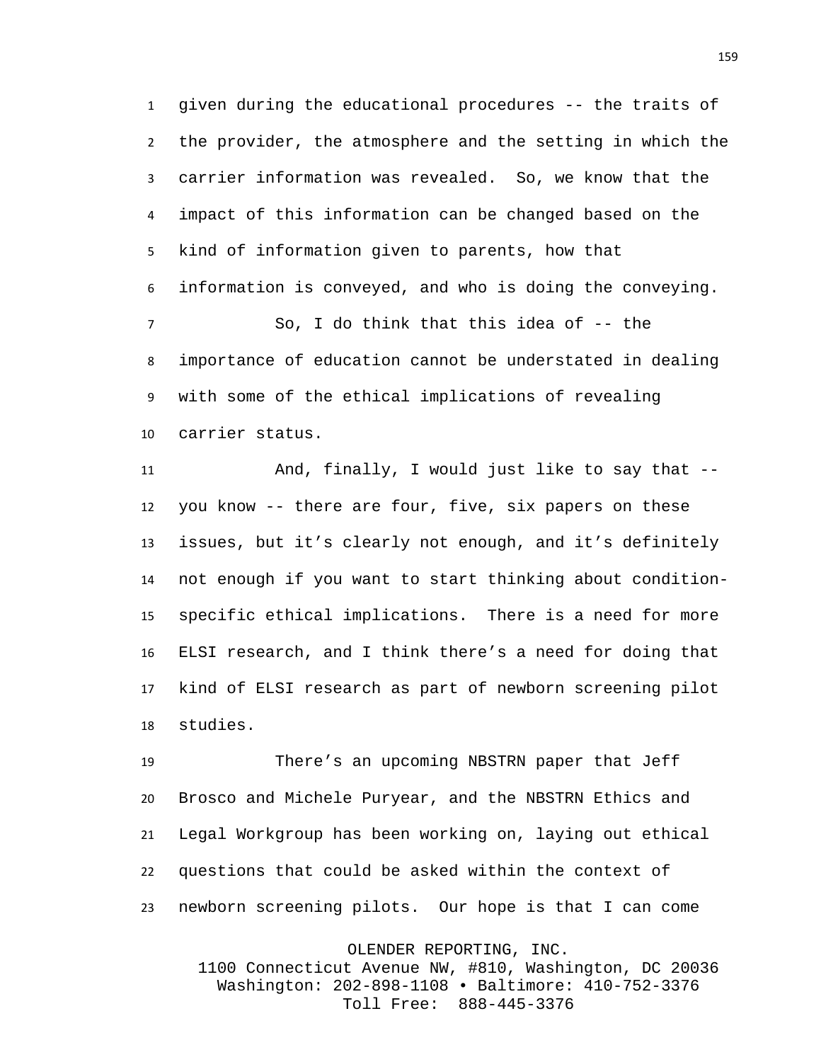given during the educational procedures -- the traits of the provider, the atmosphere and the setting in which the carrier information was revealed. So, we know that the impact of this information can be changed based on the kind of information given to parents, how that information is conveyed, and who is doing the conveying. So, I do think that this idea of -- the importance of education cannot be understated in dealing with some of the ethical implications of revealing carrier status.

 And, finally, I would just like to say that -- you know -- there are four, five, six papers on these issues, but it's clearly not enough, and it's definitely not enough if you want to start thinking about condition- specific ethical implications. There is a need for more ELSI research, and I think there's a need for doing that kind of ELSI research as part of newborn screening pilot studies.

 There's an upcoming NBSTRN paper that Jeff Brosco and Michele Puryear, and the NBSTRN Ethics and Legal Workgroup has been working on, laying out ethical questions that could be asked within the context of newborn screening pilots. Our hope is that I can come

OLENDER REPORTING, INC.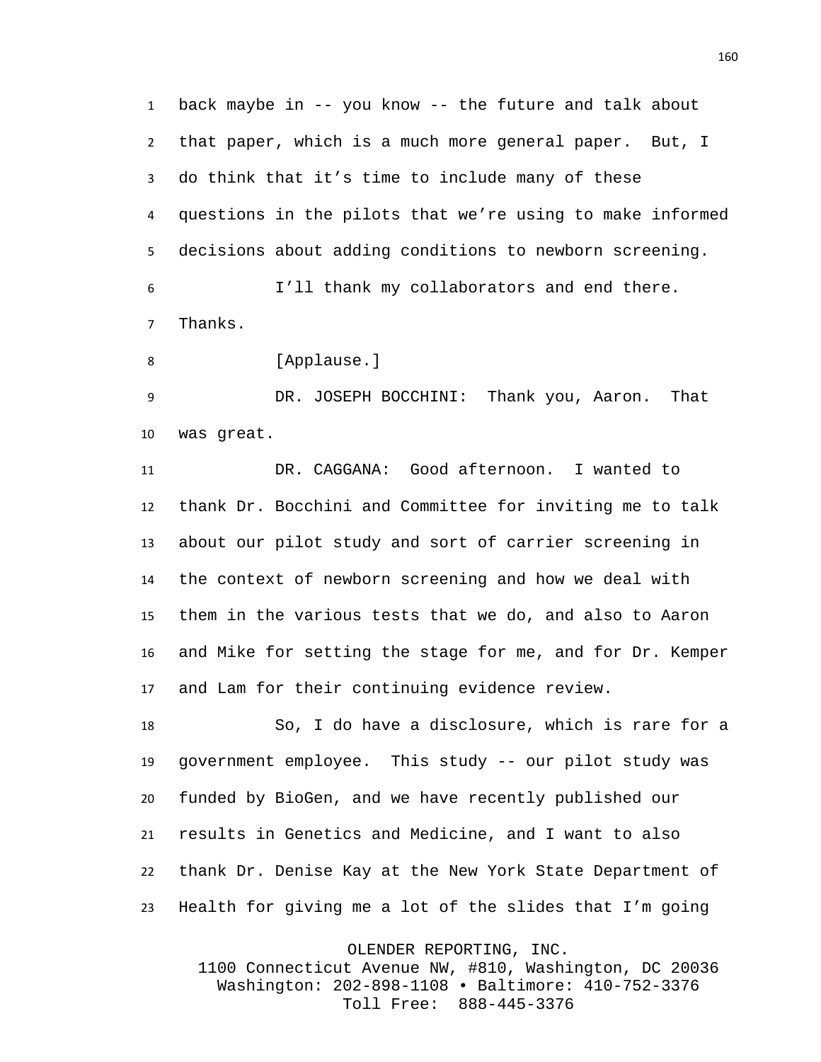back maybe in -- you know -- the future and talk about that paper, which is a much more general paper. But, I do think that it's time to include many of these questions in the pilots that we're using to make informed decisions about adding conditions to newborn screening. I'll thank my collaborators and end there.

Thanks.

8 [Applause.]

 DR. JOSEPH BOCCHINI: Thank you, Aaron. That was great.

 DR. CAGGANA: Good afternoon. I wanted to thank Dr. Bocchini and Committee for inviting me to talk about our pilot study and sort of carrier screening in the context of newborn screening and how we deal with them in the various tests that we do, and also to Aaron and Mike for setting the stage for me, and for Dr. Kemper and Lam for their continuing evidence review.

 So, I do have a disclosure, which is rare for a government employee. This study -- our pilot study was funded by BioGen, and we have recently published our results in Genetics and Medicine, and I want to also thank Dr. Denise Kay at the New York State Department of Health for giving me a lot of the slides that I'm going

OLENDER REPORTING, INC.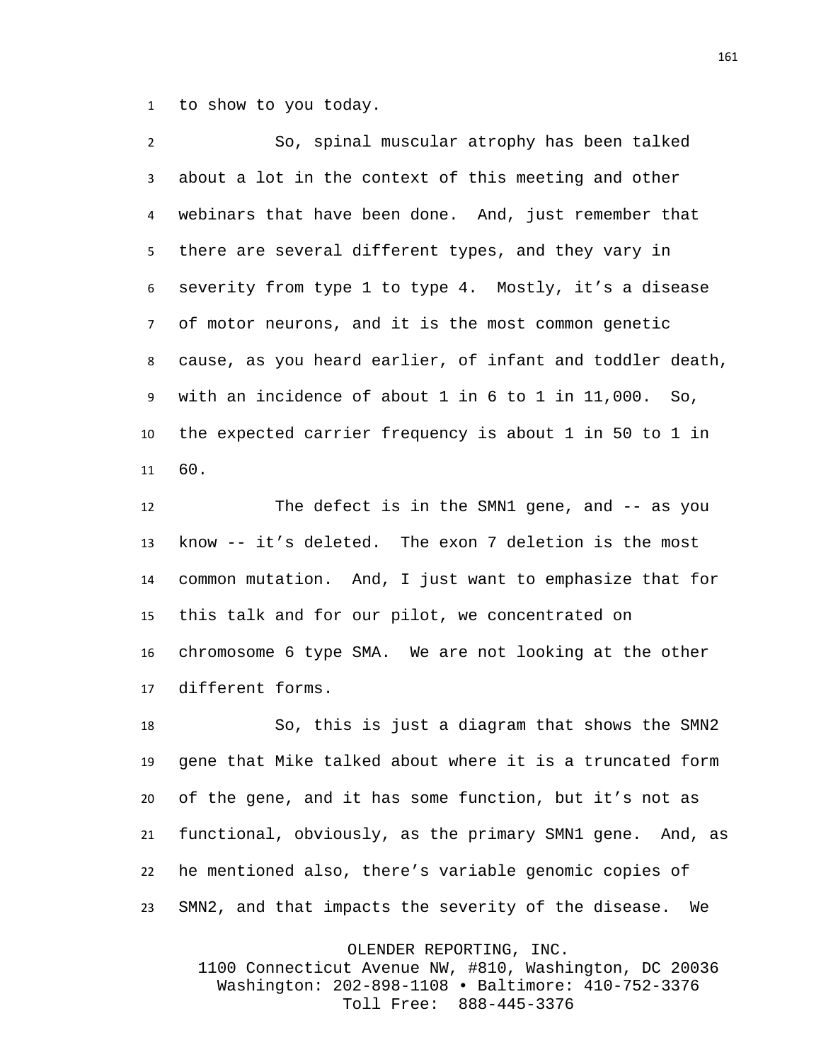to show to you today.

 So, spinal muscular atrophy has been talked about a lot in the context of this meeting and other webinars that have been done. And, just remember that there are several different types, and they vary in severity from type 1 to type 4. Mostly, it's a disease of motor neurons, and it is the most common genetic cause, as you heard earlier, of infant and toddler death, with an incidence of about 1 in 6 to 1 in 11,000. So, the expected carrier frequency is about 1 in 50 to 1 in 60.

12 The defect is in the SMN1 gene, and -- as you know -- it's deleted. The exon 7 deletion is the most common mutation. And, I just want to emphasize that for this talk and for our pilot, we concentrated on chromosome 6 type SMA. We are not looking at the other different forms.

 So, this is just a diagram that shows the SMN2 gene that Mike talked about where it is a truncated form of the gene, and it has some function, but it's not as functional, obviously, as the primary SMN1 gene. And, as he mentioned also, there's variable genomic copies of SMN2, and that impacts the severity of the disease. We

OLENDER REPORTING, INC.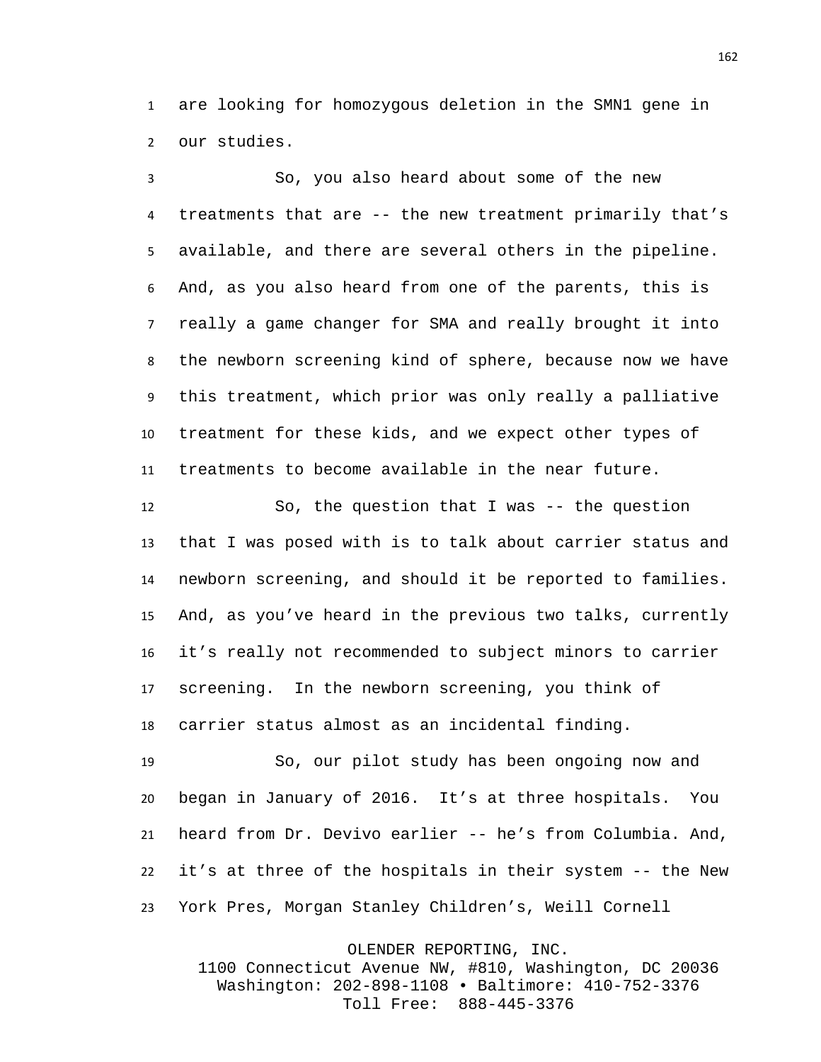are looking for homozygous deletion in the SMN1 gene in our studies.

 So, you also heard about some of the new treatments that are -- the new treatment primarily that's available, and there are several others in the pipeline. And, as you also heard from one of the parents, this is really a game changer for SMA and really brought it into the newborn screening kind of sphere, because now we have this treatment, which prior was only really a palliative treatment for these kids, and we expect other types of treatments to become available in the near future.

 So, the question that I was -- the question that I was posed with is to talk about carrier status and newborn screening, and should it be reported to families. And, as you've heard in the previous two talks, currently it's really not recommended to subject minors to carrier screening. In the newborn screening, you think of carrier status almost as an incidental finding.

 So, our pilot study has been ongoing now and began in January of 2016. It's at three hospitals. You heard from Dr. Devivo earlier -- he's from Columbia. And, it's at three of the hospitals in their system -- the New York Pres, Morgan Stanley Children's, Weill Cornell

OLENDER REPORTING, INC.

1100 Connecticut Avenue NW, #810, Washington, DC 20036 Washington: 202-898-1108 • Baltimore: 410-752-3376 Toll Free: 888-445-3376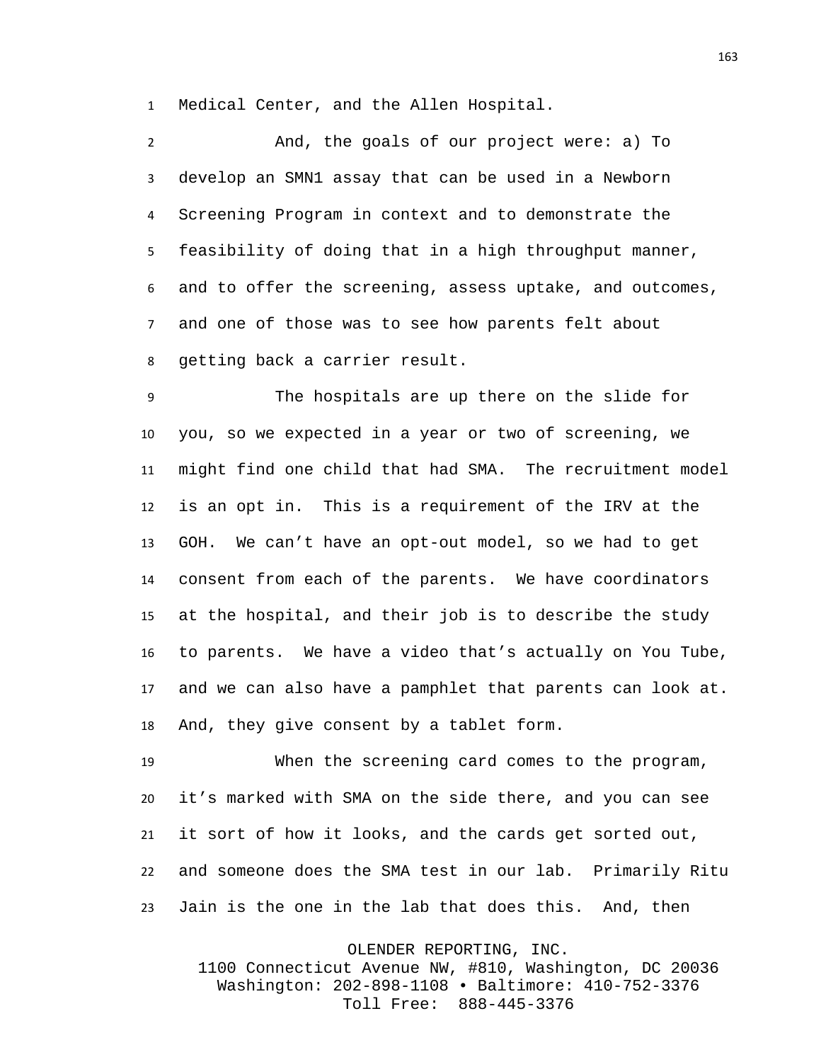Medical Center, and the Allen Hospital.

 And, the goals of our project were: a) To develop an SMN1 assay that can be used in a Newborn Screening Program in context and to demonstrate the feasibility of doing that in a high throughput manner, and to offer the screening, assess uptake, and outcomes, and one of those was to see how parents felt about getting back a carrier result.

 The hospitals are up there on the slide for you, so we expected in a year or two of screening, we might find one child that had SMA. The recruitment model is an opt in. This is a requirement of the IRV at the GOH. We can't have an opt-out model, so we had to get consent from each of the parents. We have coordinators at the hospital, and their job is to describe the study to parents. We have a video that's actually on You Tube, and we can also have a pamphlet that parents can look at. And, they give consent by a tablet form.

 When the screening card comes to the program, it's marked with SMA on the side there, and you can see it sort of how it looks, and the cards get sorted out, and someone does the SMA test in our lab. Primarily Ritu Jain is the one in the lab that does this. And, then

OLENDER REPORTING, INC.

1100 Connecticut Avenue NW, #810, Washington, DC 20036 Washington: 202-898-1108 • Baltimore: 410-752-3376 Toll Free: 888-445-3376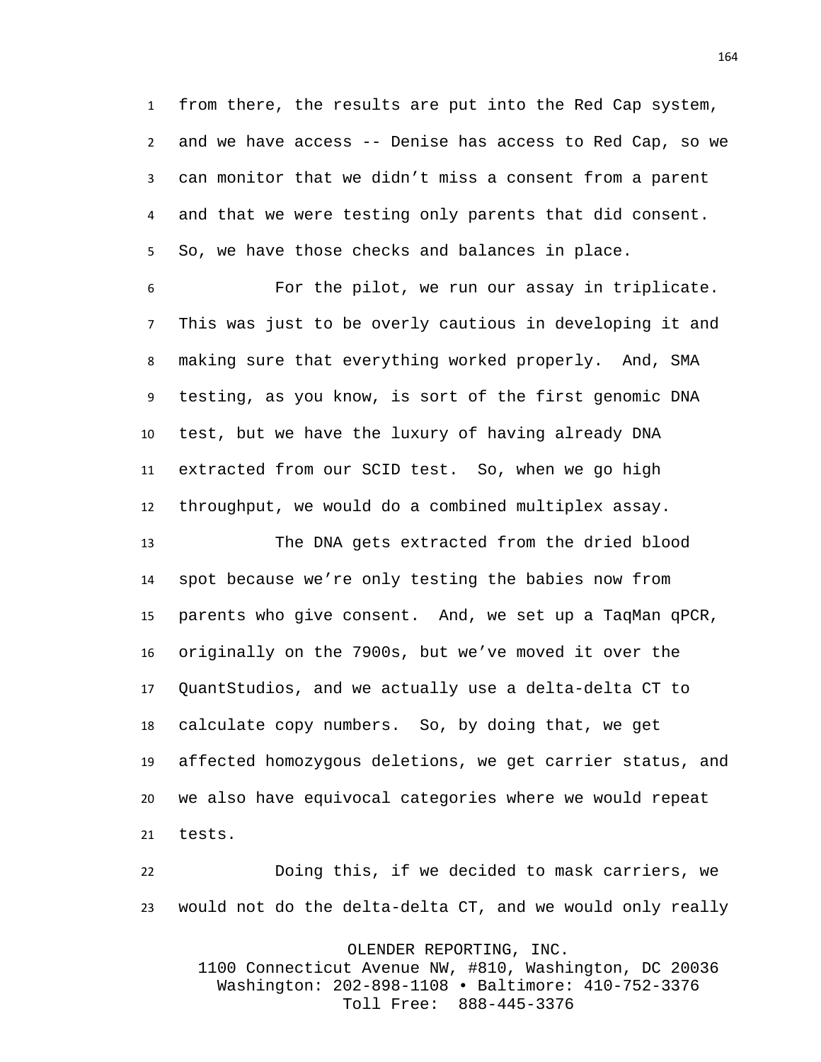from there, the results are put into the Red Cap system, and we have access -- Denise has access to Red Cap, so we can monitor that we didn't miss a consent from a parent and that we were testing only parents that did consent. So, we have those checks and balances in place.

 For the pilot, we run our assay in triplicate. This was just to be overly cautious in developing it and making sure that everything worked properly. And, SMA testing, as you know, is sort of the first genomic DNA test, but we have the luxury of having already DNA extracted from our SCID test. So, when we go high throughput, we would do a combined multiplex assay.

 The DNA gets extracted from the dried blood spot because we're only testing the babies now from parents who give consent. And, we set up a TaqMan qPCR, originally on the 7900s, but we've moved it over the QuantStudios, and we actually use a delta-delta CT to calculate copy numbers. So, by doing that, we get affected homozygous deletions, we get carrier status, and we also have equivocal categories where we would repeat tests.

 Doing this, if we decided to mask carriers, we would not do the delta-delta CT, and we would only really

OLENDER REPORTING, INC.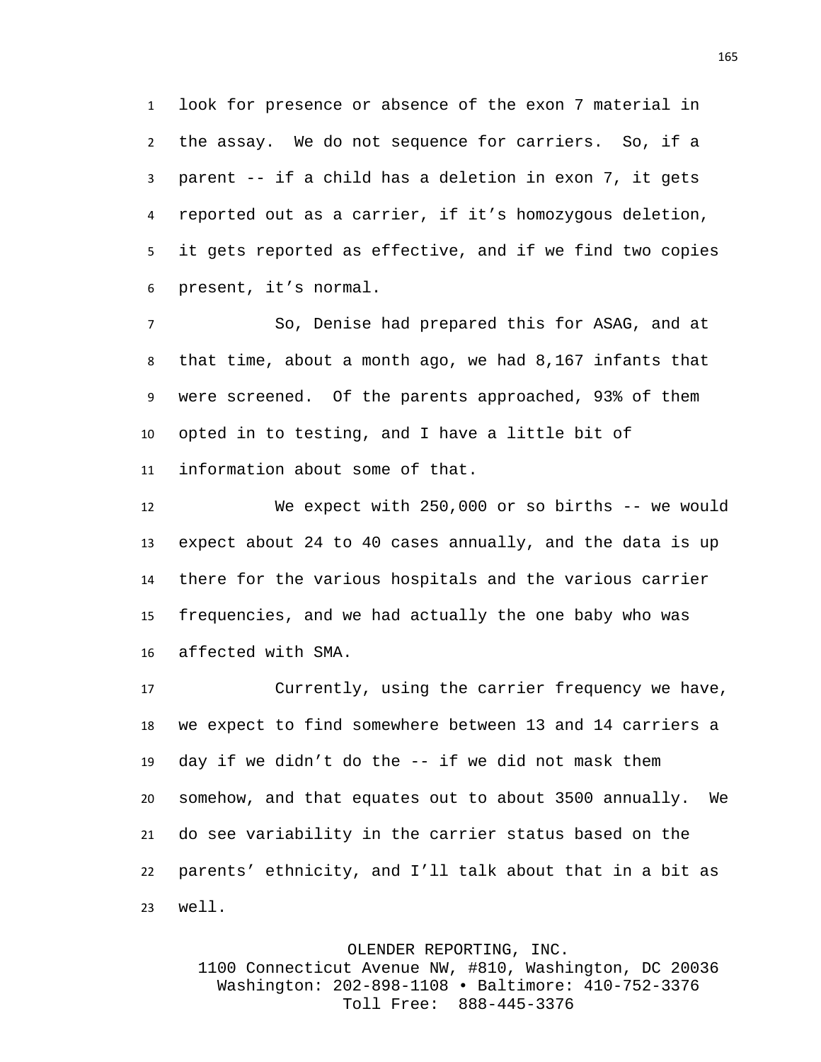look for presence or absence of the exon 7 material in the assay. We do not sequence for carriers. So, if a parent -- if a child has a deletion in exon 7, it gets reported out as a carrier, if it's homozygous deletion, it gets reported as effective, and if we find two copies present, it's normal.

 So, Denise had prepared this for ASAG, and at that time, about a month ago, we had 8,167 infants that were screened. Of the parents approached, 93% of them opted in to testing, and I have a little bit of information about some of that.

 We expect with 250,000 or so births -- we would expect about 24 to 40 cases annually, and the data is up there for the various hospitals and the various carrier frequencies, and we had actually the one baby who was affected with SMA.

 Currently, using the carrier frequency we have, we expect to find somewhere between 13 and 14 carriers a day if we didn't do the -- if we did not mask them somehow, and that equates out to about 3500 annually. We do see variability in the carrier status based on the parents' ethnicity, and I'll talk about that in a bit as well.

OLENDER REPORTING, INC.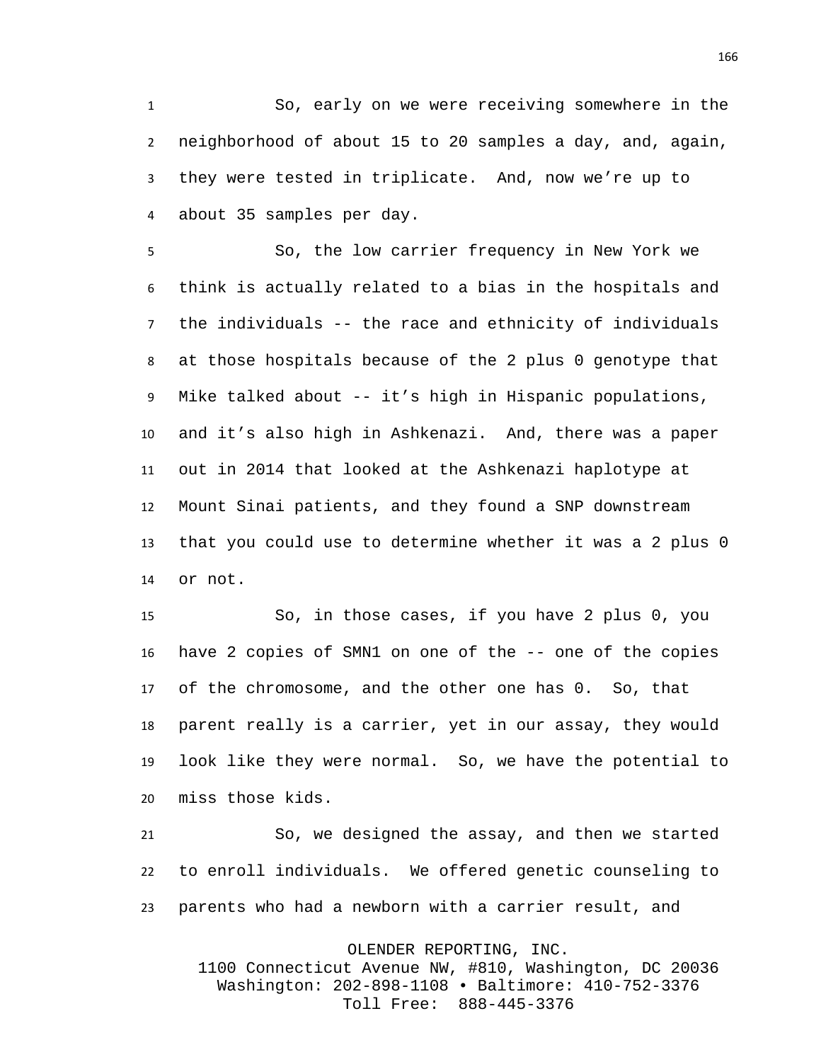So, early on we were receiving somewhere in the neighborhood of about 15 to 20 samples a day, and, again, they were tested in triplicate. And, now we're up to about 35 samples per day.

 So, the low carrier frequency in New York we think is actually related to a bias in the hospitals and the individuals -- the race and ethnicity of individuals at those hospitals because of the 2 plus 0 genotype that Mike talked about -- it's high in Hispanic populations, and it's also high in Ashkenazi. And, there was a paper out in 2014 that looked at the Ashkenazi haplotype at Mount Sinai patients, and they found a SNP downstream that you could use to determine whether it was a 2 plus 0 or not.

 So, in those cases, if you have 2 plus 0, you have 2 copies of SMN1 on one of the -- one of the copies of the chromosome, and the other one has 0. So, that parent really is a carrier, yet in our assay, they would look like they were normal. So, we have the potential to miss those kids.

 So, we designed the assay, and then we started to enroll individuals. We offered genetic counseling to parents who had a newborn with a carrier result, and

OLENDER REPORTING, INC.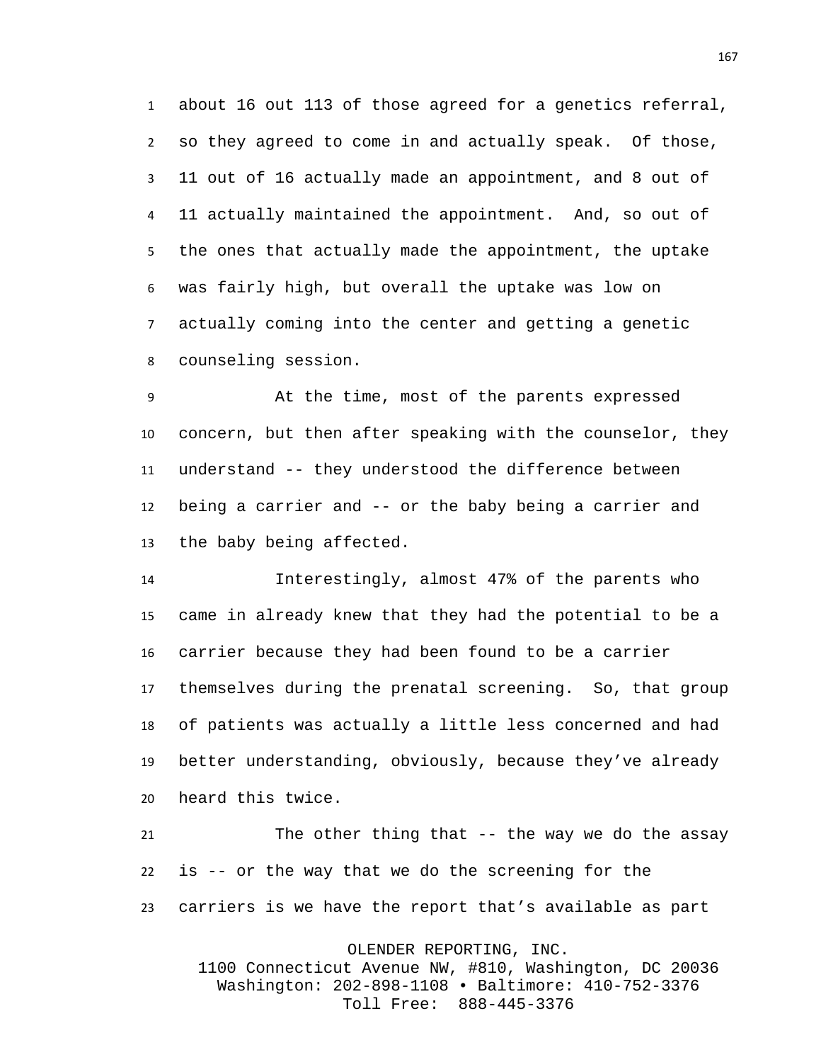about 16 out 113 of those agreed for a genetics referral, so they agreed to come in and actually speak. Of those, 11 out of 16 actually made an appointment, and 8 out of 11 actually maintained the appointment. And, so out of the ones that actually made the appointment, the uptake was fairly high, but overall the uptake was low on actually coming into the center and getting a genetic counseling session.

 At the time, most of the parents expressed concern, but then after speaking with the counselor, they understand -- they understood the difference between being a carrier and -- or the baby being a carrier and the baby being affected.

 Interestingly, almost 47% of the parents who came in already knew that they had the potential to be a carrier because they had been found to be a carrier themselves during the prenatal screening. So, that group of patients was actually a little less concerned and had better understanding, obviously, because they've already heard this twice.

 The other thing that -- the way we do the assay is -- or the way that we do the screening for the carriers is we have the report that's available as part

OLENDER REPORTING, INC.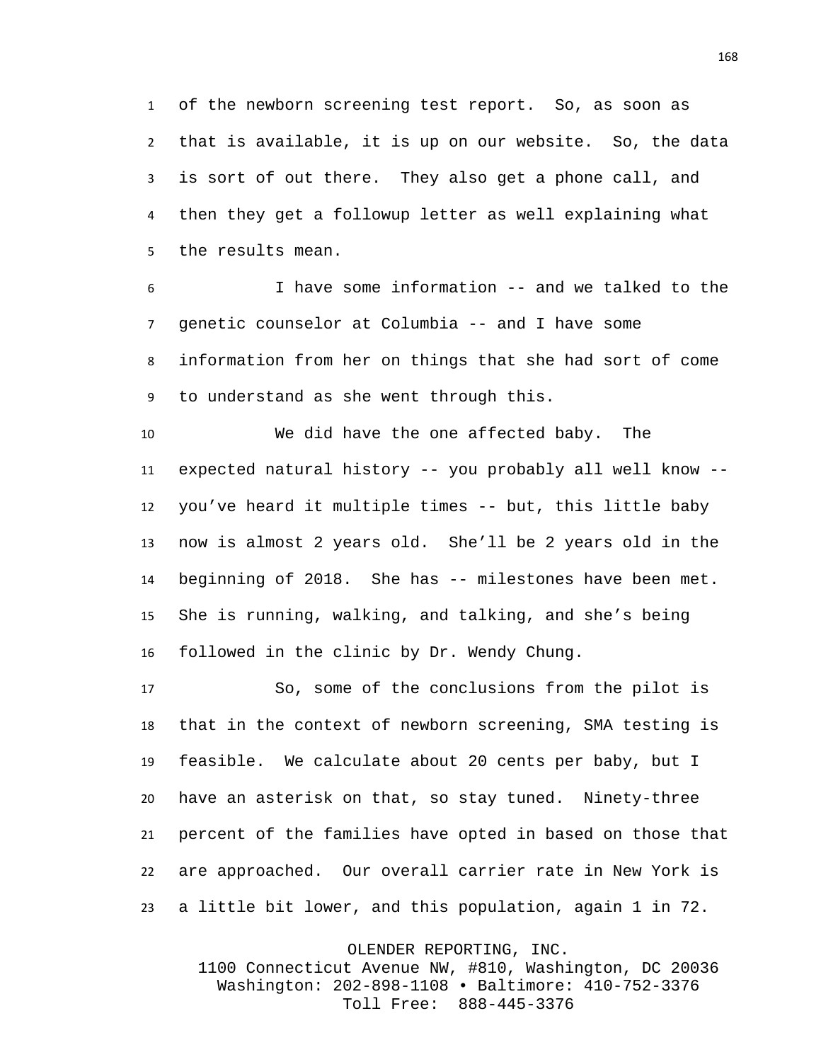of the newborn screening test report. So, as soon as that is available, it is up on our website. So, the data is sort of out there. They also get a phone call, and then they get a followup letter as well explaining what the results mean.

 I have some information -- and we talked to the genetic counselor at Columbia -- and I have some information from her on things that she had sort of come to understand as she went through this.

 We did have the one affected baby. The expected natural history -- you probably all well know -- you've heard it multiple times -- but, this little baby now is almost 2 years old. She'll be 2 years old in the beginning of 2018. She has -- milestones have been met. She is running, walking, and talking, and she's being followed in the clinic by Dr. Wendy Chung.

 So, some of the conclusions from the pilot is that in the context of newborn screening, SMA testing is feasible. We calculate about 20 cents per baby, but I have an asterisk on that, so stay tuned. Ninety-three percent of the families have opted in based on those that are approached. Our overall carrier rate in New York is a little bit lower, and this population, again 1 in 72.

OLENDER REPORTING, INC.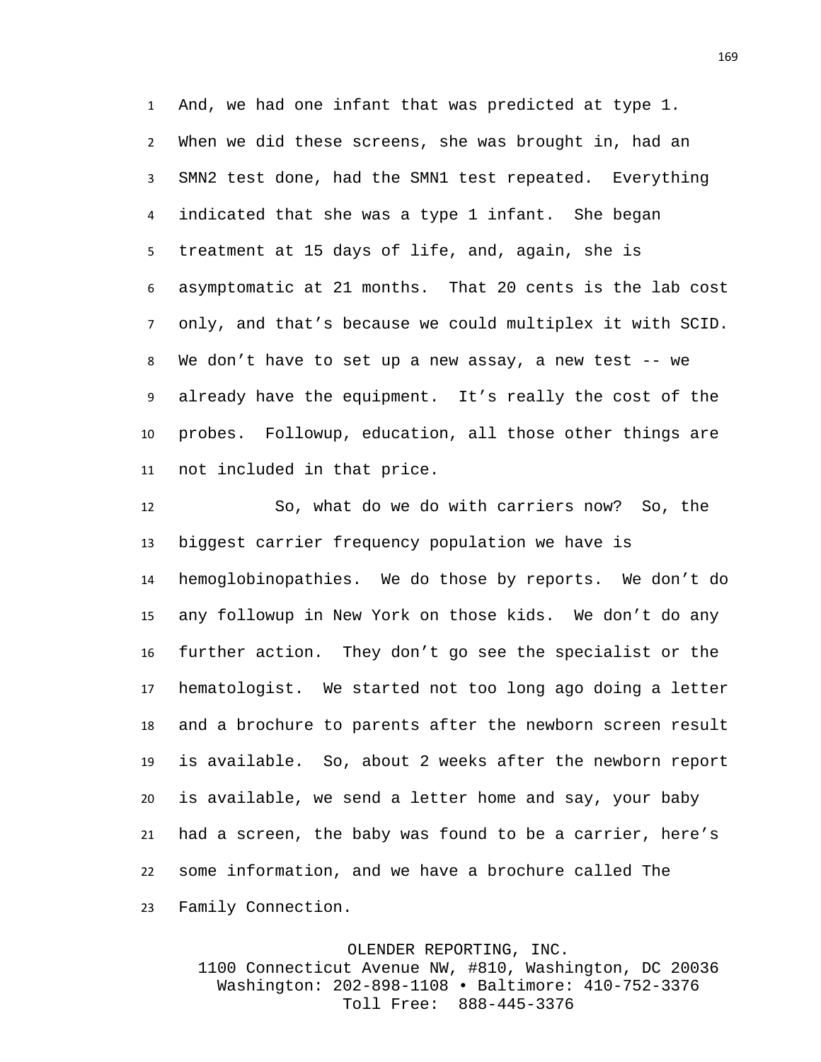And, we had one infant that was predicted at type 1. When we did these screens, she was brought in, had an SMN2 test done, had the SMN1 test repeated. Everything indicated that she was a type 1 infant. She began treatment at 15 days of life, and, again, she is asymptomatic at 21 months. That 20 cents is the lab cost only, and that's because we could multiplex it with SCID. We don't have to set up a new assay, a new test -- we already have the equipment. It's really the cost of the probes. Followup, education, all those other things are not included in that price.

 So, what do we do with carriers now? So, the biggest carrier frequency population we have is hemoglobinopathies. We do those by reports. We don't do any followup in New York on those kids. We don't do any further action. They don't go see the specialist or the hematologist. We started not too long ago doing a letter and a brochure to parents after the newborn screen result is available. So, about 2 weeks after the newborn report is available, we send a letter home and say, your baby had a screen, the baby was found to be a carrier, here's some information, and we have a brochure called The Family Connection.

> OLENDER REPORTING, INC. 1100 Connecticut Avenue NW, #810, Washington, DC 20036 Washington: 202-898-1108 • Baltimore: 410-752-3376 Toll Free: 888-445-3376

##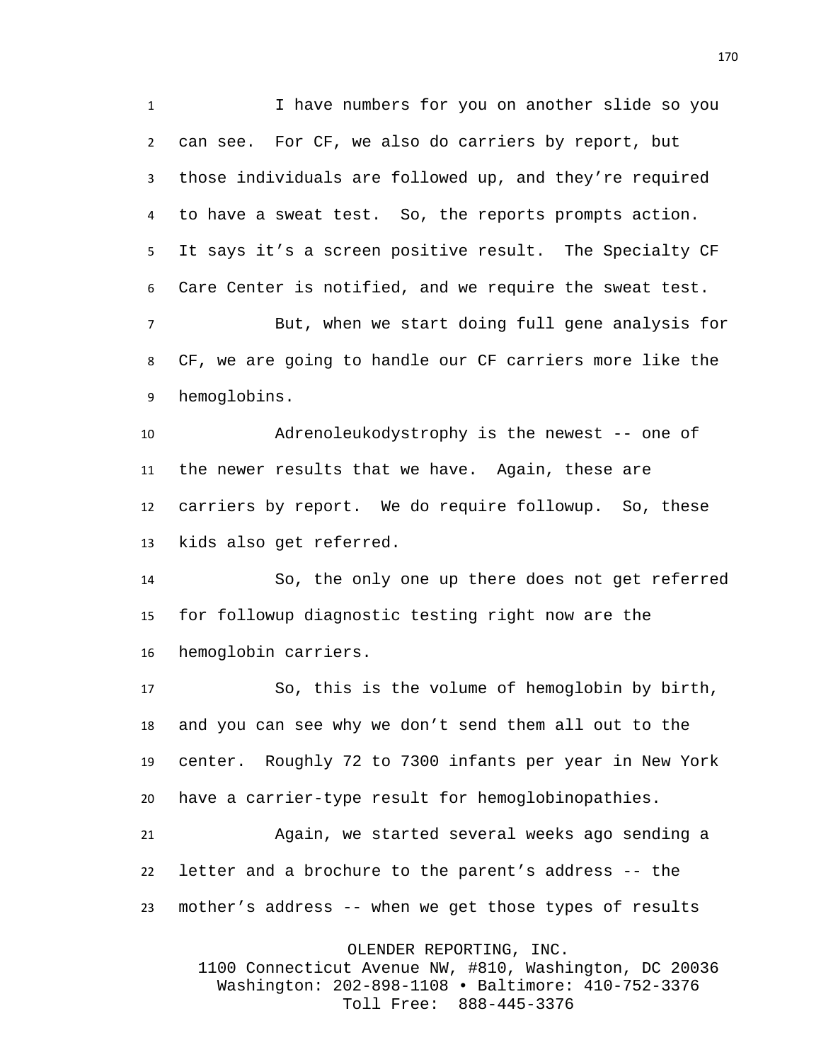I have numbers for you on another slide so you can see. For CF, we also do carriers by report, but those individuals are followed up, and they're required to have a sweat test. So, the reports prompts action. It says it's a screen positive result. The Specialty CF Care Center is notified, and we require the sweat test.

 But, when we start doing full gene analysis for CF, we are going to handle our CF carriers more like the hemoglobins.

 Adrenoleukodystrophy is the newest -- one of the newer results that we have. Again, these are carriers by report. We do require followup. So, these kids also get referred.

 So, the only one up there does not get referred for followup diagnostic testing right now are the hemoglobin carriers.

 So, this is the volume of hemoglobin by birth, and you can see why we don't send them all out to the center. Roughly 72 to 7300 infants per year in New York have a carrier-type result for hemoglobinopathies.

 Again, we started several weeks ago sending a letter and a brochure to the parent's address -- the mother's address -- when we get those types of results

OLENDER REPORTING, INC.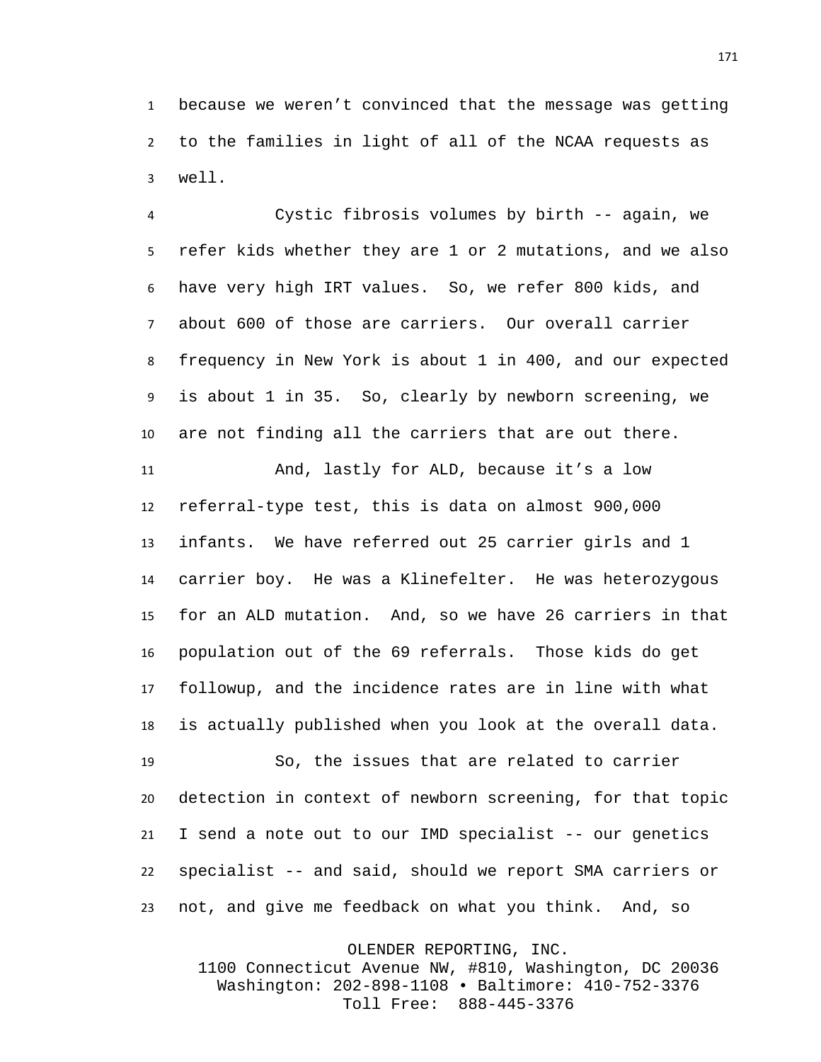because we weren't convinced that the message was getting to the families in light of all of the NCAA requests as well.

 Cystic fibrosis volumes by birth -- again, we refer kids whether they are 1 or 2 mutations, and we also have very high IRT values. So, we refer 800 kids, and about 600 of those are carriers. Our overall carrier frequency in New York is about 1 in 400, and our expected is about 1 in 35. So, clearly by newborn screening, we are not finding all the carriers that are out there.

 And, lastly for ALD, because it's a low referral-type test, this is data on almost 900,000 infants. We have referred out 25 carrier girls and 1 carrier boy. He was a Klinefelter. He was heterozygous for an ALD mutation. And, so we have 26 carriers in that population out of the 69 referrals. Those kids do get followup, and the incidence rates are in line with what is actually published when you look at the overall data.

 So, the issues that are related to carrier detection in context of newborn screening, for that topic I send a note out to our IMD specialist -- our genetics specialist -- and said, should we report SMA carriers or not, and give me feedback on what you think. And, so

OLENDER REPORTING, INC.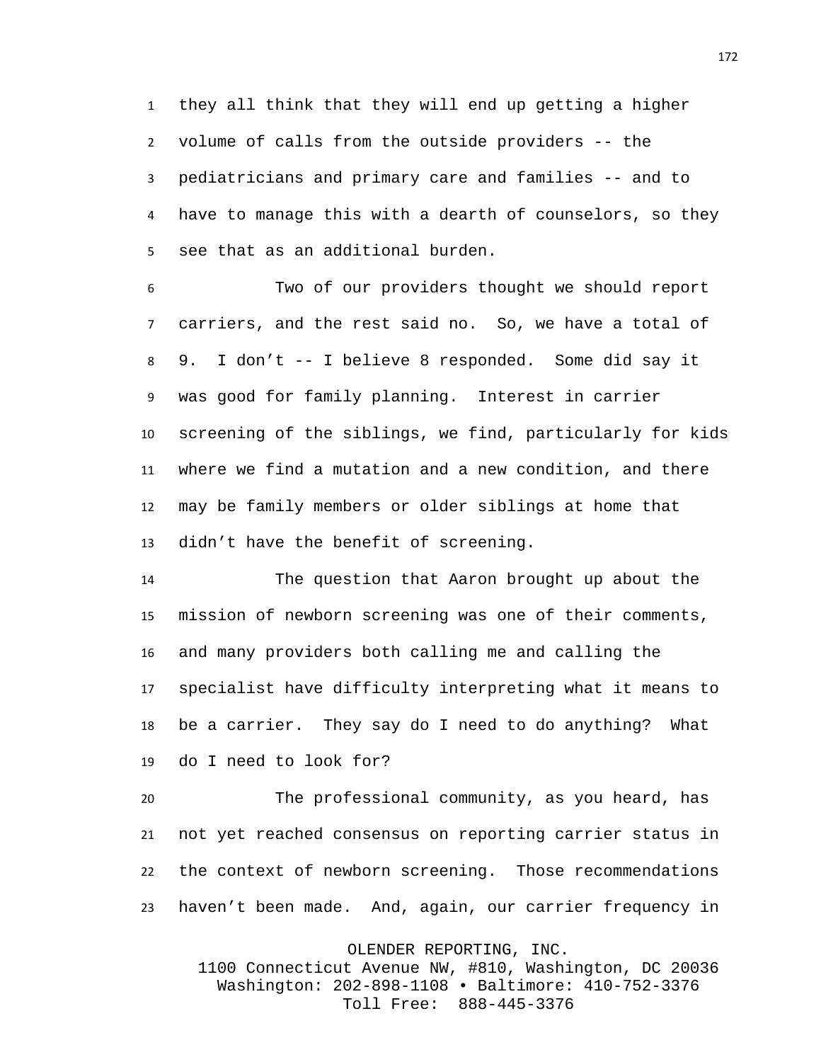they all think that they will end up getting a higher volume of calls from the outside providers -- the pediatricians and primary care and families -- and to have to manage this with a dearth of counselors, so they see that as an additional burden.

 Two of our providers thought we should report carriers, and the rest said no. So, we have a total of 9. I don't -- I believe 8 responded. Some did say it was good for family planning. Interest in carrier screening of the siblings, we find, particularly for kids where we find a mutation and a new condition, and there may be family members or older siblings at home that didn't have the benefit of screening.

 The question that Aaron brought up about the mission of newborn screening was one of their comments, and many providers both calling me and calling the specialist have difficulty interpreting what it means to be a carrier. They say do I need to do anything? What do I need to look for?

 The professional community, as you heard, has not yet reached consensus on reporting carrier status in the context of newborn screening. Those recommendations haven't been made. And, again, our carrier frequency in

OLENDER REPORTING, INC.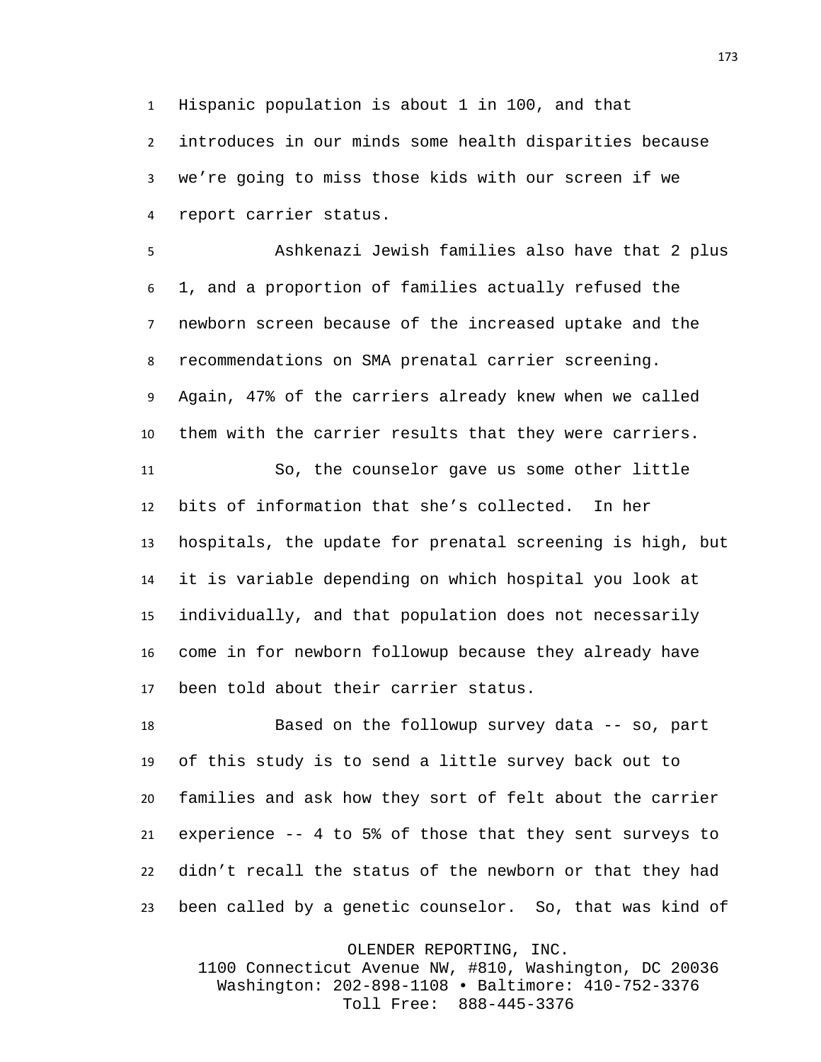Hispanic population is about 1 in 100, and that introduces in our minds some health disparities because we're going to miss those kids with our screen if we report carrier status.

 Ashkenazi Jewish families also have that 2 plus 1, and a proportion of families actually refused the newborn screen because of the increased uptake and the recommendations on SMA prenatal carrier screening. Again, 47% of the carriers already knew when we called them with the carrier results that they were carriers.

 So, the counselor gave us some other little bits of information that she's collected. In her hospitals, the update for prenatal screening is high, but it is variable depending on which hospital you look at individually, and that population does not necessarily come in for newborn followup because they already have been told about their carrier status.

 Based on the followup survey data -- so, part of this study is to send a little survey back out to families and ask how they sort of felt about the carrier experience -- 4 to 5% of those that they sent surveys to didn't recall the status of the newborn or that they had been called by a genetic counselor. So, that was kind of

OLENDER REPORTING, INC.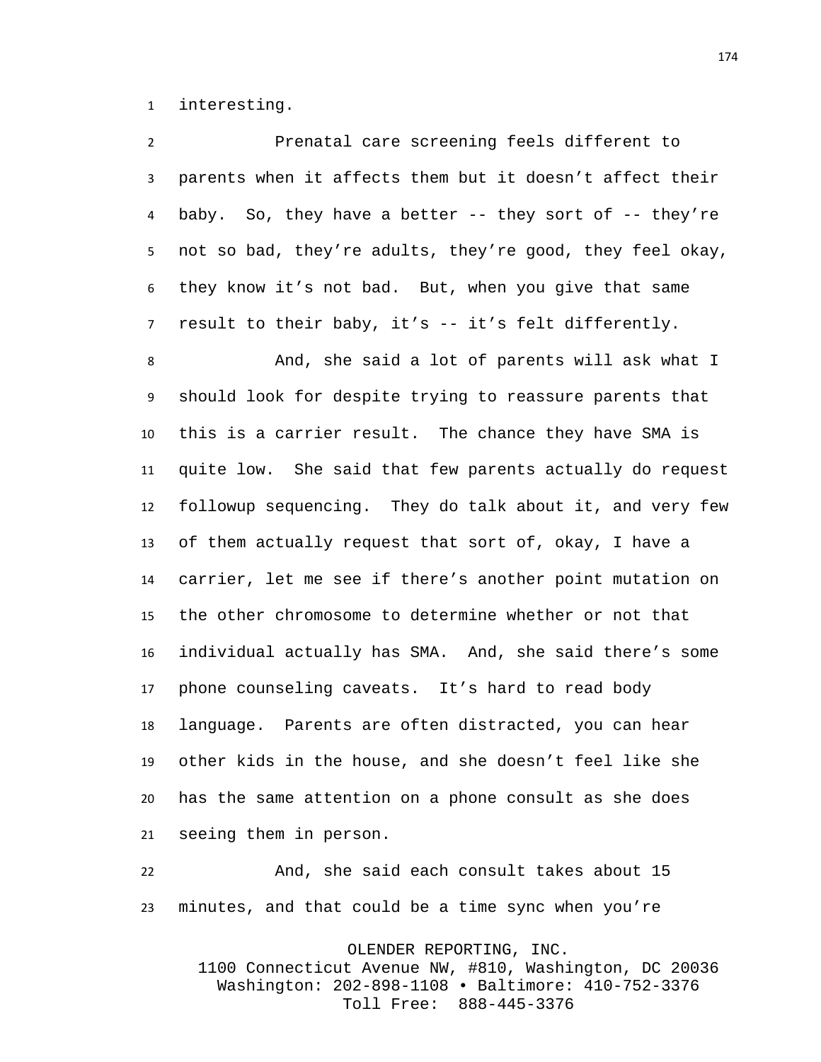interesting.

| $\overline{2}$ | Prenatal care screening feels different to                  |
|----------------|-------------------------------------------------------------|
| 3              | parents when it affects them but it doesn't affect their    |
| 4              | baby. So, they have a better $--$ they sort of $--$ they're |
| 5              | not so bad, they're adults, they're good, they feel okay,   |
| 6              | they know it's not bad. But, when you give that same        |
| $\overline{7}$ | result to their baby, it's -- it's felt differently.        |
| 8              | And, she said a lot of parents will ask what I              |
| 9              | should look for despite trying to reassure parents that     |
| 10             | this is a carrier result. The chance they have SMA is       |
| 11             | quite low. She said that few parents actually do request    |
| 12             | followup sequencing. They do talk about it, and very few    |
| 13             | of them actually request that sort of, okay, I have a       |
| 14             | carrier, let me see if there's another point mutation on    |
| 15             | the other chromosome to determine whether or not that       |
| 16             | individual actually has SMA. And, she said there's some     |
| 17             | phone counseling caveats. It's hard to read body            |
| 18             | language. Parents are often distracted, you can hear        |
| 19             | other kids in the house, and she doesn't feel like she      |
| 20             | has the same attention on a phone consult as she does       |
| 21             | seeing them in person.                                      |
| າາ             | And she said each consult takes about 15                    |

 And, she said each consult takes about 15 minutes, and that could be a time sync when you're

OLENDER REPORTING, INC.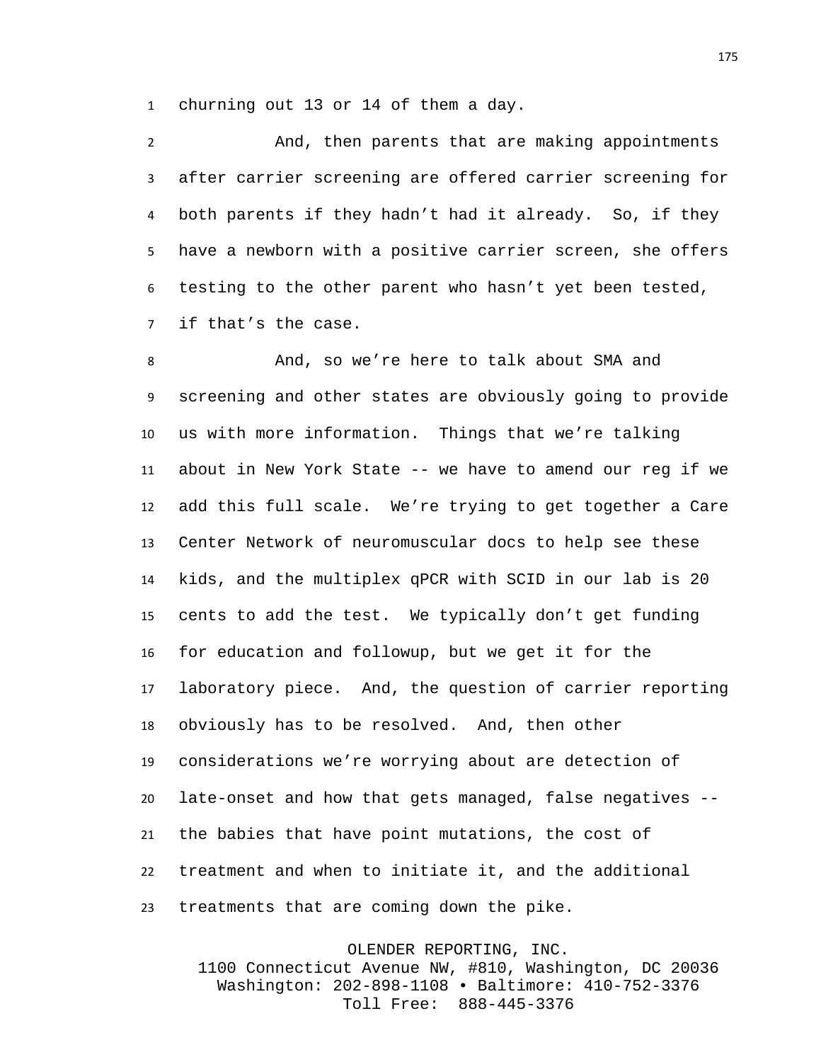churning out 13 or 14 of them a day.

 And, then parents that are making appointments after carrier screening are offered carrier screening for both parents if they hadn't had it already. So, if they have a newborn with a positive carrier screen, she offers testing to the other parent who hasn't yet been tested, if that's the case.

 And, so we're here to talk about SMA and screening and other states are obviously going to provide us with more information. Things that we're talking about in New York State -- we have to amend our reg if we add this full scale. We're trying to get together a Care Center Network of neuromuscular docs to help see these kids, and the multiplex qPCR with SCID in our lab is 20 cents to add the test. We typically don't get funding for education and followup, but we get it for the laboratory piece. And, the question of carrier reporting obviously has to be resolved. And, then other considerations we're worrying about are detection of late-onset and how that gets managed, false negatives -- the babies that have point mutations, the cost of treatment and when to initiate it, and the additional treatments that are coming down the pike.

OLENDER REPORTING, INC. 1100 Connecticut Avenue NW, #810, Washington, DC 20036 Washington: 202-898-1108 • Baltimore: 410-752-3376 Toll Free: 888-445-3376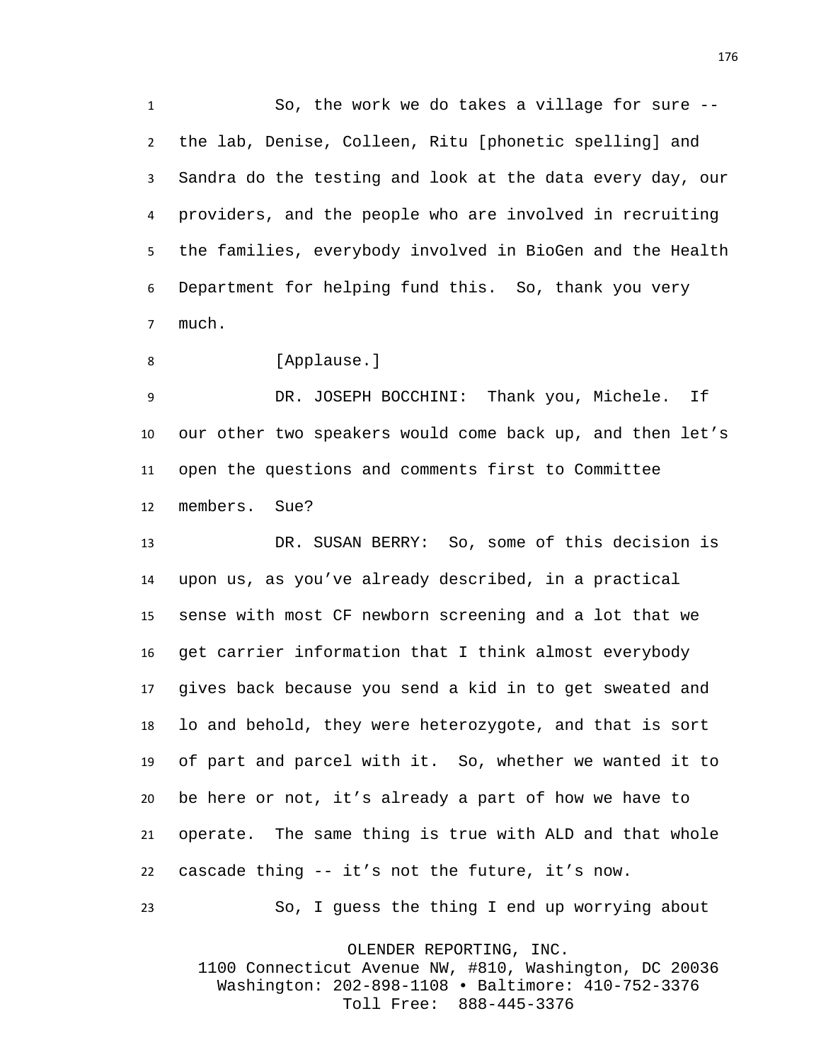So, the work we do takes a village for sure -- the lab, Denise, Colleen, Ritu [phonetic spelling] and Sandra do the testing and look at the data every day, our providers, and the people who are involved in recruiting the families, everybody involved in BioGen and the Health Department for helping fund this. So, thank you very much.

8 [Applause.]

 DR. JOSEPH BOCCHINI: Thank you, Michele. If our other two speakers would come back up, and then let's open the questions and comments first to Committee members. Sue?

 DR. SUSAN BERRY: So, some of this decision is upon us, as you've already described, in a practical sense with most CF newborn screening and a lot that we get carrier information that I think almost everybody gives back because you send a kid in to get sweated and lo and behold, they were heterozygote, and that is sort of part and parcel with it. So, whether we wanted it to be here or not, it's already a part of how we have to operate. The same thing is true with ALD and that whole cascade thing -- it's not the future, it's now.

So, I guess the thing I end up worrying about

OLENDER REPORTING, INC.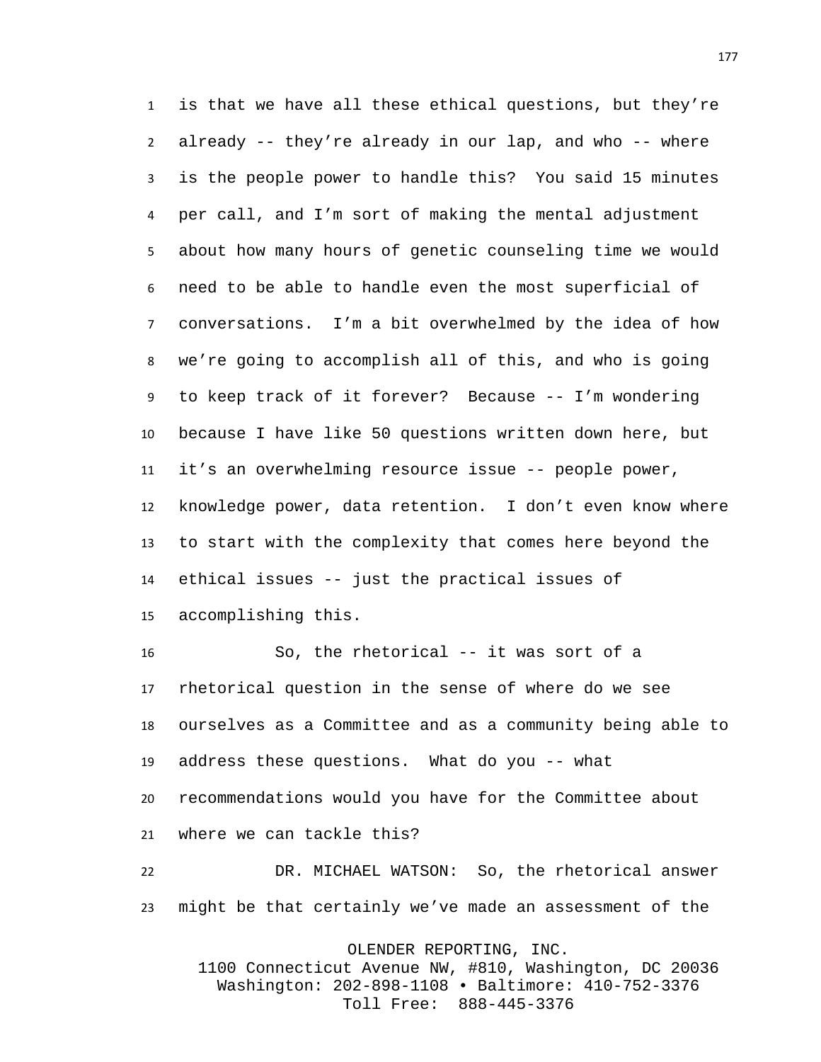is that we have all these ethical questions, but they're already -- they're already in our lap, and who -- where is the people power to handle this? You said 15 minutes per call, and I'm sort of making the mental adjustment about how many hours of genetic counseling time we would need to be able to handle even the most superficial of conversations. I'm a bit overwhelmed by the idea of how we're going to accomplish all of this, and who is going to keep track of it forever? Because -- I'm wondering because I have like 50 questions written down here, but it's an overwhelming resource issue -- people power, knowledge power, data retention. I don't even know where to start with the complexity that comes here beyond the ethical issues -- just the practical issues of accomplishing this.

 So, the rhetorical -- it was sort of a rhetorical question in the sense of where do we see ourselves as a Committee and as a community being able to address these questions. What do you -- what recommendations would you have for the Committee about where we can tackle this? DR. MICHAEL WATSON: So, the rhetorical answer

might be that certainly we've made an assessment of the

OLENDER REPORTING, INC.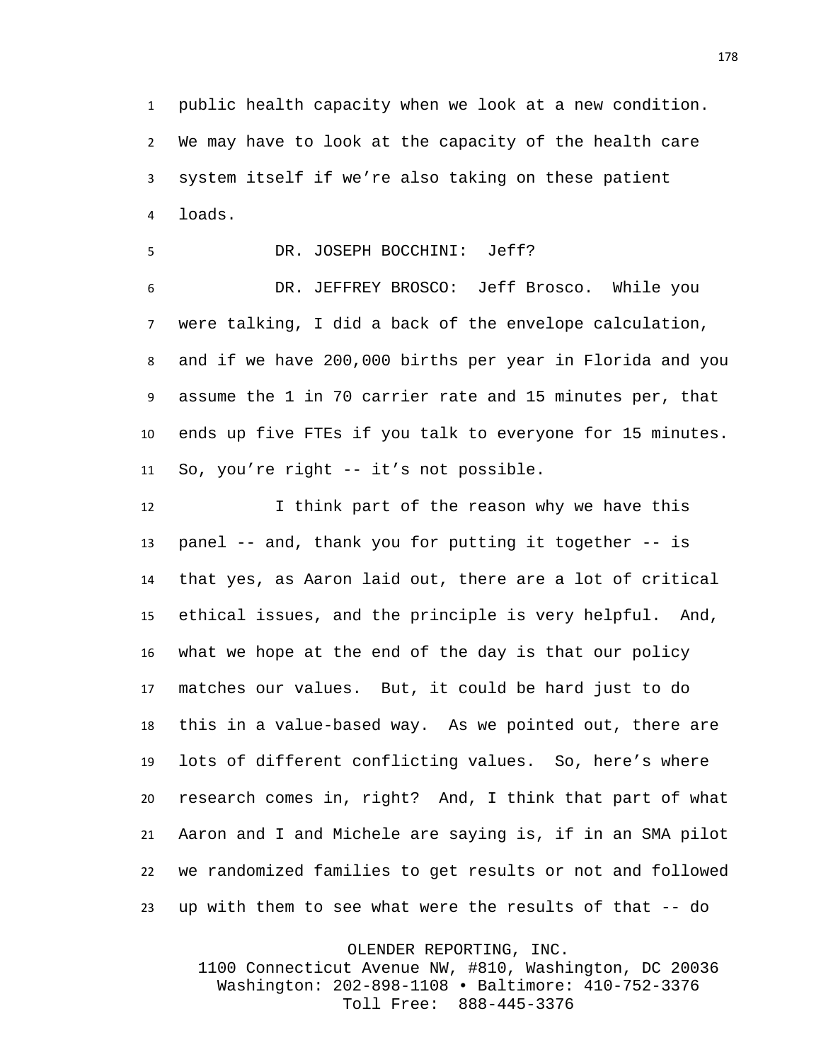public health capacity when we look at a new condition. We may have to look at the capacity of the health care system itself if we're also taking on these patient loads.

DR. JOSEPH BOCCHINI: Jeff?

 DR. JEFFREY BROSCO: Jeff Brosco. While you were talking, I did a back of the envelope calculation, and if we have 200,000 births per year in Florida and you assume the 1 in 70 carrier rate and 15 minutes per, that ends up five FTEs if you talk to everyone for 15 minutes. So, you're right -- it's not possible.

12 I think part of the reason why we have this panel -- and, thank you for putting it together -- is that yes, as Aaron laid out, there are a lot of critical ethical issues, and the principle is very helpful. And, what we hope at the end of the day is that our policy matches our values. But, it could be hard just to do this in a value-based way. As we pointed out, there are lots of different conflicting values. So, here's where research comes in, right? And, I think that part of what Aaron and I and Michele are saying is, if in an SMA pilot we randomized families to get results or not and followed up with them to see what were the results of that -- do

OLENDER REPORTING, INC.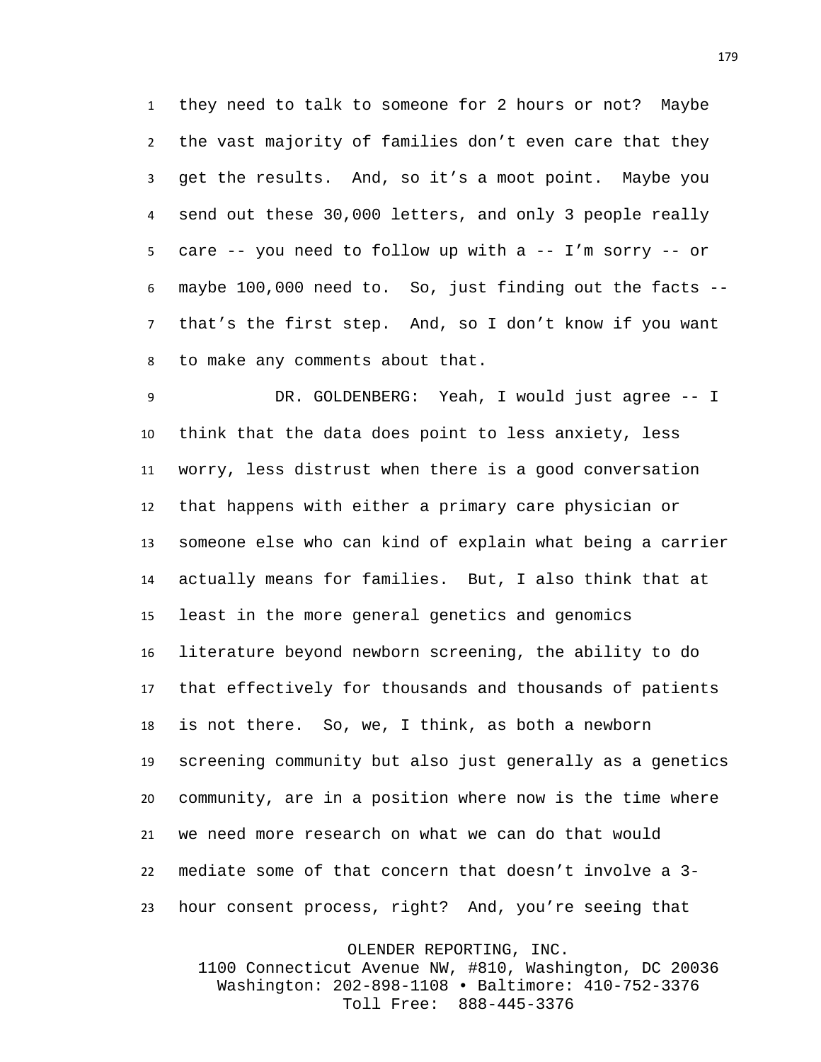they need to talk to someone for 2 hours or not? Maybe the vast majority of families don't even care that they get the results. And, so it's a moot point. Maybe you send out these 30,000 letters, and only 3 people really care -- you need to follow up with a -- I'm sorry -- or maybe 100,000 need to. So, just finding out the facts -- that's the first step. And, so I don't know if you want to make any comments about that.

 DR. GOLDENBERG: Yeah, I would just agree -- I think that the data does point to less anxiety, less worry, less distrust when there is a good conversation that happens with either a primary care physician or someone else who can kind of explain what being a carrier actually means for families. But, I also think that at least in the more general genetics and genomics literature beyond newborn screening, the ability to do that effectively for thousands and thousands of patients is not there. So, we, I think, as both a newborn screening community but also just generally as a genetics community, are in a position where now is the time where we need more research on what we can do that would mediate some of that concern that doesn't involve a 3- hour consent process, right? And, you're seeing that

OLENDER REPORTING, INC.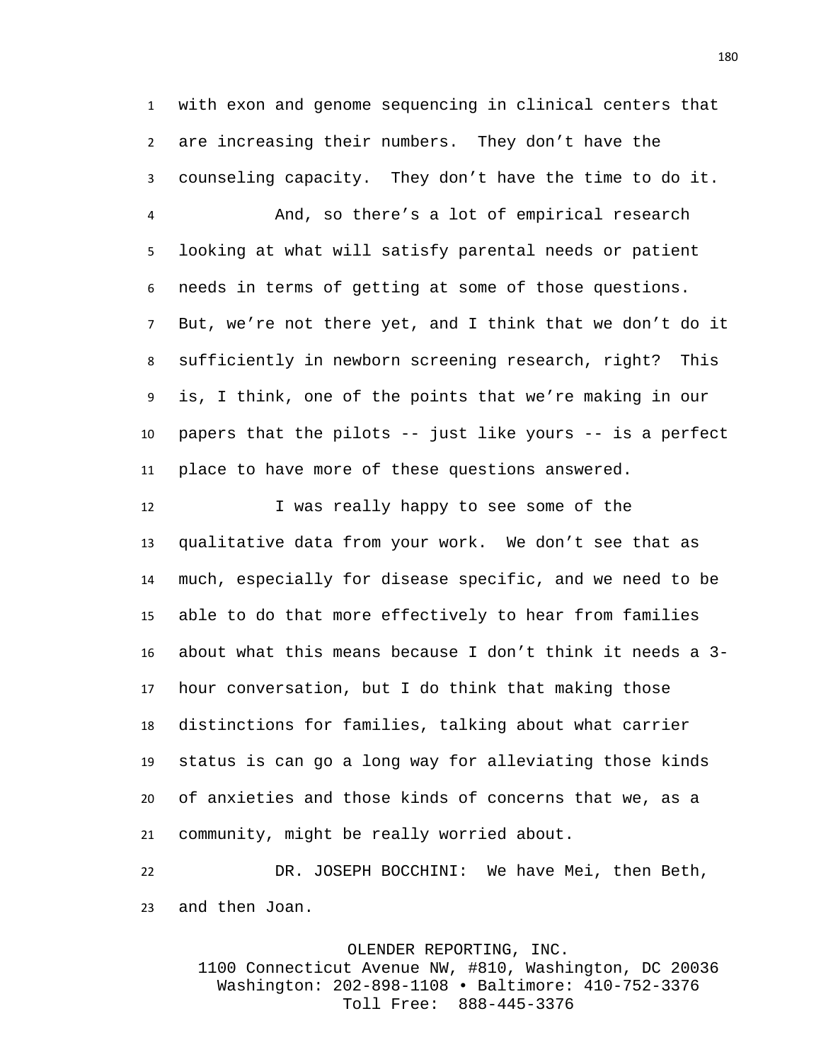with exon and genome sequencing in clinical centers that are increasing their numbers. They don't have the counseling capacity. They don't have the time to do it.

 And, so there's a lot of empirical research looking at what will satisfy parental needs or patient needs in terms of getting at some of those questions. But, we're not there yet, and I think that we don't do it sufficiently in newborn screening research, right? This is, I think, one of the points that we're making in our papers that the pilots -- just like yours -- is a perfect place to have more of these questions answered.

 I was really happy to see some of the qualitative data from your work. We don't see that as much, especially for disease specific, and we need to be able to do that more effectively to hear from families about what this means because I don't think it needs a 3- hour conversation, but I do think that making those distinctions for families, talking about what carrier status is can go a long way for alleviating those kinds of anxieties and those kinds of concerns that we, as a community, might be really worried about.

 DR. JOSEPH BOCCHINI: We have Mei, then Beth, and then Joan.

OLENDER REPORTING, INC.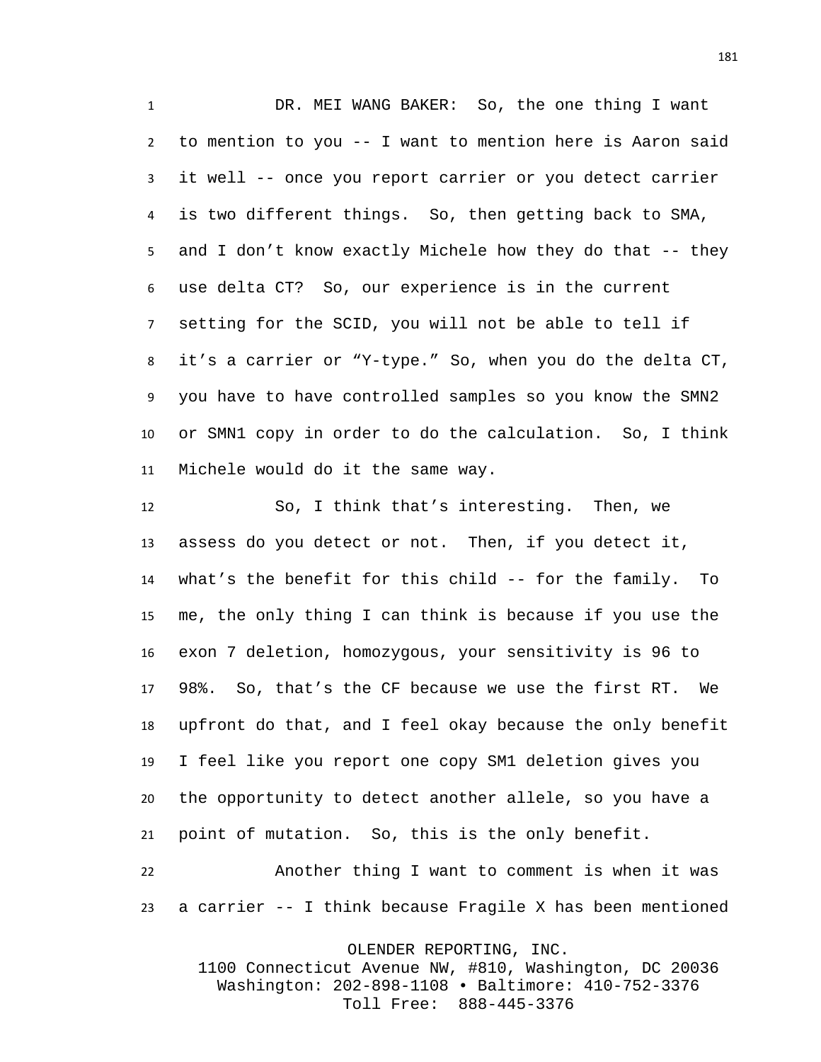DR. MEI WANG BAKER: So, the one thing I want to mention to you -- I want to mention here is Aaron said it well -- once you report carrier or you detect carrier is two different things. So, then getting back to SMA, and I don't know exactly Michele how they do that -- they use delta CT? So, our experience is in the current setting for the SCID, you will not be able to tell if it's a carrier or "Y-type." So, when you do the delta CT, you have to have controlled samples so you know the SMN2 or SMN1 copy in order to do the calculation. So, I think Michele would do it the same way.

 So, I think that's interesting. Then, we assess do you detect or not. Then, if you detect it, what's the benefit for this child -- for the family. To me, the only thing I can think is because if you use the exon 7 deletion, homozygous, your sensitivity is 96 to 98%. So, that's the CF because we use the first RT. We upfront do that, and I feel okay because the only benefit I feel like you report one copy SM1 deletion gives you the opportunity to detect another allele, so you have a point of mutation. So, this is the only benefit.

 Another thing I want to comment is when it was a carrier -- I think because Fragile X has been mentioned

OLENDER REPORTING, INC.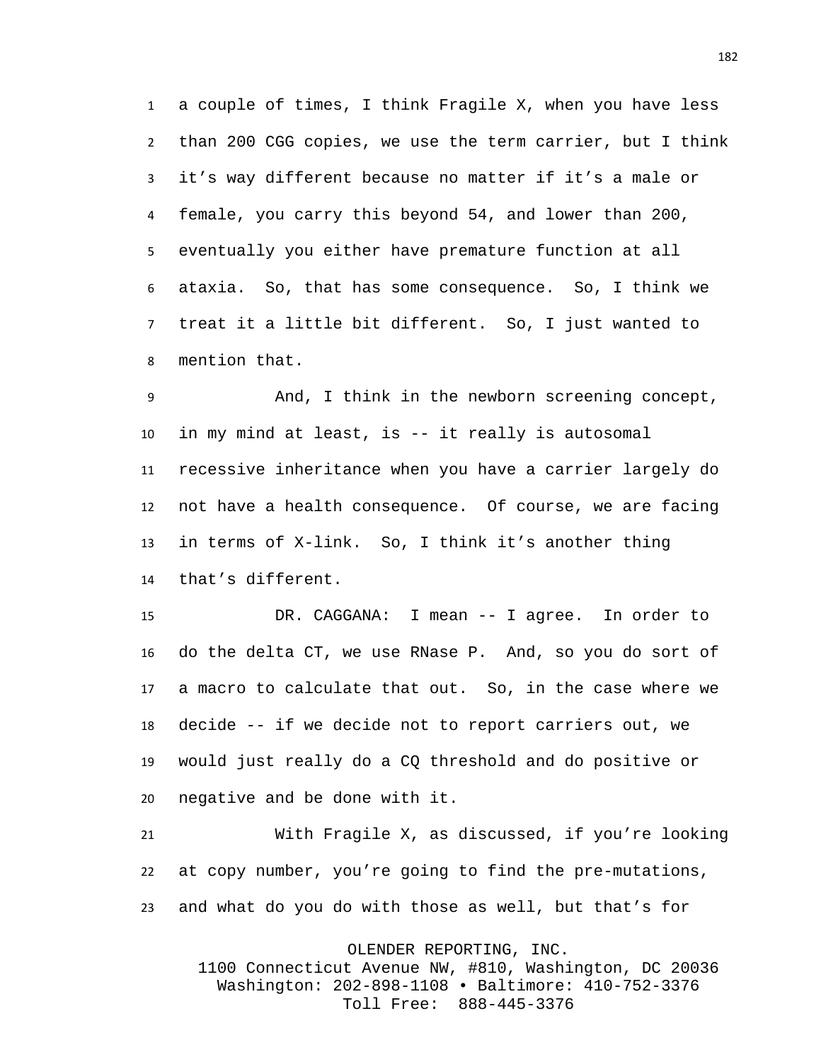a couple of times, I think Fragile X, when you have less than 200 CGG copies, we use the term carrier, but I think it's way different because no matter if it's a male or female, you carry this beyond 54, and lower than 200, eventually you either have premature function at all ataxia. So, that has some consequence. So, I think we treat it a little bit different. So, I just wanted to mention that.

 And, I think in the newborn screening concept, in my mind at least, is -- it really is autosomal recessive inheritance when you have a carrier largely do not have a health consequence. Of course, we are facing in terms of X-link. So, I think it's another thing that's different.

 DR. CAGGANA: I mean -- I agree. In order to do the delta CT, we use RNase P. And, so you do sort of a macro to calculate that out. So, in the case where we decide -- if we decide not to report carriers out, we would just really do a CQ threshold and do positive or negative and be done with it.

 With Fragile X, as discussed, if you're looking at copy number, you're going to find the pre-mutations, and what do you do with those as well, but that's for

OLENDER REPORTING, INC. 1100 Connecticut Avenue NW, #810, Washington, DC 20036 Washington: 202-898-1108 • Baltimore: 410-752-3376

Toll Free: 888-445-3376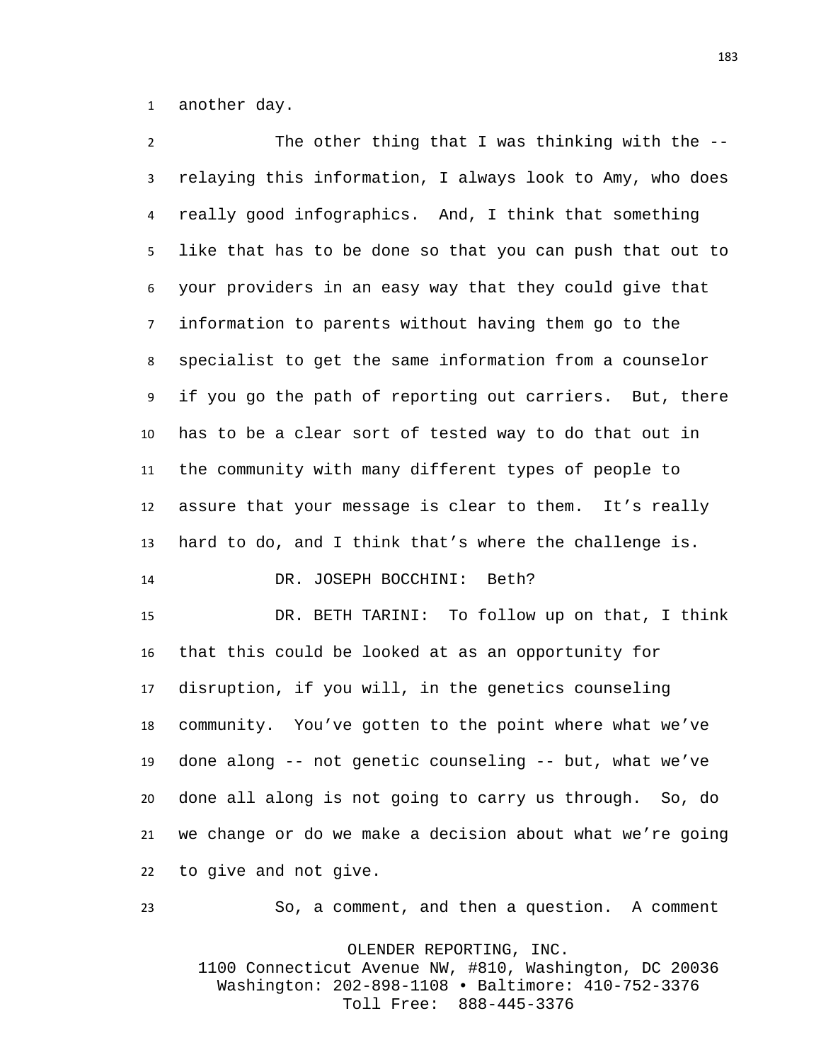another day.

 The other thing that I was thinking with the -- relaying this information, I always look to Amy, who does really good infographics. And, I think that something like that has to be done so that you can push that out to your providers in an easy way that they could give that information to parents without having them go to the specialist to get the same information from a counselor if you go the path of reporting out carriers. But, there has to be a clear sort of tested way to do that out in the community with many different types of people to assure that your message is clear to them. It's really hard to do, and I think that's where the challenge is. DR. JOSEPH BOCCHINI: Beth?

 DR. BETH TARINI: To follow up on that, I think that this could be looked at as an opportunity for disruption, if you will, in the genetics counseling community. You've gotten to the point where what we've done along -- not genetic counseling -- but, what we've done all along is not going to carry us through. So, do we change or do we make a decision about what we're going to give and not give.

So, a comment, and then a question. A comment

OLENDER REPORTING, INC. 1100 Connecticut Avenue NW, #810, Washington, DC 20036 Washington: 202-898-1108 • Baltimore: 410-752-3376 Toll Free: 888-445-3376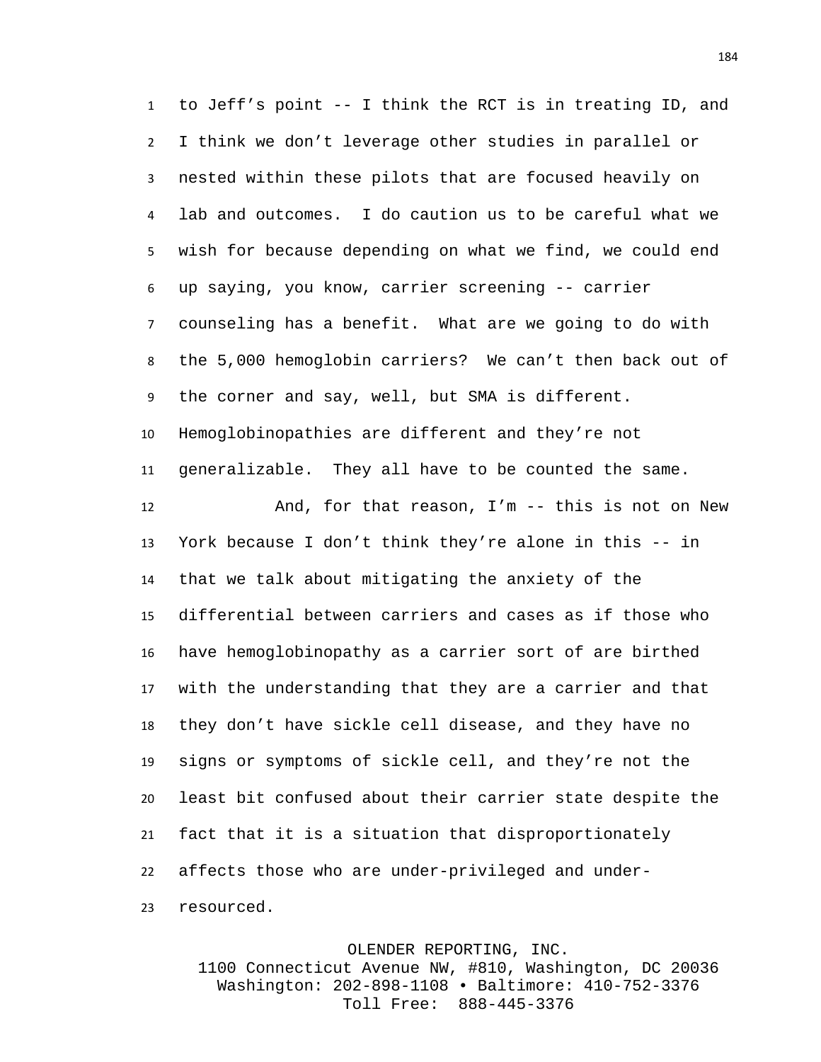to Jeff's point -- I think the RCT is in treating ID, and I think we don't leverage other studies in parallel or nested within these pilots that are focused heavily on lab and outcomes. I do caution us to be careful what we wish for because depending on what we find, we could end up saying, you know, carrier screening -- carrier counseling has a benefit. What are we going to do with the 5,000 hemoglobin carriers? We can't then back out of the corner and say, well, but SMA is different. Hemoglobinopathies are different and they're not generalizable. They all have to be counted the same. And, for that reason, I'm -- this is not on New York because I don't think they're alone in this -- in that we talk about mitigating the anxiety of the differential between carriers and cases as if those who have hemoglobinopathy as a carrier sort of are birthed with the understanding that they are a carrier and that they don't have sickle cell disease, and they have no signs or symptoms of sickle cell, and they're not the least bit confused about their carrier state despite the fact that it is a situation that disproportionately affects those who are under-privileged and under-resourced.

OLENDER REPORTING, INC.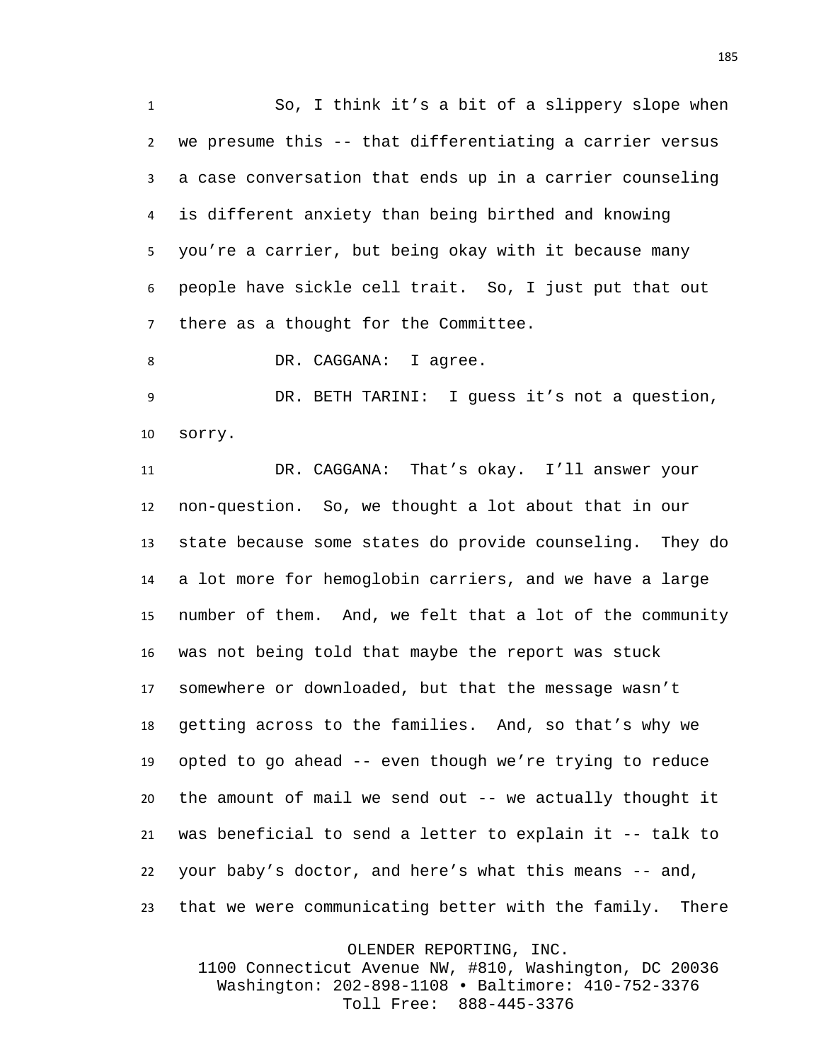So, I think it's a bit of a slippery slope when we presume this -- that differentiating a carrier versus a case conversation that ends up in a carrier counseling is different anxiety than being birthed and knowing you're a carrier, but being okay with it because many people have sickle cell trait. So, I just put that out there as a thought for the Committee.

8 DR. CAGGANA: I agree.

 DR. BETH TARINI: I guess it's not a question, sorry.

 DR. CAGGANA: That's okay. I'll answer your non-question. So, we thought a lot about that in our state because some states do provide counseling. They do a lot more for hemoglobin carriers, and we have a large number of them. And, we felt that a lot of the community was not being told that maybe the report was stuck somewhere or downloaded, but that the message wasn't getting across to the families. And, so that's why we opted to go ahead -- even though we're trying to reduce the amount of mail we send out -- we actually thought it was beneficial to send a letter to explain it -- talk to your baby's doctor, and here's what this means -- and, that we were communicating better with the family. There

OLENDER REPORTING, INC.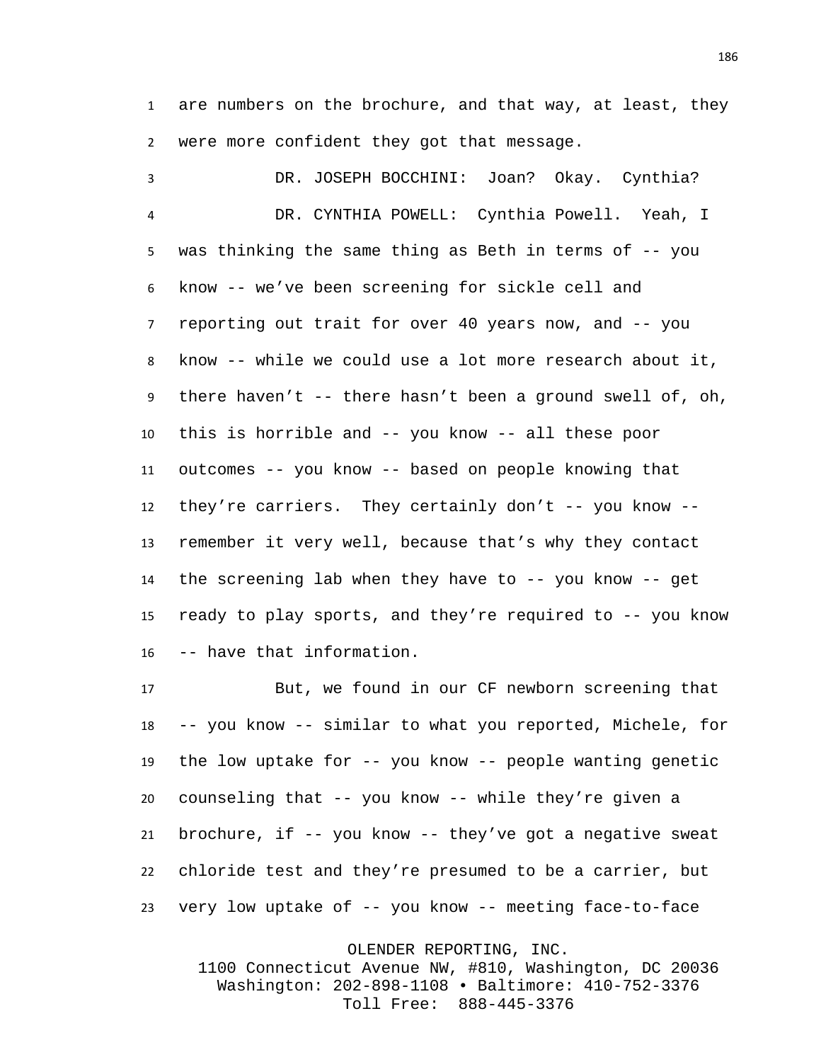are numbers on the brochure, and that way, at least, they were more confident they got that message.

 DR. JOSEPH BOCCHINI: Joan? Okay. Cynthia? DR. CYNTHIA POWELL: Cynthia Powell. Yeah, I was thinking the same thing as Beth in terms of -- you know -- we've been screening for sickle cell and reporting out trait for over 40 years now, and -- you know -- while we could use a lot more research about it, there haven't -- there hasn't been a ground swell of, oh, this is horrible and -- you know -- all these poor outcomes -- you know -- based on people knowing that they're carriers. They certainly don't -- you know -- remember it very well, because that's why they contact the screening lab when they have to -- you know -- get ready to play sports, and they're required to -- you know -- have that information.

 But, we found in our CF newborn screening that -- you know -- similar to what you reported, Michele, for the low uptake for -- you know -- people wanting genetic counseling that -- you know -- while they're given a brochure, if -- you know -- they've got a negative sweat chloride test and they're presumed to be a carrier, but very low uptake of -- you know -- meeting face-to-face

OLENDER REPORTING, INC.

1100 Connecticut Avenue NW, #810, Washington, DC 20036 Washington: 202-898-1108 • Baltimore: 410-752-3376 Toll Free: 888-445-3376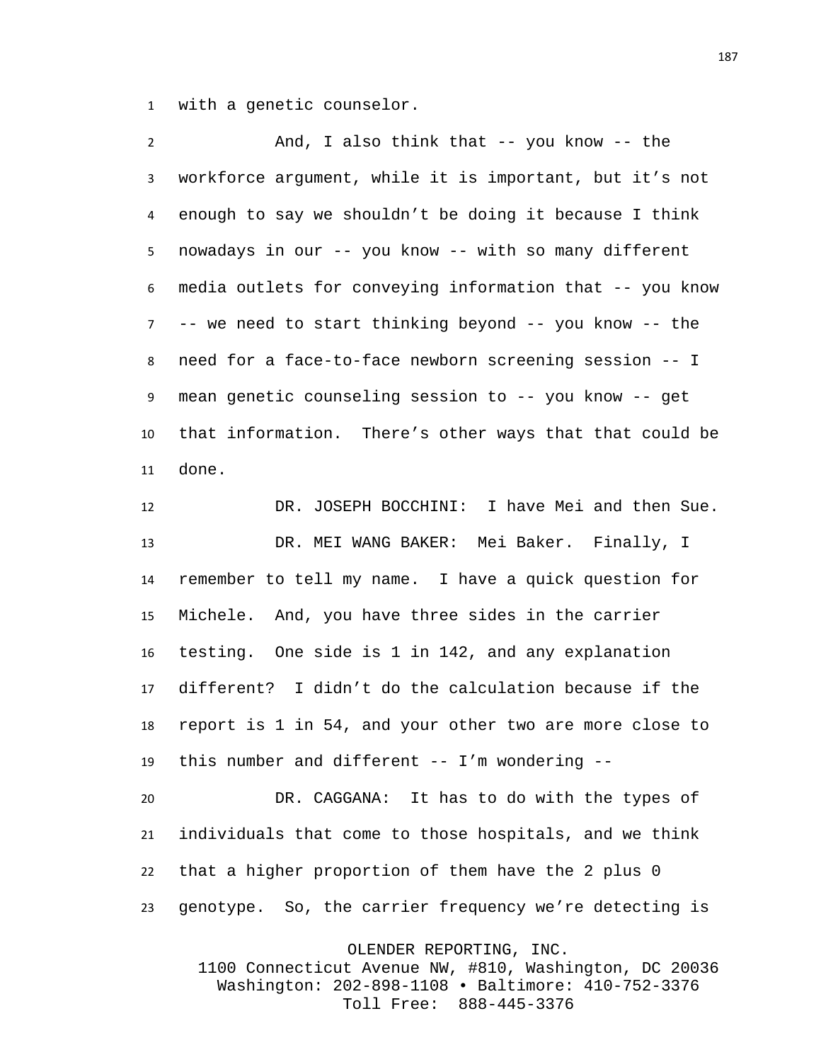with a genetic counselor.

 And, I also think that -- you know -- the workforce argument, while it is important, but it's not enough to say we shouldn't be doing it because I think nowadays in our -- you know -- with so many different media outlets for conveying information that -- you know -- we need to start thinking beyond -- you know -- the need for a face-to-face newborn screening session -- I mean genetic counseling session to -- you know -- get that information. There's other ways that that could be done.

 DR. JOSEPH BOCCHINI: I have Mei and then Sue. DR. MEI WANG BAKER: Mei Baker. Finally, I remember to tell my name. I have a quick question for Michele. And, you have three sides in the carrier testing. One side is 1 in 142, and any explanation different? I didn't do the calculation because if the report is 1 in 54, and your other two are more close to this number and different -- I'm wondering --

 DR. CAGGANA: It has to do with the types of individuals that come to those hospitals, and we think that a higher proportion of them have the 2 plus 0 genotype. So, the carrier frequency we're detecting is

OLENDER REPORTING, INC.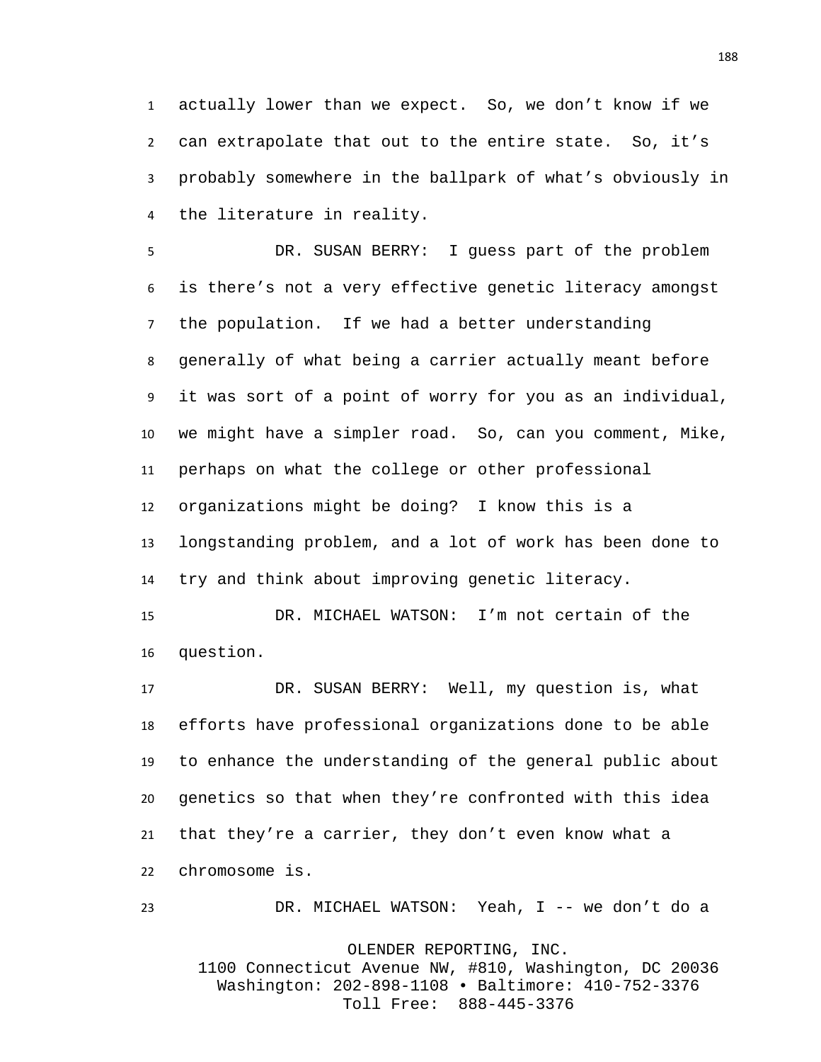actually lower than we expect. So, we don't know if we can extrapolate that out to the entire state. So, it's probably somewhere in the ballpark of what's obviously in the literature in reality.

 DR. SUSAN BERRY: I guess part of the problem is there's not a very effective genetic literacy amongst the population. If we had a better understanding generally of what being a carrier actually meant before it was sort of a point of worry for you as an individual, we might have a simpler road. So, can you comment, Mike, perhaps on what the college or other professional organizations might be doing? I know this is a longstanding problem, and a lot of work has been done to try and think about improving genetic literacy.

 DR. MICHAEL WATSON: I'm not certain of the question.

 DR. SUSAN BERRY: Well, my question is, what efforts have professional organizations done to be able to enhance the understanding of the general public about genetics so that when they're confronted with this idea that they're a carrier, they don't even know what a chromosome is.

DR. MICHAEL WATSON: Yeah, I -- we don't do a

OLENDER REPORTING, INC.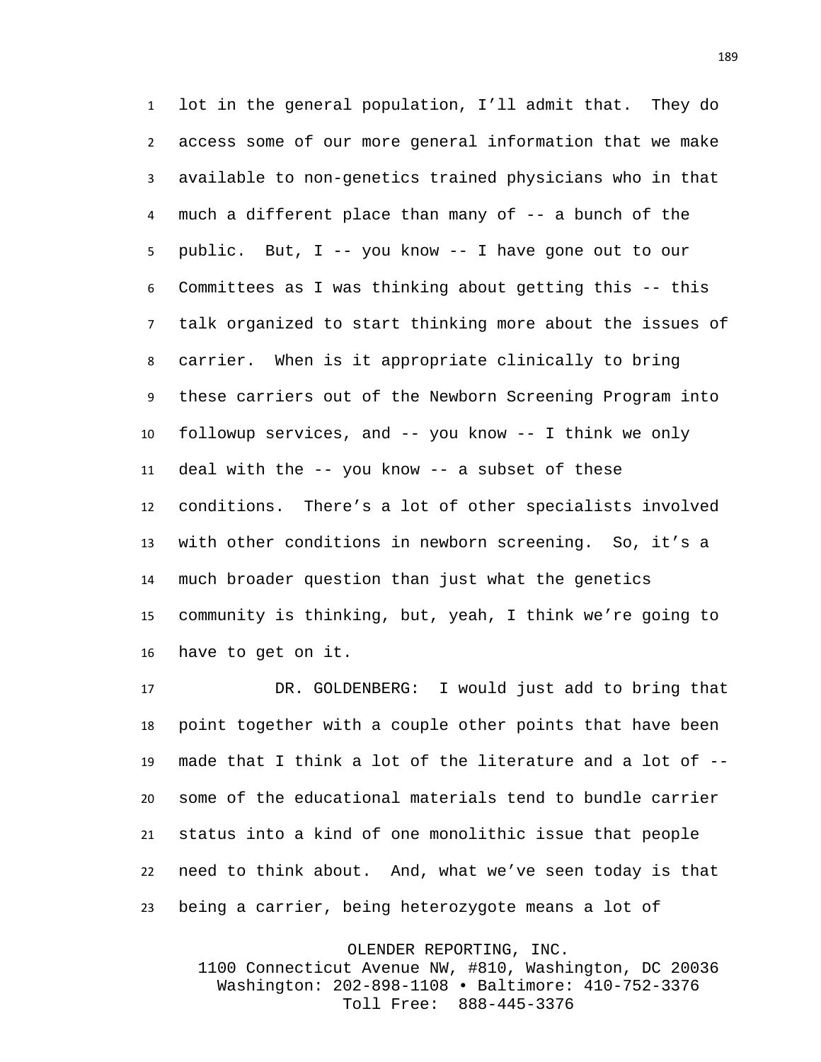lot in the general population, I'll admit that. They do access some of our more general information that we make available to non-genetics trained physicians who in that much a different place than many of -- a bunch of the public. But, I -- you know -- I have gone out to our Committees as I was thinking about getting this -- this talk organized to start thinking more about the issues of carrier. When is it appropriate clinically to bring these carriers out of the Newborn Screening Program into followup services, and -- you know -- I think we only deal with the -- you know -- a subset of these conditions. There's a lot of other specialists involved with other conditions in newborn screening. So, it's a much broader question than just what the genetics community is thinking, but, yeah, I think we're going to have to get on it.

 DR. GOLDENBERG: I would just add to bring that point together with a couple other points that have been made that I think a lot of the literature and a lot of -- some of the educational materials tend to bundle carrier status into a kind of one monolithic issue that people need to think about. And, what we've seen today is that being a carrier, being heterozygote means a lot of

OLENDER REPORTING, INC.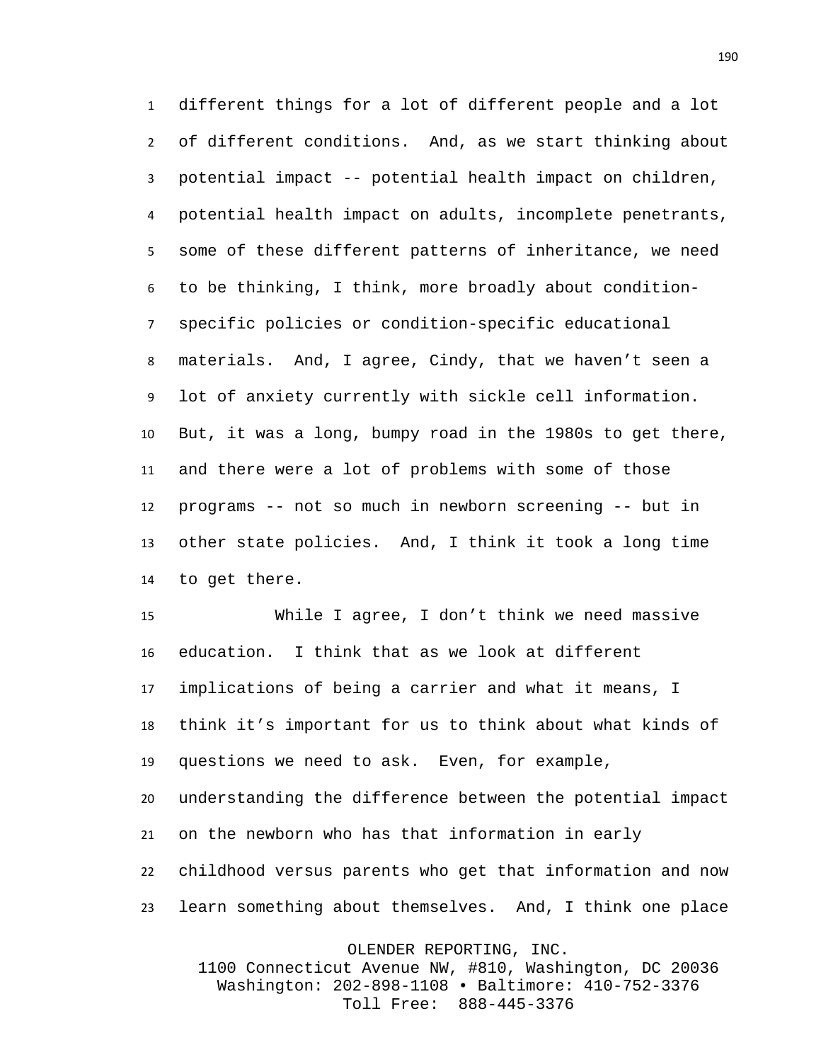different things for a lot of different people and a lot of different conditions. And, as we start thinking about potential impact -- potential health impact on children, potential health impact on adults, incomplete penetrants, some of these different patterns of inheritance, we need to be thinking, I think, more broadly about condition- specific policies or condition-specific educational materials. And, I agree, Cindy, that we haven't seen a lot of anxiety currently with sickle cell information. But, it was a long, bumpy road in the 1980s to get there, and there were a lot of problems with some of those programs -- not so much in newborn screening -- but in other state policies. And, I think it took a long time to get there.

 While I agree, I don't think we need massive education. I think that as we look at different implications of being a carrier and what it means, I think it's important for us to think about what kinds of questions we need to ask. Even, for example, understanding the difference between the potential impact

 on the newborn who has that information in early childhood versus parents who get that information and now learn something about themselves. And, I think one place

OLENDER REPORTING, INC.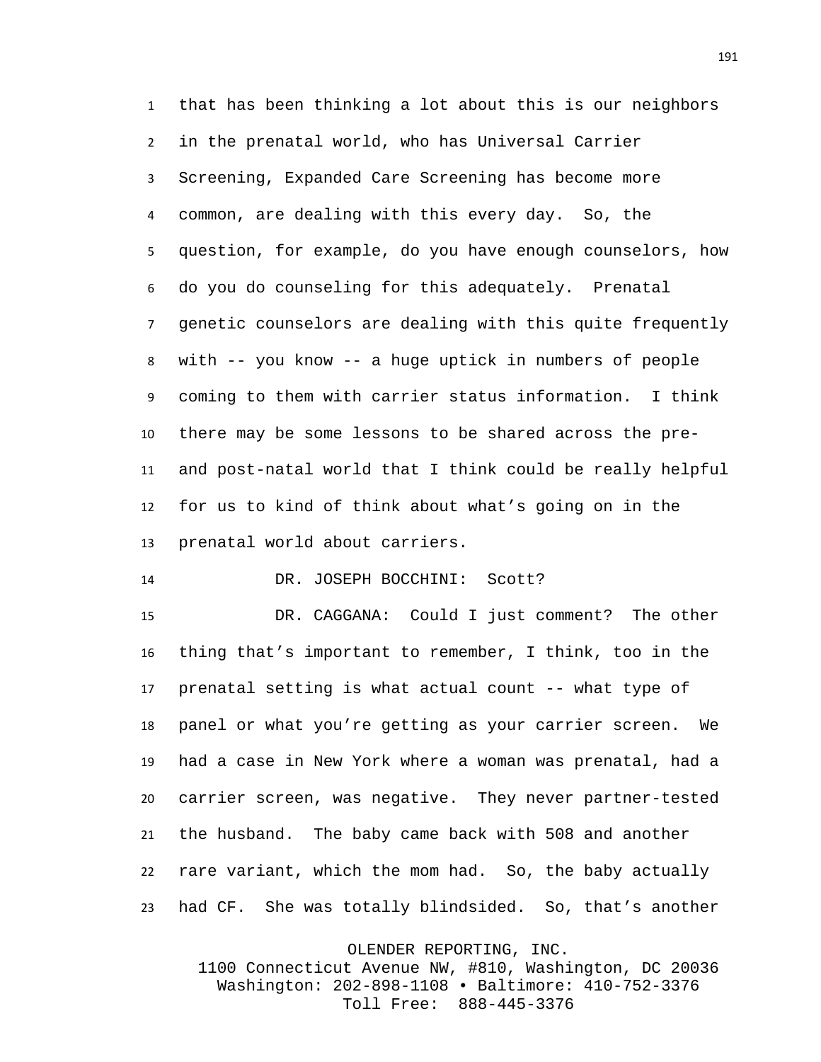that has been thinking a lot about this is our neighbors in the prenatal world, who has Universal Carrier Screening, Expanded Care Screening has become more common, are dealing with this every day. So, the question, for example, do you have enough counselors, how do you do counseling for this adequately. Prenatal genetic counselors are dealing with this quite frequently with -- you know -- a huge uptick in numbers of people coming to them with carrier status information. I think there may be some lessons to be shared across the pre- and post-natal world that I think could be really helpful for us to kind of think about what's going on in the prenatal world about carriers.

14 DR. JOSEPH BOCCHINI: Scott?

 DR. CAGGANA: Could I just comment? The other thing that's important to remember, I think, too in the prenatal setting is what actual count -- what type of panel or what you're getting as your carrier screen. We had a case in New York where a woman was prenatal, had a carrier screen, was negative. They never partner-tested the husband. The baby came back with 508 and another rare variant, which the mom had. So, the baby actually had CF. She was totally blindsided. So, that's another

> OLENDER REPORTING, INC. 1100 Connecticut Avenue NW, #810, Washington, DC 20036 Washington: 202-898-1108 • Baltimore: 410-752-3376 Toll Free: 888-445-3376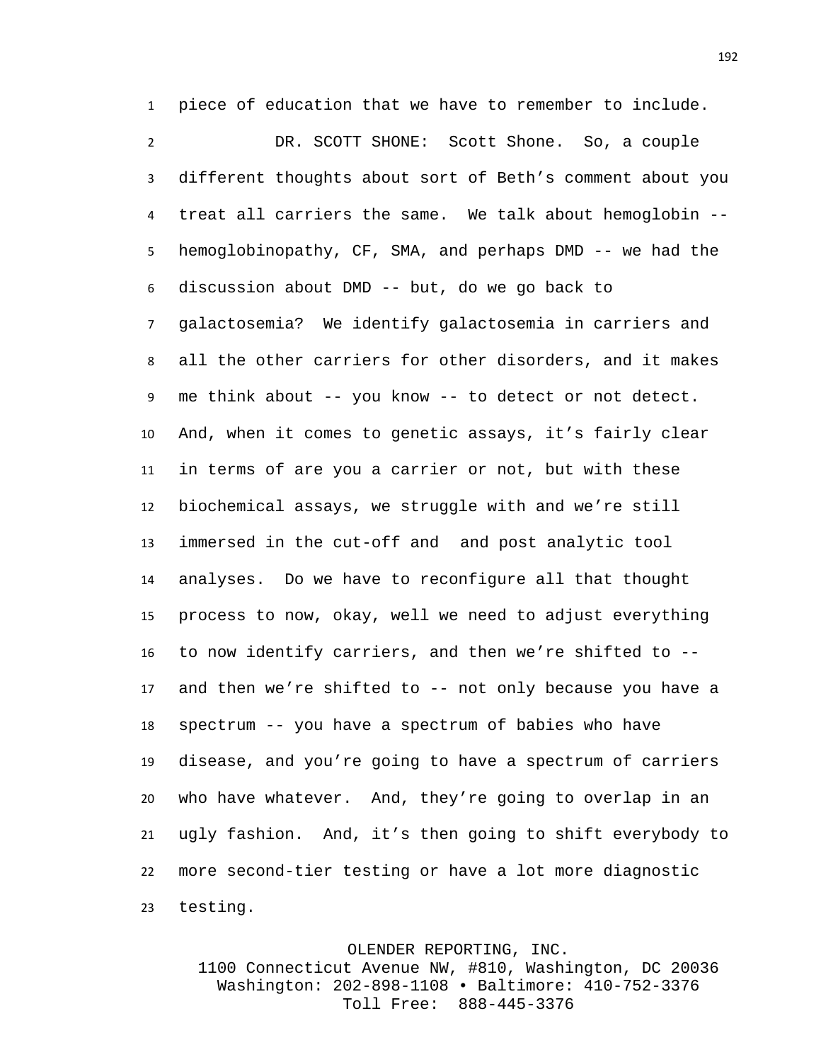piece of education that we have to remember to include.

 DR. SCOTT SHONE: Scott Shone. So, a couple different thoughts about sort of Beth's comment about you treat all carriers the same. We talk about hemoglobin -- hemoglobinopathy, CF, SMA, and perhaps DMD -- we had the discussion about DMD -- but, do we go back to galactosemia? We identify galactosemia in carriers and all the other carriers for other disorders, and it makes me think about -- you know -- to detect or not detect. And, when it comes to genetic assays, it's fairly clear in terms of are you a carrier or not, but with these biochemical assays, we struggle with and we're still immersed in the cut-off and and post analytic tool analyses. Do we have to reconfigure all that thought process to now, okay, well we need to adjust everything to now identify carriers, and then we're shifted to -- and then we're shifted to -- not only because you have a spectrum -- you have a spectrum of babies who have disease, and you're going to have a spectrum of carriers who have whatever. And, they're going to overlap in an ugly fashion. And, it's then going to shift everybody to more second-tier testing or have a lot more diagnostic testing.

OLENDER REPORTING, INC.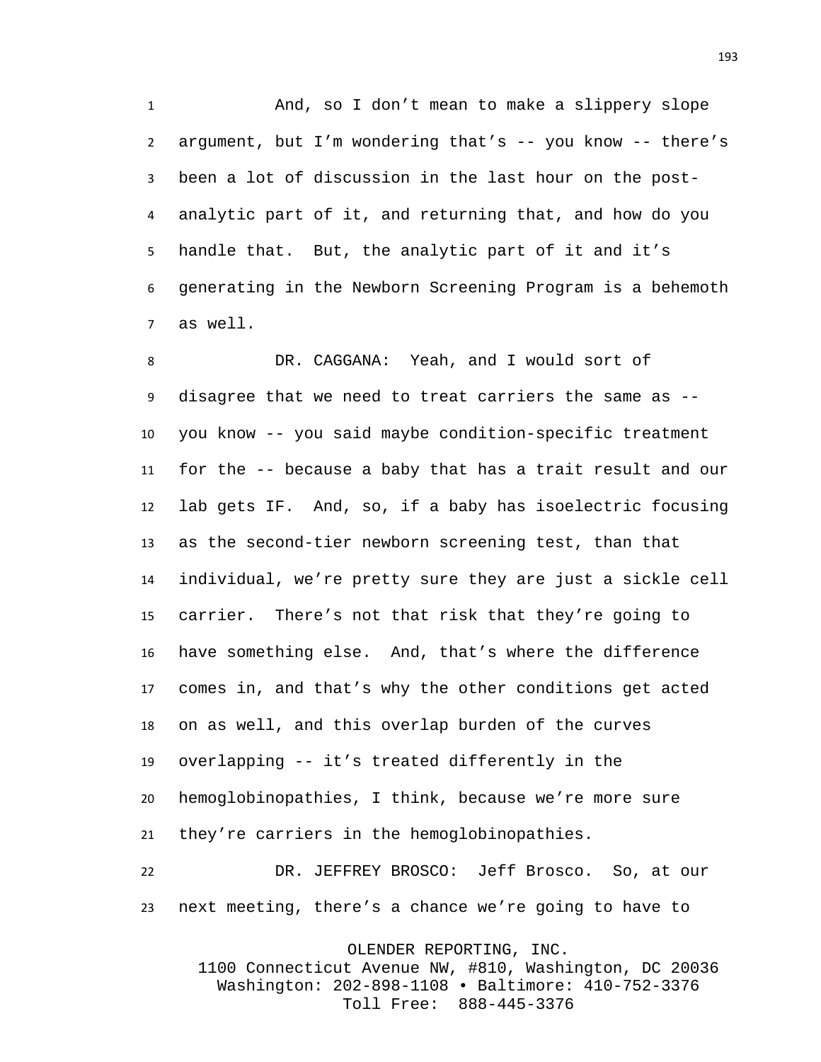And, so I don't mean to make a slippery slope argument, but I'm wondering that's -- you know -- there's been a lot of discussion in the last hour on the post- analytic part of it, and returning that, and how do you handle that. But, the analytic part of it and it's generating in the Newborn Screening Program is a behemoth as well.

 DR. CAGGANA: Yeah, and I would sort of disagree that we need to treat carriers the same as -- you know -- you said maybe condition-specific treatment for the -- because a baby that has a trait result and our lab gets IF. And, so, if a baby has isoelectric focusing as the second-tier newborn screening test, than that individual, we're pretty sure they are just a sickle cell carrier. There's not that risk that they're going to have something else. And, that's where the difference comes in, and that's why the other conditions get acted on as well, and this overlap burden of the curves overlapping -- it's treated differently in the hemoglobinopathies, I think, because we're more sure they're carriers in the hemoglobinopathies.

 DR. JEFFREY BROSCO: Jeff Brosco. So, at our next meeting, there's a chance we're going to have to

OLENDER REPORTING, INC.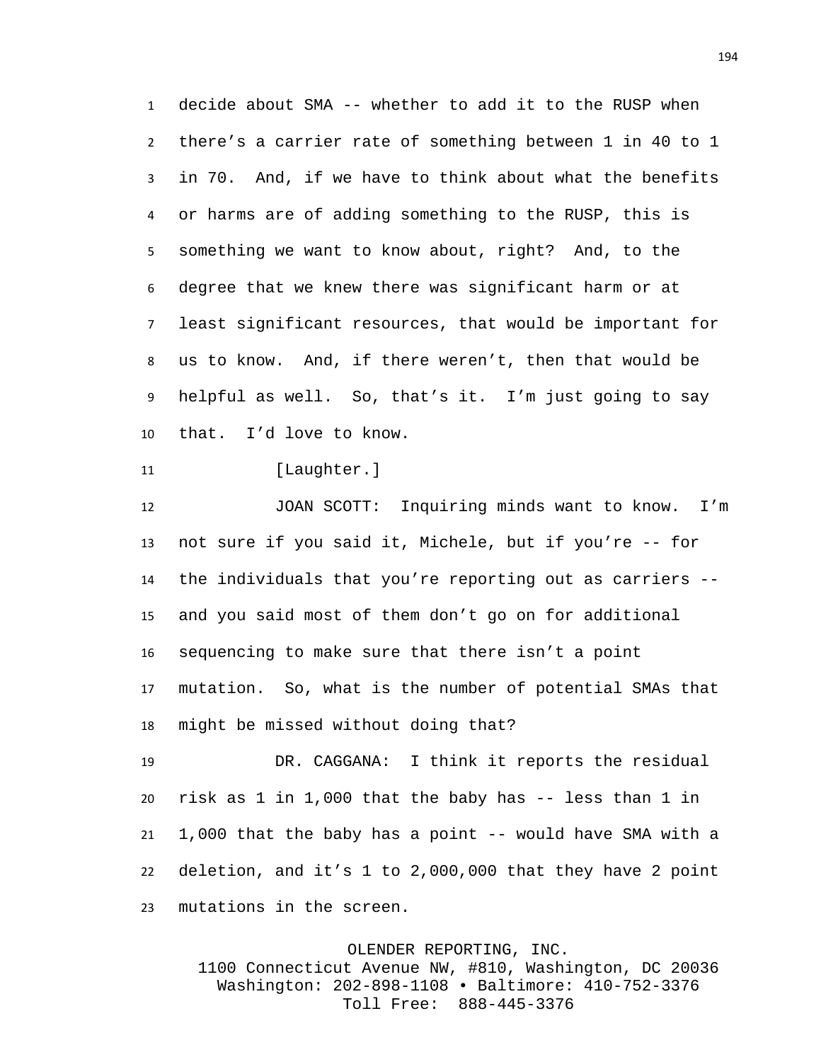decide about SMA -- whether to add it to the RUSP when there's a carrier rate of something between 1 in 40 to 1 in 70. And, if we have to think about what the benefits or harms are of adding something to the RUSP, this is something we want to know about, right? And, to the degree that we knew there was significant harm or at least significant resources, that would be important for us to know. And, if there weren't, then that would be helpful as well. So, that's it. I'm just going to say that. I'd love to know.

11 [Laughter.]

 JOAN SCOTT: Inquiring minds want to know. I'm not sure if you said it, Michele, but if you're -- for the individuals that you're reporting out as carriers -- and you said most of them don't go on for additional sequencing to make sure that there isn't a point mutation. So, what is the number of potential SMAs that might be missed without doing that?

 DR. CAGGANA: I think it reports the residual risk as 1 in 1,000 that the baby has -- less than 1 in 1,000 that the baby has a point -- would have SMA with a deletion, and it's 1 to 2,000,000 that they have 2 point mutations in the screen.

OLENDER REPORTING, INC.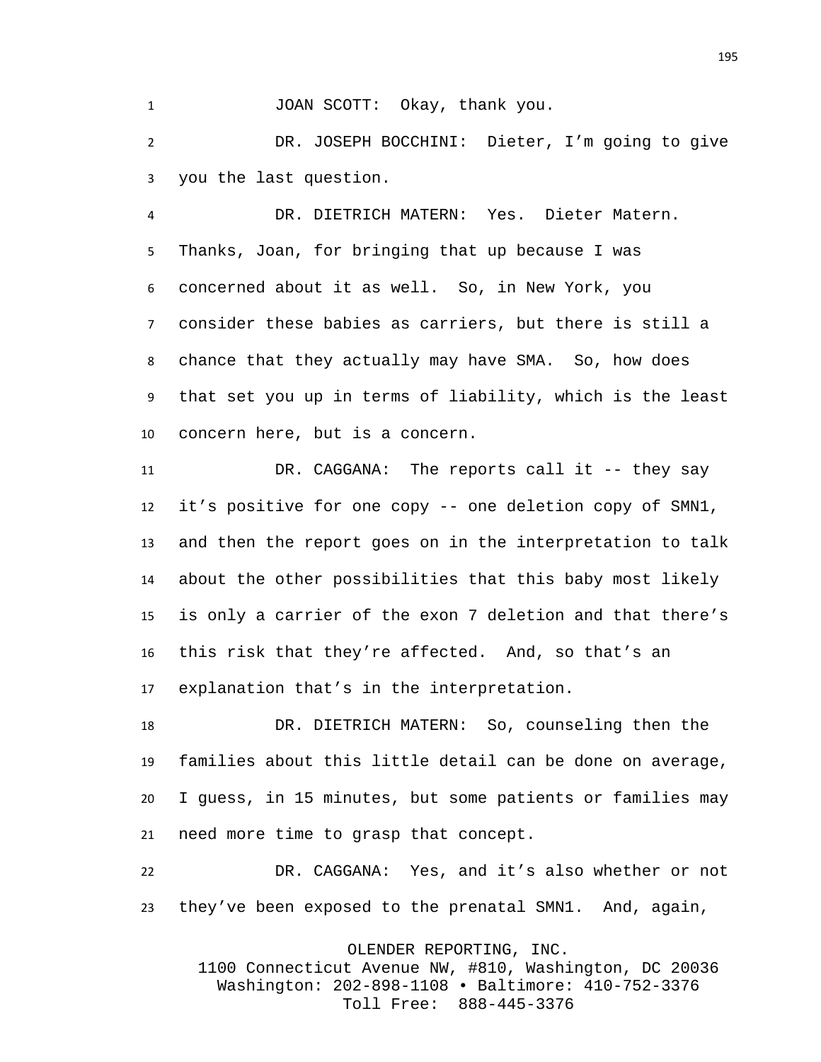1 JOAN SCOTT: Okay, thank you.

 DR. JOSEPH BOCCHINI: Dieter, I'm going to give you the last question.

 DR. DIETRICH MATERN: Yes. Dieter Matern. Thanks, Joan, for bringing that up because I was concerned about it as well. So, in New York, you consider these babies as carriers, but there is still a chance that they actually may have SMA. So, how does that set you up in terms of liability, which is the least concern here, but is a concern.

 DR. CAGGANA: The reports call it -- they say it's positive for one copy -- one deletion copy of SMN1, and then the report goes on in the interpretation to talk about the other possibilities that this baby most likely is only a carrier of the exon 7 deletion and that there's this risk that they're affected. And, so that's an explanation that's in the interpretation.

 DR. DIETRICH MATERN: So, counseling then the families about this little detail can be done on average, I guess, in 15 minutes, but some patients or families may need more time to grasp that concept.

 DR. CAGGANA: Yes, and it's also whether or not they've been exposed to the prenatal SMN1. And, again,

OLENDER REPORTING, INC.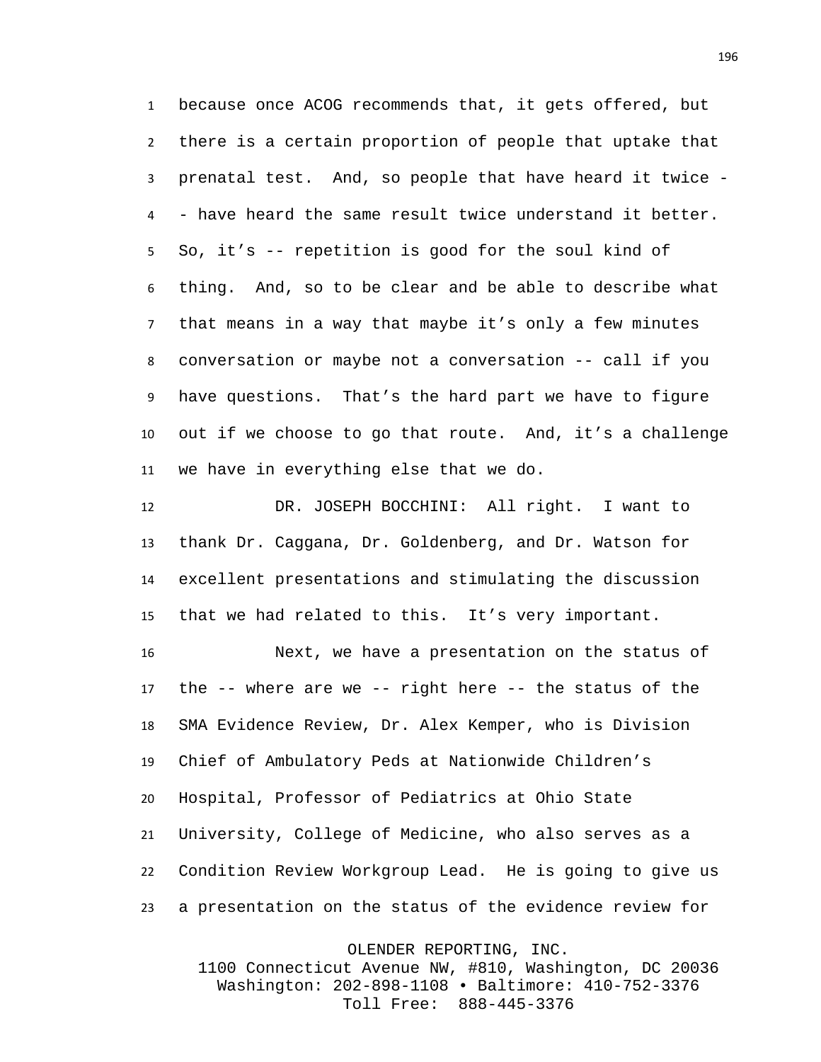because once ACOG recommends that, it gets offered, but there is a certain proportion of people that uptake that prenatal test. And, so people that have heard it twice - - have heard the same result twice understand it better. So, it's -- repetition is good for the soul kind of thing. And, so to be clear and be able to describe what that means in a way that maybe it's only a few minutes conversation or maybe not a conversation -- call if you have questions. That's the hard part we have to figure out if we choose to go that route. And, it's a challenge we have in everything else that we do.

 DR. JOSEPH BOCCHINI: All right. I want to thank Dr. Caggana, Dr. Goldenberg, and Dr. Watson for excellent presentations and stimulating the discussion that we had related to this. It's very important.

 Next, we have a presentation on the status of the -- where are we -- right here -- the status of the SMA Evidence Review, Dr. Alex Kemper, who is Division Chief of Ambulatory Peds at Nationwide Children's Hospital, Professor of Pediatrics at Ohio State University, College of Medicine, who also serves as a Condition Review Workgroup Lead. He is going to give us a presentation on the status of the evidence review for

OLENDER REPORTING, INC.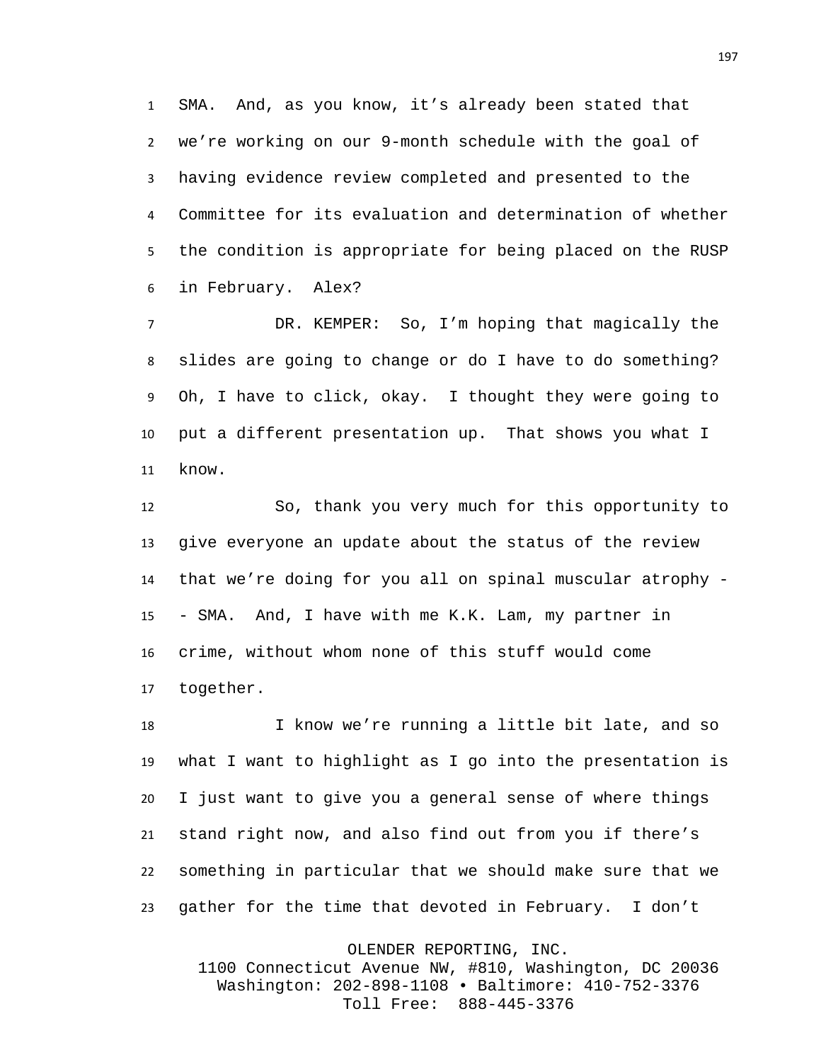SMA. And, as you know, it's already been stated that we're working on our 9-month schedule with the goal of having evidence review completed and presented to the Committee for its evaluation and determination of whether the condition is appropriate for being placed on the RUSP in February. Alex?

 DR. KEMPER: So, I'm hoping that magically the slides are going to change or do I have to do something? Oh, I have to click, okay. I thought they were going to put a different presentation up. That shows you what I know.

 So, thank you very much for this opportunity to give everyone an update about the status of the review that we're doing for you all on spinal muscular atrophy - - SMA. And, I have with me K.K. Lam, my partner in crime, without whom none of this stuff would come together.

 I know we're running a little bit late, and so what I want to highlight as I go into the presentation is I just want to give you a general sense of where things stand right now, and also find out from you if there's something in particular that we should make sure that we gather for the time that devoted in February. I don't

> OLENDER REPORTING, INC. 1100 Connecticut Avenue NW, #810, Washington, DC 20036 Washington: 202-898-1108 • Baltimore: 410-752-3376

> > Toll Free: 888-445-3376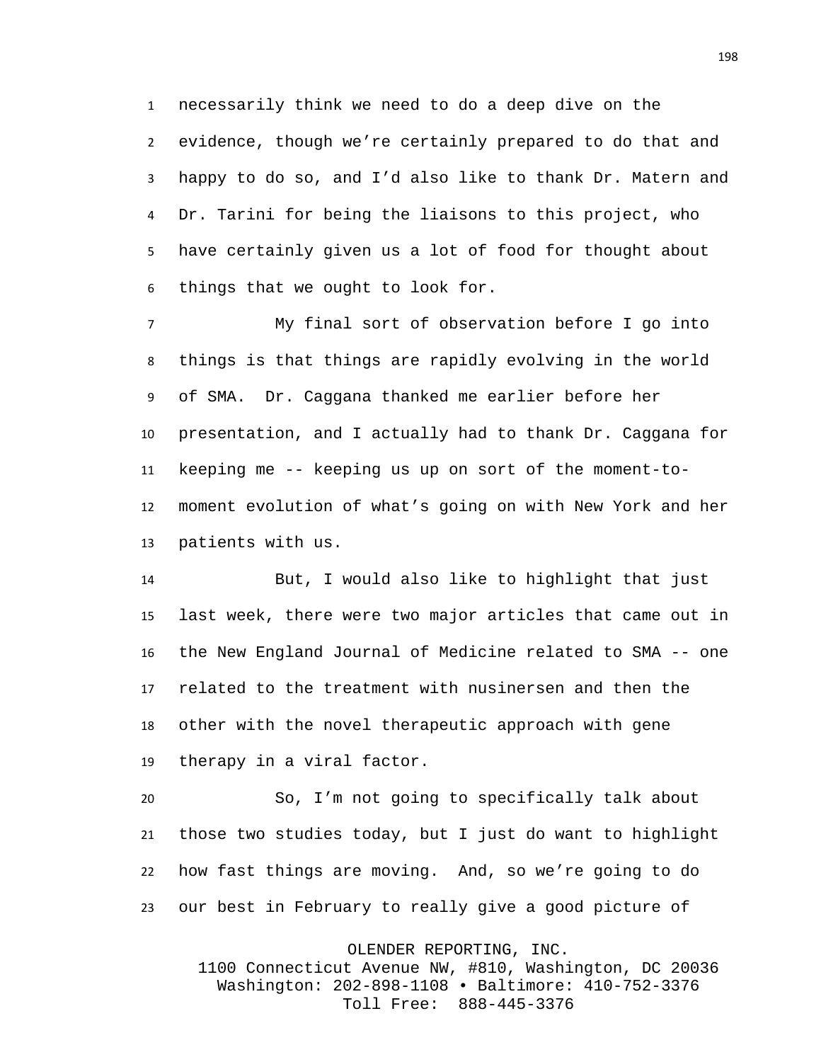necessarily think we need to do a deep dive on the evidence, though we're certainly prepared to do that and happy to do so, and I'd also like to thank Dr. Matern and Dr. Tarini for being the liaisons to this project, who have certainly given us a lot of food for thought about things that we ought to look for.

 My final sort of observation before I go into things is that things are rapidly evolving in the world of SMA. Dr. Caggana thanked me earlier before her presentation, and I actually had to thank Dr. Caggana for keeping me -- keeping us up on sort of the moment-to- moment evolution of what's going on with New York and her patients with us.

 But, I would also like to highlight that just last week, there were two major articles that came out in the New England Journal of Medicine related to SMA -- one related to the treatment with nusinersen and then the other with the novel therapeutic approach with gene therapy in a viral factor.

 So, I'm not going to specifically talk about those two studies today, but I just do want to highlight how fast things are moving. And, so we're going to do our best in February to really give a good picture of

OLENDER REPORTING, INC.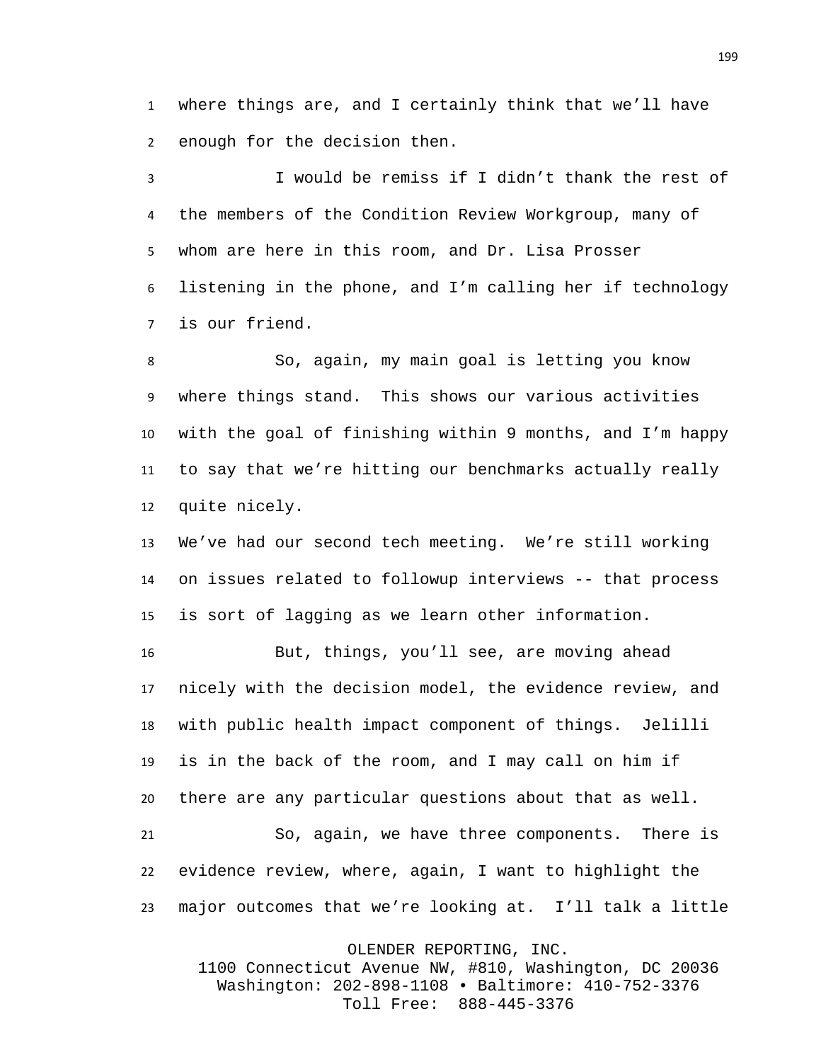where things are, and I certainly think that we'll have enough for the decision then.

 I would be remiss if I didn't thank the rest of the members of the Condition Review Workgroup, many of whom are here in this room, and Dr. Lisa Prosser listening in the phone, and I'm calling her if technology is our friend.

 So, again, my main goal is letting you know where things stand. This shows our various activities with the goal of finishing within 9 months, and I'm happy to say that we're hitting our benchmarks actually really quite nicely.

 We've had our second tech meeting. We're still working on issues related to followup interviews -- that process is sort of lagging as we learn other information.

 But, things, you'll see, are moving ahead nicely with the decision model, the evidence review, and with public health impact component of things. Jelilli is in the back of the room, and I may call on him if there are any particular questions about that as well. So, again, we have three components. There is evidence review, where, again, I want to highlight the

major outcomes that we're looking at. I'll talk a little

OLENDER REPORTING, INC.

1100 Connecticut Avenue NW, #810, Washington, DC 20036 Washington: 202-898-1108 • Baltimore: 410-752-3376 Toll Free: 888-445-3376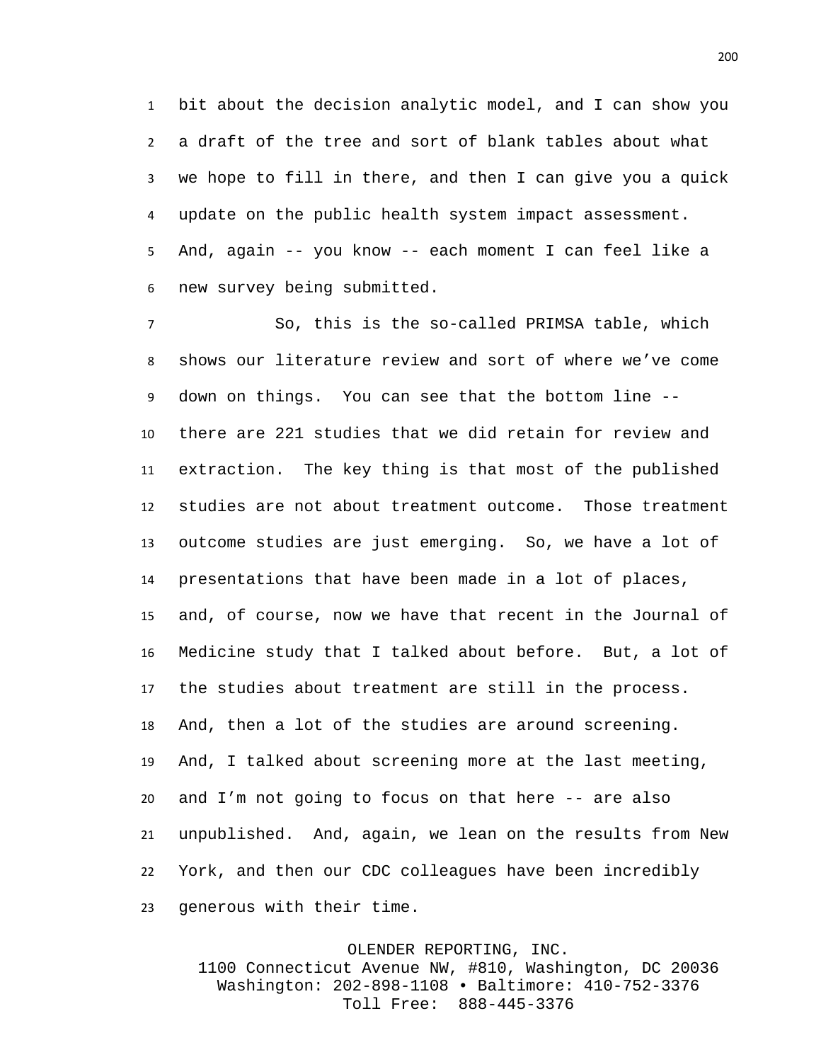bit about the decision analytic model, and I can show you a draft of the tree and sort of blank tables about what we hope to fill in there, and then I can give you a quick update on the public health system impact assessment. And, again -- you know -- each moment I can feel like a new survey being submitted.

 So, this is the so-called PRIMSA table, which shows our literature review and sort of where we've come down on things. You can see that the bottom line -- there are 221 studies that we did retain for review and extraction. The key thing is that most of the published studies are not about treatment outcome. Those treatment outcome studies are just emerging. So, we have a lot of presentations that have been made in a lot of places, and, of course, now we have that recent in the Journal of Medicine study that I talked about before. But, a lot of the studies about treatment are still in the process. And, then a lot of the studies are around screening. And, I talked about screening more at the last meeting, and I'm not going to focus on that here -- are also unpublished. And, again, we lean on the results from New York, and then our CDC colleagues have been incredibly generous with their time.

## OLENDER REPORTING, INC.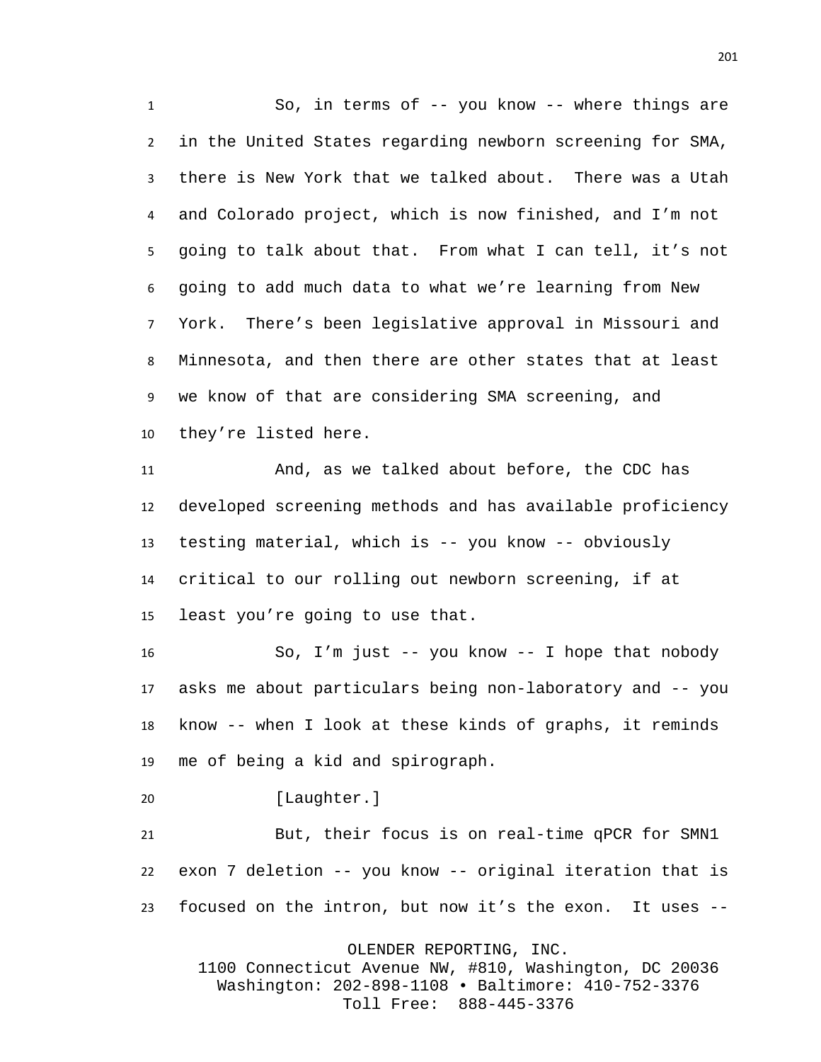So, in terms of -- you know -- where things are in the United States regarding newborn screening for SMA, there is New York that we talked about. There was a Utah and Colorado project, which is now finished, and I'm not going to talk about that. From what I can tell, it's not going to add much data to what we're learning from New York. There's been legislative approval in Missouri and Minnesota, and then there are other states that at least we know of that are considering SMA screening, and they're listed here.

 And, as we talked about before, the CDC has developed screening methods and has available proficiency testing material, which is -- you know -- obviously critical to our rolling out newborn screening, if at least you're going to use that.

 So, I'm just -- you know -- I hope that nobody asks me about particulars being non-laboratory and -- you know -- when I look at these kinds of graphs, it reminds me of being a kid and spirograph.

[Laughter.]

 But, their focus is on real-time qPCR for SMN1 exon 7 deletion -- you know -- original iteration that is focused on the intron, but now it's the exon. It uses --

OLENDER REPORTING, INC.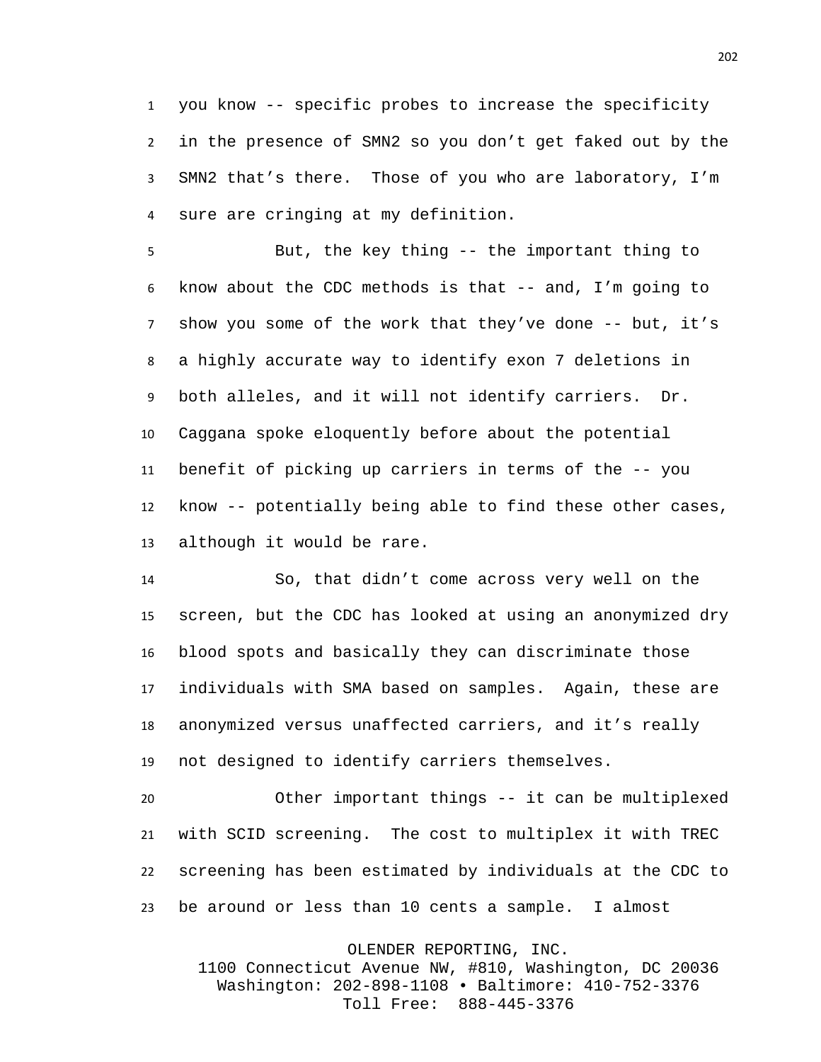you know -- specific probes to increase the specificity in the presence of SMN2 so you don't get faked out by the SMN2 that's there. Those of you who are laboratory, I'm sure are cringing at my definition.

 But, the key thing -- the important thing to know about the CDC methods is that -- and, I'm going to show you some of the work that they've done -- but, it's a highly accurate way to identify exon 7 deletions in both alleles, and it will not identify carriers. Dr. Caggana spoke eloquently before about the potential benefit of picking up carriers in terms of the -- you know -- potentially being able to find these other cases, although it would be rare.

 So, that didn't come across very well on the screen, but the CDC has looked at using an anonymized dry blood spots and basically they can discriminate those individuals with SMA based on samples. Again, these are anonymized versus unaffected carriers, and it's really not designed to identify carriers themselves.

 Other important things -- it can be multiplexed with SCID screening. The cost to multiplex it with TREC screening has been estimated by individuals at the CDC to be around or less than 10 cents a sample. I almost

OLENDER REPORTING, INC.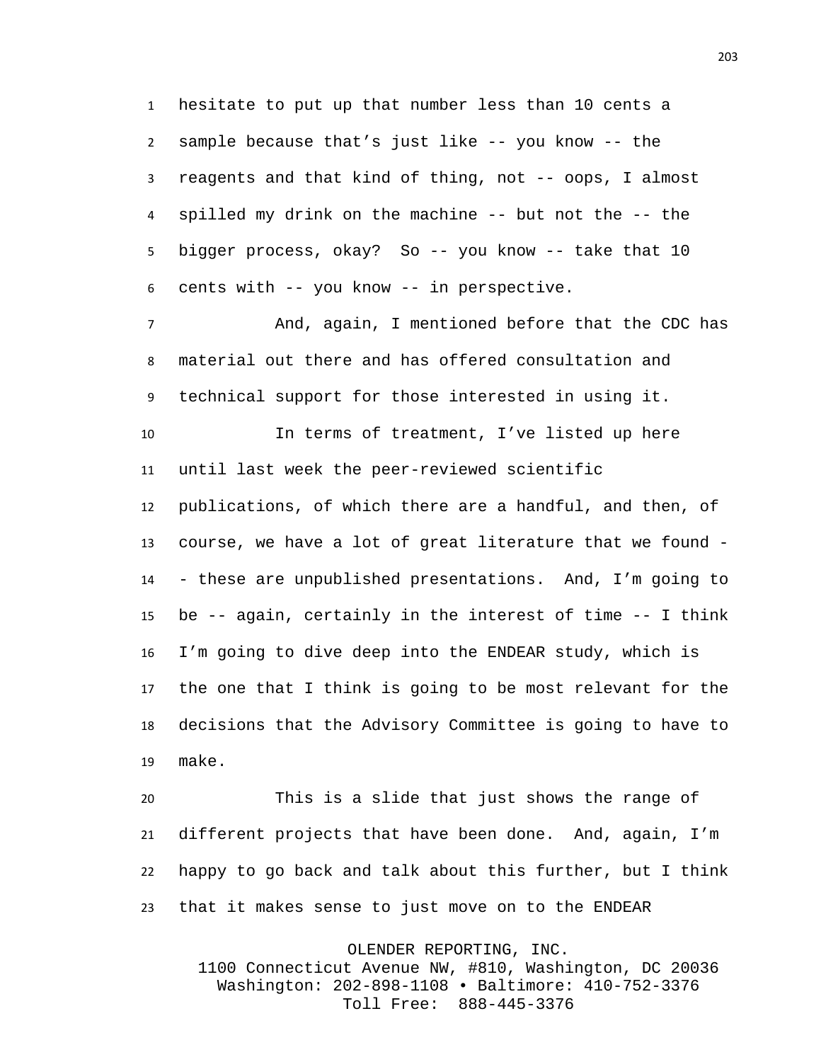hesitate to put up that number less than 10 cents a sample because that's just like -- you know -- the reagents and that kind of thing, not -- oops, I almost spilled my drink on the machine -- but not the -- the bigger process, okay? So -- you know -- take that 10 cents with -- you know -- in perspective.

 And, again, I mentioned before that the CDC has material out there and has offered consultation and technical support for those interested in using it.

 In terms of treatment, I've listed up here until last week the peer-reviewed scientific publications, of which there are a handful, and then, of course, we have a lot of great literature that we found - - these are unpublished presentations. And, I'm going to be -- again, certainly in the interest of time -- I think I'm going to dive deep into the ENDEAR study, which is the one that I think is going to be most relevant for the decisions that the Advisory Committee is going to have to make.

 This is a slide that just shows the range of different projects that have been done. And, again, I'm happy to go back and talk about this further, but I think that it makes sense to just move on to the ENDEAR

OLENDER REPORTING, INC.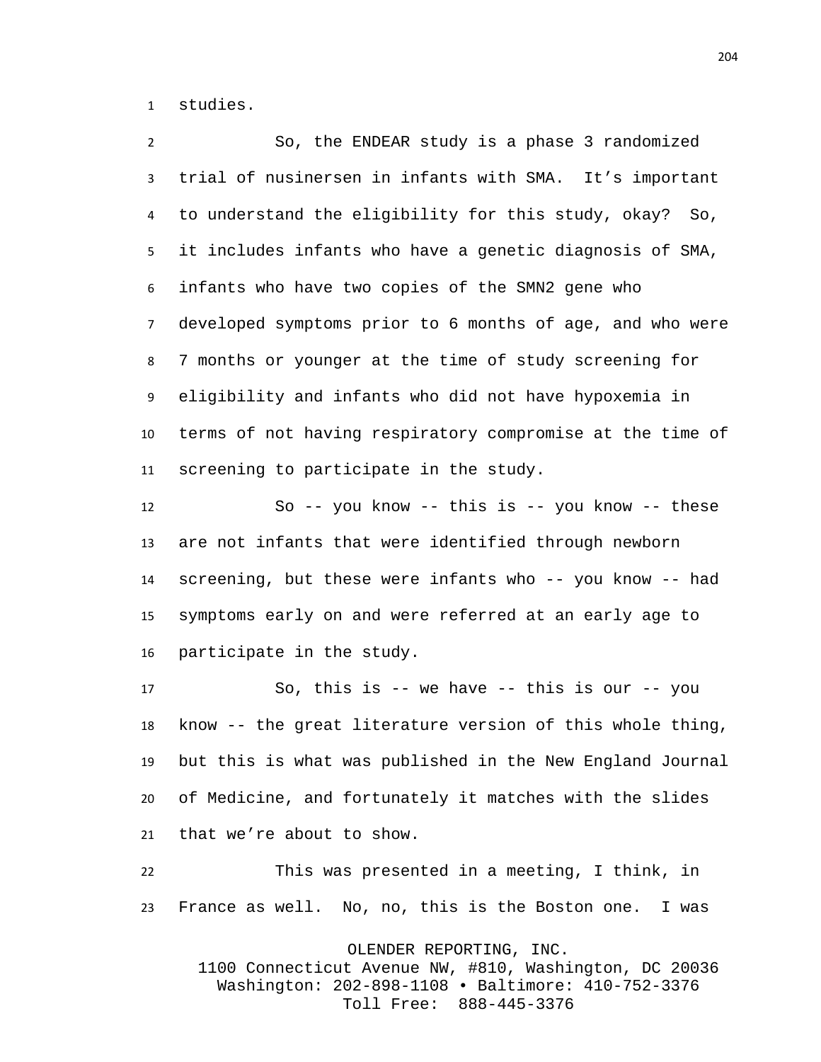studies.

 So, the ENDEAR study is a phase 3 randomized trial of nusinersen in infants with SMA. It's important to understand the eligibility for this study, okay? So, it includes infants who have a genetic diagnosis of SMA, infants who have two copies of the SMN2 gene who developed symptoms prior to 6 months of age, and who were 7 months or younger at the time of study screening for eligibility and infants who did not have hypoxemia in terms of not having respiratory compromise at the time of screening to participate in the study.

 So -- you know -- this is -- you know -- these are not infants that were identified through newborn screening, but these were infants who -- you know -- had symptoms early on and were referred at an early age to participate in the study.

 So, this is -- we have -- this is our -- you know -- the great literature version of this whole thing, but this is what was published in the New England Journal of Medicine, and fortunately it matches with the slides that we're about to show.

 This was presented in a meeting, I think, in France as well. No, no, this is the Boston one. I was

OLENDER REPORTING, INC.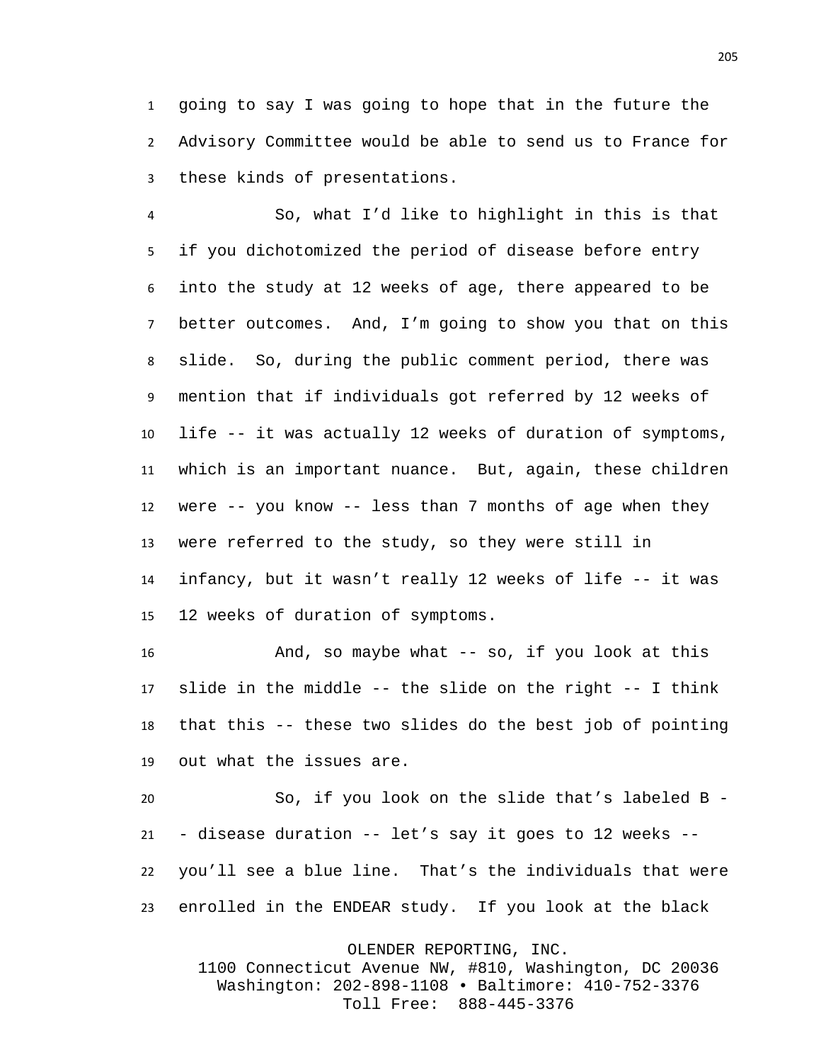going to say I was going to hope that in the future the Advisory Committee would be able to send us to France for these kinds of presentations.

 So, what I'd like to highlight in this is that if you dichotomized the period of disease before entry into the study at 12 weeks of age, there appeared to be better outcomes. And, I'm going to show you that on this slide. So, during the public comment period, there was mention that if individuals got referred by 12 weeks of life -- it was actually 12 weeks of duration of symptoms, which is an important nuance. But, again, these children were -- you know -- less than 7 months of age when they were referred to the study, so they were still in infancy, but it wasn't really 12 weeks of life -- it was 12 weeks of duration of symptoms.

 And, so maybe what -- so, if you look at this slide in the middle -- the slide on the right -- I think that this -- these two slides do the best job of pointing out what the issues are.

 So, if you look on the slide that's labeled B - - disease duration -- let's say it goes to 12 weeks -- you'll see a blue line. That's the individuals that were enrolled in the ENDEAR study. If you look at the black

OLENDER REPORTING, INC.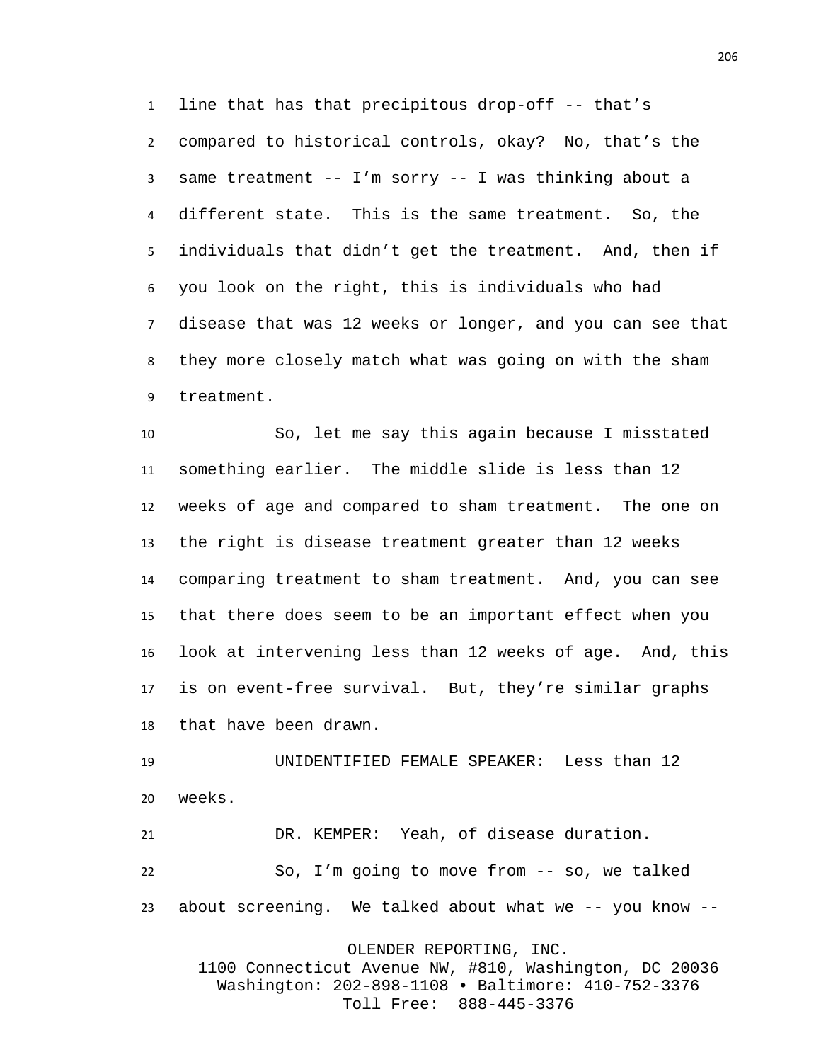line that has that precipitous drop-off -- that's compared to historical controls, okay? No, that's the same treatment -- I'm sorry -- I was thinking about a different state. This is the same treatment. So, the individuals that didn't get the treatment. And, then if you look on the right, this is individuals who had disease that was 12 weeks or longer, and you can see that they more closely match what was going on with the sham treatment.

 So, let me say this again because I misstated something earlier. The middle slide is less than 12 weeks of age and compared to sham treatment. The one on the right is disease treatment greater than 12 weeks comparing treatment to sham treatment. And, you can see that there does seem to be an important effect when you look at intervening less than 12 weeks of age. And, this is on event-free survival. But, they're similar graphs that have been drawn.

 UNIDENTIFIED FEMALE SPEAKER: Less than 12 weeks.

 DR. KEMPER: Yeah, of disease duration. So, I'm going to move from -- so, we talked about screening. We talked about what we -- you know --

OLENDER REPORTING, INC.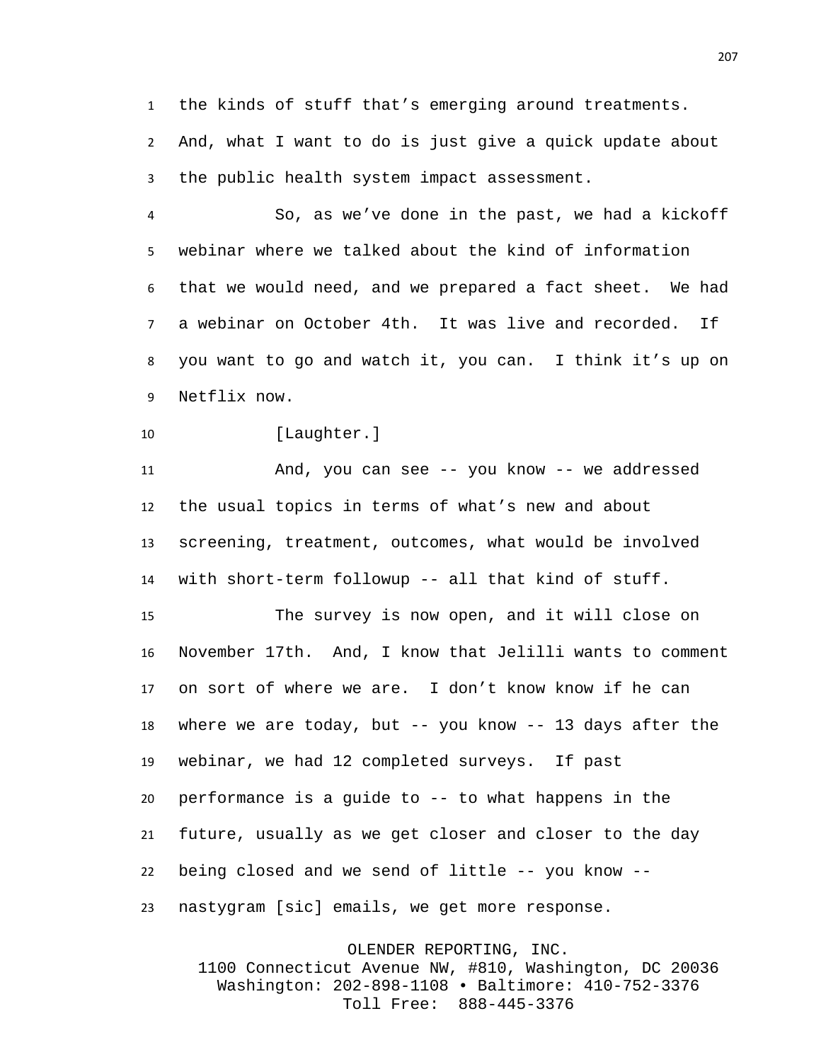the kinds of stuff that's emerging around treatments. And, what I want to do is just give a quick update about the public health system impact assessment.

 So, as we've done in the past, we had a kickoff webinar where we talked about the kind of information that we would need, and we prepared a fact sheet. We had a webinar on October 4th. It was live and recorded. If you want to go and watch it, you can. I think it's up on Netflix now.

10 [Laughter.]

 And, you can see -- you know -- we addressed the usual topics in terms of what's new and about screening, treatment, outcomes, what would be involved with short-term followup -- all that kind of stuff.

 The survey is now open, and it will close on November 17th. And, I know that Jelilli wants to comment on sort of where we are. I don't know know if he can where we are today, but -- you know -- 13 days after the webinar, we had 12 completed surveys. If past performance is a guide to -- to what happens in the future, usually as we get closer and closer to the day being closed and we send of little -- you know -- nastygram [sic] emails, we get more response.

OLENDER REPORTING, INC. 1100 Connecticut Avenue NW, #810, Washington, DC 20036 Washington: 202-898-1108 • Baltimore: 410-752-3376 Toll Free: 888-445-3376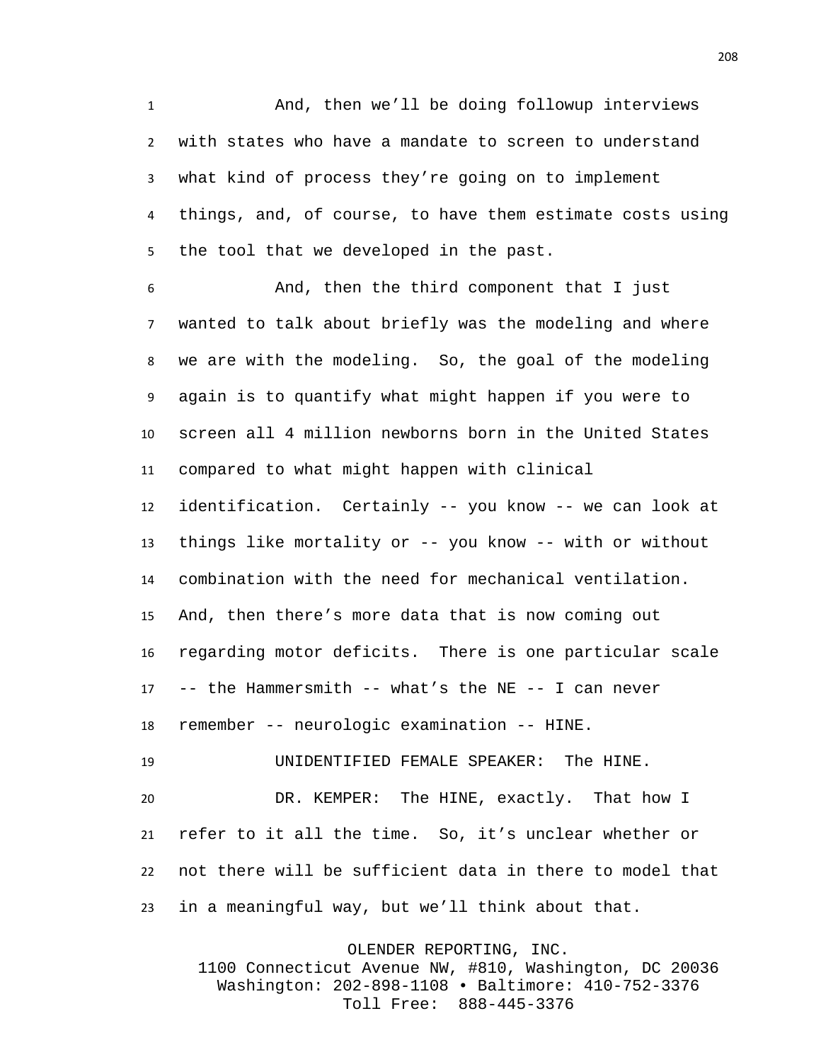And, then we'll be doing followup interviews with states who have a mandate to screen to understand what kind of process they're going on to implement things, and, of course, to have them estimate costs using the tool that we developed in the past.

 And, then the third component that I just wanted to talk about briefly was the modeling and where we are with the modeling. So, the goal of the modeling again is to quantify what might happen if you were to screen all 4 million newborns born in the United States compared to what might happen with clinical

 identification. Certainly -- you know -- we can look at things like mortality or -- you know -- with or without combination with the need for mechanical ventilation. And, then there's more data that is now coming out regarding motor deficits. There is one particular scale -- the Hammersmith -- what's the NE -- I can never remember -- neurologic examination -- HINE.

 DR. KEMPER: The HINE, exactly. That how I refer to it all the time. So, it's unclear whether or not there will be sufficient data in there to model that in a meaningful way, but we'll think about that.

UNIDENTIFIED FEMALE SPEAKER: The HINE.

OLENDER REPORTING, INC. 1100 Connecticut Avenue NW, #810, Washington, DC 20036 Washington: 202-898-1108 • Baltimore: 410-752-3376 Toll Free: 888-445-3376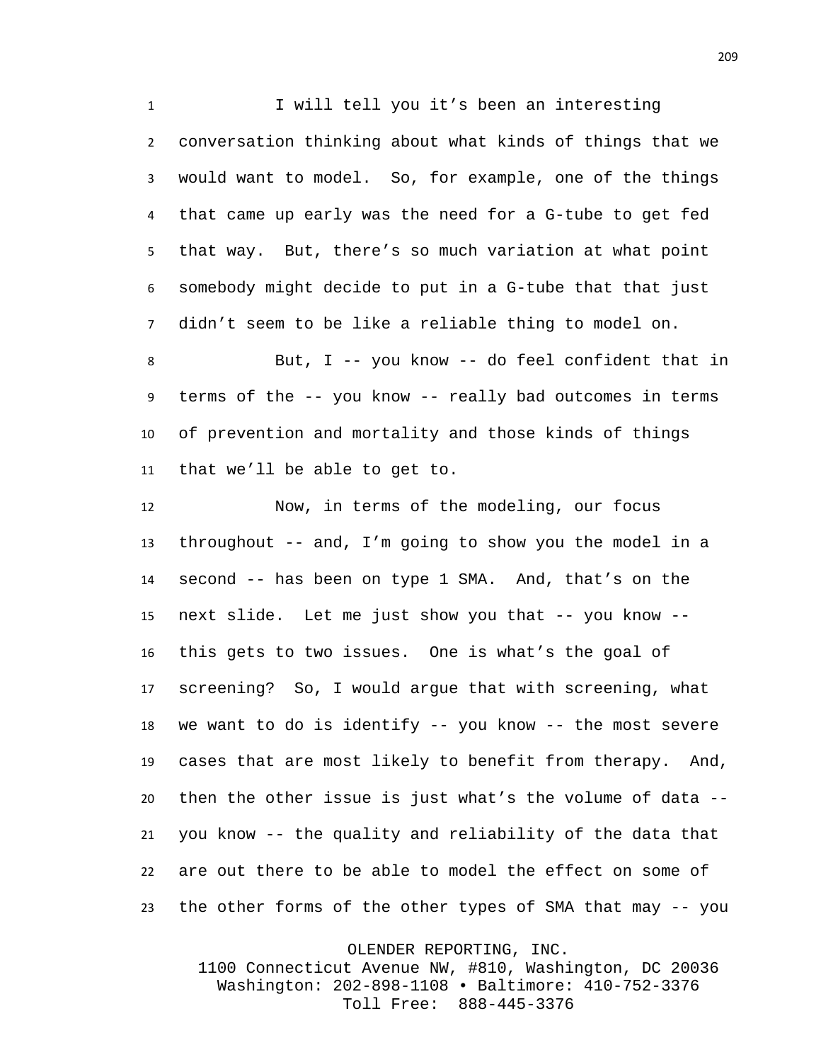I will tell you it's been an interesting conversation thinking about what kinds of things that we would want to model. So, for example, one of the things that came up early was the need for a G-tube to get fed that way. But, there's so much variation at what point somebody might decide to put in a G-tube that that just didn't seem to be like a reliable thing to model on.

 But, I -- you know -- do feel confident that in terms of the -- you know -- really bad outcomes in terms of prevention and mortality and those kinds of things that we'll be able to get to.

 Now, in terms of the modeling, our focus throughout -- and, I'm going to show you the model in a second -- has been on type 1 SMA. And, that's on the next slide. Let me just show you that -- you know -- this gets to two issues. One is what's the goal of screening? So, I would argue that with screening, what we want to do is identify -- you know -- the most severe cases that are most likely to benefit from therapy. And, then the other issue is just what's the volume of data -- you know -- the quality and reliability of the data that are out there to be able to model the effect on some of the other forms of the other types of SMA that may -- you

OLENDER REPORTING, INC.

1100 Connecticut Avenue NW, #810, Washington, DC 20036 Washington: 202-898-1108 • Baltimore: 410-752-3376 Toll Free: 888-445-3376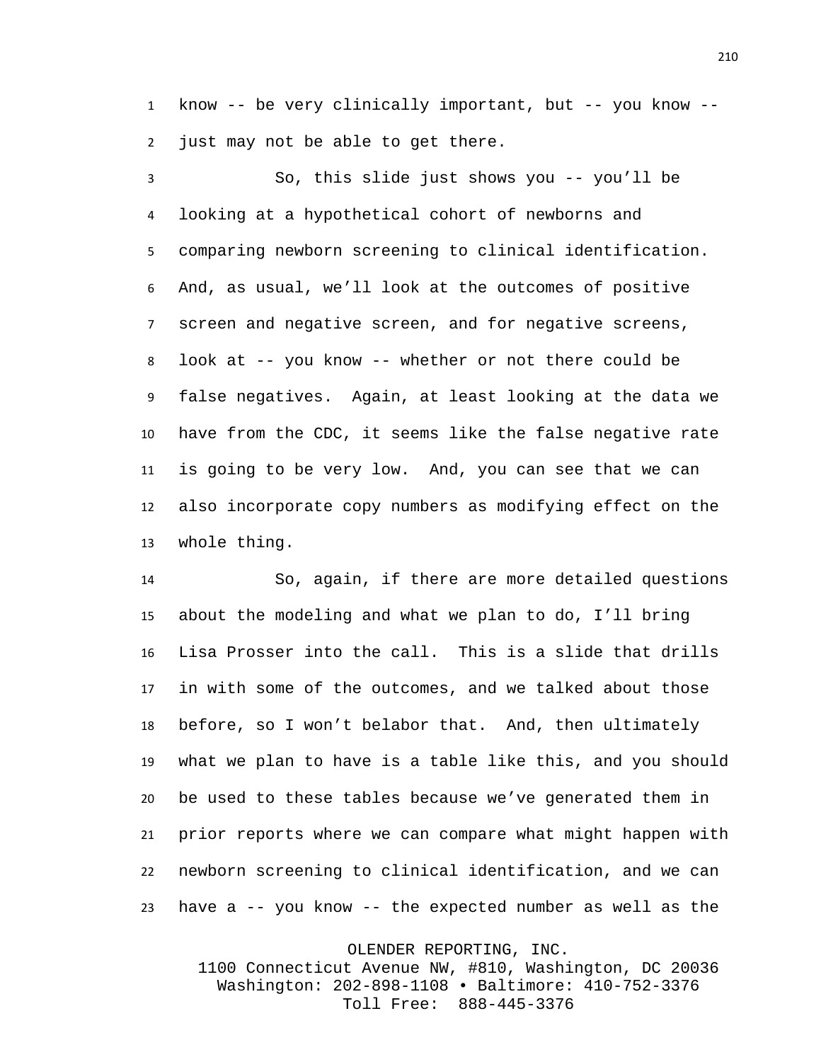know -- be very clinically important, but -- you know -- just may not be able to get there.

 So, this slide just shows you -- you'll be looking at a hypothetical cohort of newborns and comparing newborn screening to clinical identification. And, as usual, we'll look at the outcomes of positive screen and negative screen, and for negative screens, look at -- you know -- whether or not there could be false negatives. Again, at least looking at the data we have from the CDC, it seems like the false negative rate is going to be very low. And, you can see that we can also incorporate copy numbers as modifying effect on the whole thing.

 So, again, if there are more detailed questions about the modeling and what we plan to do, I'll bring Lisa Prosser into the call. This is a slide that drills in with some of the outcomes, and we talked about those before, so I won't belabor that. And, then ultimately what we plan to have is a table like this, and you should be used to these tables because we've generated them in prior reports where we can compare what might happen with newborn screening to clinical identification, and we can have a -- you know -- the expected number as well as the

OLENDER REPORTING, INC.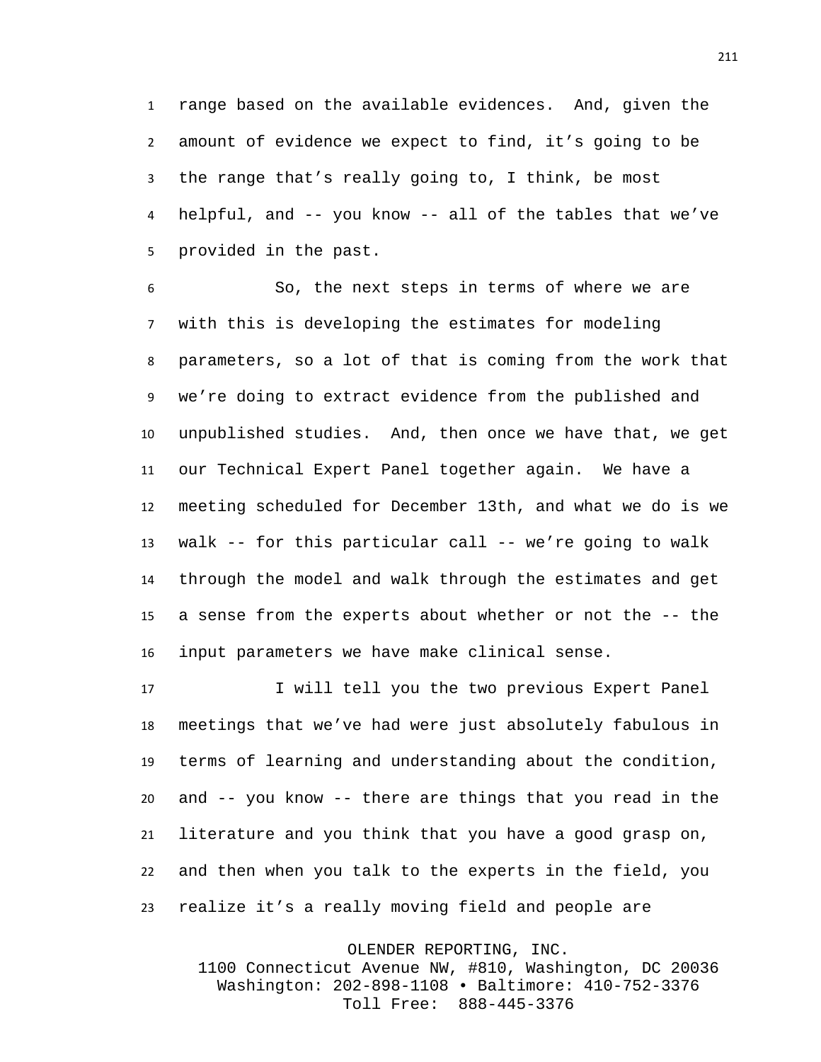range based on the available evidences. And, given the amount of evidence we expect to find, it's going to be the range that's really going to, I think, be most helpful, and -- you know -- all of the tables that we've provided in the past.

 So, the next steps in terms of where we are with this is developing the estimates for modeling parameters, so a lot of that is coming from the work that we're doing to extract evidence from the published and unpublished studies. And, then once we have that, we get our Technical Expert Panel together again. We have a meeting scheduled for December 13th, and what we do is we walk -- for this particular call -- we're going to walk through the model and walk through the estimates and get a sense from the experts about whether or not the -- the input parameters we have make clinical sense.

 I will tell you the two previous Expert Panel meetings that we've had were just absolutely fabulous in terms of learning and understanding about the condition, and -- you know -- there are things that you read in the literature and you think that you have a good grasp on, and then when you talk to the experts in the field, you realize it's a really moving field and people are

OLENDER REPORTING, INC.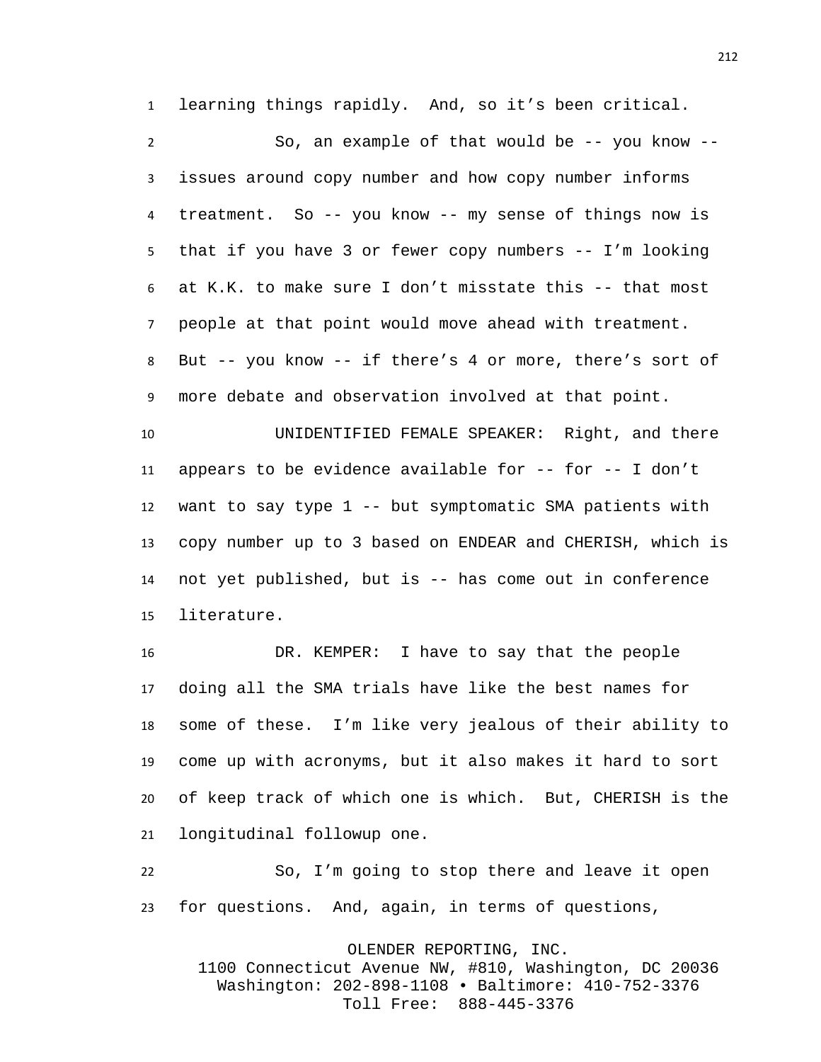learning things rapidly. And, so it's been critical.

 So, an example of that would be -- you know -- issues around copy number and how copy number informs treatment. So -- you know -- my sense of things now is that if you have 3 or fewer copy numbers -- I'm looking at K.K. to make sure I don't misstate this -- that most people at that point would move ahead with treatment. But -- you know -- if there's 4 or more, there's sort of more debate and observation involved at that point.

 UNIDENTIFIED FEMALE SPEAKER: Right, and there appears to be evidence available for -- for -- I don't want to say type 1 -- but symptomatic SMA patients with copy number up to 3 based on ENDEAR and CHERISH, which is not yet published, but is -- has come out in conference literature.

 DR. KEMPER: I have to say that the people doing all the SMA trials have like the best names for some of these. I'm like very jealous of their ability to come up with acronyms, but it also makes it hard to sort of keep track of which one is which. But, CHERISH is the longitudinal followup one.

 So, I'm going to stop there and leave it open for questions. And, again, in terms of questions,

OLENDER REPORTING, INC.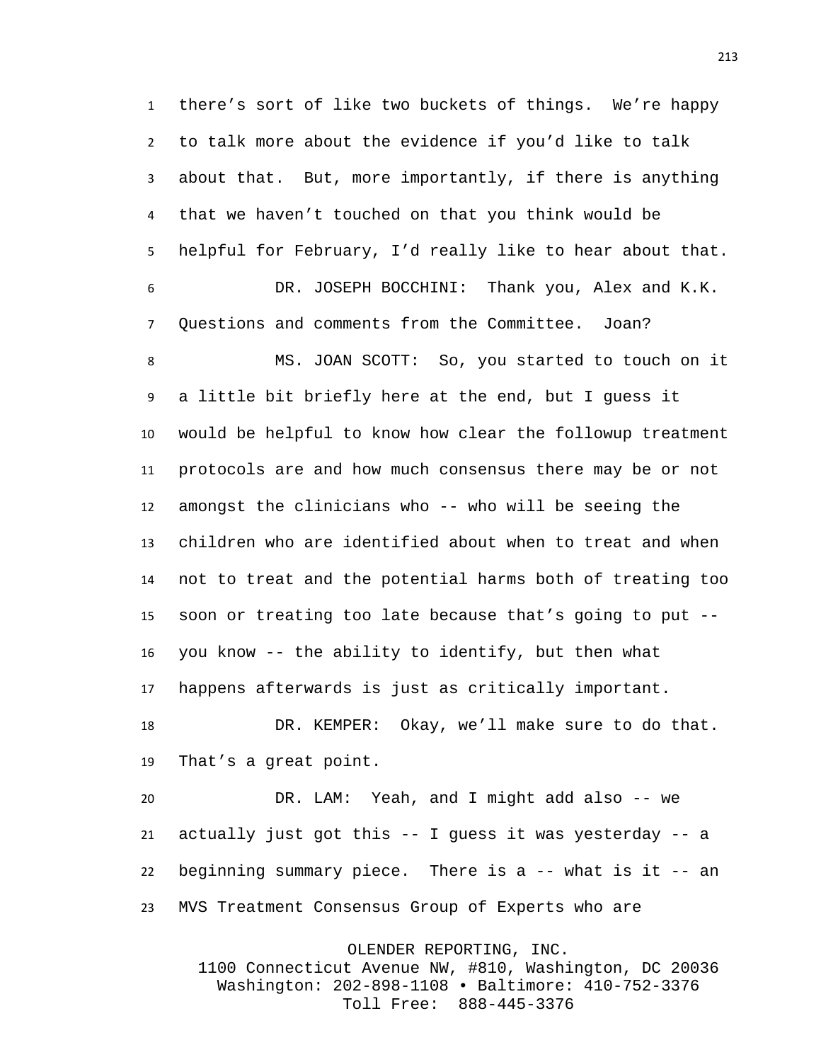there's sort of like two buckets of things. We're happy to talk more about the evidence if you'd like to talk about that. But, more importantly, if there is anything that we haven't touched on that you think would be helpful for February, I'd really like to hear about that. DR. JOSEPH BOCCHINI: Thank you, Alex and K.K.

Questions and comments from the Committee. Joan?

MS. JOAN SCOTT: So, you started to touch on it a little bit briefly here at the end, but I guess it would be helpful to know how clear the followup treatment protocols are and how much consensus there may be or not amongst the clinicians who -- who will be seeing the children who are identified about when to treat and when not to treat and the potential harms both of treating too soon or treating too late because that's going to put -- you know -- the ability to identify, but then what happens afterwards is just as critically important.

 DR. KEMPER: Okay, we'll make sure to do that. That's a great point.

 DR. LAM: Yeah, and I might add also -- we actually just got this -- I guess it was yesterday -- a beginning summary piece. There is a -- what is it -- an MVS Treatment Consensus Group of Experts who are

OLENDER REPORTING, INC.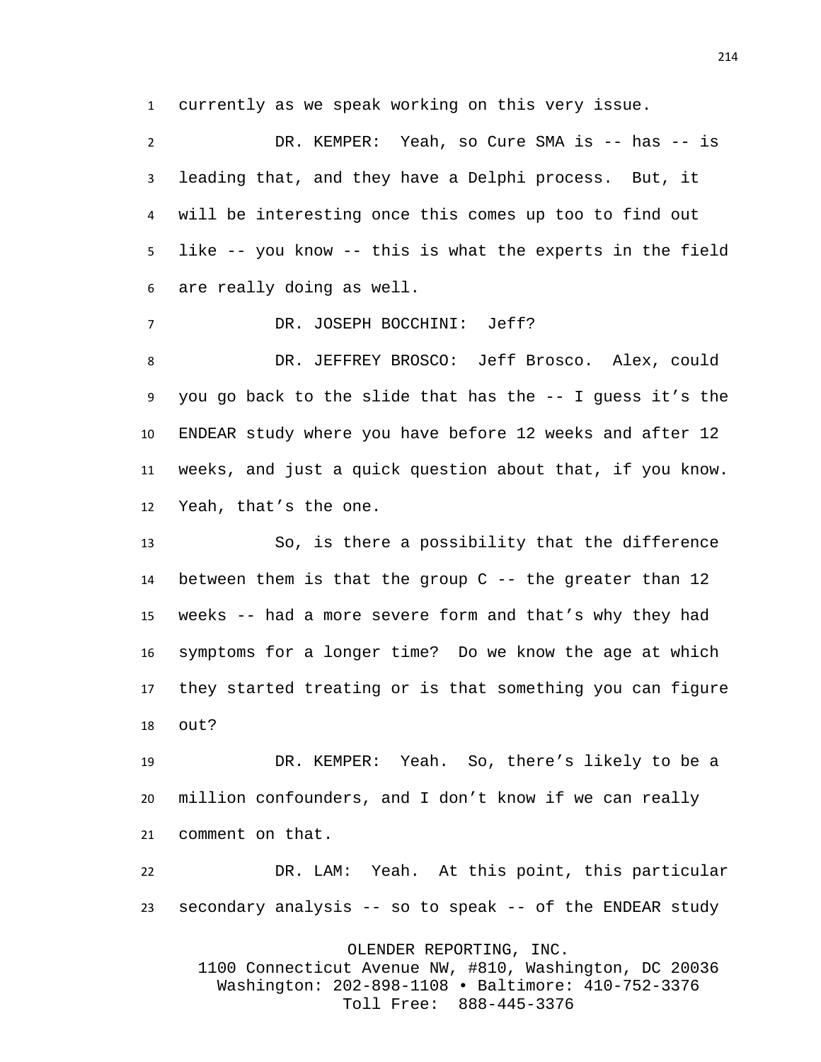currently as we speak working on this very issue.

2 DR. KEMPER: Yeah, so Cure SMA is -- has -- is leading that, and they have a Delphi process. But, it will be interesting once this comes up too to find out like -- you know -- this is what the experts in the field are really doing as well.

DR. JOSEPH BOCCHINI: Jeff?

 DR. JEFFREY BROSCO: Jeff Brosco. Alex, could you go back to the slide that has the -- I guess it's the ENDEAR study where you have before 12 weeks and after 12 weeks, and just a quick question about that, if you know. Yeah, that's the one.

 So, is there a possibility that the difference between them is that the group C -- the greater than 12 weeks -- had a more severe form and that's why they had symptoms for a longer time? Do we know the age at which they started treating or is that something you can figure out?

 DR. KEMPER: Yeah. So, there's likely to be a million confounders, and I don't know if we can really comment on that.

 DR. LAM: Yeah. At this point, this particular secondary analysis -- so to speak -- of the ENDEAR study

OLENDER REPORTING, INC.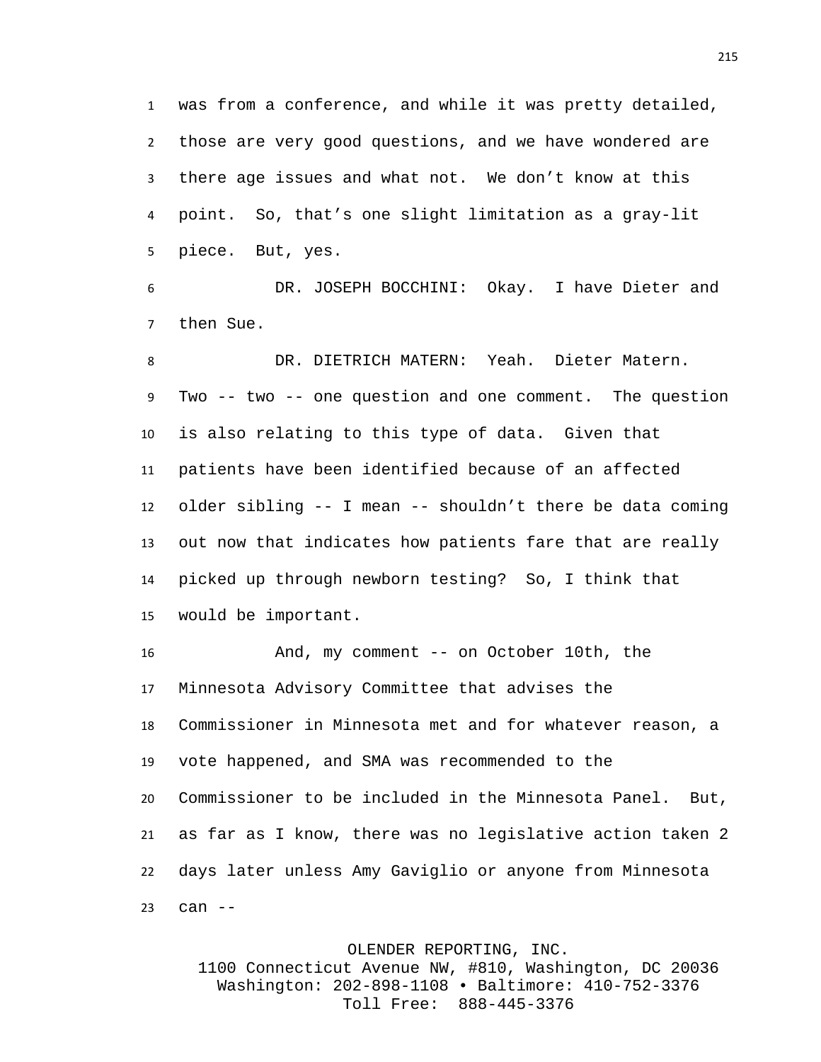was from a conference, and while it was pretty detailed, those are very good questions, and we have wondered are there age issues and what not. We don't know at this point. So, that's one slight limitation as a gray-lit piece. But, yes.

 DR. JOSEPH BOCCHINI: Okay. I have Dieter and then Sue.

 DR. DIETRICH MATERN: Yeah. Dieter Matern. Two -- two -- one question and one comment. The question is also relating to this type of data. Given that patients have been identified because of an affected older sibling -- I mean -- shouldn't there be data coming out now that indicates how patients fare that are really picked up through newborn testing? So, I think that would be important.

 And, my comment -- on October 10th, the Minnesota Advisory Committee that advises the Commissioner in Minnesota met and for whatever reason, a vote happened, and SMA was recommended to the Commissioner to be included in the Minnesota Panel. But, as far as I know, there was no legislative action taken 2 days later unless Amy Gaviglio or anyone from Minnesota can --

## OLENDER REPORTING, INC.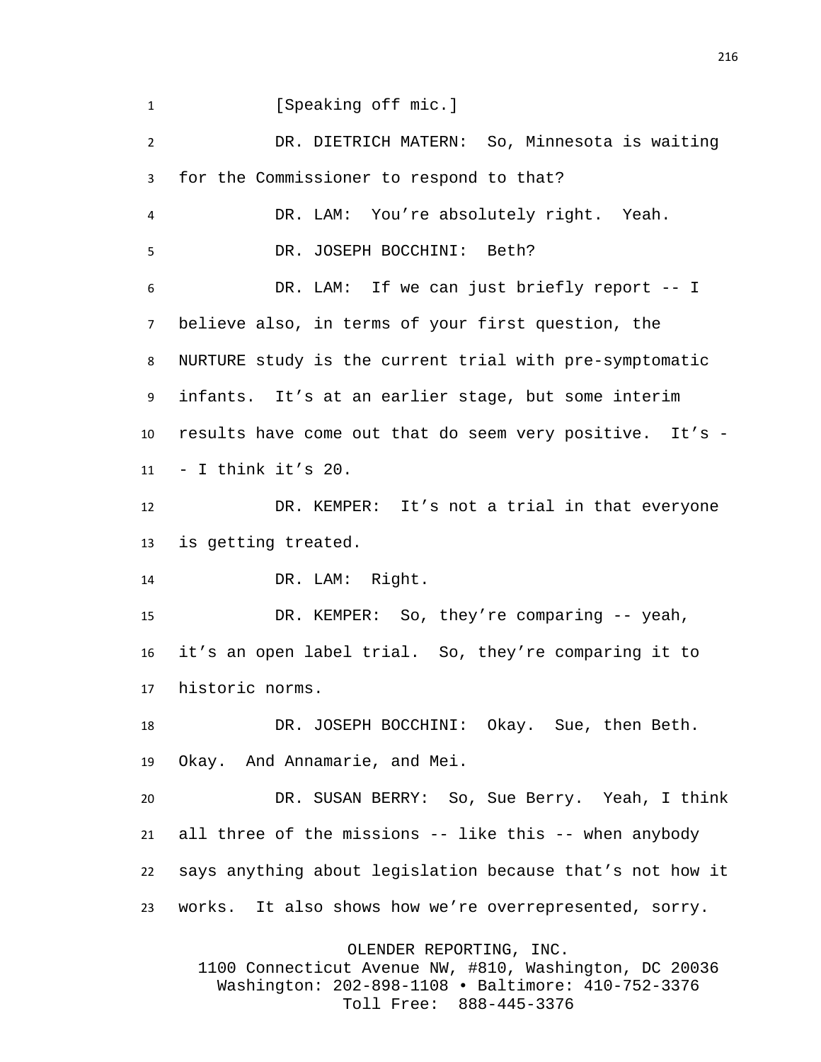1 [Speaking off mic.]

 DR. DIETRICH MATERN: So, Minnesota is waiting for the Commissioner to respond to that? DR. LAM: You're absolutely right. Yeah. DR. JOSEPH BOCCHINI: Beth? DR. LAM: If we can just briefly report -- I believe also, in terms of your first question, the NURTURE study is the current trial with pre-symptomatic infants. It's at an earlier stage, but some interim results have come out that do seem very positive. It's - 11 - I think it's . DR. KEMPER: It's not a trial in that everyone

is getting treated.

DR. LAM: Right.

 DR. KEMPER: So, they're comparing -- yeah, it's an open label trial. So, they're comparing it to historic norms.

 DR. JOSEPH BOCCHINI: Okay. Sue, then Beth. Okay. And Annamarie, and Mei.

 DR. SUSAN BERRY: So, Sue Berry. Yeah, I think all three of the missions -- like this -- when anybody says anything about legislation because that's not how it works. It also shows how we're overrepresented, sorry.

OLENDER REPORTING, INC.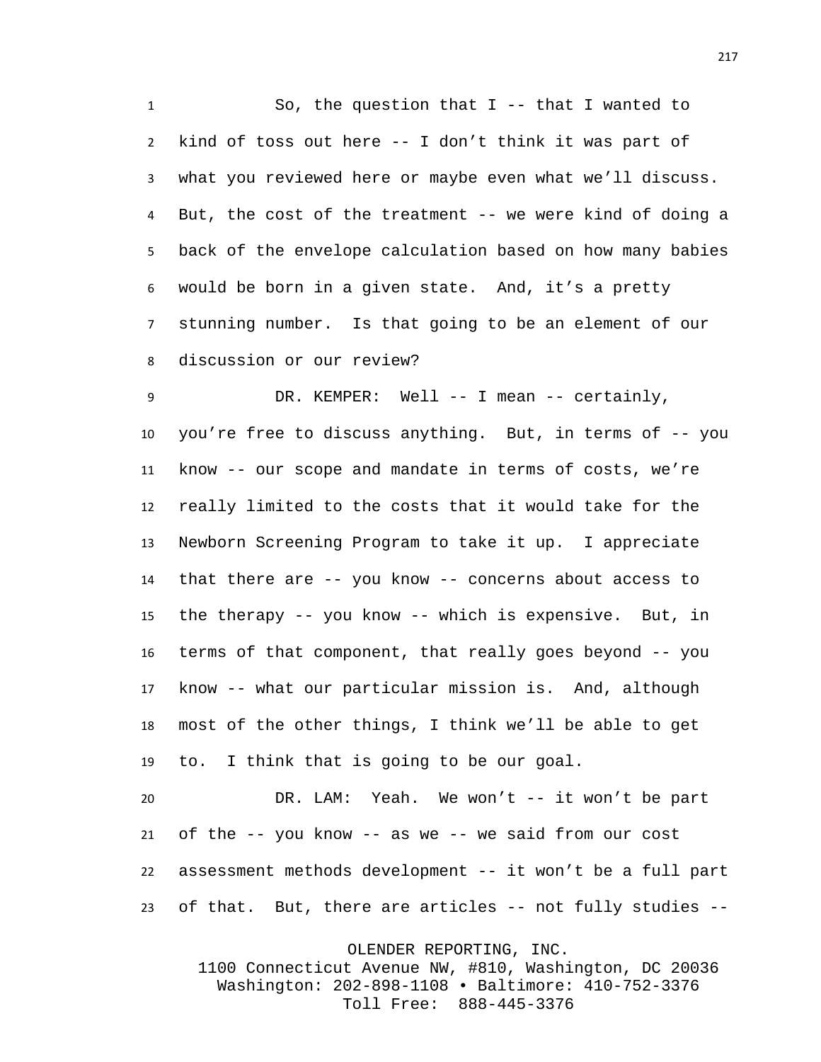So, the question that I -- that I wanted to kind of toss out here -- I don't think it was part of what you reviewed here or maybe even what we'll discuss. But, the cost of the treatment -- we were kind of doing a back of the envelope calculation based on how many babies would be born in a given state. And, it's a pretty stunning number. Is that going to be an element of our discussion or our review?

9 DR. KEMPER: Well -- I mean -- certainly, you're free to discuss anything. But, in terms of -- you know -- our scope and mandate in terms of costs, we're really limited to the costs that it would take for the Newborn Screening Program to take it up. I appreciate that there are -- you know -- concerns about access to the therapy -- you know -- which is expensive. But, in terms of that component, that really goes beyond -- you know -- what our particular mission is. And, although most of the other things, I think we'll be able to get to. I think that is going to be our goal.

 DR. LAM: Yeah. We won't -- it won't be part of the -- you know -- as we -- we said from our cost assessment methods development -- it won't be a full part of that. But, there are articles -- not fully studies --

OLENDER REPORTING, INC.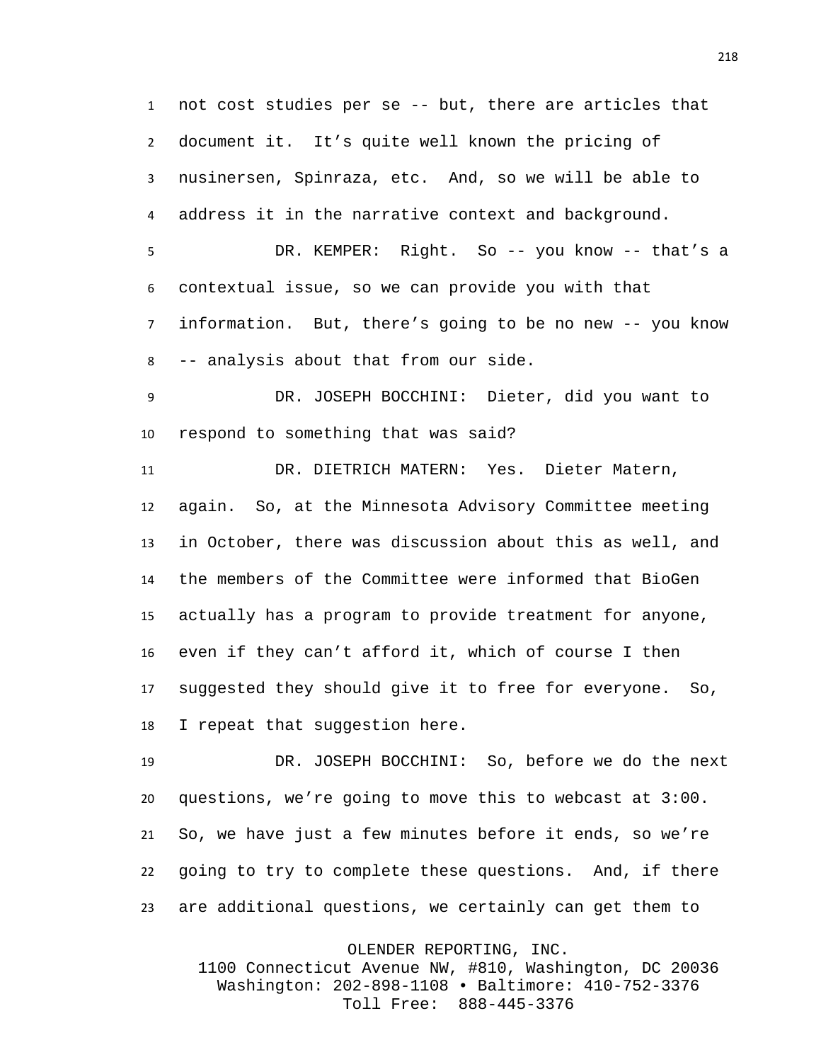not cost studies per se -- but, there are articles that document it. It's quite well known the pricing of nusinersen, Spinraza, etc. And, so we will be able to address it in the narrative context and background.

 DR. KEMPER: Right. So -- you know -- that's a contextual issue, so we can provide you with that information. But, there's going to be no new -- you know

 DR. JOSEPH BOCCHINI: Dieter, did you want to respond to something that was said?

-- analysis about that from our side.

 DR. DIETRICH MATERN: Yes. Dieter Matern, again. So, at the Minnesota Advisory Committee meeting in October, there was discussion about this as well, and the members of the Committee were informed that BioGen actually has a program to provide treatment for anyone, even if they can't afford it, which of course I then suggested they should give it to free for everyone. So, I repeat that suggestion here.

 DR. JOSEPH BOCCHINI: So, before we do the next questions, we're going to move this to webcast at 3:00. So, we have just a few minutes before it ends, so we're going to try to complete these questions. And, if there are additional questions, we certainly can get them to

OLENDER REPORTING, INC.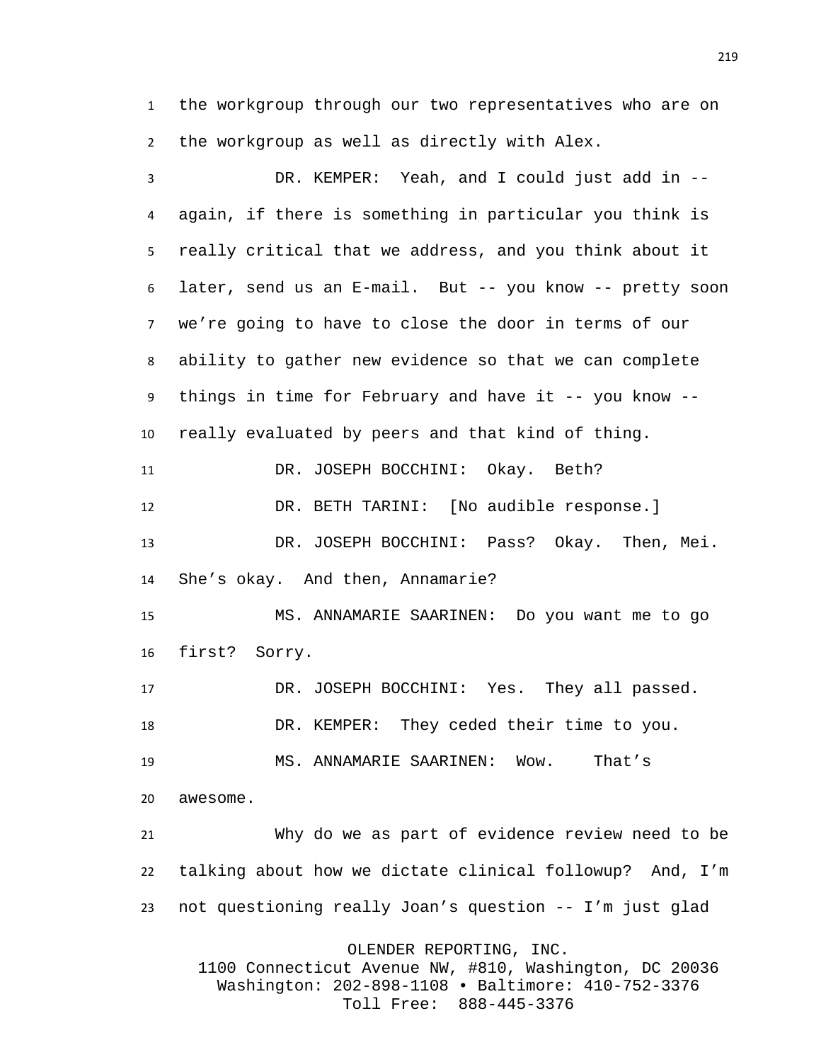the workgroup through our two representatives who are on the workgroup as well as directly with Alex.

 DR. KEMPER: Yeah, and I could just add in -- again, if there is something in particular you think is really critical that we address, and you think about it later, send us an E-mail. But -- you know -- pretty soon we're going to have to close the door in terms of our ability to gather new evidence so that we can complete things in time for February and have it -- you know -- really evaluated by peers and that kind of thing. DR. JOSEPH BOCCHINI: Okay. Beth? DR. BETH TARINI: [No audible response.] DR. JOSEPH BOCCHINI: Pass? Okay. Then, Mei. She's okay. And then, Annamarie? MS. ANNAMARIE SAARINEN: Do you want me to go first? Sorry. DR. JOSEPH BOCCHINI: Yes. They all passed. DR. KEMPER: They ceded their time to you. MS. ANNAMARIE SAARINEN: Wow. That's awesome. Why do we as part of evidence review need to be talking about how we dictate clinical followup? And, I'm not questioning really Joan's question -- I'm just glad OLENDER REPORTING, INC.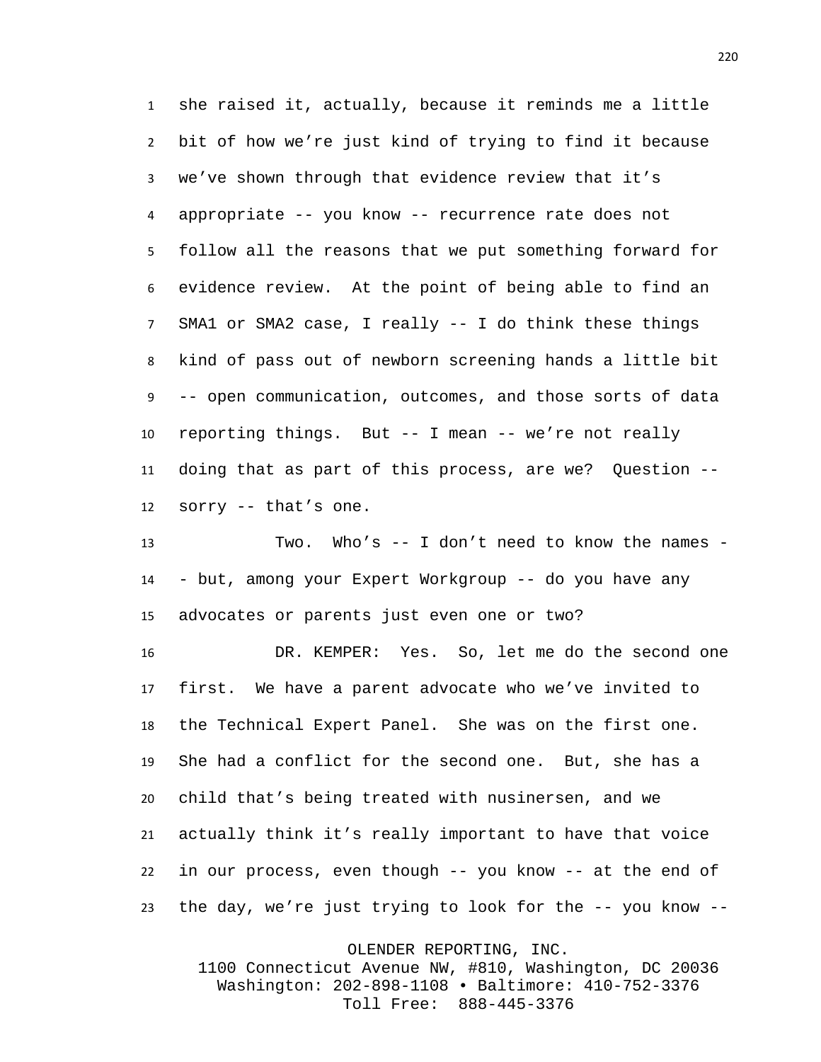she raised it, actually, because it reminds me a little bit of how we're just kind of trying to find it because we've shown through that evidence review that it's appropriate -- you know -- recurrence rate does not follow all the reasons that we put something forward for evidence review. At the point of being able to find an SMA1 or SMA2 case, I really -- I do think these things kind of pass out of newborn screening hands a little bit -- open communication, outcomes, and those sorts of data reporting things. But -- I mean -- we're not really doing that as part of this process, are we? Question -- sorry -- that's one.

 Two. Who's -- I don't need to know the names - - but, among your Expert Workgroup -- do you have any advocates or parents just even one or two?

 DR. KEMPER: Yes. So, let me do the second one first. We have a parent advocate who we've invited to the Technical Expert Panel. She was on the first one. She had a conflict for the second one. But, she has a child that's being treated with nusinersen, and we actually think it's really important to have that voice in our process, even though -- you know -- at the end of the day, we're just trying to look for the -- you know --

OLENDER REPORTING, INC.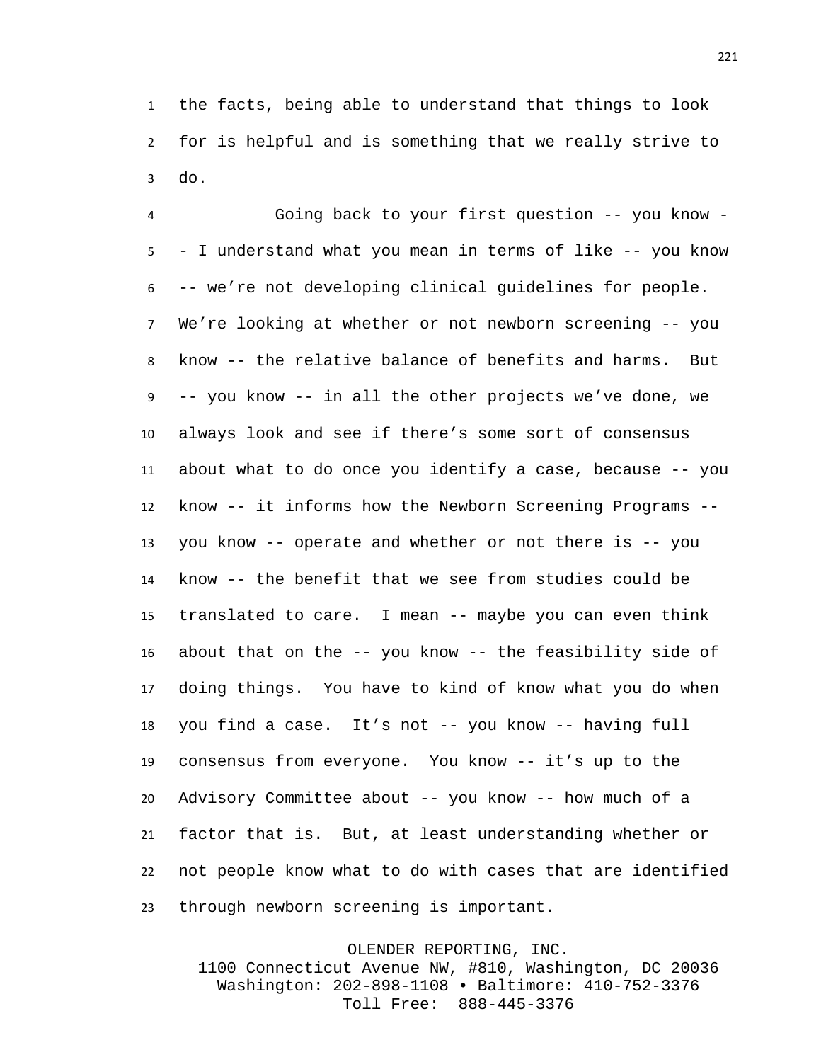the facts, being able to understand that things to look for is helpful and is something that we really strive to do.

 Going back to your first question -- you know - - I understand what you mean in terms of like -- you know -- we're not developing clinical guidelines for people. We're looking at whether or not newborn screening -- you know -- the relative balance of benefits and harms. But -- you know -- in all the other projects we've done, we always look and see if there's some sort of consensus about what to do once you identify a case, because -- you know -- it informs how the Newborn Screening Programs -- you know -- operate and whether or not there is -- you know -- the benefit that we see from studies could be translated to care. I mean -- maybe you can even think about that on the -- you know -- the feasibility side of doing things. You have to kind of know what you do when you find a case. It's not -- you know -- having full consensus from everyone. You know -- it's up to the Advisory Committee about -- you know -- how much of a factor that is. But, at least understanding whether or not people know what to do with cases that are identified through newborn screening is important.

OLENDER REPORTING, INC. 1100 Connecticut Avenue NW, #810, Washington, DC 20036 Washington: 202-898-1108 • Baltimore: 410-752-3376 Toll Free: 888-445-3376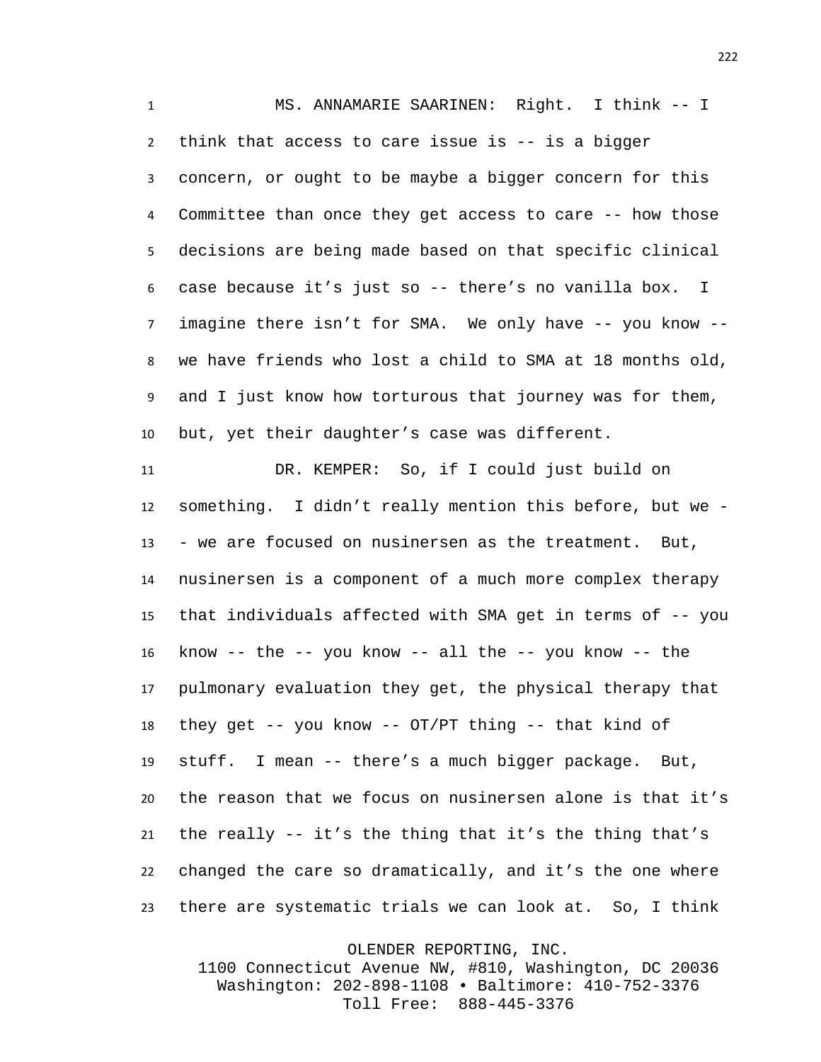MS. ANNAMARIE SAARINEN: Right. I think -- I think that access to care issue is -- is a bigger concern, or ought to be maybe a bigger concern for this Committee than once they get access to care -- how those decisions are being made based on that specific clinical case because it's just so -- there's no vanilla box. I imagine there isn't for SMA. We only have -- you know -- we have friends who lost a child to SMA at 18 months old, and I just know how torturous that journey was for them, but, yet their daughter's case was different.

 DR. KEMPER: So, if I could just build on something. I didn't really mention this before, but we - - we are focused on nusinersen as the treatment. But, nusinersen is a component of a much more complex therapy that individuals affected with SMA get in terms of -- you know -- the -- you know -- all the -- you know -- the pulmonary evaluation they get, the physical therapy that they get -- you know -- OT/PT thing -- that kind of stuff. I mean -- there's a much bigger package. But, the reason that we focus on nusinersen alone is that it's the really -- it's the thing that it's the thing that's changed the care so dramatically, and it's the one where there are systematic trials we can look at. So, I think

OLENDER REPORTING, INC.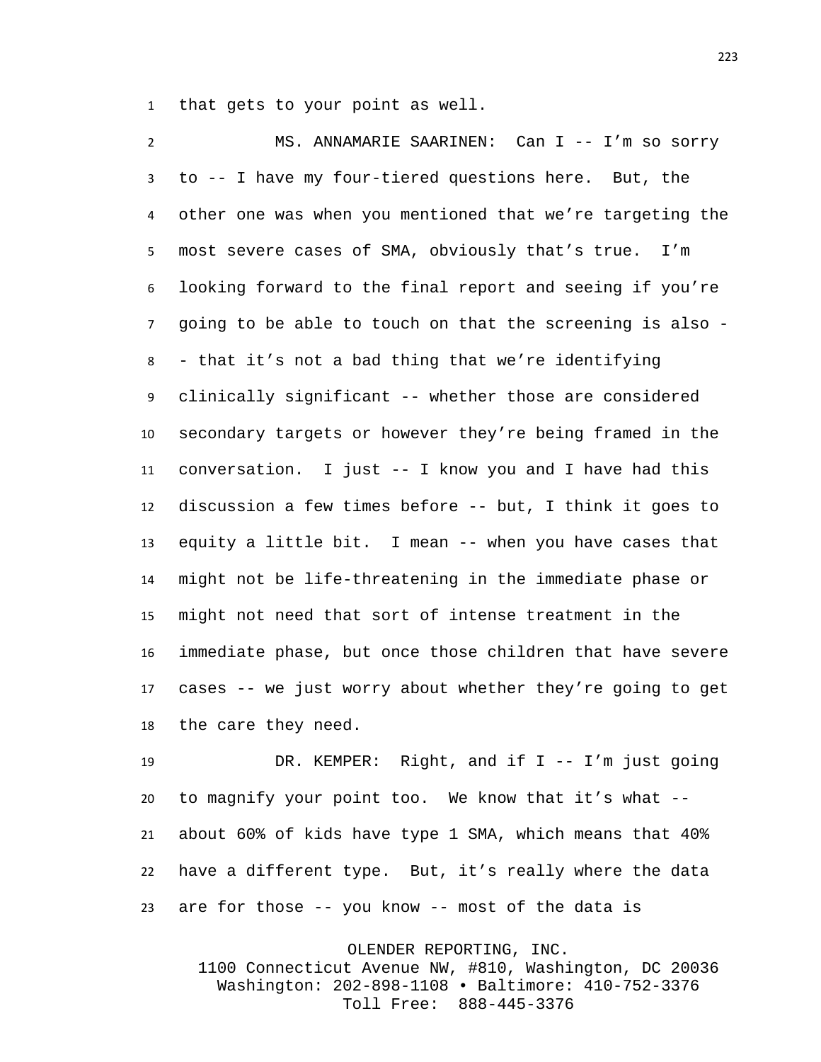that gets to your point as well.

 MS. ANNAMARIE SAARINEN: Can I -- I'm so sorry to -- I have my four-tiered questions here. But, the other one was when you mentioned that we're targeting the most severe cases of SMA, obviously that's true. I'm looking forward to the final report and seeing if you're going to be able to touch on that the screening is also - - that it's not a bad thing that we're identifying clinically significant -- whether those are considered secondary targets or however they're being framed in the conversation. I just -- I know you and I have had this discussion a few times before -- but, I think it goes to equity a little bit. I mean -- when you have cases that might not be life-threatening in the immediate phase or might not need that sort of intense treatment in the immediate phase, but once those children that have severe cases -- we just worry about whether they're going to get the care they need.

 DR. KEMPER: Right, and if I -- I'm just going to magnify your point too. We know that it's what -- about 60% of kids have type 1 SMA, which means that 40% have a different type. But, it's really where the data are for those -- you know -- most of the data is

OLENDER REPORTING, INC. 1100 Connecticut Avenue NW, #810, Washington, DC 20036 Washington: 202-898-1108 • Baltimore: 410-752-3376 Toll Free: 888-445-3376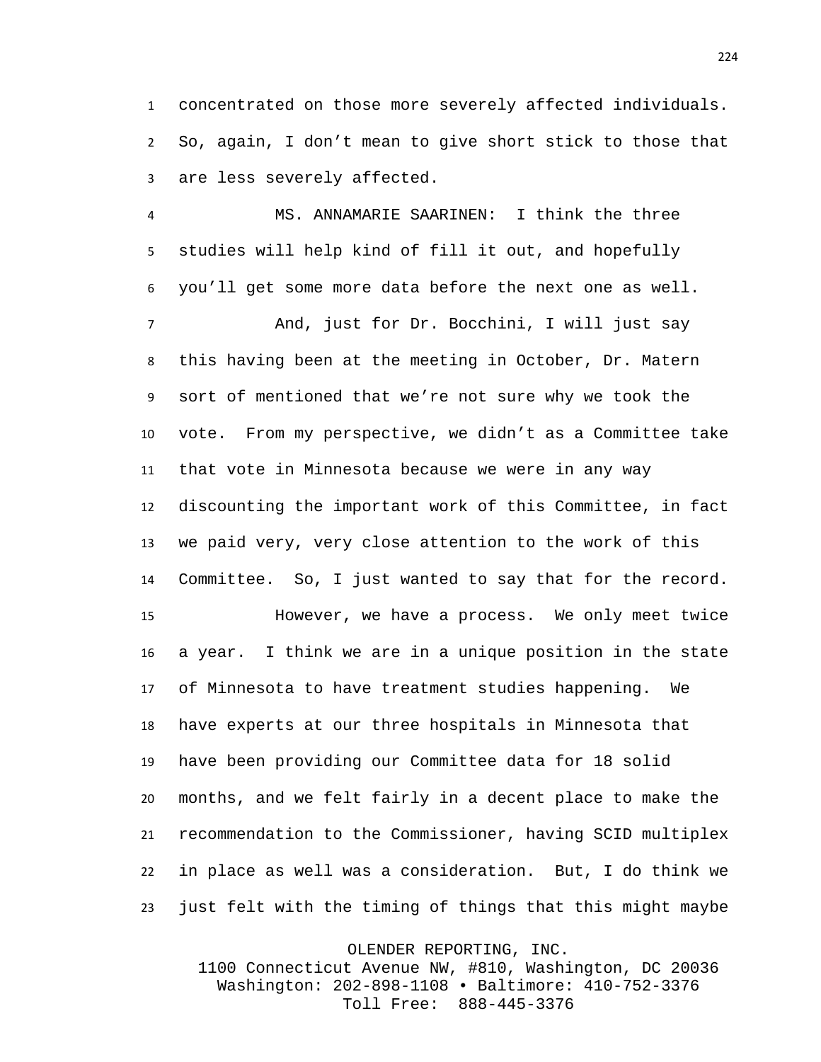concentrated on those more severely affected individuals. So, again, I don't mean to give short stick to those that are less severely affected.

 MS. ANNAMARIE SAARINEN: I think the three studies will help kind of fill it out, and hopefully you'll get some more data before the next one as well.

 And, just for Dr. Bocchini, I will just say this having been at the meeting in October, Dr. Matern sort of mentioned that we're not sure why we took the vote. From my perspective, we didn't as a Committee take that vote in Minnesota because we were in any way discounting the important work of this Committee, in fact we paid very, very close attention to the work of this Committee. So, I just wanted to say that for the record. However, we have a process. We only meet twice a year. I think we are in a unique position in the state of Minnesota to have treatment studies happening. We have experts at our three hospitals in Minnesota that have been providing our Committee data for 18 solid months, and we felt fairly in a decent place to make the recommendation to the Commissioner, having SCID multiplex in place as well was a consideration. But, I do think we just felt with the timing of things that this might maybe

OLENDER REPORTING, INC.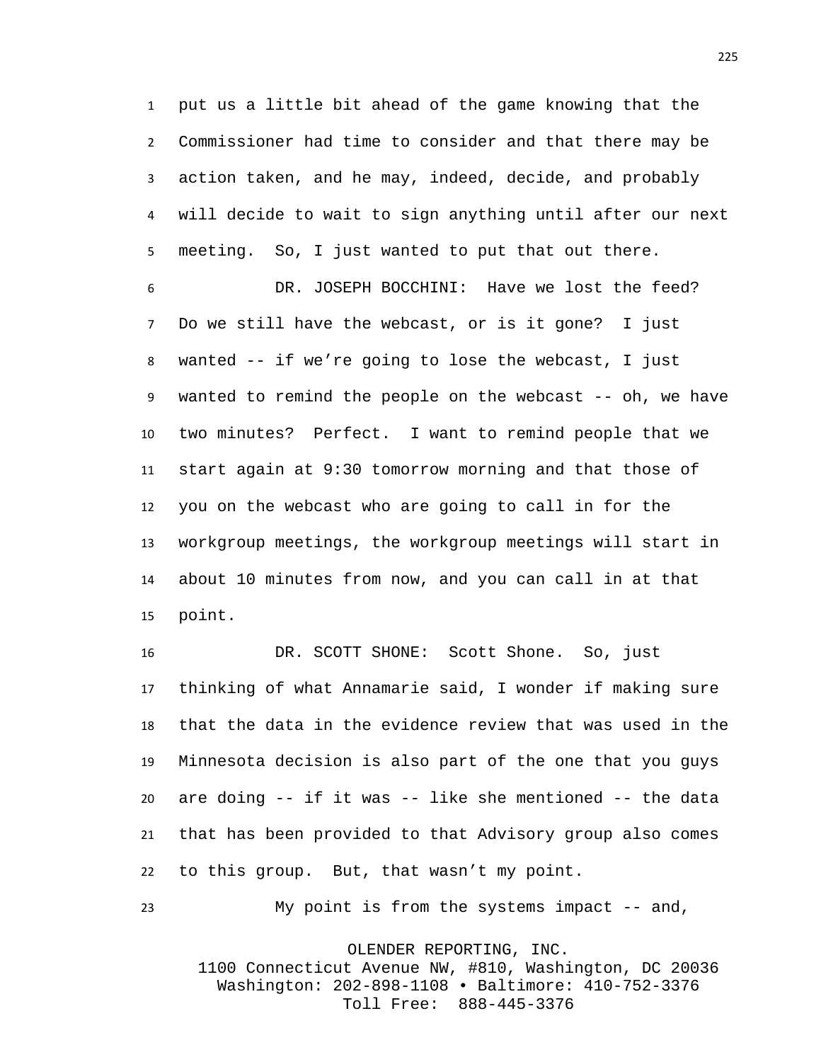put us a little bit ahead of the game knowing that the Commissioner had time to consider and that there may be action taken, and he may, indeed, decide, and probably will decide to wait to sign anything until after our next meeting. So, I just wanted to put that out there.

 DR. JOSEPH BOCCHINI: Have we lost the feed? Do we still have the webcast, or is it gone? I just wanted -- if we're going to lose the webcast, I just wanted to remind the people on the webcast -- oh, we have two minutes? Perfect. I want to remind people that we start again at 9:30 tomorrow morning and that those of you on the webcast who are going to call in for the workgroup meetings, the workgroup meetings will start in about 10 minutes from now, and you can call in at that point.

 DR. SCOTT SHONE: Scott Shone. So, just thinking of what Annamarie said, I wonder if making sure that the data in the evidence review that was used in the Minnesota decision is also part of the one that you guys are doing -- if it was -- like she mentioned -- the data that has been provided to that Advisory group also comes to this group. But, that wasn't my point.

My point is from the systems impact -- and,

OLENDER REPORTING, INC.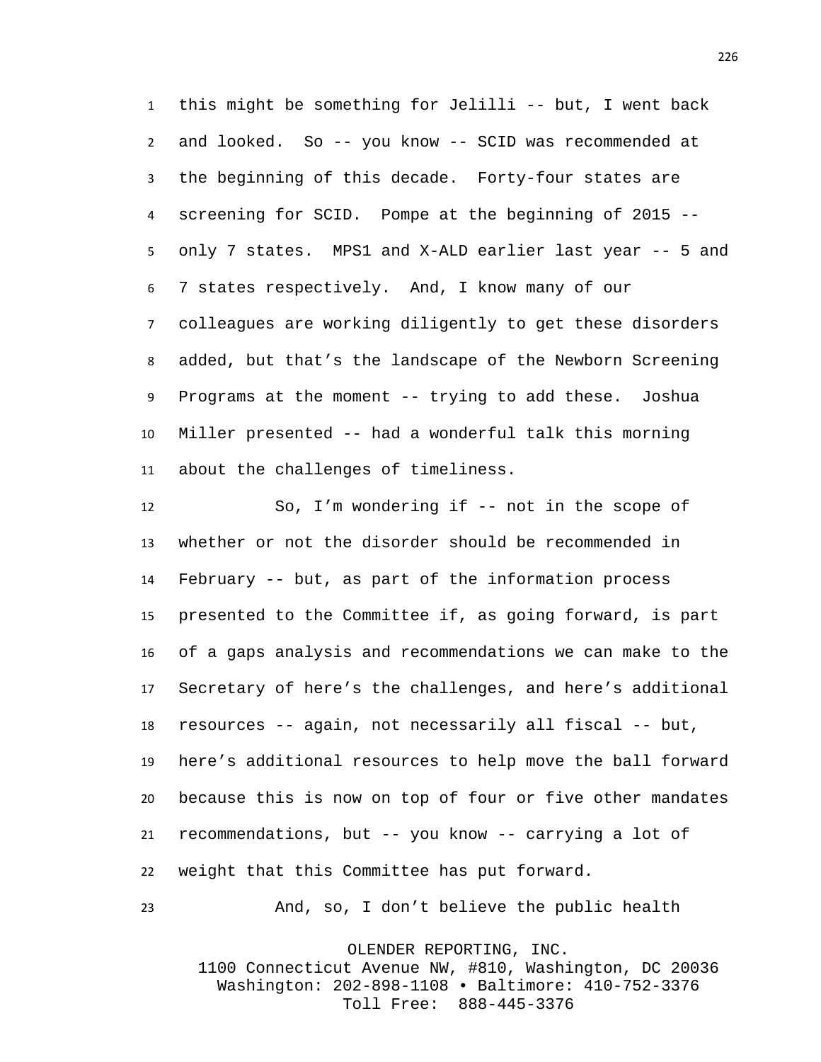this might be something for Jelilli -- but, I went back and looked. So -- you know -- SCID was recommended at the beginning of this decade. Forty-four states are screening for SCID. Pompe at the beginning of 2015 -- only 7 states. MPS1 and X-ALD earlier last year -- 5 and 7 states respectively. And, I know many of our colleagues are working diligently to get these disorders added, but that's the landscape of the Newborn Screening Programs at the moment -- trying to add these. Joshua Miller presented -- had a wonderful talk this morning about the challenges of timeliness.

 So, I'm wondering if -- not in the scope of whether or not the disorder should be recommended in February -- but, as part of the information process presented to the Committee if, as going forward, is part of a gaps analysis and recommendations we can make to the Secretary of here's the challenges, and here's additional resources -- again, not necessarily all fiscal -- but, here's additional resources to help move the ball forward because this is now on top of four or five other mandates recommendations, but -- you know -- carrying a lot of weight that this Committee has put forward.

And, so, I don't believe the public health

OLENDER REPORTING, INC.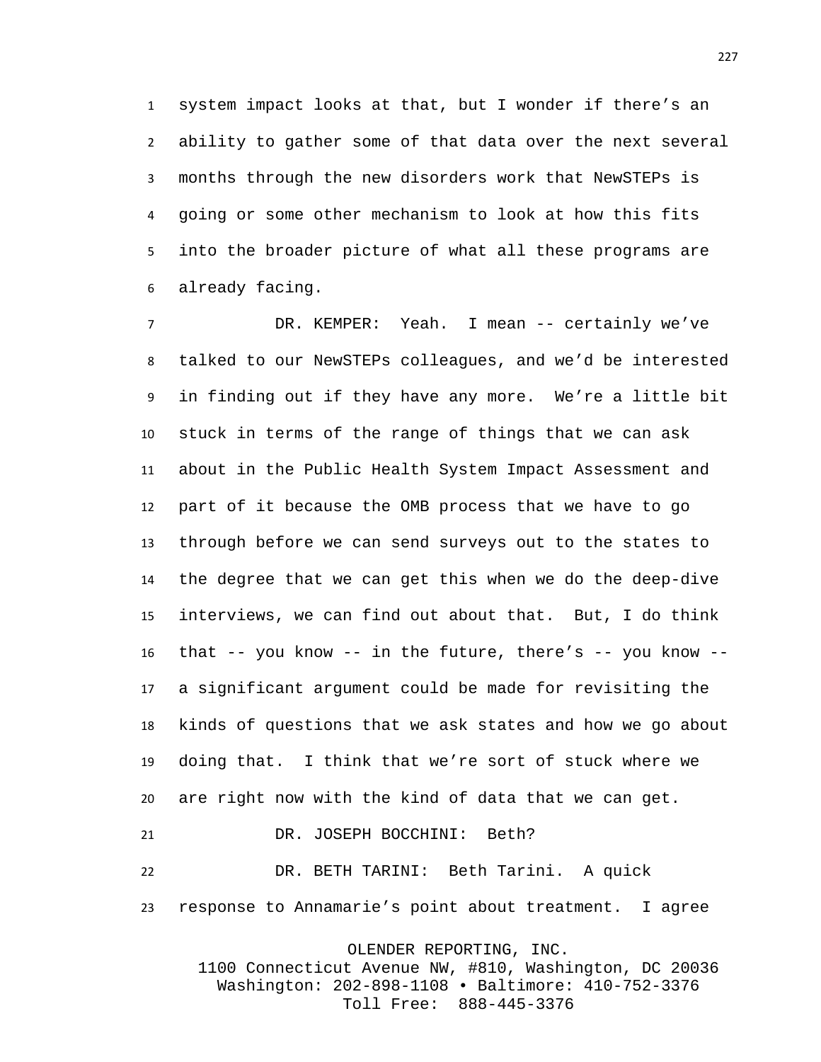system impact looks at that, but I wonder if there's an ability to gather some of that data over the next several months through the new disorders work that NewSTEPs is going or some other mechanism to look at how this fits into the broader picture of what all these programs are already facing.

 DR. KEMPER: Yeah. I mean -- certainly we've talked to our NewSTEPs colleagues, and we'd be interested in finding out if they have any more. We're a little bit stuck in terms of the range of things that we can ask about in the Public Health System Impact Assessment and part of it because the OMB process that we have to go through before we can send surveys out to the states to the degree that we can get this when we do the deep-dive interviews, we can find out about that. But, I do think that -- you know -- in the future, there's -- you know -- a significant argument could be made for revisiting the kinds of questions that we ask states and how we go about doing that. I think that we're sort of stuck where we are right now with the kind of data that we can get. DR. JOSEPH BOCCHINI: Beth? DR. BETH TARINI: Beth Tarini. A quick

response to Annamarie's point about treatment. I agree

OLENDER REPORTING, INC.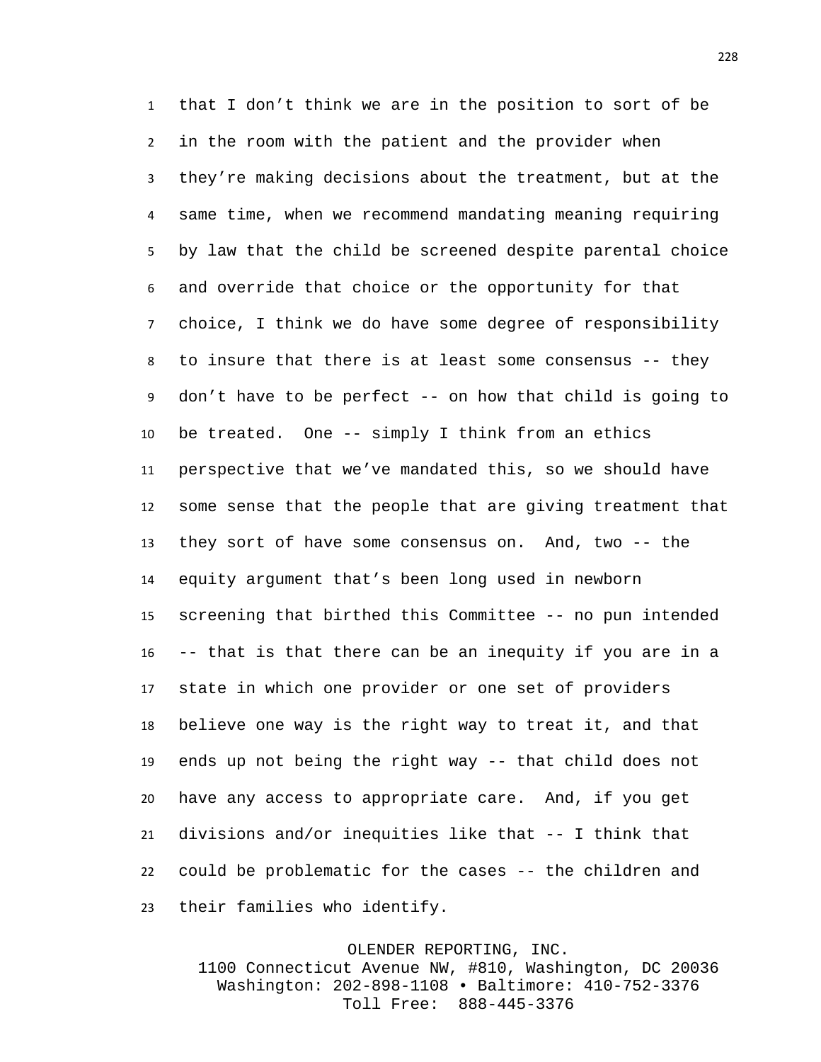that I don't think we are in the position to sort of be in the room with the patient and the provider when they're making decisions about the treatment, but at the same time, when we recommend mandating meaning requiring by law that the child be screened despite parental choice and override that choice or the opportunity for that choice, I think we do have some degree of responsibility to insure that there is at least some consensus -- they don't have to be perfect -- on how that child is going to be treated. One -- simply I think from an ethics perspective that we've mandated this, so we should have some sense that the people that are giving treatment that they sort of have some consensus on. And, two -- the equity argument that's been long used in newborn screening that birthed this Committee -- no pun intended -- that is that there can be an inequity if you are in a state in which one provider or one set of providers believe one way is the right way to treat it, and that ends up not being the right way -- that child does not have any access to appropriate care. And, if you get divisions and/or inequities like that -- I think that could be problematic for the cases -- the children and their families who identify.

## OLENDER REPORTING, INC.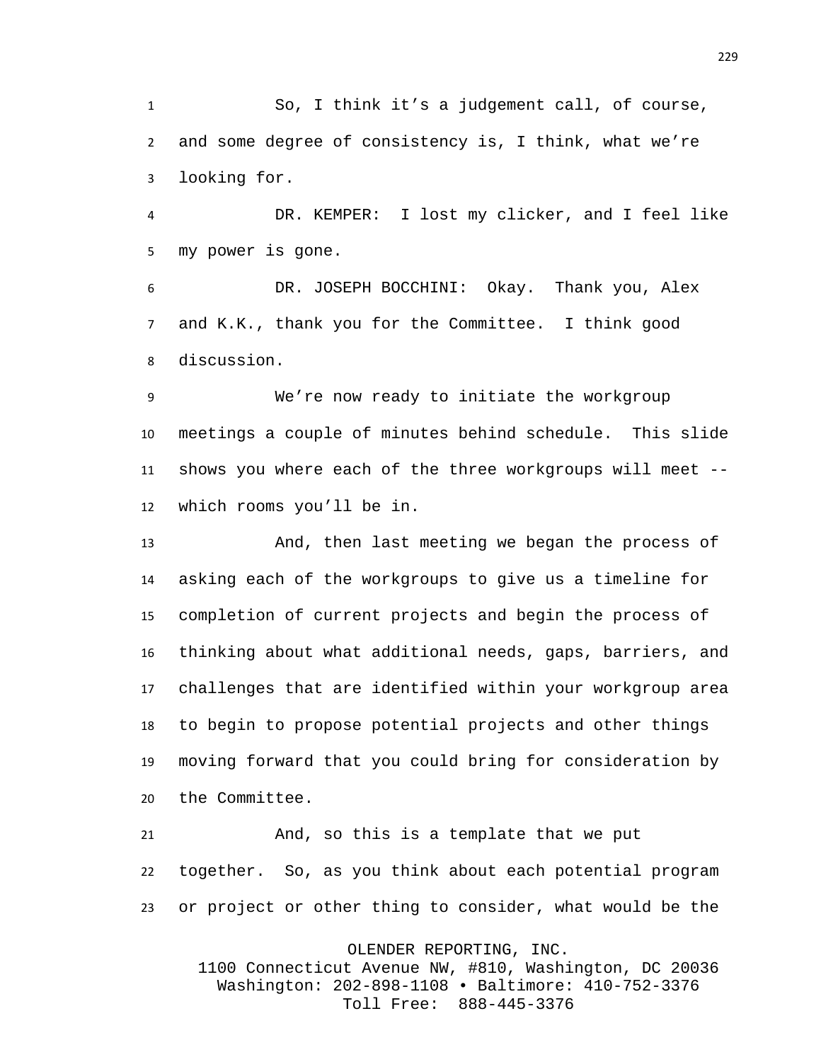So, I think it's a judgement call, of course, and some degree of consistency is, I think, what we're looking for.

 DR. KEMPER: I lost my clicker, and I feel like my power is gone.

 DR. JOSEPH BOCCHINI: Okay. Thank you, Alex and K.K., thank you for the Committee. I think good discussion.

 We're now ready to initiate the workgroup meetings a couple of minutes behind schedule. This slide shows you where each of the three workgroups will meet -- which rooms you'll be in.

 And, then last meeting we began the process of asking each of the workgroups to give us a timeline for completion of current projects and begin the process of thinking about what additional needs, gaps, barriers, and challenges that are identified within your workgroup area to begin to propose potential projects and other things moving forward that you could bring for consideration by the Committee.

 And, so this is a template that we put together. So, as you think about each potential program or project or other thing to consider, what would be the

OLENDER REPORTING, INC.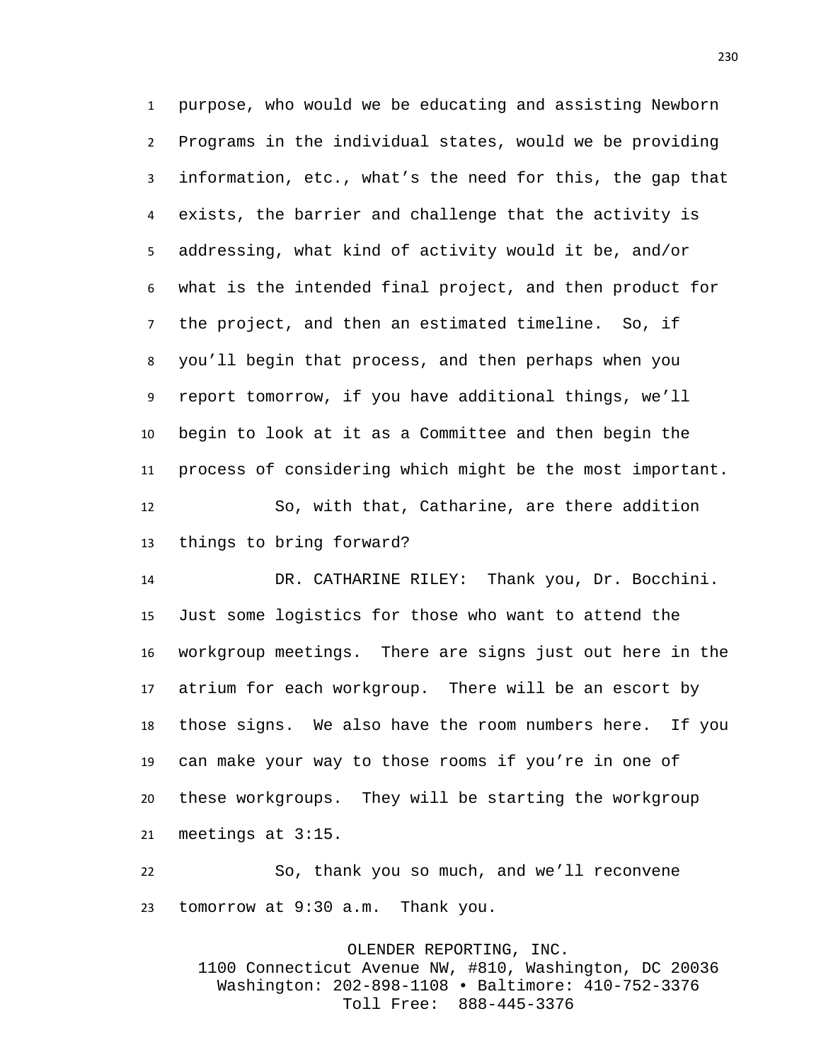purpose, who would we be educating and assisting Newborn Programs in the individual states, would we be providing information, etc., what's the need for this, the gap that exists, the barrier and challenge that the activity is addressing, what kind of activity would it be, and/or what is the intended final project, and then product for the project, and then an estimated timeline. So, if you'll begin that process, and then perhaps when you report tomorrow, if you have additional things, we'll begin to look at it as a Committee and then begin the process of considering which might be the most important. So, with that, Catharine, are there addition things to bring forward?

 DR. CATHARINE RILEY: Thank you, Dr. Bocchini. Just some logistics for those who want to attend the workgroup meetings. There are signs just out here in the atrium for each workgroup. There will be an escort by those signs. We also have the room numbers here. If you can make your way to those rooms if you're in one of these workgroups. They will be starting the workgroup meetings at 3:15.

 So, thank you so much, and we'll reconvene tomorrow at 9:30 a.m. Thank you.

> OLENDER REPORTING, INC. 1100 Connecticut Avenue NW, #810, Washington, DC 20036 Washington: 202-898-1108 • Baltimore: 410-752-3376 Toll Free: 888-445-3376